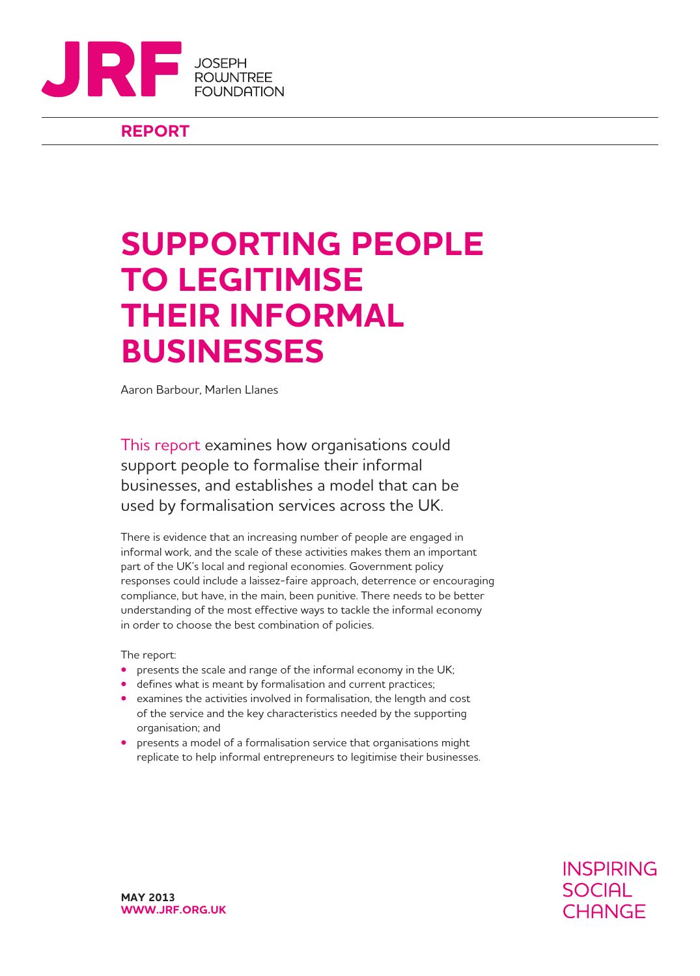

## **REPORT**

# **SUPPORTING PEOPLE TO LEGITIMISE THEIR INFORMAL BUSINESSES**

Aaron Barbour, Marlen Llanes

This report examines how organisations could support people to formalise their informal businesses, and establishes a model that can be used by formalisation services across the UK.

There is evidence that an increasing number of people are engaged in informal work, and the scale of these activities makes them an important part of the UK's local and regional economies. Government policy responses could include a laissez-faire approach, deterrence or encouraging compliance, but have, in the main, been punitive. There needs to be better understanding of the most effective ways to tackle the informal economy in order to choose the best combination of policies.

The report:

- **•** presents the scale and range of the informal economy in the UK;
- defines what is meant by formalisation and current practices;
- examines the activities involved in formalisation, the length and cost of the service and the key characteristics needed by the supporting organisation; and
- presents a model of a formalisation service that organisations might replicate to help informal entrepreneurs to legitimise their businesses.

**INSPIRING SOCIAL CHANGE**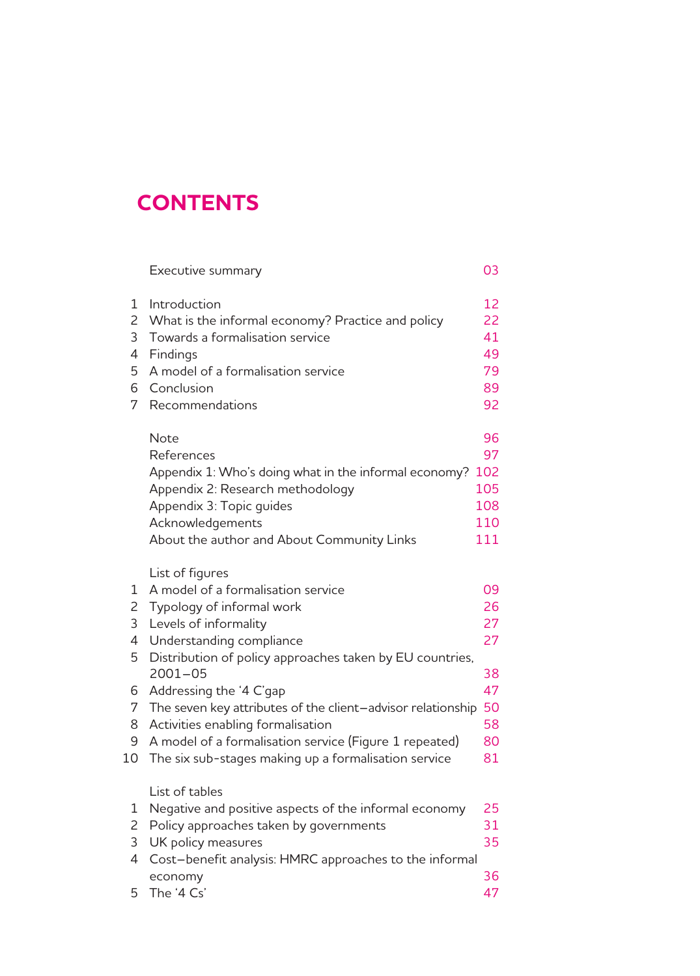## **CONTENTS**

|                                                 | Executive summary                                                                                                                                                                                                                                                                                                                                                                                                                                                   | 03                                                       |
|-------------------------------------------------|---------------------------------------------------------------------------------------------------------------------------------------------------------------------------------------------------------------------------------------------------------------------------------------------------------------------------------------------------------------------------------------------------------------------------------------------------------------------|----------------------------------------------------------|
| 1<br>$\overline{c}$<br>3<br>4<br>5<br>6<br>7    | Introduction<br>What is the informal economy? Practice and policy<br>Towards a formalisation service<br>Findings<br>A model of a formalisation service<br>Conclusion<br>Recommendations                                                                                                                                                                                                                                                                             | 12<br>22<br>41<br>49<br>79<br>89<br>92                   |
|                                                 | <b>Note</b><br>References<br>Appendix 1: Who's doing what in the informal economy?<br>Appendix 2: Research methodology<br>Appendix 3: Topic guides<br>Acknowledgements<br>About the author and About Community Links                                                                                                                                                                                                                                                | 96<br>97<br>102<br>105<br>108<br>110<br>111              |
| 1<br>2<br>3<br>4<br>5<br>6<br>7<br>8<br>9<br>10 | List of figures<br>A model of a formalisation service<br>Typology of informal work<br>Levels of informality<br>Understanding compliance<br>Distribution of policy approaches taken by EU countries,<br>$2001 - 05$<br>Addressing the '4 C'gap<br>The seven key attributes of the client-advisor relationship<br>Activities enabling formalisation<br>A model of a formalisation service (Figure 1 repeated)<br>The six sub-stages making up a formalisation service | 09<br>26<br>27<br>27<br>38<br>47<br>50<br>58<br>80<br>81 |
| 1<br>$\overline{c}$<br>3<br>4<br>5              | List of tables<br>Negative and positive aspects of the informal economy<br>Policy approaches taken by governments<br>UK policy measures<br>Cost-benefit analysis: HMRC approaches to the informal<br>economy<br>The '4 Cs'                                                                                                                                                                                                                                          | 25<br>31<br>35<br>36<br>47                               |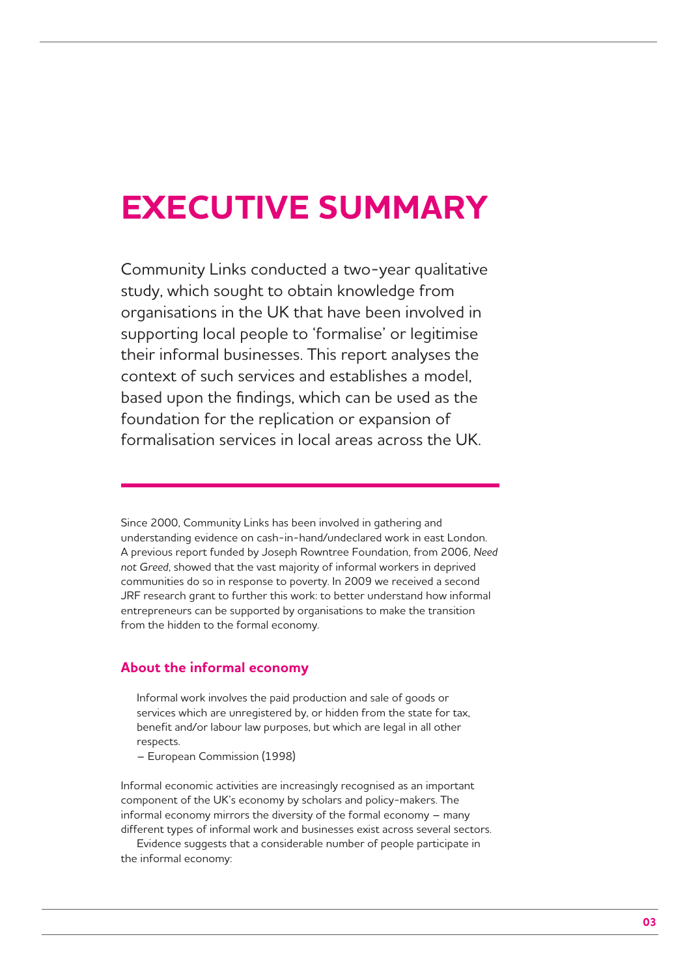# **EXECUTIVE SUMMARY**

Community Links conducted a two-year qualitative study, which sought to obtain knowledge from organisations in the UK that have been involved in supporting local people to 'formalise' or legitimise their informal businesses. This report analyses the context of such services and establishes a model, based upon the findings, which can be used as the foundation for the replication or expansion of formalisation services in local areas across the UK.

Since 2000, Community Links has been involved in gathering and understanding evidence on cash-in-hand/undeclared work in east London. A previous report funded by Joseph Rowntree Foundation, from 2006, *Need not Greed*, showed that the vast majority of informal workers in deprived communities do so in response to poverty. In 2009 we received a second JRF research grant to further this work: to better understand how informal entrepreneurs can be supported by organisations to make the transition from the hidden to the formal economy.

### **About the informal economy**

Informal work involves the paid production and sale of goods or services which are unregistered by, or hidden from the state for tax, benefit and/or labour law purposes, but which are legal in all other respects.

– European Commission (1998)

Informal economic activities are increasingly recognised as an important component of the UK's economy by scholars and policy-makers. The informal economy mirrors the diversity of the formal economy – many different types of informal work and businesses exist across several sectors.

Evidence suggests that a considerable number of people participate in the informal economy: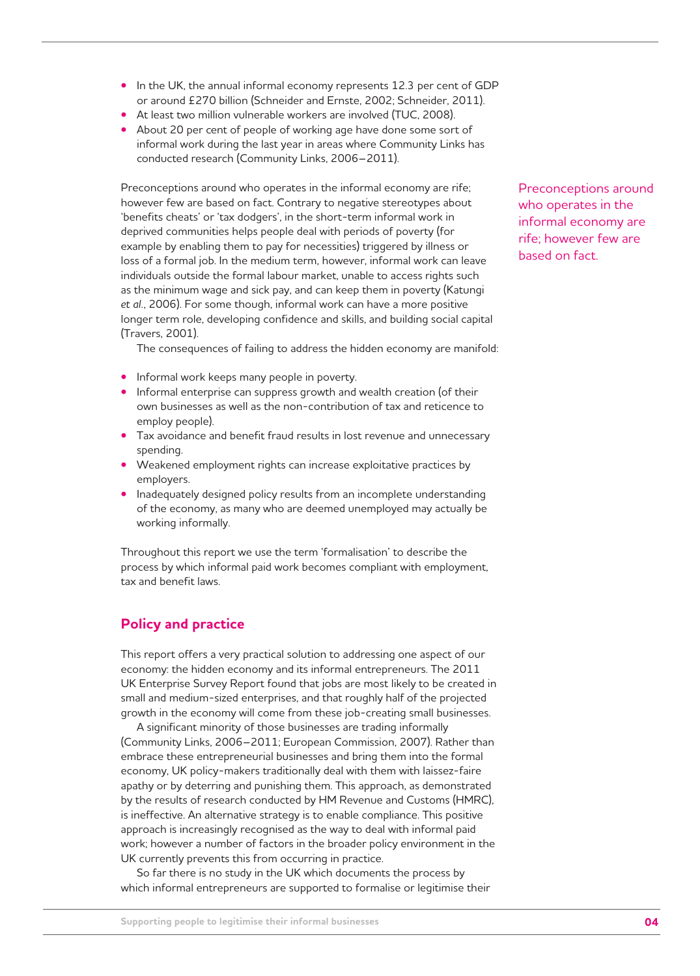- In the UK, the annual informal economy represents 12.3 per cent of GDP or around £270 billion (Schneider and Ernste, 2002; Schneider, 2011).
- At least two million vulnerable workers are involved (TUC, 2008).
- About 20 per cent of people of working age have done some sort of informal work during the last year in areas where Community Links has conducted research (Community Links, 2006–2011).

Preconceptions around who operates in the informal economy are rife; however few are based on fact. Contrary to negative stereotypes about 'benefits cheats' or 'tax dodgers', in the short-term informal work in deprived communities helps people deal with periods of poverty (for example by enabling them to pay for necessities) triggered by illness or loss of a formal job. In the medium term, however, informal work can leave individuals outside the formal labour market, unable to access rights such as the minimum wage and sick pay, and can keep them in poverty (Katungi *et al.*, 2006). For some though, informal work can have a more positive longer term role, developing confidence and skills, and building social capital (Travers, 2001).

The consequences of failing to address the hidden economy are manifold:

- Informal work keeps many people in poverty.
- Informal enterprise can suppress growth and wealth creation (of their own businesses as well as the non-contribution of tax and reticence to employ people).
- Tax avoidance and benefit fraud results in lost revenue and unnecessary spending.
- Weakened employment rights can increase exploitative practices by employers.
- Inadequately designed policy results from an incomplete understanding of the economy, as many who are deemed unemployed may actually be working informally.

Throughout this report we use the term 'formalisation' to describe the process by which informal paid work becomes compliant with employment, tax and benefit laws.

## **Policy and practice**

This report offers a very practical solution to addressing one aspect of our economy: the hidden economy and its informal entrepreneurs. The 2011 UK Enterprise Survey Report found that jobs are most likely to be created in small and medium-sized enterprises, and that roughly half of the projected growth in the economy will come from these job-creating small businesses.

A significant minority of those businesses are trading informally (Community Links, 2006–2011; European Commission, 2007). Rather than embrace these entrepreneurial businesses and bring them into the formal economy, UK policy-makers traditionally deal with them with laissez-faire apathy or by deterring and punishing them. This approach, as demonstrated by the results of research conducted by HM Revenue and Customs (HMRC), is ineffective. An alternative strategy is to enable compliance. This positive approach is increasingly recognised as the way to deal with informal paid work; however a number of factors in the broader policy environment in the UK currently prevents this from occurring in practice.

So far there is no study in the UK which documents the process by which informal entrepreneurs are supported to formalise or legitimise their Preconceptions around who operates in the informal economy are rife; however few are based on fact.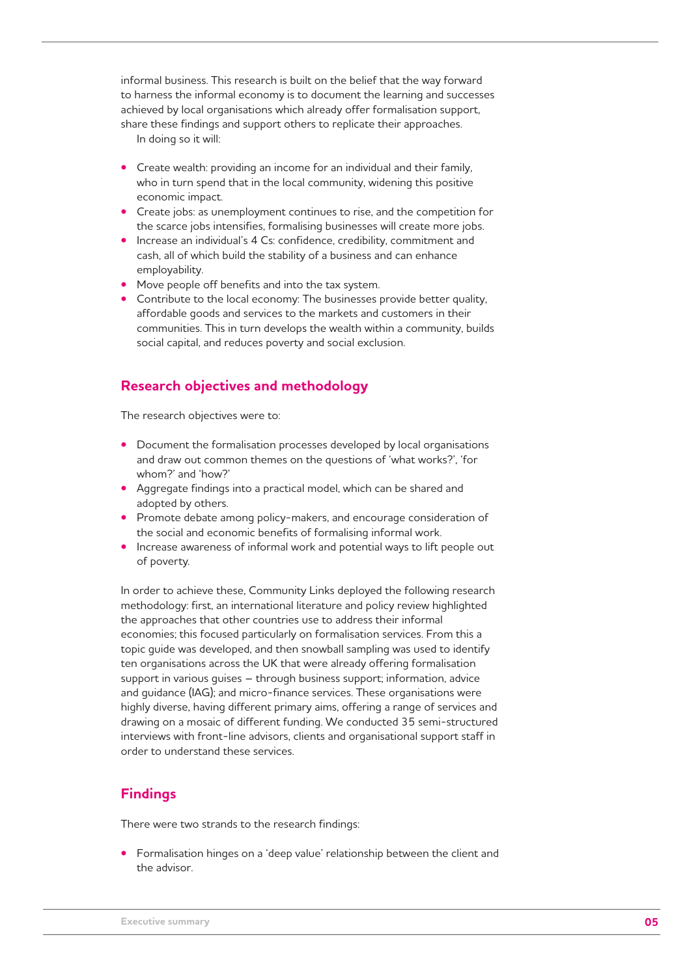informal business. This research is built on the belief that the way forward to harness the informal economy is to document the learning and successes achieved by local organisations which already offer formalisation support, share these findings and support others to replicate their approaches.

In doing so it will:

- Create wealth: providing an income for an individual and their family, who in turn spend that in the local community, widening this positive economic impact.
- Create jobs: as unemployment continues to rise, and the competition for the scarce jobs intensifies, formalising businesses will create more jobs.
- Increase an individual's 4 Cs: confidence, credibility, commitment and cash, all of which build the stability of a business and can enhance employability.
- Move people off benefits and into the tax system.
- Contribute to the local economy: The businesses provide better quality, affordable goods and services to the markets and customers in their communities. This in turn develops the wealth within a community, builds social capital, and reduces poverty and social exclusion.

## **Research objectives and methodology**

The research objectives were to:

- Document the formalisation processes developed by local organisations and draw out common themes on the questions of 'what works?', 'for whom?' and 'how?'
- Aggregate findings into a practical model, which can be shared and adopted by others.
- Promote debate among policy-makers, and encourage consideration of the social and economic benefits of formalising informal work.
- Increase awareness of informal work and potential ways to lift people out of poverty.

In order to achieve these, Community Links deployed the following research methodology: first, an international literature and policy review highlighted the approaches that other countries use to address their informal economies; this focused particularly on formalisation services. From this a topic guide was developed, and then snowball sampling was used to identify ten organisations across the UK that were already offering formalisation support in various guises – through business support; information, advice and guidance (IAG); and micro-finance services. These organisations were highly diverse, having different primary aims, offering a range of services and drawing on a mosaic of different funding. We conducted 35 semi-structured interviews with front-line advisors, clients and organisational support staff in order to understand these services.

## **Findings**

There were two strands to the research findings:

**•** Formalisation hinges on a 'deep value' relationship between the client and the advisor.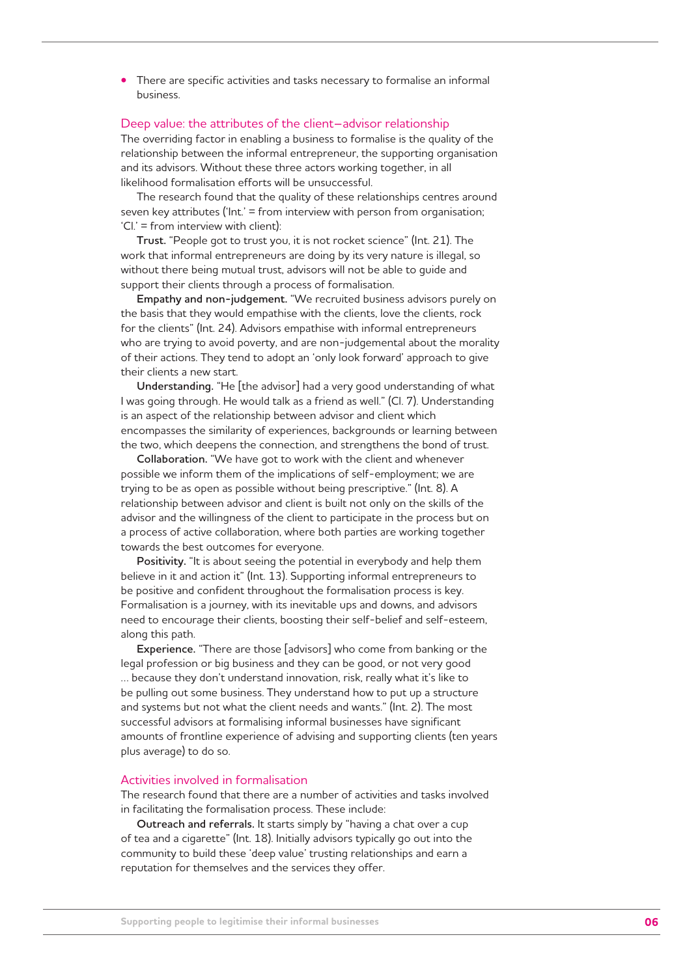**•** There are specific activities and tasks necessary to formalise an informal business.

#### Deep value: the attributes of the client–advisor relationship

The overriding factor in enabling a business to formalise is the quality of the relationship between the informal entrepreneur, the supporting organisation and its advisors. Without these three actors working together, in all likelihood formalisation efforts will be unsuccessful.

The research found that the quality of these relationships centres around seven key attributes ('Int.' = from interview with person from organisation; 'Cl.' = from interview with client):

**Trust.** "People got to trust you, it is not rocket science" (Int. 21). The work that informal entrepreneurs are doing by its very nature is illegal, so without there being mutual trust, advisors will not be able to guide and support their clients through a process of formalisation.

**Empathy and non-judgement.** "We recruited business advisors purely on the basis that they would empathise with the clients, love the clients, rock for the clients" (Int. 24). Advisors empathise with informal entrepreneurs who are trying to avoid poverty, and are non-judgemental about the morality of their actions. They tend to adopt an 'only look forward' approach to give their clients a new start.

**Understanding.** "He [the advisor] had a very good understanding of what I was going through. He would talk as a friend as well." (Cl. 7). Understanding is an aspect of the relationship between advisor and client which encompasses the similarity of experiences, backgrounds or learning between the two, which deepens the connection, and strengthens the bond of trust.

**Collaboration.** "We have got to work with the client and whenever possible we inform them of the implications of self-employment; we are trying to be as open as possible without being prescriptive." (Int. 8). A relationship between advisor and client is built not only on the skills of the advisor and the willingness of the client to participate in the process but on a process of active collaboration, where both parties are working together towards the best outcomes for everyone.

**Positivity.** "It is about seeing the potential in everybody and help them believe in it and action it" (Int. 13). Supporting informal entrepreneurs to be positive and confident throughout the formalisation process is key. Formalisation is a journey, with its inevitable ups and downs, and advisors need to encourage their clients, boosting their self-belief and self-esteem, along this path.

**Experience.** "There are those [advisors] who come from banking or the legal profession or big business and they can be good, or not very good … because they don't understand innovation, risk, really what it's like to be pulling out some business. They understand how to put up a structure and systems but not what the client needs and wants." (Int. 2). The most successful advisors at formalising informal businesses have significant amounts of frontline experience of advising and supporting clients (ten years plus average) to do so.

#### Activities involved in formalisation

The research found that there are a number of activities and tasks involved in facilitating the formalisation process. These include:

**Outreach and referrals.** It starts simply by "having a chat over a cup of tea and a cigarette" (Int. 18). Initially advisors typically go out into the community to build these 'deep value' trusting relationships and earn a reputation for themselves and the services they offer.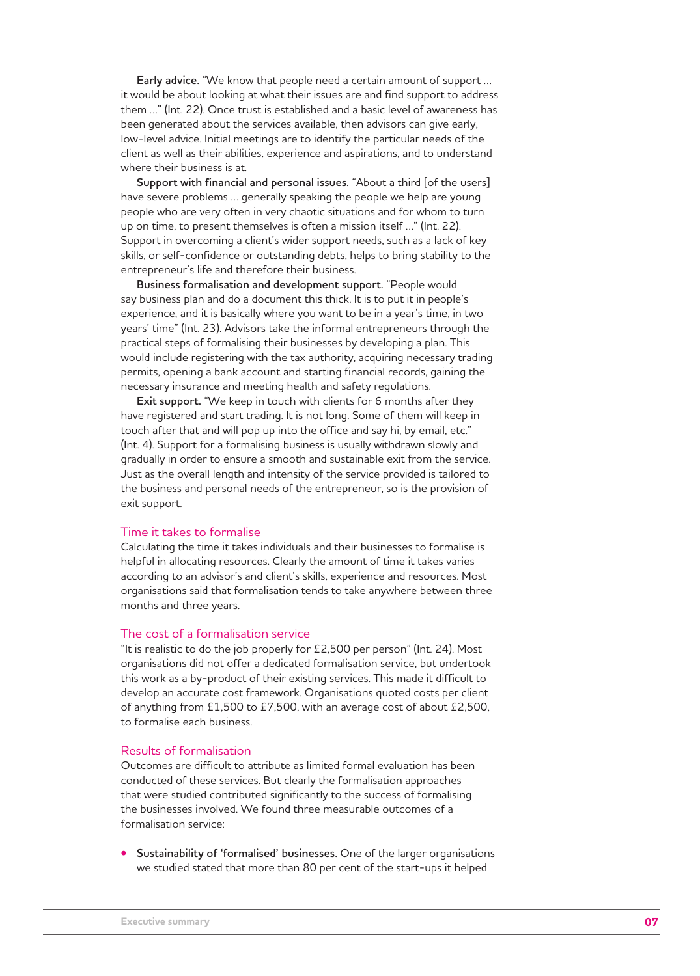**Early advice.** "We know that people need a certain amount of support … it would be about looking at what their issues are and find support to address them …" (Int. 22). Once trust is established and a basic level of awareness has been generated about the services available, then advisors can give early, low-level advice. Initial meetings are to identify the particular needs of the client as well as their abilities, experience and aspirations, and to understand where their business is at.

**Support with financial and personal issues.** "About a third [of the users] have severe problems … generally speaking the people we help are young people who are very often in very chaotic situations and for whom to turn up on time, to present themselves is often a mission itself …" (Int. 22). Support in overcoming a client's wider support needs, such as a lack of key skills, or self-confidence or outstanding debts, helps to bring stability to the entrepreneur's life and therefore their business.

**Business formalisation and development support.** "People would say business plan and do a document this thick. It is to put it in people's experience, and it is basically where you want to be in a year's time, in two years' time" (Int. 23). Advisors take the informal entrepreneurs through the practical steps of formalising their businesses by developing a plan. This would include registering with the tax authority, acquiring necessary trading permits, opening a bank account and starting financial records, gaining the necessary insurance and meeting health and safety regulations.

**Exit support.** "We keep in touch with clients for 6 months after they have registered and start trading. It is not long. Some of them will keep in touch after that and will pop up into the office and say hi, by email, etc." (Int. 4). Support for a formalising business is usually withdrawn slowly and gradually in order to ensure a smooth and sustainable exit from the service. Just as the overall length and intensity of the service provided is tailored to the business and personal needs of the entrepreneur, so is the provision of exit support.

#### Time it takes to formalise

Calculating the time it takes individuals and their businesses to formalise is helpful in allocating resources. Clearly the amount of time it takes varies according to an advisor's and client's skills, experience and resources. Most organisations said that formalisation tends to take anywhere between three months and three years.

#### The cost of a formalisation service

"It is realistic to do the job properly for £2,500 per person" (Int. 24). Most organisations did not offer a dedicated formalisation service, but undertook this work as a by-product of their existing services. This made it difficult to develop an accurate cost framework. Organisations quoted costs per client of anything from £1,500 to £7,500, with an average cost of about £2,500, to formalise each business.

#### Results of formalisation

Outcomes are difficult to attribute as limited formal evaluation has been conducted of these services. But clearly the formalisation approaches that were studied contributed significantly to the success of formalising the businesses involved. We found three measurable outcomes of a formalisation service:

**• Sustainability of 'formalised' businesses.** One of the larger organisations we studied stated that more than 80 per cent of the start-ups it helped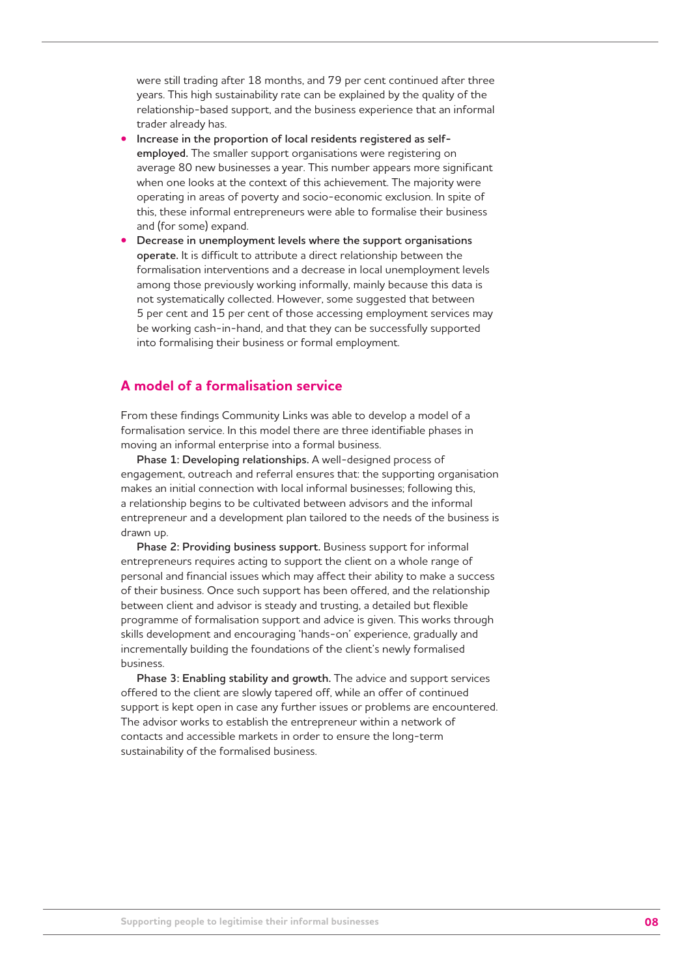were still trading after 18 months, and 79 per cent continued after three years. This high sustainability rate can be explained by the quality of the relationship-based support, and the business experience that an informal trader already has.

- **Increase in the proportion of local residents registered as selfemployed.** The smaller support organisations were registering on average 80 new businesses a year. This number appears more significant when one looks at the context of this achievement. The majority were operating in areas of poverty and socio-economic exclusion. In spite of this, these informal entrepreneurs were able to formalise their business and (for some) expand.
- **Decrease in unemployment levels where the support organisations operate.** It is difficult to attribute a direct relationship between the formalisation interventions and a decrease in local unemployment levels among those previously working informally, mainly because this data is not systematically collected. However, some suggested that between 5 per cent and 15 per cent of those accessing employment services may be working cash-in-hand, and that they can be successfully supported into formalising their business or formal employment.

## **A model of a formalisation service**

From these findings Community Links was able to develop a model of a formalisation service. In this model there are three identifiable phases in moving an informal enterprise into a formal business.

**Phase 1: Developing relationships.** A well-designed process of engagement, outreach and referral ensures that: the supporting organisation makes an initial connection with local informal businesses; following this, a relationship begins to be cultivated between advisors and the informal entrepreneur and a development plan tailored to the needs of the business is drawn up.

**Phase 2: Providing business support.** Business support for informal entrepreneurs requires acting to support the client on a whole range of personal and financial issues which may affect their ability to make a success of their business. Once such support has been offered, and the relationship between client and advisor is steady and trusting, a detailed but flexible programme of formalisation support and advice is given. This works through skills development and encouraging 'hands-on' experience, gradually and incrementally building the foundations of the client's newly formalised business.

**Phase 3: Enabling stability and growth.** The advice and support services offered to the client are slowly tapered off, while an offer of continued support is kept open in case any further issues or problems are encountered. The advisor works to establish the entrepreneur within a network of contacts and accessible markets in order to ensure the long-term sustainability of the formalised business.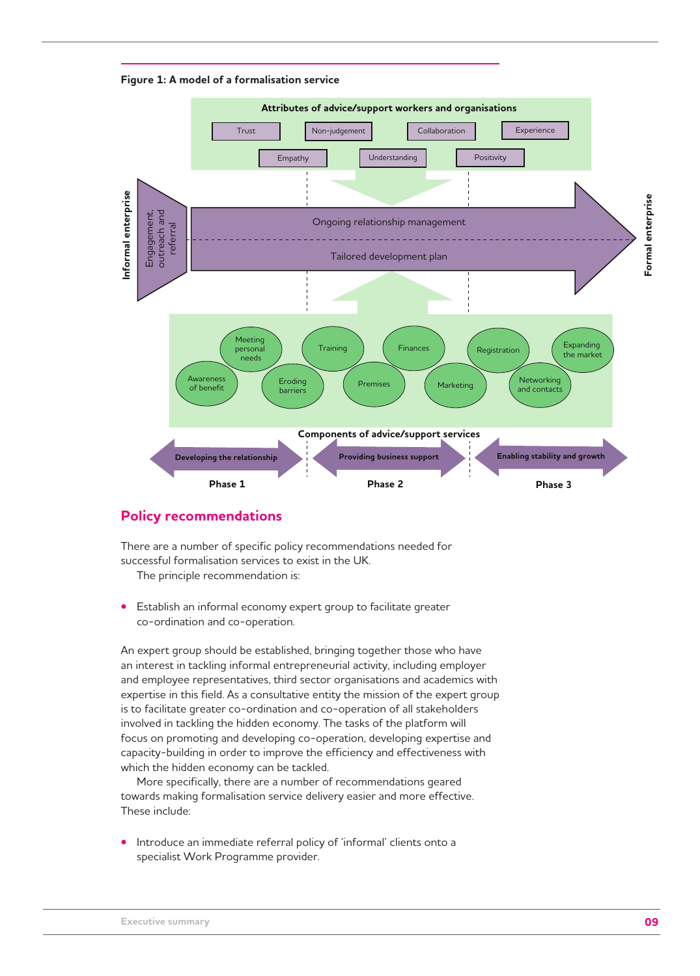**Figure 1: A model of a formalisation service**



## **Policy recommendations**

There are a number of specific policy recommendations needed for successful formalisation services to exist in the UK.

The principle recommendation is:

**•** Establish an informal economy expert group to facilitate greater co-ordination and co-operation.

An expert group should be established, bringing together those who have an interest in tackling informal entrepreneurial activity, including employer and employee representatives, third sector organisations and academics with expertise in this field. As a consultative entity the mission of the expert group is to facilitate greater co-ordination and co-operation of all stakeholders involved in tackling the hidden economy. The tasks of the platform will focus on promoting and developing co-operation, developing expertise and capacity-building in order to improve the efficiency and effectiveness with which the hidden economy can be tackled.

More specifically, there are a number of recommendations geared towards making formalisation service delivery easier and more effective. These include:

**•** Introduce an immediate referral policy of 'informal' clients onto a specialist Work Programme provider.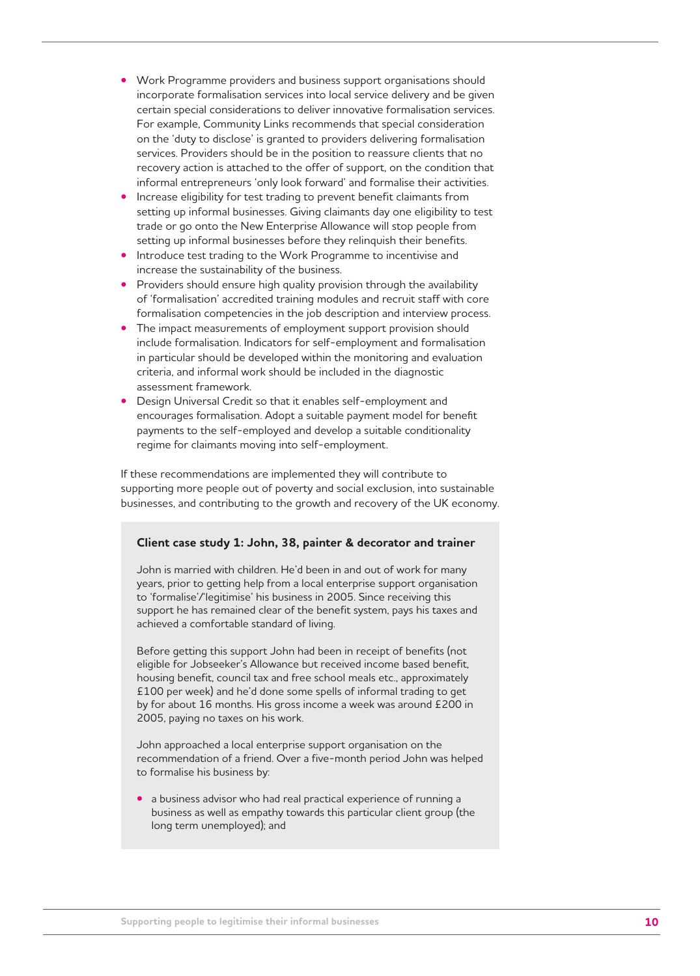- Work Programme providers and business support organisations should incorporate formalisation services into local service delivery and be given certain special considerations to deliver innovative formalisation services. For example, Community Links recommends that special consideration on the 'duty to disclose' is granted to providers delivering formalisation services. Providers should be in the position to reassure clients that no recovery action is attached to the offer of support, on the condition that informal entrepreneurs 'only look forward' and formalise their activities.
- Increase eligibility for test trading to prevent benefit claimants from setting up informal businesses. Giving claimants day one eligibility to test trade or go onto the New Enterprise Allowance will stop people from setting up informal businesses before they relinquish their benefits.
- Introduce test trading to the Work Programme to incentivise and increase the sustainability of the business.
- Providers should ensure high quality provision through the availability of 'formalisation' accredited training modules and recruit staff with core formalisation competencies in the job description and interview process.
- The impact measurements of employment support provision should include formalisation. Indicators for self-employment and formalisation in particular should be developed within the monitoring and evaluation criteria, and informal work should be included in the diagnostic assessment framework.
- Design Universal Credit so that it enables self-employment and encourages formalisation. Adopt a suitable payment model for benefit payments to the self-employed and develop a suitable conditionality regime for claimants moving into self-employment.

If these recommendations are implemented they will contribute to supporting more people out of poverty and social exclusion, into sustainable businesses, and contributing to the growth and recovery of the UK economy.

#### **Client case study 1: John, 38, painter & decorator and trainer**

John is married with children. He'd been in and out of work for many years, prior to getting help from a local enterprise support organisation to 'formalise'/'legitimise' his business in 2005. Since receiving this support he has remained clear of the benefit system, pays his taxes and achieved a comfortable standard of living.

Before getting this support John had been in receipt of benefits (not eligible for Jobseeker's Allowance but received income based benefit, housing benefit, council tax and free school meals etc., approximately £100 per week) and he'd done some spells of informal trading to get by for about 16 months. His gross income a week was around £200 in 2005, paying no taxes on his work.

John approached a local enterprise support organisation on the recommendation of a friend. Over a five-month period John was helped to formalise his business by:

**•** a business advisor who had real practical experience of running a business as well as empathy towards this particular client group (the long term unemployed); and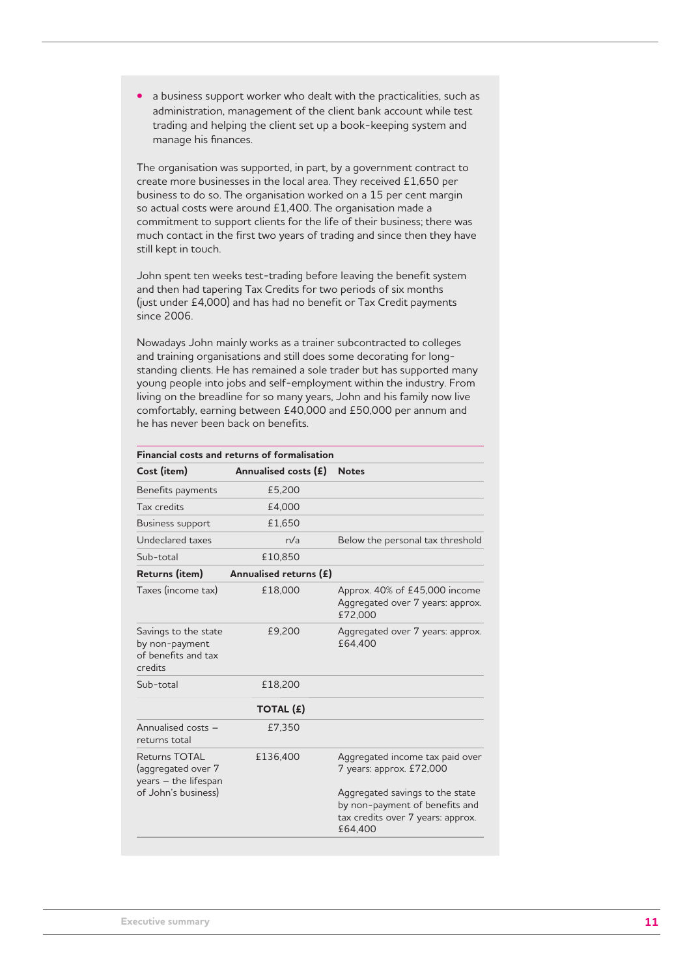**•** a business support worker who dealt with the practicalities, such as administration, management of the client bank account while test trading and helping the client set up a book-keeping system and manage his finances.

The organisation was supported, in part, by a government contract to create more businesses in the local area. They received £1,650 per business to do so. The organisation worked on a 15 per cent margin so actual costs were around £1,400. The organisation made a commitment to support clients for the life of their business; there was much contact in the first two years of trading and since then they have still kept in touch.

John spent ten weeks test-trading before leaving the benefit system and then had tapering Tax Credits for two periods of six months (just under £4,000) and has had no benefit or Tax Credit payments since 2006.

Nowadays John mainly works as a trainer subcontracted to colleges and training organisations and still does some decorating for longstanding clients. He has remained a sole trader but has supported many young people into jobs and self-employment within the industry. From living on the breadline for so many years, John and his family now live comfortably, earning between £40,000 and £50,000 per annum and he has never been back on benefits.

| <b>Financial costs and returns of formalisation</b>                      |                        |                                                                                                                   |  |
|--------------------------------------------------------------------------|------------------------|-------------------------------------------------------------------------------------------------------------------|--|
| Cost (item)                                                              | Annualised costs $(E)$ | <b>Notes</b>                                                                                                      |  |
| Benefits payments                                                        | £5,200                 |                                                                                                                   |  |
| Tax credits                                                              | £4,000                 |                                                                                                                   |  |
| Business support                                                         | £1,650                 |                                                                                                                   |  |
| Undeclared taxes                                                         | n/a                    | Below the personal tax threshold                                                                                  |  |
| Sub-total                                                                | £10.850                |                                                                                                                   |  |
| Returns (item)                                                           | Annualised returns (£) |                                                                                                                   |  |
| Taxes (income tax)                                                       | £18,000                | Approx. 40% of £45,000 income<br>Aggregated over 7 years: approx.<br>£72,000                                      |  |
| Savings to the state<br>by non-payment<br>of benefits and tax<br>credits | £9,200                 | Aggregated over 7 years: approx.<br>£64,400                                                                       |  |
| Sub-total                                                                | £18,200                |                                                                                                                   |  |
|                                                                          | TOTAL (£)              |                                                                                                                   |  |
| Annualised costs -<br>returns total                                      | £7,350                 |                                                                                                                   |  |
| <b>Returns TOTAL</b><br>(aggregated over 7<br>years - the lifespan       | £136,400               | Aggregated income tax paid over<br>7 years: approx. £72,000                                                       |  |
| of John's business)                                                      |                        | Aggregated savings to the state<br>by non-payment of benefits and<br>tax credits over 7 years: approx.<br>£64,400 |  |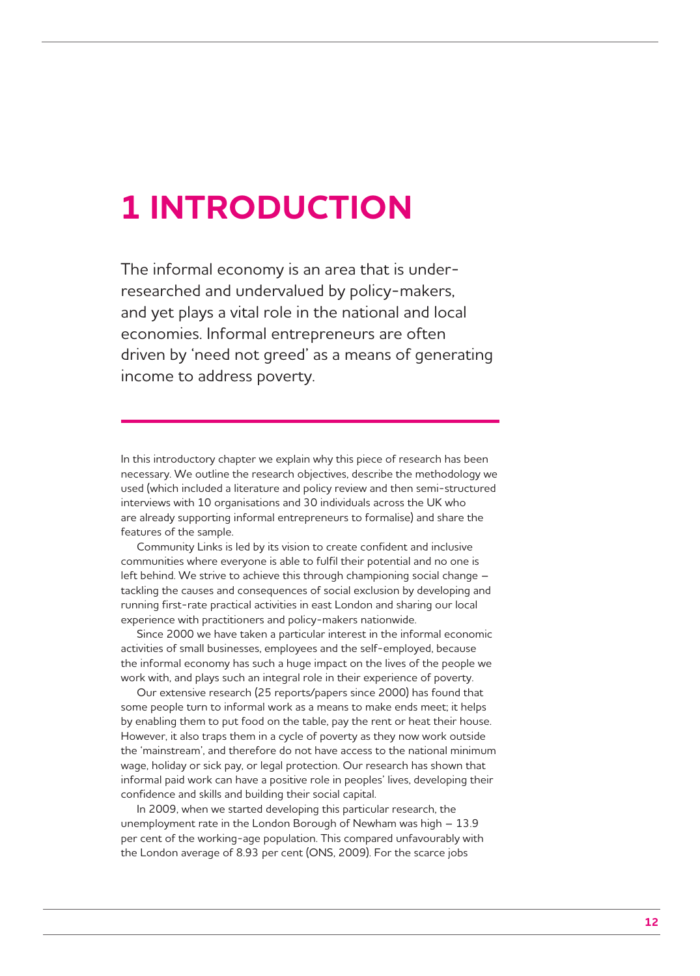## **1 INTRODUCTION**

The informal economy is an area that is underresearched and undervalued by policy-makers, and yet plays a vital role in the national and local economies. Informal entrepreneurs are often driven by 'need not greed' as a means of generating income to address poverty.

In this introductory chapter we explain why this piece of research has been necessary. We outline the research objectives, describe the methodology we used (which included a literature and policy review and then semi-structured interviews with 10 organisations and 30 individuals across the UK who are already supporting informal entrepreneurs to formalise) and share the features of the sample.

Community Links is led by its vision to create confident and inclusive communities where everyone is able to fulfil their potential and no one is left behind. We strive to achieve this through championing social change – tackling the causes and consequences of social exclusion by developing and running first-rate practical activities in east London and sharing our local experience with practitioners and policy-makers nationwide.

Since 2000 we have taken a particular interest in the informal economic activities of small businesses, employees and the self-employed, because the informal economy has such a huge impact on the lives of the people we work with, and plays such an integral role in their experience of poverty.

Our extensive research (25 reports/papers since 2000) has found that some people turn to informal work as a means to make ends meet; it helps by enabling them to put food on the table, pay the rent or heat their house. However, it also traps them in a cycle of poverty as they now work outside the 'mainstream', and therefore do not have access to the national minimum wage, holiday or sick pay, or legal protection. Our research has shown that informal paid work can have a positive role in peoples' lives, developing their confidence and skills and building their social capital.

In 2009, when we started developing this particular research, the unemployment rate in the London Borough of Newham was high – 13.9 per cent of the working-age population. This compared unfavourably with the London average of 8.93 per cent (ONS, 2009). For the scarce jobs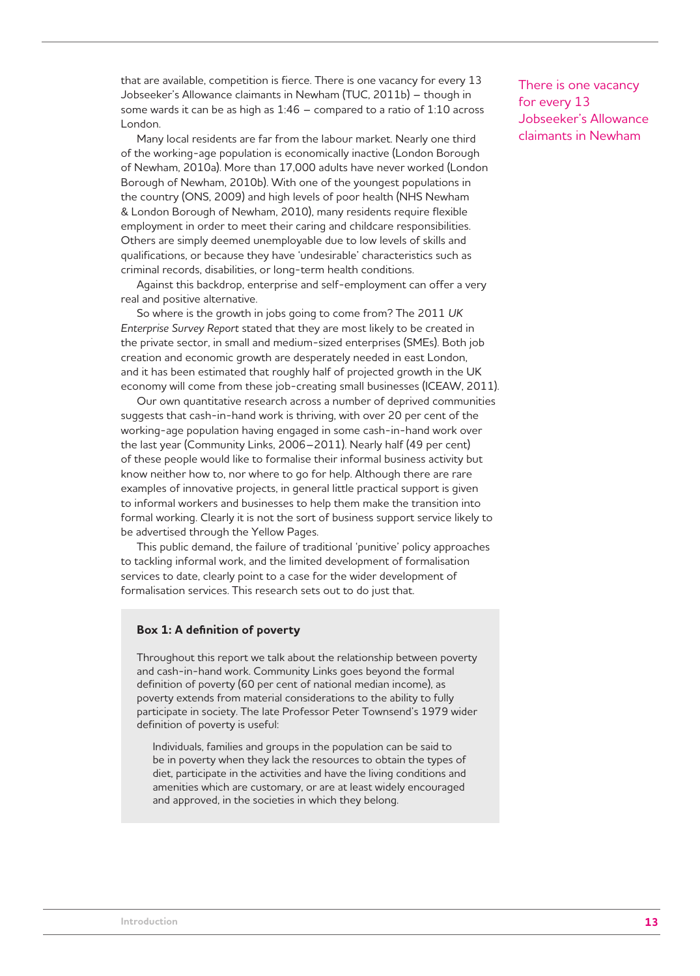that are available, competition is fierce. There is one vacancy for every 13 Jobseeker's Allowance claimants in Newham (TUC, 2011b) – though in some wards it can be as high as 1:46 – compared to a ratio of 1:10 across London.

Many local residents are far from the labour market. Nearly one third of the working-age population is economically inactive (London Borough of Newham, 2010a). More than 17,000 adults have never worked (London Borough of Newham, 2010b). With one of the youngest populations in the country (ONS, 2009) and high levels of poor health (NHS Newham & London Borough of Newham, 2010), many residents require flexible employment in order to meet their caring and childcare responsibilities. Others are simply deemed unemployable due to low levels of skills and qualifications, or because they have 'undesirable' characteristics such as criminal records, disabilities, or long-term health conditions.

Against this backdrop, enterprise and self-employment can offer a very real and positive alternative.

So where is the growth in jobs going to come from? The 2011 *UK Enterprise Survey Report* stated that they are most likely to be created in the private sector, in small and medium-sized enterprises (SMEs). Both job creation and economic growth are desperately needed in east London, and it has been estimated that roughly half of projected growth in the UK economy will come from these job-creating small businesses (ICEAW, 2011).

Our own quantitative research across a number of deprived communities suggests that cash-in-hand work is thriving, with over 20 per cent of the working-age population having engaged in some cash-in-hand work over the last year (Community Links, 2006–2011). Nearly half (49 per cent) of these people would like to formalise their informal business activity but know neither how to, nor where to go for help. Although there are rare examples of innovative projects, in general little practical support is given to informal workers and businesses to help them make the transition into formal working. Clearly it is not the sort of business support service likely to be advertised through the Yellow Pages.

This public demand, the failure of traditional 'punitive' policy approaches to tackling informal work, and the limited development of formalisation services to date, clearly point to a case for the wider development of formalisation services. This research sets out to do just that.

#### **Box 1: A definition of poverty**

Throughout this report we talk about the relationship between poverty and cash-in-hand work. Community Links goes beyond the formal definition of poverty (60 per cent of national median income), as poverty extends from material considerations to the ability to fully participate in society. The late Professor Peter Townsend's 1979 wider definition of poverty is useful:

Individuals, families and groups in the population can be said to be in poverty when they lack the resources to obtain the types of diet, participate in the activities and have the living conditions and amenities which are customary, or are at least widely encouraged and approved, in the societies in which they belong.

There is one vacancy for every 13 Jobseeker's Allowance claimants in Newham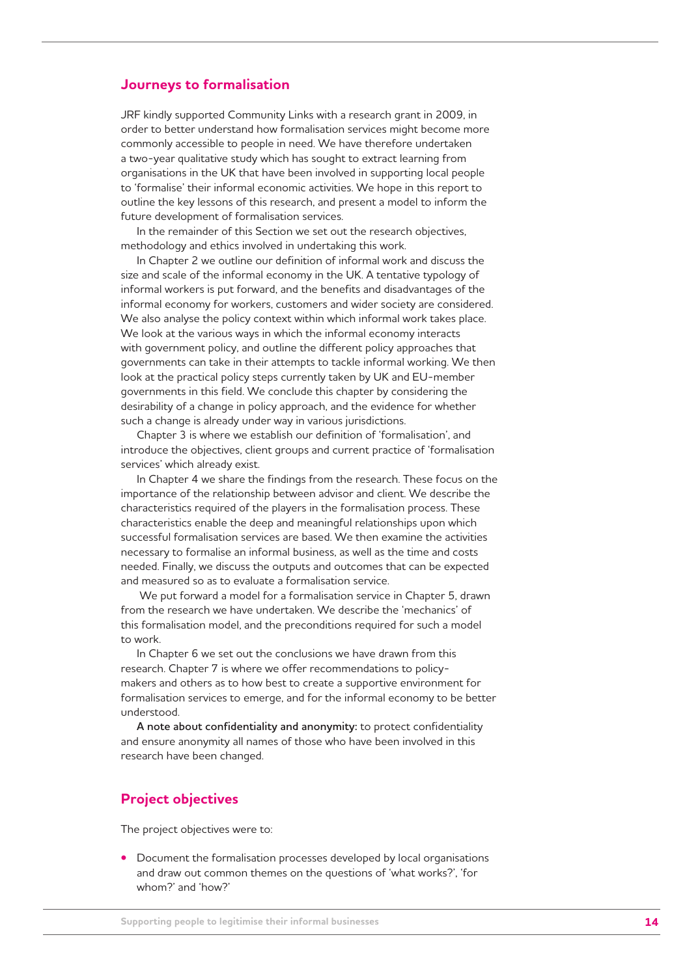#### **Journeys to formalisation**

JRF kindly supported Community Links with a research grant in 2009, in order to better understand how formalisation services might become more commonly accessible to people in need. We have therefore undertaken a two-year qualitative study which has sought to extract learning from organisations in the UK that have been involved in supporting local people to 'formalise' their informal economic activities. We hope in this report to outline the key lessons of this research, and present a model to inform the future development of formalisation services.

In the remainder of this Section we set out the research objectives, methodology and ethics involved in undertaking this work.

In Chapter 2 we outline our definition of informal work and discuss the size and scale of the informal economy in the UK. A tentative typology of informal workers is put forward, and the benefits and disadvantages of the informal economy for workers, customers and wider society are considered. We also analyse the policy context within which informal work takes place. We look at the various ways in which the informal economy interacts with government policy, and outline the different policy approaches that governments can take in their attempts to tackle informal working. We then look at the practical policy steps currently taken by UK and EU-member governments in this field. We conclude this chapter by considering the desirability of a change in policy approach, and the evidence for whether such a change is already under way in various jurisdictions.

Chapter 3 is where we establish our definition of 'formalisation', and introduce the objectives, client groups and current practice of 'formalisation services' which already exist.

In Chapter 4 we share the findings from the research. These focus on the importance of the relationship between advisor and client. We describe the characteristics required of the players in the formalisation process. These characteristics enable the deep and meaningful relationships upon which successful formalisation services are based. We then examine the activities necessary to formalise an informal business, as well as the time and costs needed. Finally, we discuss the outputs and outcomes that can be expected and measured so as to evaluate a formalisation service.

 We put forward a model for a formalisation service in Chapter 5, drawn from the research we have undertaken. We describe the 'mechanics' of this formalisation model, and the preconditions required for such a model to work.

In Chapter 6 we set out the conclusions we have drawn from this research. Chapter 7 is where we offer recommendations to policymakers and others as to how best to create a supportive environment for formalisation services to emerge, and for the informal economy to be better understood.

**A note about confidentiality and anonymity:** to protect confidentiality and ensure anonymity all names of those who have been involved in this research have been changed.

### **Project objectives**

The project objectives were to:

**•** Document the formalisation processes developed by local organisations and draw out common themes on the questions of 'what works?', 'for whom?' and 'how?'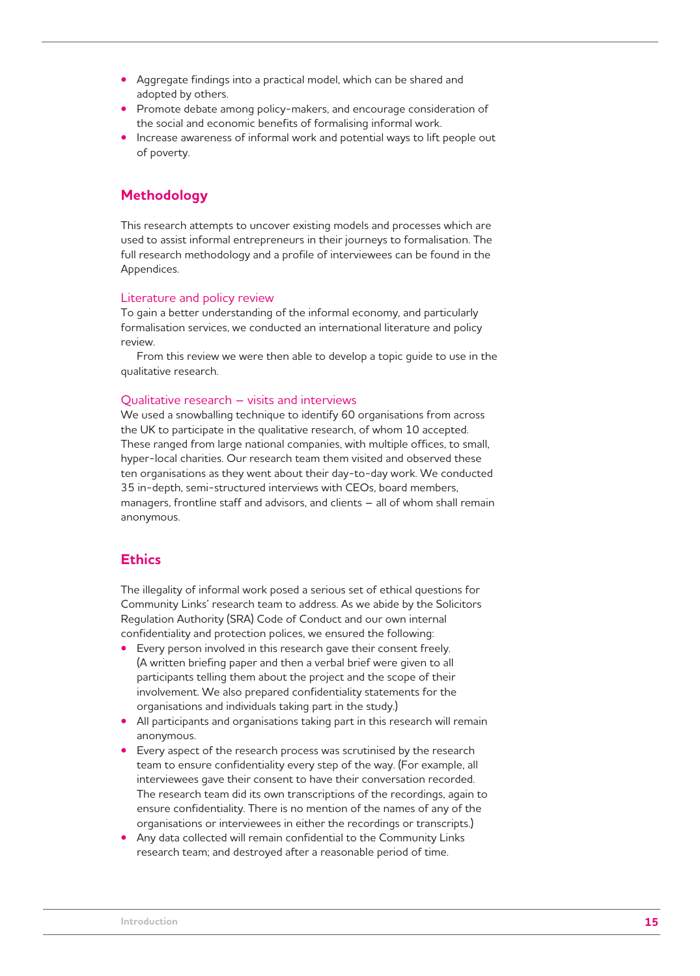- Aggregate findings into a practical model, which can be shared and adopted by others.
- Promote debate among policy-makers, and encourage consideration of the social and economic benefits of formalising informal work.
- Increase awareness of informal work and potential ways to lift people out of poverty.

## **Methodology**

This research attempts to uncover existing models and processes which are used to assist informal entrepreneurs in their journeys to formalisation. The full research methodology and a profile of interviewees can be found in the Appendices.

#### Literature and policy review

To gain a better understanding of the informal economy, and particularly formalisation services, we conducted an international literature and policy review.

From this review we were then able to develop a topic guide to use in the qualitative research.

#### Qualitative research – visits and interviews

We used a snowballing technique to identify 60 organisations from across the UK to participate in the qualitative research, of whom 10 accepted. These ranged from large national companies, with multiple offices, to small, hyper-local charities. Our research team them visited and observed these ten organisations as they went about their day-to-day work. We conducted 35 in-depth, semi-structured interviews with CEOs, board members, managers, frontline staff and advisors, and clients – all of whom shall remain anonymous.

## **Ethics**

The illegality of informal work posed a serious set of ethical questions for Community Links' research team to address. As we abide by the Solicitors Regulation Authority (SRA) Code of Conduct and our own internal confidentiality and protection polices, we ensured the following:

- Every person involved in this research gave their consent freely. (A written briefing paper and then a verbal brief were given to all participants telling them about the project and the scope of their involvement. We also prepared confidentiality statements for the organisations and individuals taking part in the study.)
- All participants and organisations taking part in this research will remain anonymous.
- Every aspect of the research process was scrutinised by the research team to ensure confidentiality every step of the way. (For example, all interviewees gave their consent to have their conversation recorded. The research team did its own transcriptions of the recordings, again to ensure confidentiality. There is no mention of the names of any of the organisations or interviewees in either the recordings or transcripts.)
- Any data collected will remain confidential to the Community Links research team; and destroyed after a reasonable period of time.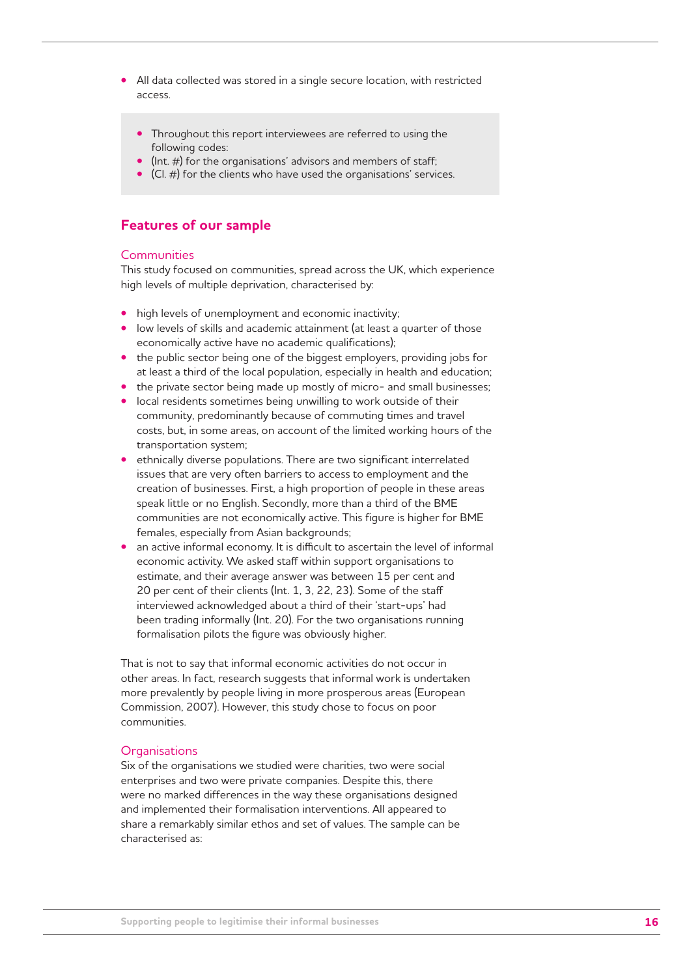- All data collected was stored in a single secure location, with restricted access.
	- Throughout this report interviewees are referred to using the following codes:
	- (Int. #) for the organisations' advisors and members of staff;
	- (Cl. #) for the clients who have used the organisations' services.

## **Features of our sample**

#### **Communities**

This study focused on communities, spread across the UK, which experience high levels of multiple deprivation, characterised by:

- high levels of unemployment and economic inactivity;
- low levels of skills and academic attainment (at least a quarter of those economically active have no academic qualifications);
- the public sector being one of the biggest employers, providing jobs for at least a third of the local population, especially in health and education;
- the private sector being made up mostly of micro- and small businesses;
- local residents sometimes being unwilling to work outside of their community, predominantly because of commuting times and travel costs, but, in some areas, on account of the limited working hours of the transportation system;
- ethnically diverse populations. There are two significant interrelated issues that are very often barriers to access to employment and the creation of businesses. First, a high proportion of people in these areas speak little or no English. Secondly, more than a third of the BME communities are not economically active. This figure is higher for BME females, especially from Asian backgrounds;
- an active informal economy. It is difficult to ascertain the level of informal economic activity. We asked staff within support organisations to estimate, and their average answer was between 15 per cent and 20 per cent of their clients (Int. 1, 3, 22, 23). Some of the staff interviewed acknowledged about a third of their 'start-ups' had been trading informally (Int. 20). For the two organisations running formalisation pilots the figure was obviously higher.

That is not to say that informal economic activities do not occur in other areas. In fact, research suggests that informal work is undertaken more prevalently by people living in more prosperous areas (European Commission, 2007). However, this study chose to focus on poor communities.

#### **Organisations**

Six of the organisations we studied were charities, two were social enterprises and two were private companies. Despite this, there were no marked differences in the way these organisations designed and implemented their formalisation interventions. All appeared to share a remarkably similar ethos and set of values. The sample can be characterised as: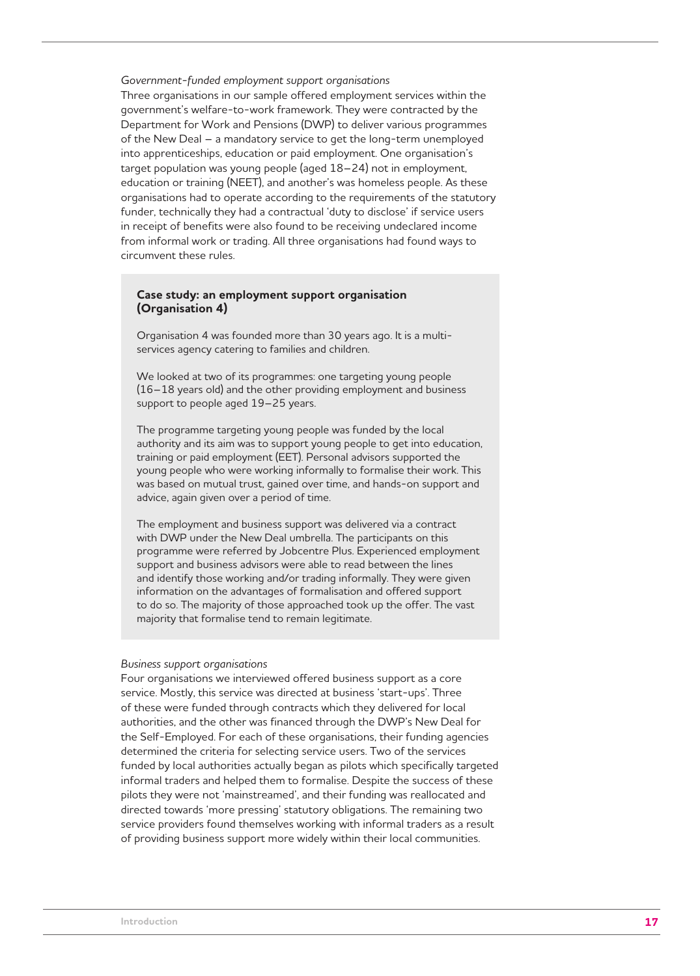*Government-funded employment support organisations*  Three organisations in our sample offered employment services within the government's welfare-to-work framework. They were contracted by the Department for Work and Pensions (DWP) to deliver various programmes of the New Deal – a mandatory service to get the long-term unemployed into apprenticeships, education or paid employment. One organisation's target population was young people (aged 18–24) not in employment, education or training (NEET), and another's was homeless people. As these organisations had to operate according to the requirements of the statutory funder, technically they had a contractual 'duty to disclose' if service users in receipt of benefits were also found to be receiving undeclared income from informal work or trading. All three organisations had found ways to circumvent these rules.

#### **Case study: an employment support organisation (Organisation 4)**

Organisation 4 was founded more than 30 years ago. It is a multiservices agency catering to families and children.

We looked at two of its programmes: one targeting young people (16–18 years old) and the other providing employment and business support to people aged 19–25 years.

The programme targeting young people was funded by the local authority and its aim was to support young people to get into education, training or paid employment (EET). Personal advisors supported the young people who were working informally to formalise their work. This was based on mutual trust, gained over time, and hands-on support and advice, again given over a period of time.

The employment and business support was delivered via a contract with DWP under the New Deal umbrella. The participants on this programme were referred by Jobcentre Plus. Experienced employment support and business advisors were able to read between the lines and identify those working and/or trading informally. They were given information on the advantages of formalisation and offered support to do so. The majority of those approached took up the offer. The vast majority that formalise tend to remain legitimate.

#### *Business support organisations*

Four organisations we interviewed offered business support as a core service. Mostly, this service was directed at business 'start-ups'. Three of these were funded through contracts which they delivered for local authorities, and the other was financed through the DWP's New Deal for the Self-Employed. For each of these organisations, their funding agencies determined the criteria for selecting service users. Two of the services funded by local authorities actually began as pilots which specifically targeted informal traders and helped them to formalise. Despite the success of these pilots they were not 'mainstreamed', and their funding was reallocated and directed towards 'more pressing' statutory obligations. The remaining two service providers found themselves working with informal traders as a result of providing business support more widely within their local communities.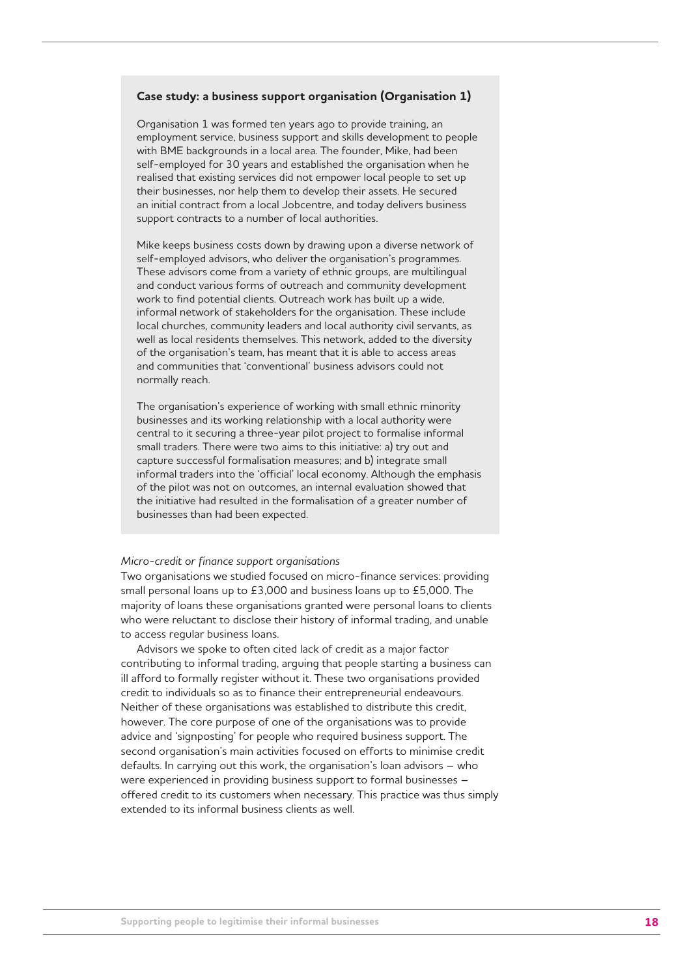#### **Case study: a business support organisation (Organisation 1)**

Organisation 1 was formed ten years ago to provide training, an employment service, business support and skills development to people with BME backgrounds in a local area. The founder, Mike, had been self-employed for 30 years and established the organisation when he realised that existing services did not empower local people to set up their businesses, nor help them to develop their assets. He secured an initial contract from a local Jobcentre, and today delivers business support contracts to a number of local authorities.

Mike keeps business costs down by drawing upon a diverse network of self-employed advisors, who deliver the organisation's programmes. These advisors come from a variety of ethnic groups, are multilingual and conduct various forms of outreach and community development work to find potential clients. Outreach work has built up a wide, informal network of stakeholders for the organisation. These include local churches, community leaders and local authority civil servants, as well as local residents themselves. This network, added to the diversity of the organisation's team, has meant that it is able to access areas and communities that 'conventional' business advisors could not normally reach.

The organisation's experience of working with small ethnic minority businesses and its working relationship with a local authority were central to it securing a three-year pilot project to formalise informal small traders. There were two aims to this initiative: a) try out and capture successful formalisation measures; and b) integrate small informal traders into the 'official' local economy. Although the emphasis of the pilot was not on outcomes, an internal evaluation showed that the initiative had resulted in the formalisation of a greater number of businesses than had been expected.

#### *Micro-credit or finance support organisations*

Two organisations we studied focused on micro-finance services: providing small personal loans up to £3,000 and business loans up to £5,000. The majority of loans these organisations granted were personal loans to clients who were reluctant to disclose their history of informal trading, and unable to access regular business loans.

Advisors we spoke to often cited lack of credit as a major factor contributing to informal trading, arguing that people starting a business can ill afford to formally register without it. These two organisations provided credit to individuals so as to finance their entrepreneurial endeavours. Neither of these organisations was established to distribute this credit, however. The core purpose of one of the organisations was to provide advice and 'signposting' for people who required business support. The second organisation's main activities focused on efforts to minimise credit defaults. In carrying out this work, the organisation's loan advisors – who were experienced in providing business support to formal businesses – offered credit to its customers when necessary. This practice was thus simply extended to its informal business clients as well.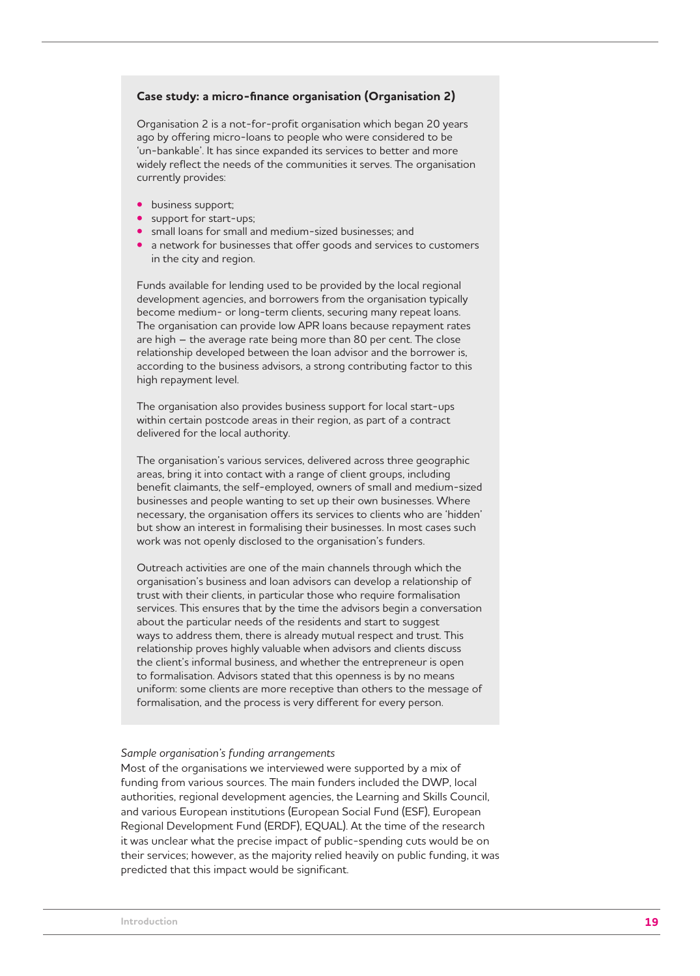#### Case study: a micro-finance organisation (Organisation 2)

Organisation 2 is a not-for-profit organisation which began 20 years ago by offering micro-loans to people who were considered to be 'un-bankable'. It has since expanded its services to better and more widely reflect the needs of the communities it serves. The organisation currently provides:

- business support;
- support for start-ups;
- small loans for small and medium-sized businesses; and
- a network for businesses that offer goods and services to customers in the city and region.

Funds available for lending used to be provided by the local regional development agencies, and borrowers from the organisation typically become medium- or long-term clients, securing many repeat loans. The organisation can provide low APR loans because repayment rates are high – the average rate being more than 80 per cent. The close relationship developed between the loan advisor and the borrower is, according to the business advisors, a strong contributing factor to this high repayment level.

The organisation also provides business support for local start-ups within certain postcode areas in their region, as part of a contract delivered for the local authority.

The organisation's various services, delivered across three geographic areas, bring it into contact with a range of client groups, including benefit claimants, the self-employed, owners of small and medium-sized businesses and people wanting to set up their own businesses. Where necessary, the organisation offers its services to clients who are 'hidden' but show an interest in formalising their businesses. In most cases such work was not openly disclosed to the organisation's funders.

Outreach activities are one of the main channels through which the organisation's business and loan advisors can develop a relationship of trust with their clients, in particular those who require formalisation services. This ensures that by the time the advisors begin a conversation about the particular needs of the residents and start to suggest ways to address them, there is already mutual respect and trust. This relationship proves highly valuable when advisors and clients discuss the client's informal business, and whether the entrepreneur is open to formalisation. Advisors stated that this openness is by no means uniform: some clients are more receptive than others to the message of formalisation, and the process is very different for every person.

#### *Sample organisation's funding arrangements*

Most of the organisations we interviewed were supported by a mix of funding from various sources. The main funders included the DWP, local authorities, regional development agencies, the Learning and Skills Council, and various European institutions (European Social Fund (ESF), European Regional Development Fund (ERDF), EQUAL). At the time of the research it was unclear what the precise impact of public-spending cuts would be on their services; however, as the majority relied heavily on public funding, it was predicted that this impact would be significant.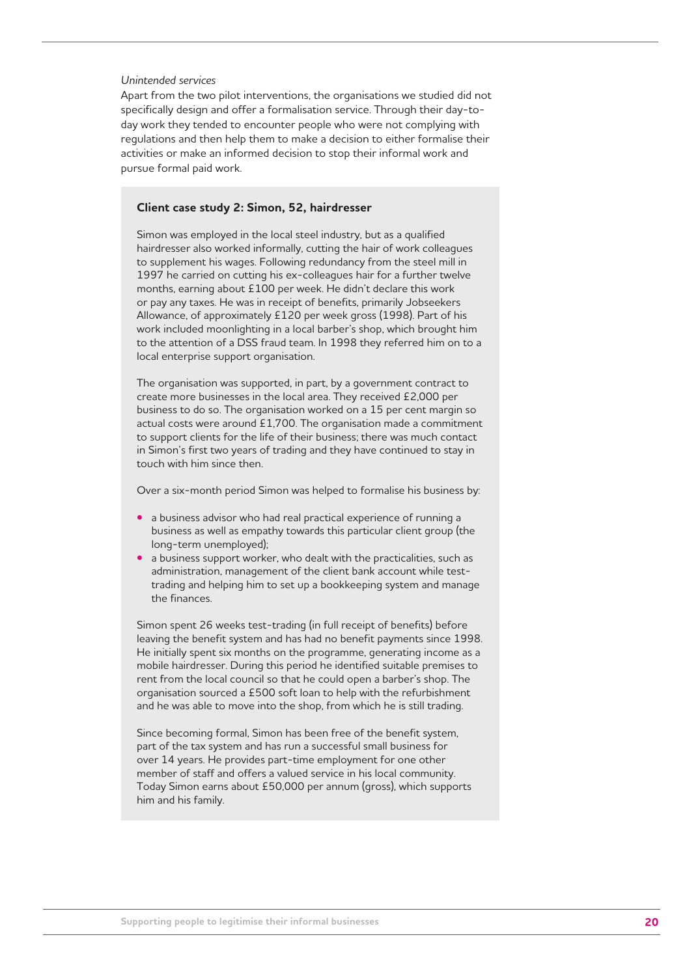#### *Unintended services*

Apart from the two pilot interventions, the organisations we studied did not specifically design and offer a formalisation service. Through their day-today work they tended to encounter people who were not complying with regulations and then help them to make a decision to either formalise their activities or make an informed decision to stop their informal work and pursue formal paid work.

#### **Client case study 2: Simon, 52, hairdresser**

Simon was employed in the local steel industry, but as a qualified hairdresser also worked informally, cutting the hair of work colleagues to supplement his wages. Following redundancy from the steel mill in 1997 he carried on cutting his ex-colleagues hair for a further twelve months, earning about £100 per week. He didn't declare this work or pay any taxes. He was in receipt of benefits, primarily Jobseekers Allowance, of approximately £120 per week gross (1998). Part of his work included moonlighting in a local barber's shop, which brought him to the attention of a DSS fraud team. In 1998 they referred him on to a local enterprise support organisation.

The organisation was supported, in part, by a government contract to create more businesses in the local area. They received £2,000 per business to do so. The organisation worked on a 15 per cent margin so actual costs were around £1,700. The organisation made a commitment to support clients for the life of their business; there was much contact in Simon's first two years of trading and they have continued to stay in touch with him since then.

Over a six-month period Simon was helped to formalise his business by:

- a business advisor who had real practical experience of running a business as well as empathy towards this particular client group (the long-term unemployed);
- a business support worker, who dealt with the practicalities, such as administration, management of the client bank account while testtrading and helping him to set up a bookkeeping system and manage the finances.

Simon spent 26 weeks test-trading (in full receipt of benefits) before leaving the benefit system and has had no benefit payments since 1998. He initially spent six months on the programme, generating income as a mobile hairdresser. During this period he identified suitable premises to rent from the local council so that he could open a barber's shop. The organisation sourced a £500 soft loan to help with the refurbishment and he was able to move into the shop, from which he is still trading.

Since becoming formal, Simon has been free of the benefit system, part of the tax system and has run a successful small business for over 14 years. He provides part-time employment for one other member of staff and offers a valued service in his local community. Today Simon earns about £50,000 per annum (gross), which supports him and his family.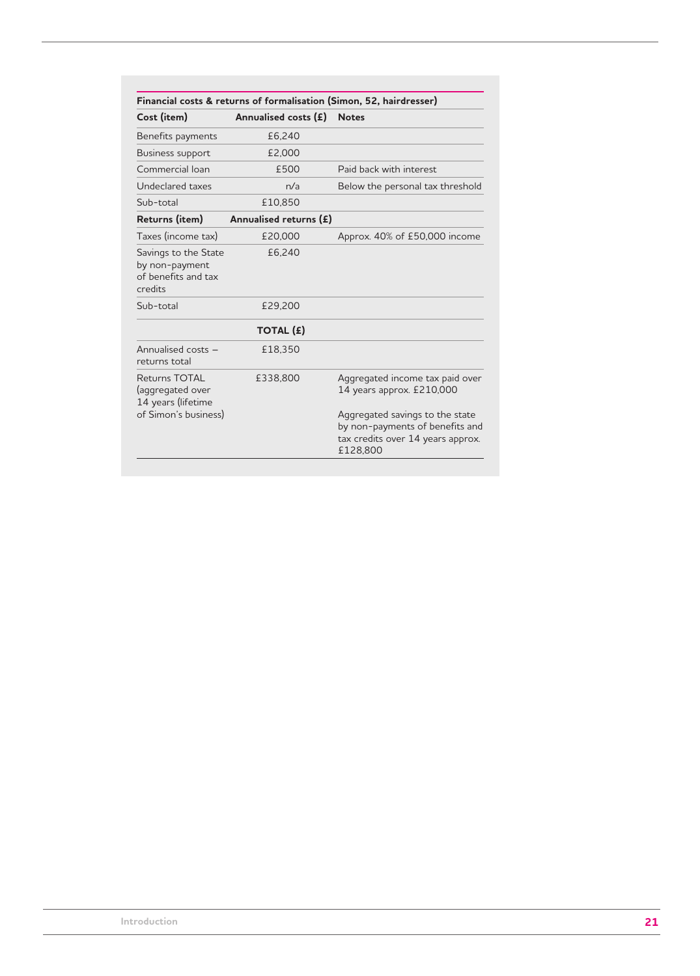|                                                                          |                        | Financial costs & returns of formalisation (Simon, 52, hairdresser)                                                 |
|--------------------------------------------------------------------------|------------------------|---------------------------------------------------------------------------------------------------------------------|
| Cost (item)                                                              | Annualised costs (£)   | <b>Notes</b>                                                                                                        |
| Benefits payments                                                        | £6,240                 |                                                                                                                     |
| Business support                                                         | £2,000                 |                                                                                                                     |
| Commercial Ioan                                                          | £500                   | Paid back with interest                                                                                             |
| Undeclared taxes                                                         | n/a                    | Below the personal tax threshold                                                                                    |
| Sub-total                                                                | £10.850                |                                                                                                                     |
| Returns (item)                                                           | Annualised returns (£) |                                                                                                                     |
| Taxes (income tax)                                                       | £20,000                | Approx. 40% of £50,000 income                                                                                       |
| Savings to the State<br>by non-payment<br>of benefits and tax<br>credits | £6,240                 |                                                                                                                     |
| Sub-total                                                                | £29,200                |                                                                                                                     |
|                                                                          | <b>TOTAL (£)</b>       |                                                                                                                     |
| Annualised costs -<br>returns total                                      | £18,350                |                                                                                                                     |
| Returns TOTAL<br>(aggregated over<br>14 years (lifetime                  | £338,800               | Aggregated income tax paid over<br>14 years approx. £210,000                                                        |
| of Simon's business)                                                     |                        | Aggregated savings to the state<br>by non-payments of benefits and<br>tax credits over 14 years approx.<br>£128,800 |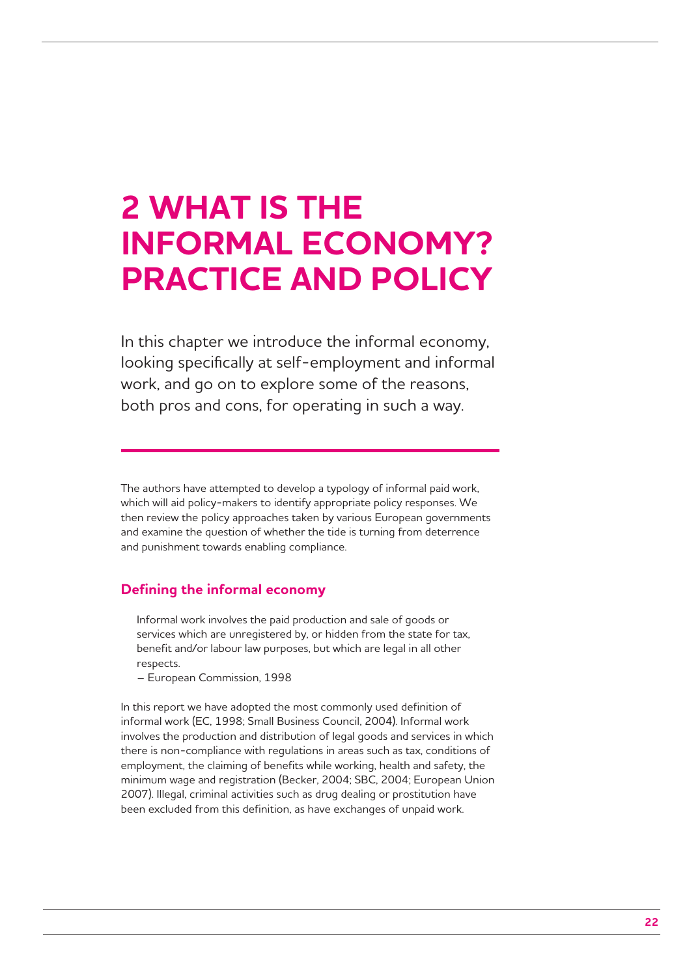# **2 WHAT IS THE INFORMAL ECONOMY? PRACTICE AND POLICY**

In this chapter we introduce the informal economy, looking specifically at self-employment and informal work, and go on to explore some of the reasons, both pros and cons, for operating in such a way.

The authors have attempted to develop a typology of informal paid work, which will aid policy-makers to identify appropriate policy responses. We then review the policy approaches taken by various European governments and examine the question of whether the tide is turning from deterrence and punishment towards enabling compliance.

## **Defining the informal economy**

Informal work involves the paid production and sale of goods or services which are unregistered by, or hidden from the state for tax, benefit and/or labour law purposes, but which are legal in all other respects.

– European Commission, 1998

In this report we have adopted the most commonly used definition of informal work (EC, 1998; Small Business Council, 2004). Informal work involves the production and distribution of legal goods and services in which there is non-compliance with regulations in areas such as tax, conditions of employment, the claiming of benefits while working, health and safety, the minimum wage and registration (Becker, 2004; SBC, 2004; European Union 2007). Illegal, criminal activities such as drug dealing or prostitution have been excluded from this definition, as have exchanges of unpaid work.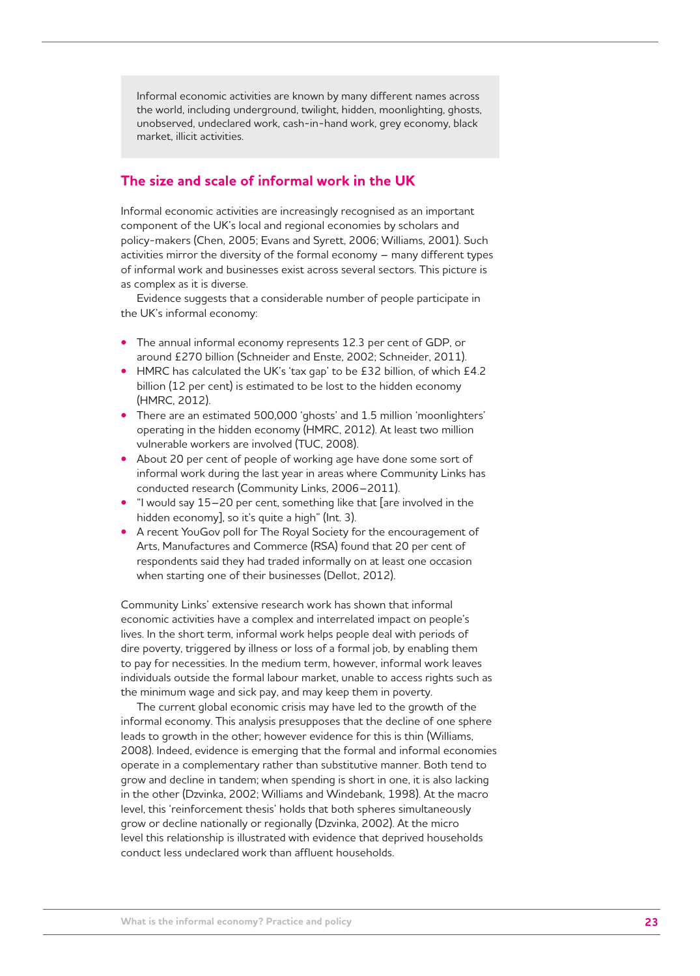Informal economic activities are known by many different names across the world, including underground, twilight, hidden, moonlighting, ghosts, unobserved, undeclared work, cash-in-hand work, grey economy, black market, illicit activities.

## **The size and scale of informal work in the UK**

Informal economic activities are increasingly recognised as an important component of the UK's local and regional economies by scholars and policy-makers (Chen, 2005; Evans and Syrett, 2006; Williams, 2001). Such activities mirror the diversity of the formal economy – many different types of informal work and businesses exist across several sectors. This picture is as complex as it is diverse.

Evidence suggests that a considerable number of people participate in the UK's informal economy:

- The annual informal economy represents 12.3 per cent of GDP, or around £270 billion (Schneider and Enste, 2002; Schneider, 2011).
- HMRC has calculated the UK's 'tax gap' to be £32 billion, of which £4.2 billion (12 per cent) is estimated to be lost to the hidden economy (HMRC, 2012).
- There are an estimated 500,000 'ghosts' and 1.5 million 'moonlighters' operating in the hidden economy (HMRC, 2012). At least two million vulnerable workers are involved (TUC, 2008).
- About 20 per cent of people of working age have done some sort of informal work during the last year in areas where Community Links has conducted research (Community Links, 2006–2011).
- "I would say 15–20 per cent, something like that [are involved in the hidden economy], so it's quite a high" (Int. 3).
- A recent YouGov poll for The Royal Society for the encouragement of Arts, Manufactures and Commerce (RSA) found that 20 per cent of respondents said they had traded informally on at least one occasion when starting one of their businesses (Dellot, 2012).

Community Links' extensive research work has shown that informal economic activities have a complex and interrelated impact on people's lives. In the short term, informal work helps people deal with periods of dire poverty, triggered by illness or loss of a formal job, by enabling them to pay for necessities. In the medium term, however, informal work leaves individuals outside the formal labour market, unable to access rights such as the minimum wage and sick pay, and may keep them in poverty.

The current global economic crisis may have led to the growth of the informal economy. This analysis presupposes that the decline of one sphere leads to growth in the other; however evidence for this is thin (Williams, 2008). Indeed, evidence is emerging that the formal and informal economies operate in a complementary rather than substitutive manner. Both tend to grow and decline in tandem; when spending is short in one, it is also lacking in the other (Dzvinka, 2002; Williams and Windebank, 1998). At the macro level, this 'reinforcement thesis' holds that both spheres simultaneously grow or decline nationally or regionally (Dzvinka, 2002). At the micro level this relationship is illustrated with evidence that deprived households conduct less undeclared work than affluent households.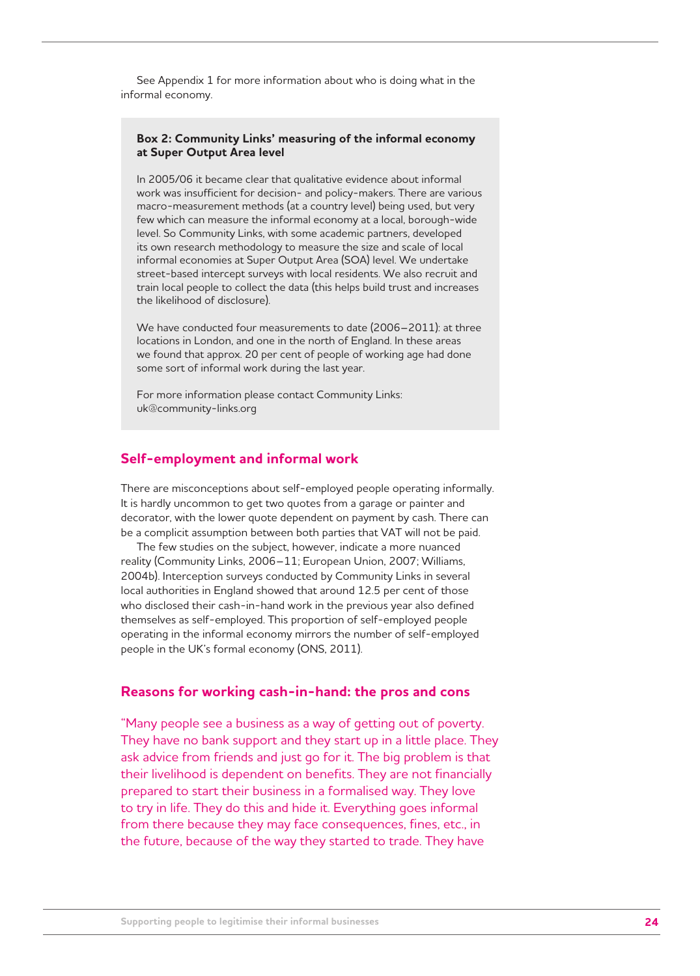See Appendix 1 for more information about who is doing what in the informal economy.

#### **Box 2: Community Links' measuring of the informal economy at Super Output Area level**

In 2005/06 it became clear that qualitative evidence about informal work was insufficient for decision- and policy-makers. There are various macro-measurement methods (at a country level) being used, but very few which can measure the informal economy at a local, borough-wide level. So Community Links, with some academic partners, developed its own research methodology to measure the size and scale of local informal economies at Super Output Area (SOA) level. We undertake street-based intercept surveys with local residents. We also recruit and train local people to collect the data (this helps build trust and increases the likelihood of disclosure).

We have conducted four measurements to date (2006–2011): at three locations in London, and one in the north of England. In these areas we found that approx. 20 per cent of people of working age had done some sort of informal work during the last year.

For more information please contact Community Links: uk@community-links.org

## **Self-employment and informal work**

There are misconceptions about self-employed people operating informally. It is hardly uncommon to get two quotes from a garage or painter and decorator, with the lower quote dependent on payment by cash. There can be a complicit assumption between both parties that VAT will not be paid.

The few studies on the subject, however, indicate a more nuanced reality (Community Links, 2006–11; European Union, 2007; Williams, 2004b). Interception surveys conducted by Community Links in several local authorities in England showed that around 12.5 per cent of those who disclosed their cash-in-hand work in the previous year also defined themselves as self-employed. This proportion of self-employed people operating in the informal economy mirrors the number of self-employed people in the UK's formal economy (ONS, 2011).

#### **Reasons for working cash-in-hand: the pros and cons**

"Many people see a business as a way of getting out of poverty. They have no bank support and they start up in a little place. They ask advice from friends and just go for it. The big problem is that their livelihood is dependent on benefits. They are not financially prepared to start their business in a formalised way. They love to try in life. They do this and hide it. Everything goes informal from there because they may face consequences, fines, etc., in the future, because of the way they started to trade. They have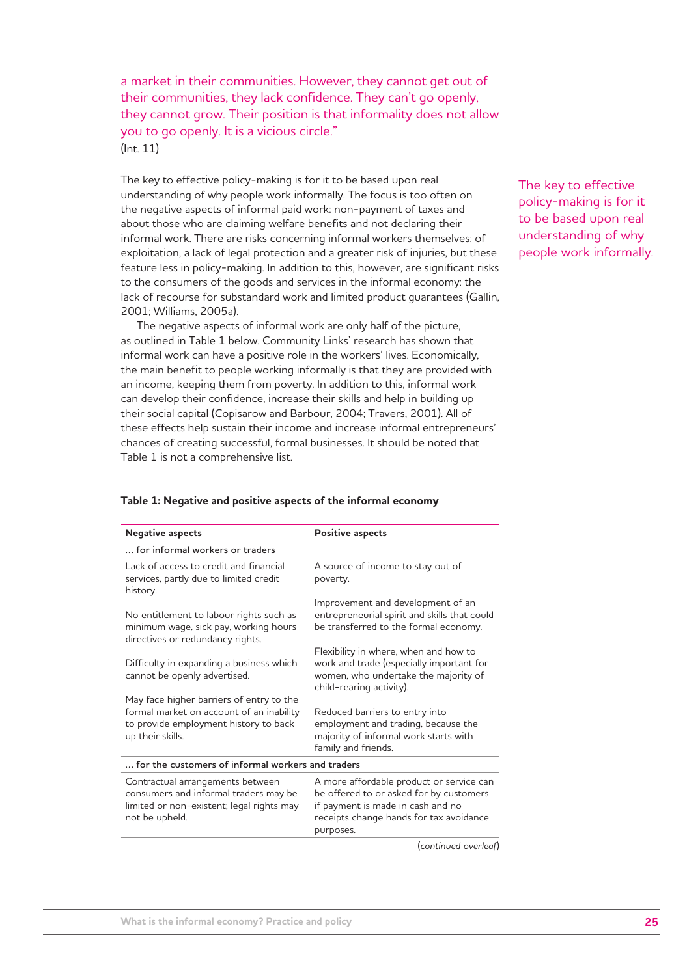a market in their communities. However, they cannot get out of their communities, they lack confidence. They can't go openly, they cannot grow. Their position is that informality does not allow you to go openly. It is a vicious circle." (Int. 11)

The key to effective policy-making is for it to be based upon real understanding of why people work informally. The focus is too often on the negative aspects of informal paid work: non-payment of taxes and about those who are claiming welfare benefits and not declaring their informal work. There are risks concerning informal workers themselves: of exploitation, a lack of legal protection and a greater risk of injuries, but these feature less in policy-making. In addition to this, however, are significant risks to the consumers of the goods and services in the informal economy: the lack of recourse for substandard work and limited product guarantees (Gallin, 2001; Williams, 2005a).

The negative aspects of informal work are only half of the picture, as outlined in Table 1 below. Community Links' research has shown that informal work can have a positive role in the workers' lives. Economically, the main benefit to people working informally is that they are provided with an income, keeping them from poverty. In addition to this, informal work can develop their confidence, increase their skills and help in building up their social capital (Copisarow and Barbour, 2004; Travers, 2001). All of these effects help sustain their income and increase informal entrepreneurs' chances of creating successful, formal businesses. It should be noted that Table 1 is not a comprehensive list.

The key to effective policy-making is for it to be based upon real understanding of why people work informally.

| <b>Negative aspects</b>                                                                                                                           | <b>Positive aspects</b>                                                                                                                                                          |
|---------------------------------------------------------------------------------------------------------------------------------------------------|----------------------------------------------------------------------------------------------------------------------------------------------------------------------------------|
| for informal workers or traders                                                                                                                   |                                                                                                                                                                                  |
| Lack of access to credit and financial<br>services, partly due to limited credit<br>history.                                                      | A source of income to stay out of<br>poverty.                                                                                                                                    |
| No entitlement to labour rights such as<br>minimum wage, sick pay, working hours<br>directives or redundancy rights.                              | Improvement and development of an<br>entrepreneurial spirit and skills that could<br>be transferred to the formal economy.                                                       |
| Difficulty in expanding a business which<br>cannot be openly advertised.                                                                          | Flexibility in where, when and how to<br>work and trade (especially important for<br>women, who undertake the majority of<br>child-rearing activity).                            |
| May face higher barriers of entry to the<br>formal market on account of an inability<br>to provide employment history to back<br>up their skills. | Reduced barriers to entry into<br>employment and trading, because the<br>majority of informal work starts with<br>family and friends.                                            |
| for the customers of informal workers and traders                                                                                                 |                                                                                                                                                                                  |
| Contractual arrangements between<br>consumers and informal traders may be<br>limited or non-existent; legal rights may<br>not be upheld.          | A more affordable product or service can<br>be offered to or asked for by customers<br>if payment is made in cash and no<br>receipts change hands for tax avoidance<br>purposes. |

#### **Table 1: Negative and positive aspects of the informal economy**

(*continued overleaf*)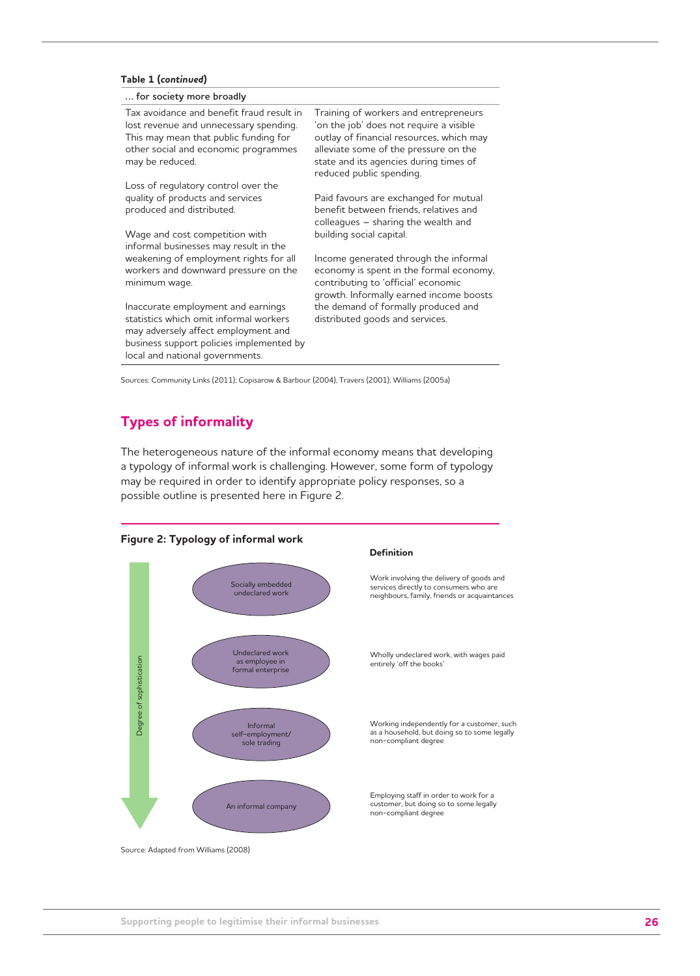#### **Table 1 (***continued***)**

#### **… for society more broadly**

Tax avoidance and benefit fraud result in lost revenue and unnecessary spending. This may mean that public funding for other social and economic programmes may be reduced.

Loss of regulatory control over the quality of products and services produced and distributed.

Wage and cost competition with informal businesses may result in the weakening of employment rights for all workers and downward pressure on the minimum wage.

Inaccurate employment and earnings statistics which omit informal workers may adversely affect employment and business support policies implemented by local and national governments.

Training of workers and entrepreneurs 'on the job' does not require a visible outlay of financial resources, which may alleviate some of the pressure on the state and its agencies during times of reduced public spending.

Paid favours are exchanged for mutual benefit between friends, relatives and colleagues – sharing the wealth and building social capital.

Income generated through the informal economy is spent in the formal economy, contributing to 'official' economic growth. Informally earned income boosts the demand of formally produced and distributed goods and services.

Sources: Community Links (2011); Copisarow & Barbour (2004); Travers (2001); Williams (2005a)

## **Types of informality**

The heterogeneous nature of the informal economy means that developing a typology of informal work is challenging. However, some form of typology may be required in order to identify appropriate policy responses, so a possible outline is presented here in Figure 2.



as a household, but doing so to some legally

Source: Adapted from Williams (2008)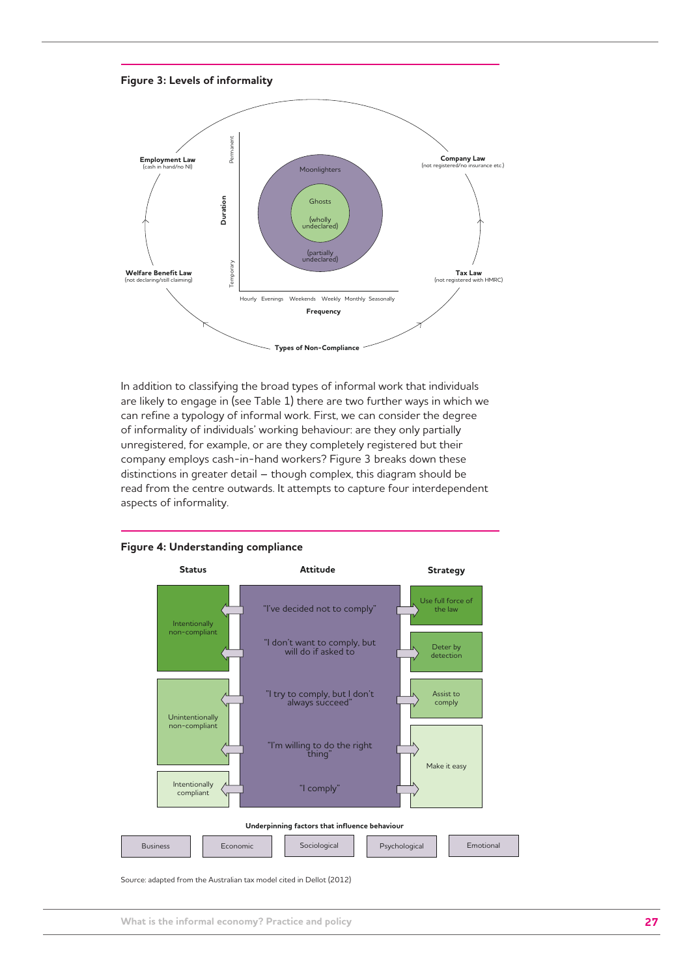



In addition to classifying the broad types of informal work that individuals are likely to engage in (see Table 1) there are two further ways in which we can refine a typology of informal work. First, we can consider the degree of informality of individuals' working behaviour: are they only partially unregistered, for example, or are they completely registered but their company employs cash-in-hand workers? Figure 3 breaks down these distinctions in greater detail – though complex, this diagram should be read from the centre outwards. It attempts to capture four interdependent aspects of informality.



**Figure 4: Understanding compliance**

Source: adapted from the Australian tax model cited in Dellot (2012)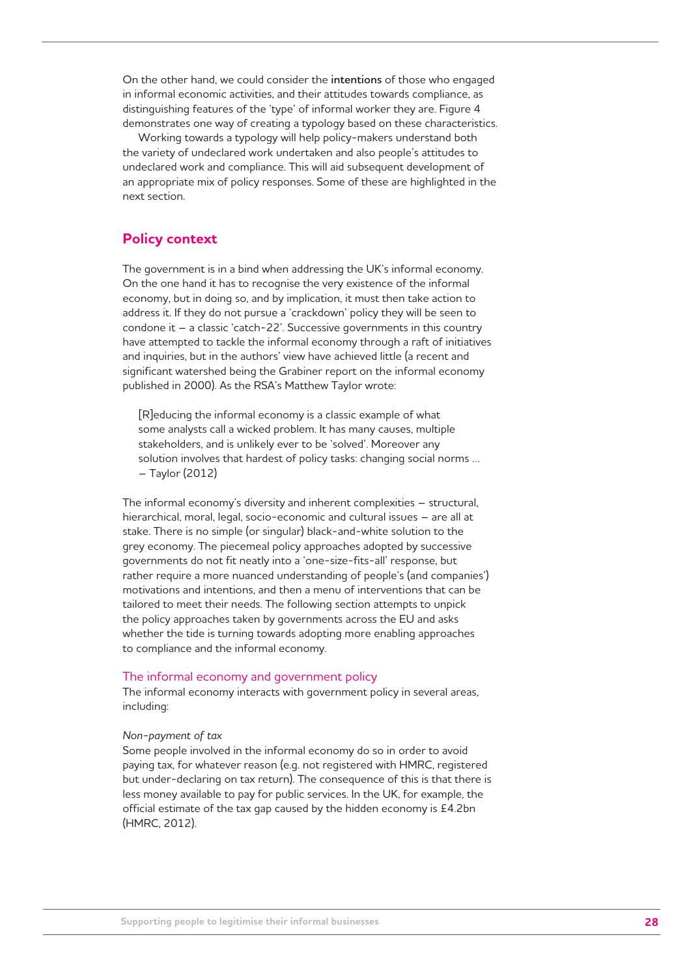On the other hand, we could consider the **intentions** of those who engaged in informal economic activities, and their attitudes towards compliance, as distinguishing features of the 'type' of informal worker they are. Figure 4 demonstrates one way of creating a typology based on these characteristics.

Working towards a typology will help policy-makers understand both the variety of undeclared work undertaken and also people's attitudes to undeclared work and compliance. This will aid subsequent development of an appropriate mix of policy responses. Some of these are highlighted in the next section.

## **Policy context**

The government is in a bind when addressing the UK's informal economy. On the one hand it has to recognise the very existence of the informal economy, but in doing so, and by implication, it must then take action to address it. If they do not pursue a 'crackdown' policy they will be seen to condone it – a classic 'catch-22'. Successive governments in this country have attempted to tackle the informal economy through a raft of initiatives and inquiries, but in the authors' view have achieved little (a recent and significant watershed being the Grabiner report on the informal economy published in 2000). As the RSA's Matthew Taylor wrote:

[R]educing the informal economy is a classic example of what some analysts call a wicked problem. It has many causes, multiple stakeholders, and is unlikely ever to be 'solved'. Moreover any solution involves that hardest of policy tasks: changing social norms … – Taylor (2012)

The informal economy's diversity and inherent complexities – structural, hierarchical, moral, legal, socio-economic and cultural issues – are all at stake. There is no simple (or singular) black-and-white solution to the grey economy. The piecemeal policy approaches adopted by successive governments do not fit neatly into a 'one-size-fits-all' response, but rather require a more nuanced understanding of people's (and companies') motivations and intentions, and then a menu of interventions that can be tailored to meet their needs. The following section attempts to unpick the policy approaches taken by governments across the EU and asks whether the tide is turning towards adopting more enabling approaches to compliance and the informal economy.

#### The informal economy and government policy

The informal economy interacts with government policy in several areas, including:

#### *Non-payment of tax*

Some people involved in the informal economy do so in order to avoid paying tax, for whatever reason (e.g. not registered with HMRC, registered but under-declaring on tax return). The consequence of this is that there is less money available to pay for public services. In the UK, for example, the official estimate of the tax gap caused by the hidden economy is £4.2bn (HMRC, 2012).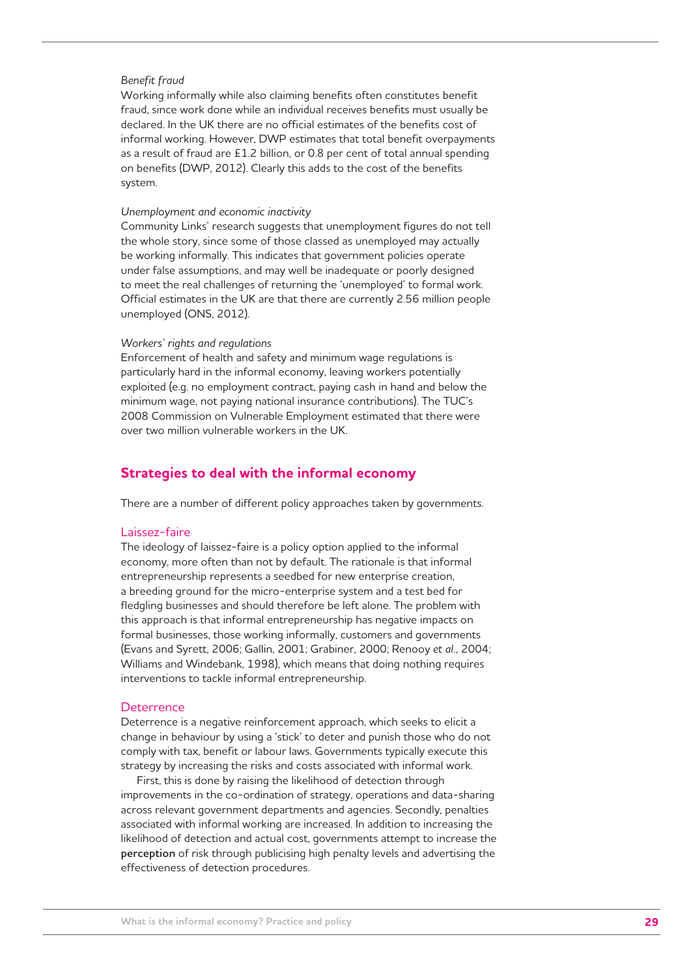#### *Benefit fraud*

Working informally while also claiming benefits often constitutes benefit fraud, since work done while an individual receives benefits must usually be declared. In the UK there are no official estimates of the benefits cost of informal working. However, DWP estimates that total benefit overpayments as a result of fraud are £1.2 billion, or 0.8 per cent of total annual spending on benefits (DWP, 2012). Clearly this adds to the cost of the benefits system.

#### *Unemployment and economic inactivity*

Community Links' research suggests that unemployment figures do not tell the whole story, since some of those classed as unemployed may actually be working informally. This indicates that government policies operate under false assumptions, and may well be inadequate or poorly designed to meet the real challenges of returning the 'unemployed' to formal work. Official estimates in the UK are that there are currently 2.56 million people unemployed (ONS, 2012).

#### *Workers' rights and regulations*

Enforcement of health and safety and minimum wage regulations is particularly hard in the informal economy, leaving workers potentially exploited (e.g. no employment contract, paying cash in hand and below the minimum wage, not paying national insurance contributions). The TUC's 2008 Commission on Vulnerable Employment estimated that there were over two million vulnerable workers in the UK.

#### **Strategies to deal with the informal economy**

There are a number of different policy approaches taken by governments.

#### Laissez-faire

The ideology of laissez-faire is a policy option applied to the informal economy, more often than not by default. The rationale is that informal entrepreneurship represents a seedbed for new enterprise creation, a breeding ground for the micro-enterprise system and a test bed for fledgling businesses and should therefore be left alone. The problem with this approach is that informal entrepreneurship has negative impacts on formal businesses, those working informally, customers and governments (Evans and Syrett, 2006; Gallin, 2001; Grabiner, 2000; Renooy *et al.*, 2004; Williams and Windebank, 1998), which means that doing nothing requires interventions to tackle informal entrepreneurship.

#### **Deterrence**

Deterrence is a negative reinforcement approach, which seeks to elicit a change in behaviour by using a 'stick' to deter and punish those who do not comply with tax, benefit or labour laws. Governments typically execute this strategy by increasing the risks and costs associated with informal work.

First, this is done by raising the likelihood of detection through improvements in the co-ordination of strategy, operations and data-sharing across relevant government departments and agencies. Secondly, penalties associated with informal working are increased. In addition to increasing the likelihood of detection and actual cost, governments attempt to increase the **perception** of risk through publicising high penalty levels and advertising the effectiveness of detection procedures.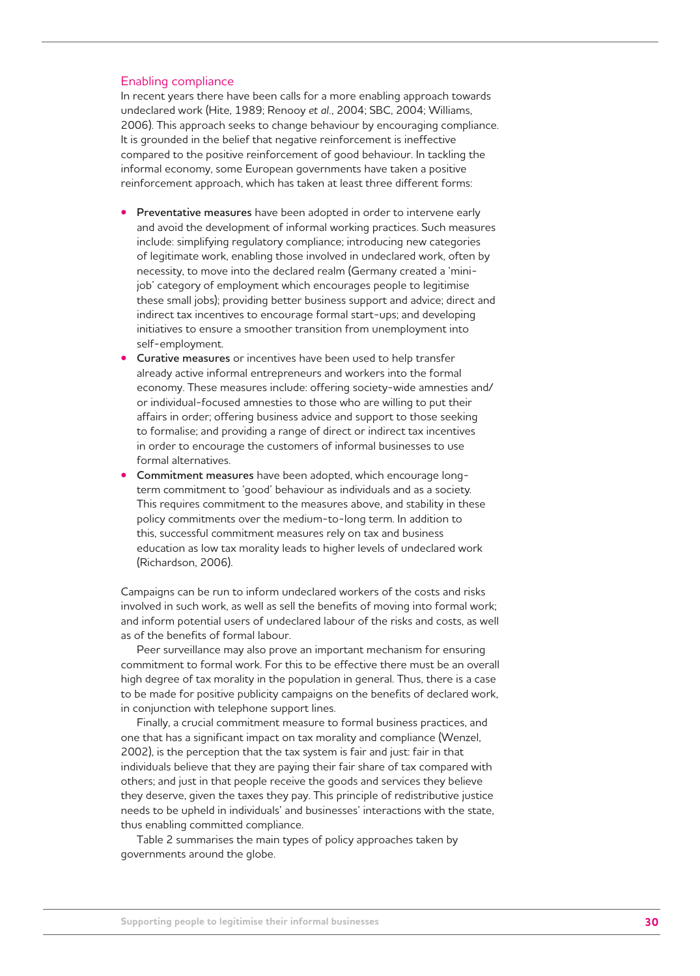#### Enabling compliance

In recent years there have been calls for a more enabling approach towards undeclared work (Hite, 1989; Renooy *et al.*, 2004; SBC, 2004; Williams, 2006). This approach seeks to change behaviour by encouraging compliance. It is grounded in the belief that negative reinforcement is ineffective compared to the positive reinforcement of good behaviour. In tackling the informal economy, some European governments have taken a positive reinforcement approach, which has taken at least three different forms:

- **Preventative measures** have been adopted in order to intervene early and avoid the development of informal working practices. Such measures include: simplifying regulatory compliance; introducing new categories of legitimate work, enabling those involved in undeclared work, often by necessity, to move into the declared realm (Germany created a 'minijob' category of employment which encourages people to legitimise these small jobs); providing better business support and advice; direct and indirect tax incentives to encourage formal start-ups; and developing initiatives to ensure a smoother transition from unemployment into self-employment.
- **Curative measures** or incentives have been used to help transfer already active informal entrepreneurs and workers into the formal economy. These measures include: offering society-wide amnesties and/ or individual-focused amnesties to those who are willing to put their affairs in order; offering business advice and support to those seeking to formalise; and providing a range of direct or indirect tax incentives in order to encourage the customers of informal businesses to use formal alternatives.
- **Commitment measures** have been adopted, which encourage longterm commitment to 'good' behaviour as individuals and as a society. This requires commitment to the measures above, and stability in these policy commitments over the medium-to-long term. In addition to this, successful commitment measures rely on tax and business education as low tax morality leads to higher levels of undeclared work (Richardson, 2006).

Campaigns can be run to inform undeclared workers of the costs and risks involved in such work, as well as sell the benefits of moving into formal work; and inform potential users of undeclared labour of the risks and costs, as well as of the benefits of formal labour.

Peer surveillance may also prove an important mechanism for ensuring commitment to formal work. For this to be effective there must be an overall high degree of tax morality in the population in general. Thus, there is a case to be made for positive publicity campaigns on the benefits of declared work, in conjunction with telephone support lines.

Finally, a crucial commitment measure to formal business practices, and one that has a significant impact on tax morality and compliance (Wenzel, 2002), is the perception that the tax system is fair and just: fair in that individuals believe that they are paying their fair share of tax compared with others; and just in that people receive the goods and services they believe they deserve, given the taxes they pay. This principle of redistributive justice needs to be upheld in individuals' and businesses' interactions with the state, thus enabling committed compliance.

Table 2 summarises the main types of policy approaches taken by governments around the globe.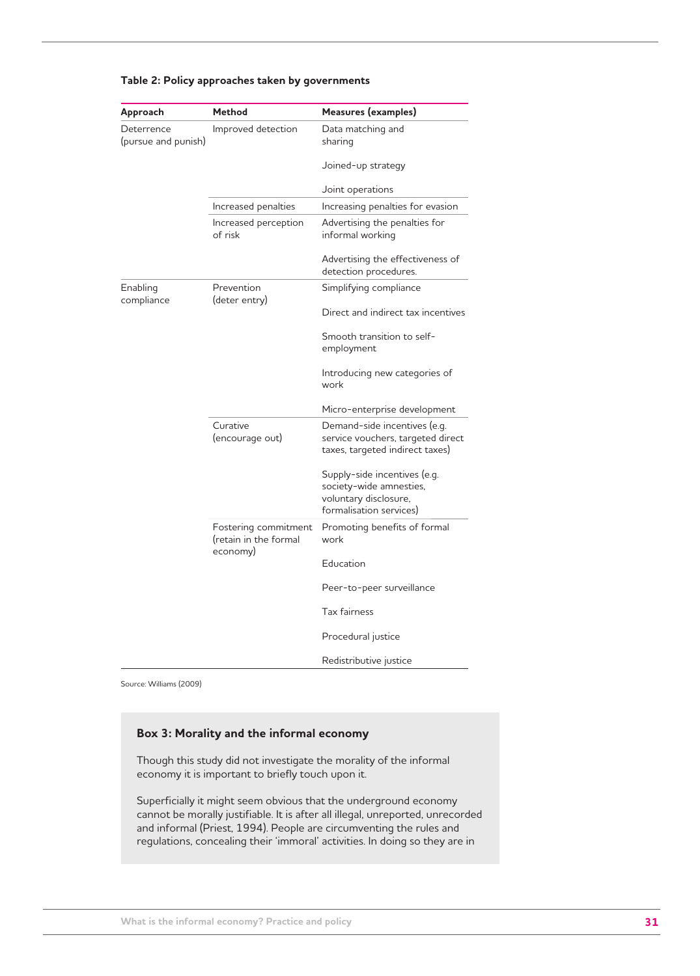| Approach                          | <b>Method</b>                                 | Measures (examples)                                                                                         |
|-----------------------------------|-----------------------------------------------|-------------------------------------------------------------------------------------------------------------|
| Deterrence<br>(pursue and punish) | Improved detection                            | Data matching and<br>sharing                                                                                |
|                                   |                                               | Joined-up strategy                                                                                          |
|                                   |                                               | Joint operations                                                                                            |
|                                   | Increased penalties                           | Increasing penalties for evasion                                                                            |
|                                   | Increased perception<br>of risk               | Advertising the penalties for<br>informal working                                                           |
|                                   |                                               | Advertising the effectiveness of<br>detection procedures.                                                   |
| Enabling<br>compliance            | Prevention<br>(deter entry)                   | Simplifying compliance                                                                                      |
|                                   |                                               | Direct and indirect tax incentives                                                                          |
|                                   |                                               | Smooth transition to self-<br>employment                                                                    |
|                                   |                                               | Introducing new categories of<br>work                                                                       |
|                                   |                                               | Micro-enterprise development                                                                                |
|                                   | Curative<br>(encourage out)                   | Demand-side incentives (e.g.<br>service vouchers, targeted direct<br>taxes, targeted indirect taxes)        |
|                                   |                                               | Supply-side incentives (e.g.<br>society-wide amnesties,<br>voluntary disclosure,<br>formalisation services) |
|                                   | Fostering commitment<br>(retain in the formal | Promoting benefits of formal<br>work                                                                        |
|                                   | economy)                                      | Education                                                                                                   |
|                                   |                                               | Peer-to-peer surveillance                                                                                   |
|                                   |                                               | <b>Tax fairness</b>                                                                                         |
|                                   |                                               | Procedural justice                                                                                          |
|                                   |                                               | Redistributive justice                                                                                      |

#### **Table 2: Policy approaches taken by governments**

Source: Williams (2009)

#### **Box 3: Morality and the informal economy**

Though this study did not investigate the morality of the informal economy it is important to briefly touch upon it.

Superficially it might seem obvious that the underground economy cannot be morally justifiable. It is after all illegal, unreported, unrecorded and informal (Priest, 1994). People are circumventing the rules and regulations, concealing their 'immoral' activities. In doing so they are in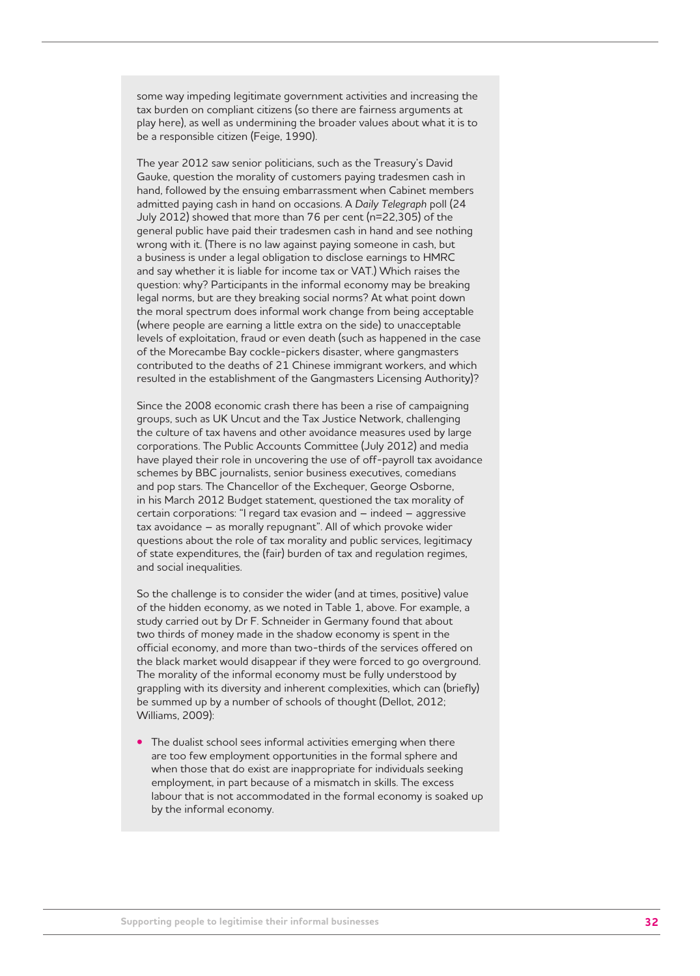some way impeding legitimate government activities and increasing the tax burden on compliant citizens (so there are fairness arguments at play here), as well as undermining the broader values about what it is to be a responsible citizen (Feige, 1990).

The year 2012 saw senior politicians, such as the Treasury's David Gauke, question the morality of customers paying tradesmen cash in hand, followed by the ensuing embarrassment when Cabinet members admitted paying cash in hand on occasions. A *Daily Telegraph* poll (24 July 2012) showed that more than 76 per cent (n=22,305) of the general public have paid their tradesmen cash in hand and see nothing wrong with it. (There is no law against paying someone in cash, but a business is under a legal obligation to disclose earnings to HMRC and say whether it is liable for income tax or VAT.) Which raises the question: why? Participants in the informal economy may be breaking legal norms, but are they breaking social norms? At what point down the moral spectrum does informal work change from being acceptable (where people are earning a little extra on the side) to unacceptable levels of exploitation, fraud or even death (such as happened in the case of the Morecambe Bay cockle-pickers disaster, where gangmasters contributed to the deaths of 21 Chinese immigrant workers, and which resulted in the establishment of the Gangmasters Licensing Authority)?

Since the 2008 economic crash there has been a rise of campaigning groups, such as UK Uncut and the Tax Justice Network, challenging the culture of tax havens and other avoidance measures used by large corporations. The Public Accounts Committee (July 2012) and media have played their role in uncovering the use of off-payroll tax avoidance schemes by BBC journalists, senior business executives, comedians and pop stars. The Chancellor of the Exchequer, George Osborne, in his March 2012 Budget statement, questioned the tax morality of certain corporations: "I regard tax evasion and – indeed – aggressive tax avoidance – as morally repugnant". All of which provoke wider questions about the role of tax morality and public services, legitimacy of state expenditures, the (fair) burden of tax and regulation regimes, and social inequalities.

So the challenge is to consider the wider (and at times, positive) value of the hidden economy, as we noted in Table 1, above. For example, a study carried out by Dr F. Schneider in Germany found that about two thirds of money made in the shadow economy is spent in the official economy, and more than two-thirds of the services offered on the black market would disappear if they were forced to go overground. The morality of the informal economy must be fully understood by grappling with its diversity and inherent complexities, which can (briefly) be summed up by a number of schools of thought (Dellot, 2012; Williams, 2009):

**•** The dualist school sees informal activities emerging when there are too few employment opportunities in the formal sphere and when those that do exist are inappropriate for individuals seeking employment, in part because of a mismatch in skills. The excess labour that is not accommodated in the formal economy is soaked up by the informal economy.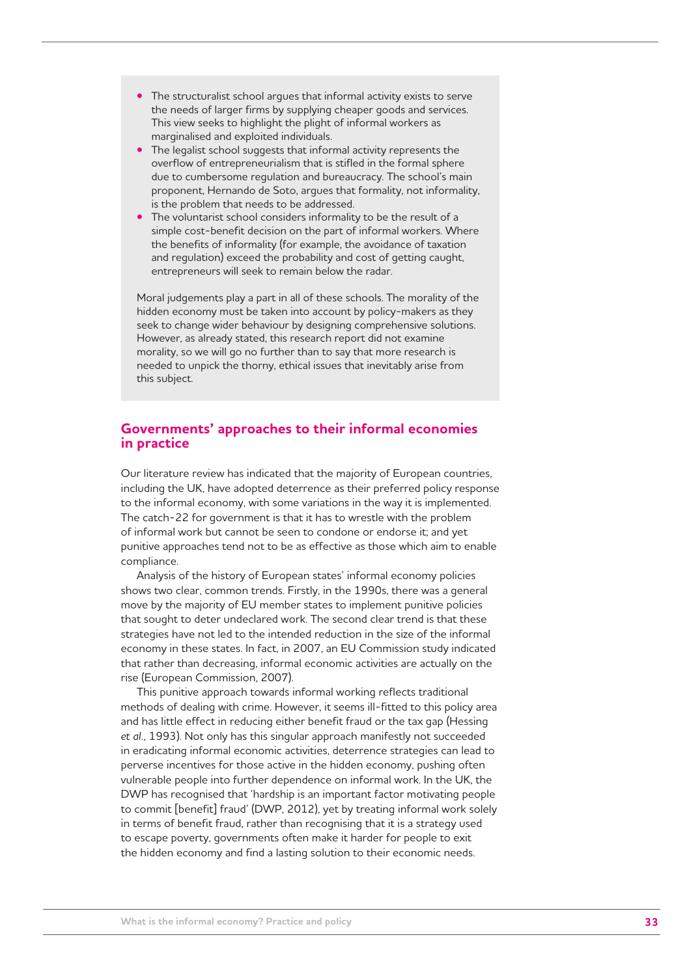- The structuralist school argues that informal activity exists to serve the needs of larger firms by supplying cheaper goods and services. This view seeks to highlight the plight of informal workers as marginalised and exploited individuals.
- The legalist school suggests that informal activity represents the overflow of entrepreneurialism that is stifled in the formal sphere due to cumbersome regulation and bureaucracy. The school's main proponent, Hernando de Soto, argues that formality, not informality, is the problem that needs to be addressed.
- The voluntarist school considers informality to be the result of a simple cost-benefit decision on the part of informal workers. Where the benefits of informality (for example, the avoidance of taxation and regulation) exceed the probability and cost of getting caught, entrepreneurs will seek to remain below the radar.

Moral judgements play a part in all of these schools. The morality of the hidden economy must be taken into account by policy-makers as they seek to change wider behaviour by designing comprehensive solutions. However, as already stated, this research report did not examine morality, so we will go no further than to say that more research is needed to unpick the thorny, ethical issues that inevitably arise from this subject.

## **Governments' approaches to their informal economies in practice**

Our literature review has indicated that the majority of European countries, including the UK, have adopted deterrence as their preferred policy response to the informal economy, with some variations in the way it is implemented. The catch-22 for government is that it has to wrestle with the problem of informal work but cannot be seen to condone or endorse it; and yet punitive approaches tend not to be as effective as those which aim to enable compliance.

Analysis of the history of European states' informal economy policies shows two clear, common trends. Firstly, in the 1990s, there was a general move by the majority of EU member states to implement punitive policies that sought to deter undeclared work. The second clear trend is that these strategies have not led to the intended reduction in the size of the informal economy in these states. In fact, in 2007, an EU Commission study indicated that rather than decreasing, informal economic activities are actually on the rise (European Commission, 2007).

This punitive approach towards informal working reflects traditional methods of dealing with crime. However, it seems ill-fitted to this policy area and has little effect in reducing either benefit fraud or the tax gap (Hessing *et al.*, 1993). Not only has this singular approach manifestly not succeeded in eradicating informal economic activities, deterrence strategies can lead to perverse incentives for those active in the hidden economy, pushing often vulnerable people into further dependence on informal work. In the UK, the DWP has recognised that 'hardship is an important factor motivating people to commit [benefit] fraud' (DWP, 2012), yet by treating informal work solely in terms of benefit fraud, rather than recognising that it is a strategy used to escape poverty, governments often make it harder for people to exit the hidden economy and find a lasting solution to their economic needs.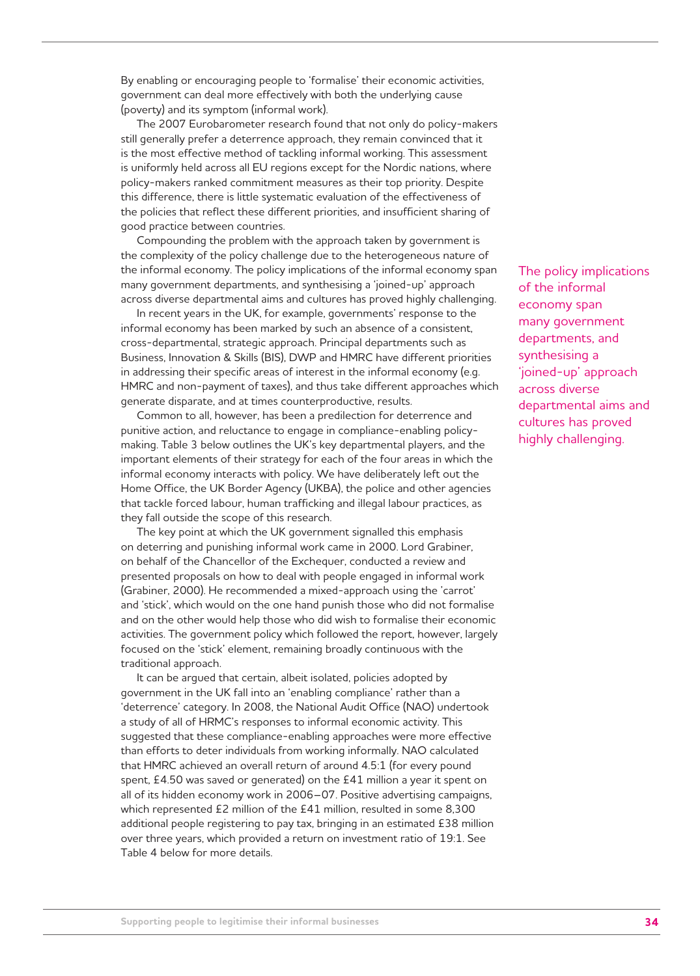By enabling or encouraging people to 'formalise' their economic activities, government can deal more effectively with both the underlying cause (poverty) and its symptom (informal work).

The 2007 Eurobarometer research found that not only do policy-makers still generally prefer a deterrence approach, they remain convinced that it is the most effective method of tackling informal working. This assessment is uniformly held across all EU regions except for the Nordic nations, where policy-makers ranked commitment measures as their top priority. Despite this difference, there is little systematic evaluation of the effectiveness of the policies that reflect these different priorities, and insufficient sharing of good practice between countries.

Compounding the problem with the approach taken by government is the complexity of the policy challenge due to the heterogeneous nature of the informal economy. The policy implications of the informal economy span many government departments, and synthesising a 'joined-up' approach across diverse departmental aims and cultures has proved highly challenging.

In recent years in the UK, for example, governments' response to the informal economy has been marked by such an absence of a consistent, cross-departmental, strategic approach. Principal departments such as Business, Innovation & Skills (BIS), DWP and HMRC have different priorities in addressing their specific areas of interest in the informal economy (e.g. HMRC and non-payment of taxes), and thus take different approaches which generate disparate, and at times counterproductive, results.

Common to all, however, has been a predilection for deterrence and punitive action, and reluctance to engage in compliance-enabling policymaking. Table 3 below outlines the UK's key departmental players, and the important elements of their strategy for each of the four areas in which the informal economy interacts with policy. We have deliberately left out the Home Office, the UK Border Agency (UKBA), the police and other agencies that tackle forced labour, human trafficking and illegal labour practices, as they fall outside the scope of this research.

The key point at which the UK government signalled this emphasis on deterring and punishing informal work came in 2000. Lord Grabiner, on behalf of the Chancellor of the Exchequer, conducted a review and presented proposals on how to deal with people engaged in informal work (Grabiner, 2000). He recommended a mixed-approach using the 'carrot' and 'stick', which would on the one hand punish those who did not formalise and on the other would help those who did wish to formalise their economic activities. The government policy which followed the report, however, largely focused on the 'stick' element, remaining broadly continuous with the traditional approach.

It can be argued that certain, albeit isolated, policies adopted by government in the UK fall into an 'enabling compliance' rather than a 'deterrence' category. In 2008, the National Audit Office (NAO) undertook a study of all of HRMC's responses to informal economic activity. This suggested that these compliance-enabling approaches were more effective than efforts to deter individuals from working informally. NAO calculated that HMRC achieved an overall return of around 4.5:1 (for every pound spent, £4.50 was saved or generated) on the £41 million a year it spent on all of its hidden economy work in 2006–07. Positive advertising campaigns, which represented £2 million of the £41 million, resulted in some 8,300 additional people registering to pay tax, bringing in an estimated £38 million over three years, which provided a return on investment ratio of 19:1. See Table 4 below for more details.

The policy implications of the informal economy span many government departments, and synthesising a 'joined-up' approach across diverse departmental aims and cultures has proved highly challenging.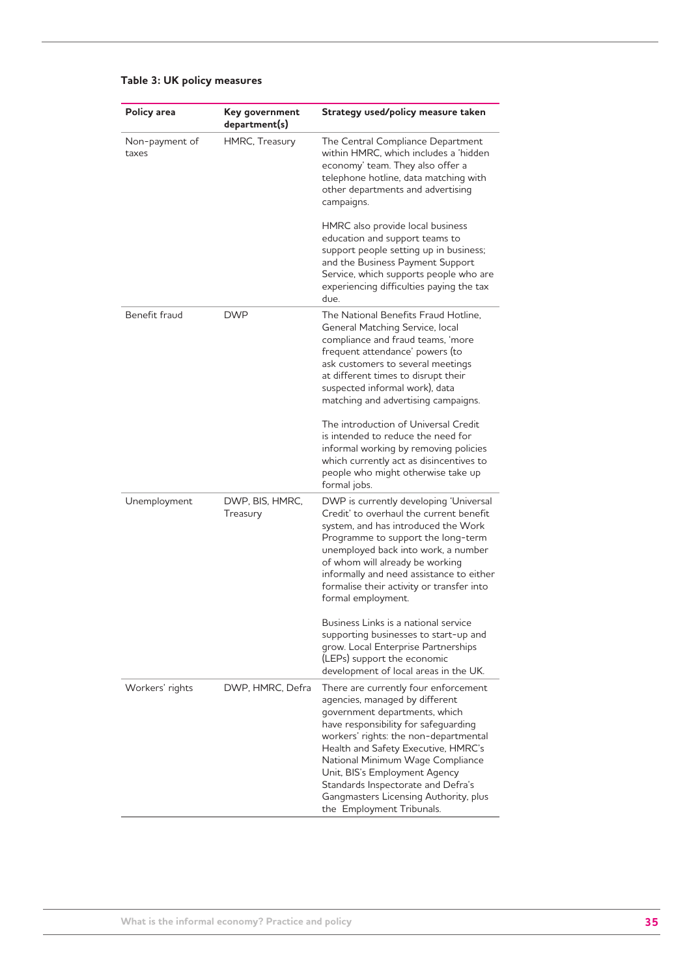| Policy area             | Key government<br>department(s) | Strategy used/policy measure taken                                                                                                                                                                                                                                                                                                                                                                               |
|-------------------------|---------------------------------|------------------------------------------------------------------------------------------------------------------------------------------------------------------------------------------------------------------------------------------------------------------------------------------------------------------------------------------------------------------------------------------------------------------|
| Non-payment of<br>taxes | HMRC, Treasury                  | The Central Compliance Department<br>within HMRC, which includes a 'hidden<br>economy' team. They also offer a<br>telephone hotline, data matching with<br>other departments and advertising<br>campaigns.                                                                                                                                                                                                       |
|                         |                                 | HMRC also provide local business<br>education and support teams to<br>support people setting up in business;<br>and the Business Payment Support<br>Service, which supports people who are<br>experiencing difficulties paying the tax<br>due.                                                                                                                                                                   |
| Benefit fraud           | <b>DWP</b>                      | The National Benefits Fraud Hotline,<br>General Matching Service, local<br>compliance and fraud teams, 'more<br>frequent attendance' powers (to<br>ask customers to several meetings<br>at different times to disrupt their<br>suspected informal work), data<br>matching and advertising campaigns.                                                                                                             |
|                         |                                 | The introduction of Universal Credit<br>is intended to reduce the need for<br>informal working by removing policies<br>which currently act as disincentives to<br>people who might otherwise take up<br>formal jobs.                                                                                                                                                                                             |
| Unemployment            | DWP, BIS, HMRC,<br>Treasury     | DWP is currently developing 'Universal<br>Credit' to overhaul the current benefit<br>system, and has introduced the Work<br>Programme to support the long-term<br>unemployed back into work, a number<br>of whom will already be working<br>informally and need assistance to either<br>formalise their activity or transfer into<br>formal employment.                                                          |
|                         |                                 | Business Links is a national service<br>supporting businesses to start-up and<br>grow. Local Enterprise Partnerships<br>(LEPs) support the economic<br>development of local areas in the UK.                                                                                                                                                                                                                     |
| Workers' rights         | DWP, HMRC, Defra                | There are currently four enforcement<br>agencies, managed by different<br>government departments, which<br>have responsibility for safeguarding<br>workers' rights: the non-departmental<br>Health and Safety Executive, HMRC's<br>National Minimum Wage Compliance<br>Unit, BIS's Employment Agency<br>Standards Inspectorate and Defra's<br>Gangmasters Licensing Authority, plus<br>the Employment Tribunals. |

## **Table 3: UK policy measures**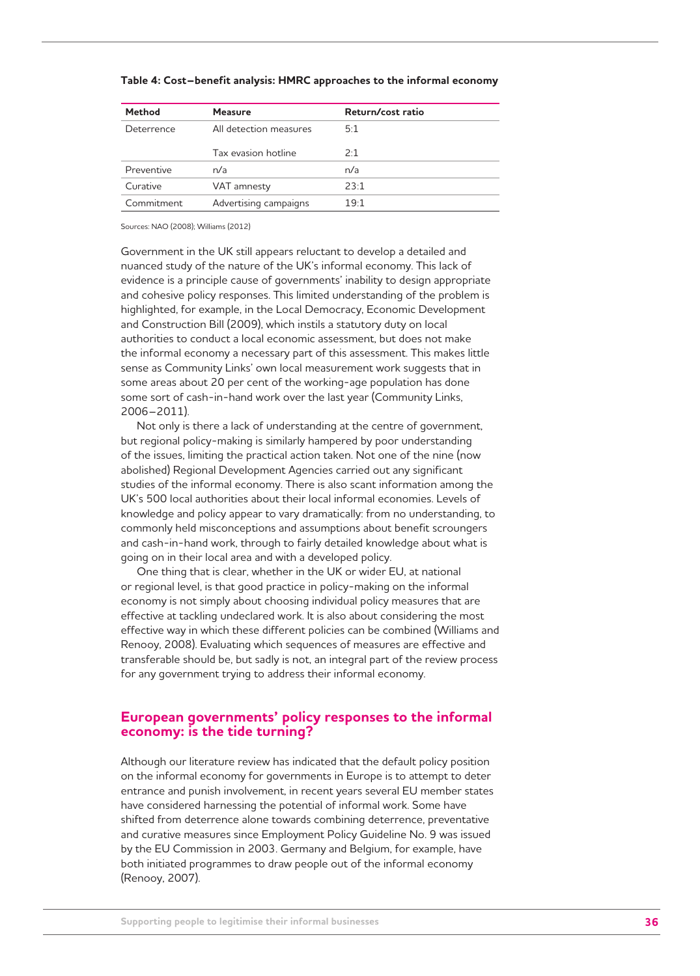| <b>Method</b> | <b>Measure</b>         | Return/cost ratio |
|---------------|------------------------|-------------------|
| Deterrence    | All detection measures | 5:1               |
|               | Tax evasion hotline    | 2.1               |
| Preventive    | n/a                    | n/a               |
| Curative      | VAT amnesty            | 23:1              |
| Commitment    | Advertising campaigns  | 19.1              |

#### **Table 4: Cost–benefit analysis: HMRC approaches to the informal economy**

Sources: NAO (2008); Williams (2012)

Government in the UK still appears reluctant to develop a detailed and nuanced study of the nature of the UK's informal economy. This lack of evidence is a principle cause of governments' inability to design appropriate and cohesive policy responses. This limited understanding of the problem is highlighted, for example, in the Local Democracy, Economic Development and Construction Bill (2009), which instils a statutory duty on local authorities to conduct a local economic assessment, but does not make the informal economy a necessary part of this assessment. This makes little sense as Community Links' own local measurement work suggests that in some areas about 20 per cent of the working-age population has done some sort of cash-in-hand work over the last year (Community Links, 2006–2011).

Not only is there a lack of understanding at the centre of government, but regional policy-making is similarly hampered by poor understanding of the issues, limiting the practical action taken. Not one of the nine (now abolished) Regional Development Agencies carried out any significant studies of the informal economy. There is also scant information among the UK's 500 local authorities about their local informal economies. Levels of knowledge and policy appear to vary dramatically: from no understanding, to commonly held misconceptions and assumptions about benefit scroungers and cash-in-hand work, through to fairly detailed knowledge about what is going on in their local area and with a developed policy.

One thing that is clear, whether in the UK or wider EU, at national or regional level, is that good practice in policy-making on the informal economy is not simply about choosing individual policy measures that are effective at tackling undeclared work. It is also about considering the most effective way in which these different policies can be combined (Williams and Renooy, 2008). Evaluating which sequences of measures are effective and transferable should be, but sadly is not, an integral part of the review process for any government trying to address their informal economy.

## **European governments' policy responses to the informal economy: is the tide turning?**

Although our literature review has indicated that the default policy position on the informal economy for governments in Europe is to attempt to deter entrance and punish involvement, in recent years several EU member states have considered harnessing the potential of informal work. Some have shifted from deterrence alone towards combining deterrence, preventative and curative measures since Employment Policy Guideline No. 9 was issued by the EU Commission in 2003. Germany and Belgium, for example, have both initiated programmes to draw people out of the informal economy (Renooy, 2007).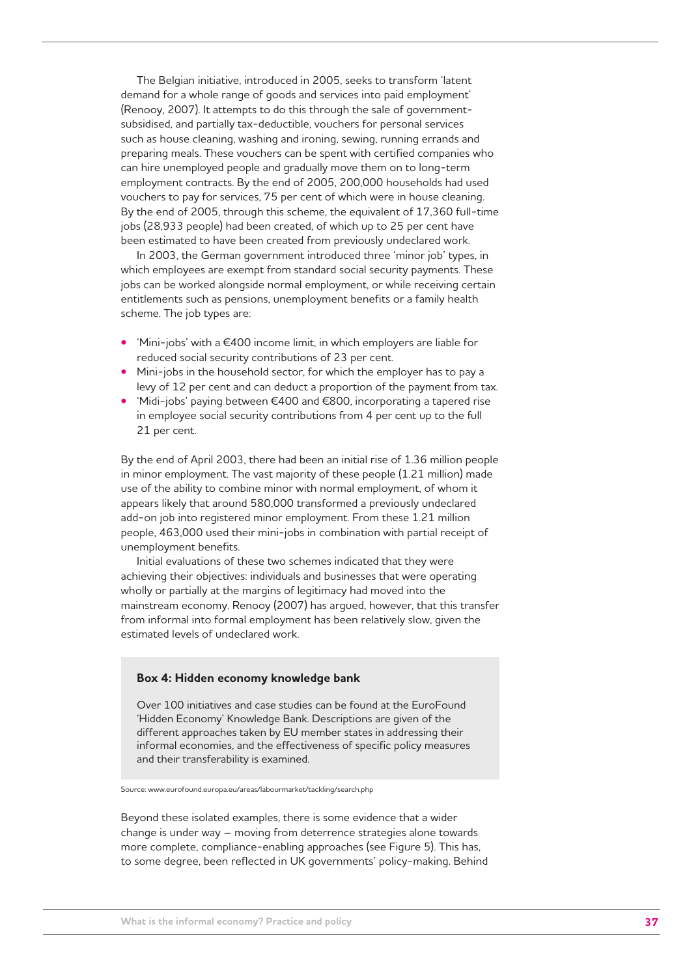The Belgian initiative, introduced in 2005, seeks to transform 'latent demand for a whole range of goods and services into paid employment' (Renooy, 2007). It attempts to do this through the sale of governmentsubsidised, and partially tax-deductible, vouchers for personal services such as house cleaning, washing and ironing, sewing, running errands and preparing meals. These vouchers can be spent with certified companies who can hire unemployed people and gradually move them on to long-term employment contracts. By the end of 2005, 200,000 households had used vouchers to pay for services, 75 per cent of which were in house cleaning. By the end of 2005, through this scheme, the equivalent of 17,360 full-time jobs (28,933 people) had been created, of which up to 25 per cent have been estimated to have been created from previously undeclared work.

In 2003, the German government introduced three 'minor job' types, in which employees are exempt from standard social security payments. These jobs can be worked alongside normal employment, or while receiving certain entitlements such as pensions, unemployment benefits or a family health scheme. The job types are:

- 'Mini-jobs' with a €400 income limit, in which employers are liable for reduced social security contributions of 23 per cent.
- Mini-jobs in the household sector, for which the employer has to pay a levy of 12 per cent and can deduct a proportion of the payment from tax.
- 'Midi-jobs' paying between €400 and €800, incorporating a tapered rise in employee social security contributions from 4 per cent up to the full 21 per cent.

By the end of April 2003, there had been an initial rise of 1.36 million people in minor employment. The vast majority of these people (1.21 million) made use of the ability to combine minor with normal employment, of whom it appears likely that around 580,000 transformed a previously undeclared add-on job into registered minor employment. From these 1.21 million people, 463,000 used their mini-jobs in combination with partial receipt of unemployment benefits.

Initial evaluations of these two schemes indicated that they were achieving their objectives: individuals and businesses that were operating wholly or partially at the margins of legitimacy had moved into the mainstream economy. Renooy (2007) has argued, however, that this transfer from informal into formal employment has been relatively slow, given the estimated levels of undeclared work.

## **Box 4: Hidden economy knowledge bank**

Over 100 initiatives and case studies can be found at the EuroFound 'Hidden Economy' Knowledge Bank. Descriptions are given of the different approaches taken by EU member states in addressing their informal economies, and the effectiveness of specific policy measures and their transferability is examined.

Source: www.eurofound.europa.eu/areas/labourmarket/tackling/search.php

Beyond these isolated examples, there is some evidence that a wider change is under way – moving from deterrence strategies alone towards more complete, compliance-enabling approaches (see Figure 5). This has, to some degree, been reflected in UK governments' policy-making. Behind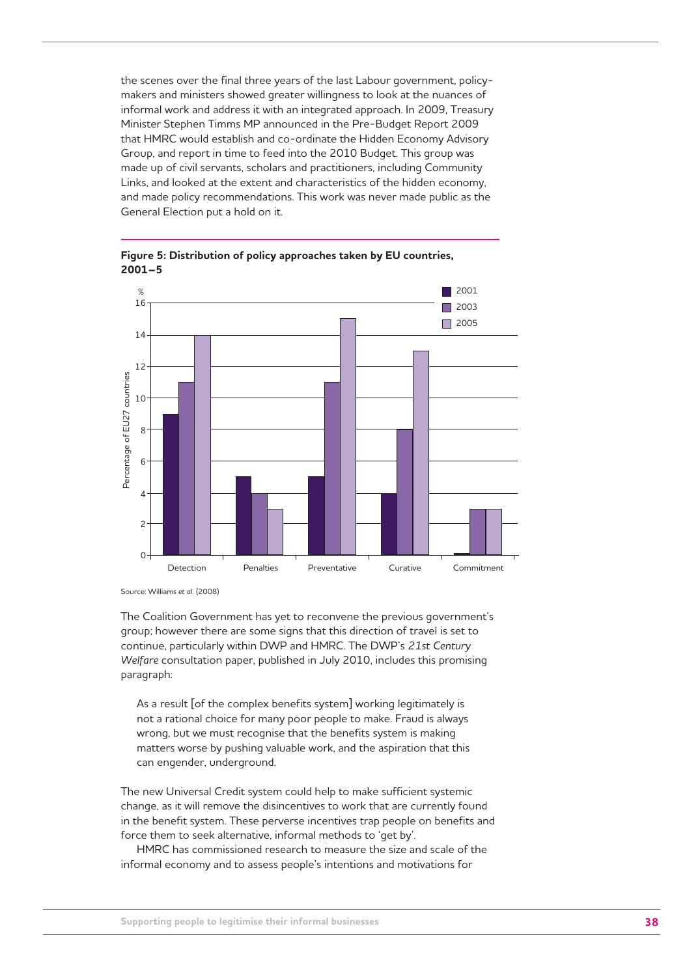the scenes over the final three years of the last Labour government, policymakers and ministers showed greater willingness to look at the nuances of informal work and address it with an integrated approach. In 2009, Treasury Minister Stephen Timms MP announced in the Pre-Budget Report 2009 that HMRC would establish and co-ordinate the Hidden Economy Advisory Group, and report in time to feed into the 2010 Budget. This group was made up of civil servants, scholars and practitioners, including Community Links, and looked at the extent and characteristics of the hidden economy, and made policy recommendations. This work was never made public as the General Election put a hold on it.



**Figure 5: Distribution of policy approaches taken by EU countries, 2001–5** 

Source: Williams *et al.* (2008)

The Coalition Government has yet to reconvene the previous government's group; however there are some signs that this direction of travel is set to continue, particularly within DWP and HMRC. The DWP's *21st Century Welfare* consultation paper, published in July 2010, includes this promising paragraph:

As a result [of the complex benefits system] working legitimately is not a rational choice for many poor people to make. Fraud is always wrong, but we must recognise that the benefits system is making matters worse by pushing valuable work, and the aspiration that this can engender, underground.

The new Universal Credit system could help to make sufficient systemic change, as it will remove the disincentives to work that are currently found in the benefit system. These perverse incentives trap people on benefits and force them to seek alternative, informal methods to 'get by'.

HMRC has commissioned research to measure the size and scale of the informal economy and to assess people's intentions and motivations for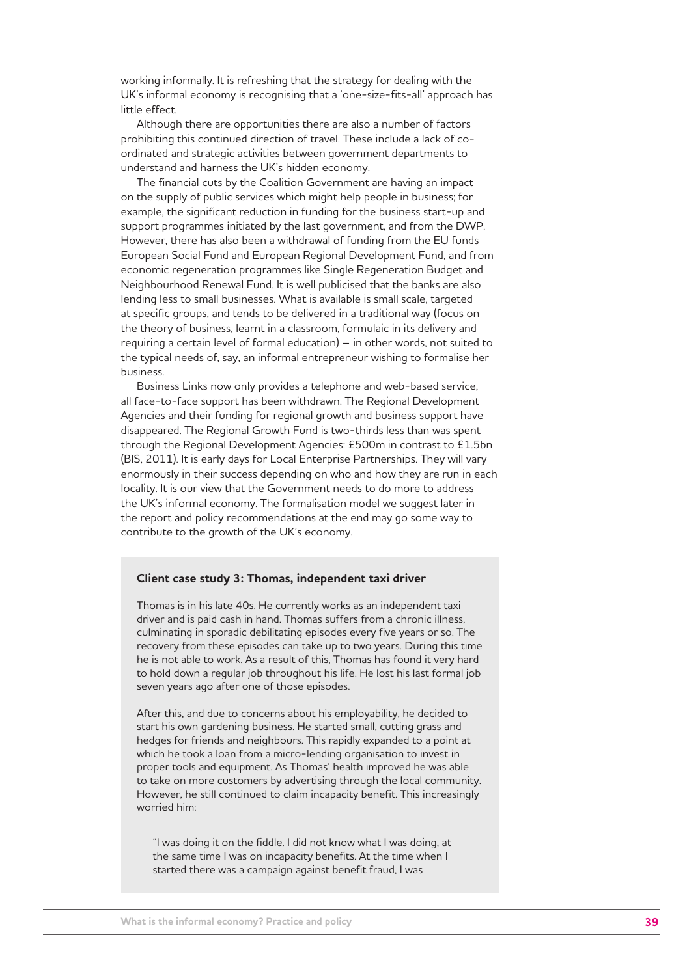working informally. It is refreshing that the strategy for dealing with the UK's informal economy is recognising that a 'one-size-fits-all' approach has little effect.

Although there are opportunities there are also a number of factors prohibiting this continued direction of travel. These include a lack of coordinated and strategic activities between government departments to understand and harness the UK's hidden economy.

The financial cuts by the Coalition Government are having an impact on the supply of public services which might help people in business; for example, the significant reduction in funding for the business start-up and support programmes initiated by the last government, and from the DWP. However, there has also been a withdrawal of funding from the EU funds European Social Fund and European Regional Development Fund, and from economic regeneration programmes like Single Regeneration Budget and Neighbourhood Renewal Fund. It is well publicised that the banks are also lending less to small businesses. What is available is small scale, targeted at specific groups, and tends to be delivered in a traditional way (focus on the theory of business, learnt in a classroom, formulaic in its delivery and requiring a certain level of formal education) – in other words, not suited to the typical needs of, say, an informal entrepreneur wishing to formalise her business.

Business Links now only provides a telephone and web-based service, all face-to-face support has been withdrawn. The Regional Development Agencies and their funding for regional growth and business support have disappeared. The Regional Growth Fund is two-thirds less than was spent through the Regional Development Agencies: £500m in contrast to £1.5bn (BIS, 2011). It is early days for Local Enterprise Partnerships. They will vary enormously in their success depending on who and how they are run in each locality. It is our view that the Government needs to do more to address the UK's informal economy. The formalisation model we suggest later in the report and policy recommendations at the end may go some way to contribute to the growth of the UK's economy.

#### **Client case study 3: Thomas, independent taxi driver**

Thomas is in his late 40s. He currently works as an independent taxi driver and is paid cash in hand. Thomas suffers from a chronic illness, culminating in sporadic debilitating episodes every five years or so. The recovery from these episodes can take up to two years. During this time he is not able to work. As a result of this, Thomas has found it very hard to hold down a regular job throughout his life. He lost his last formal job seven years ago after one of those episodes.

After this, and due to concerns about his employability, he decided to start his own gardening business. He started small, cutting grass and hedges for friends and neighbours. This rapidly expanded to a point at which he took a loan from a micro-lending organisation to invest in proper tools and equipment. As Thomas' health improved he was able to take on more customers by advertising through the local community. However, he still continued to claim incapacity benefit. This increasingly worried him:

"I was doing it on the fiddle. I did not know what I was doing, at the same time I was on incapacity benefits. At the time when I started there was a campaign against benefit fraud, I was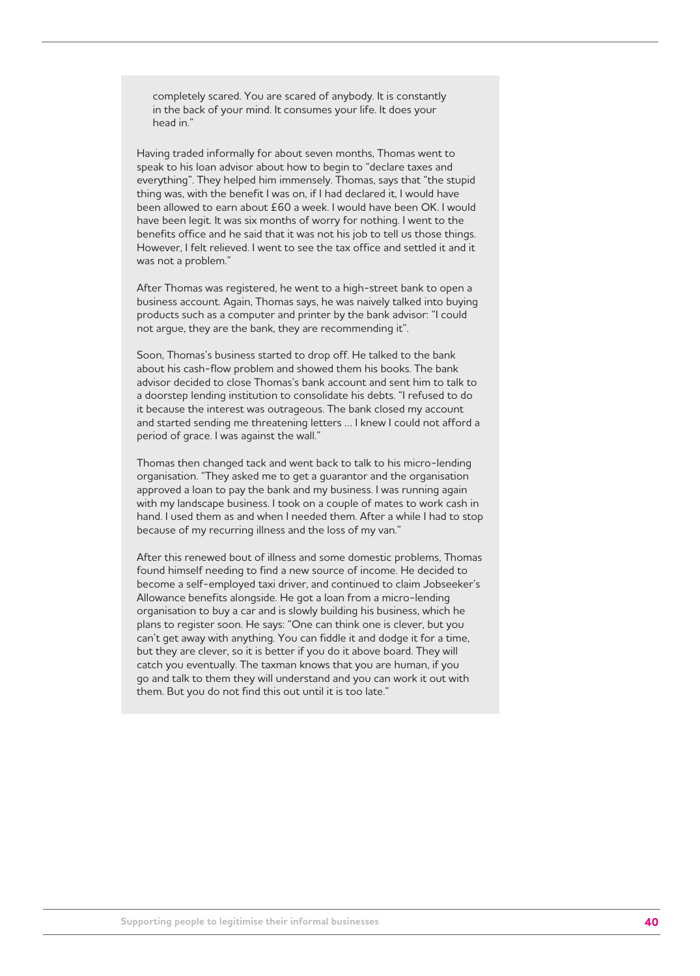completely scared. You are scared of anybody. It is constantly in the back of your mind. It consumes your life. It does your head in."

Having traded informally for about seven months, Thomas went to speak to his loan advisor about how to begin to "declare taxes and everything". They helped him immensely. Thomas, says that "the stupid thing was, with the benefit I was on, if I had declared it, I would have been allowed to earn about £60 a week. I would have been OK. I would have been legit. It was six months of worry for nothing. I went to the benefits office and he said that it was not his job to tell us those things. However, I felt relieved. I went to see the tax office and settled it and it was not a problem."

After Thomas was registered, he went to a high-street bank to open a business account. Again, Thomas says, he was naively talked into buying products such as a computer and printer by the bank advisor: "I could not argue, they are the bank, they are recommending it".

Soon, Thomas's business started to drop off. He talked to the bank about his cash-flow problem and showed them his books. The bank advisor decided to close Thomas's bank account and sent him to talk to a doorstep lending institution to consolidate his debts. "I refused to do it because the interest was outrageous. The bank closed my account and started sending me threatening letters … I knew I could not afford a period of grace. I was against the wall."

Thomas then changed tack and went back to talk to his micro-lending organisation. "They asked me to get a guarantor and the organisation approved a loan to pay the bank and my business. I was running again with my landscape business. I took on a couple of mates to work cash in hand. I used them as and when I needed them. After a while I had to stop because of my recurring illness and the loss of my van."

After this renewed bout of illness and some domestic problems, Thomas found himself needing to find a new source of income. He decided to become a self-employed taxi driver, and continued to claim Jobseeker's Allowance benefits alongside. He got a loan from a micro-lending organisation to buy a car and is slowly building his business, which he plans to register soon. He says: "One can think one is clever, but you can't get away with anything. You can fiddle it and dodge it for a time, but they are clever, so it is better if you do it above board. They will catch you eventually. The taxman knows that you are human, if you go and talk to them they will understand and you can work it out with them. But you do not find this out until it is too late."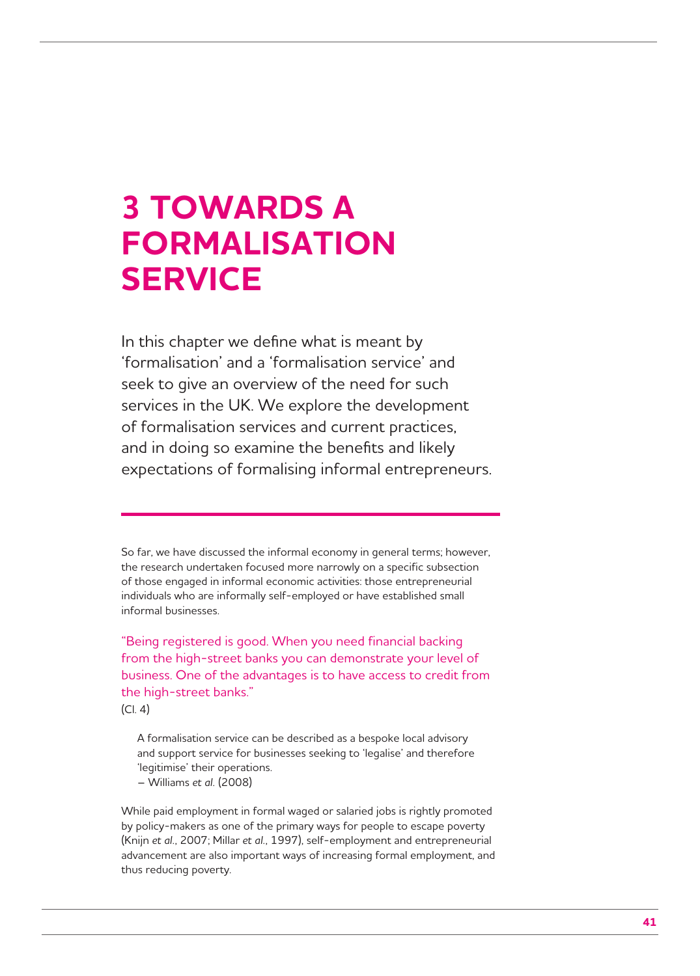# **3 TOWARDS A FORMALISATION SERVICE**

In this chapter we define what is meant by 'formalisation' and a 'formalisation service' and seek to give an overview of the need for such services in the UK. We explore the development of formalisation services and current practices, and in doing so examine the benefits and likely expectations of formalising informal entrepreneurs.

So far, we have discussed the informal economy in general terms; however, the research undertaken focused more narrowly on a specific subsection of those engaged in informal economic activities: those entrepreneurial individuals who are informally self-employed or have established small informal businesses.

"Being registered is good. When you need financial backing from the high-street banks you can demonstrate your level of business. One of the advantages is to have access to credit from the high-street banks."

(Cl. 4)

A formalisation service can be described as a bespoke local advisory and support service for businesses seeking to 'legalise' and therefore 'legitimise' their operations.

– Williams *et al.* (2008)

While paid employment in formal waged or salaried jobs is rightly promoted by policy-makers as one of the primary ways for people to escape poverty (Knijn *et al.*, 2007; Millar *et al.*, 1997), self-employment and entrepreneurial advancement are also important ways of increasing formal employment, and thus reducing poverty.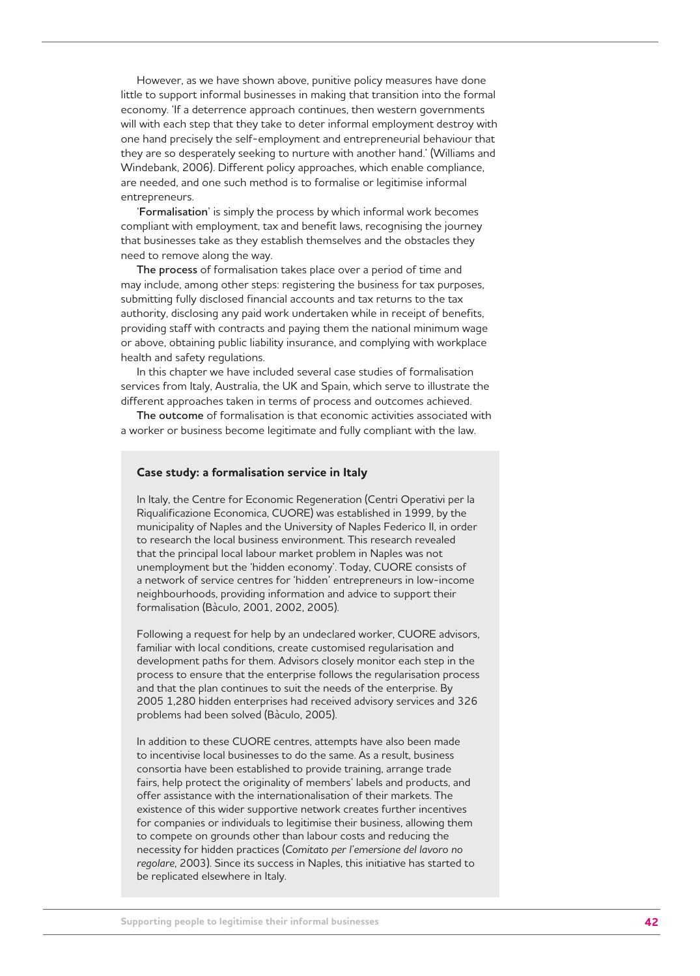However, as we have shown above, punitive policy measures have done little to support informal businesses in making that transition into the formal economy. 'If a deterrence approach continues, then western governments will with each step that they take to deter informal employment destroy with one hand precisely the self-employment and entrepreneurial behaviour that they are so desperately seeking to nurture with another hand.' (Williams and Windebank, 2006). Different policy approaches, which enable compliance, are needed, and one such method is to formalise or legitimise informal entrepreneurs.

'**Formalisation**' is simply the process by which informal work becomes compliant with employment, tax and benefit laws, recognising the journey that businesses take as they establish themselves and the obstacles they need to remove along the way.

**The process** of formalisation takes place over a period of time and may include, among other steps: registering the business for tax purposes, submitting fully disclosed financial accounts and tax returns to the tax authority, disclosing any paid work undertaken while in receipt of benefits, providing staff with contracts and paying them the national minimum wage or above, obtaining public liability insurance, and complying with workplace health and safety regulations.

In this chapter we have included several case studies of formalisation services from Italy, Australia, the UK and Spain, which serve to illustrate the different approaches taken in terms of process and outcomes achieved.

**The outcome** of formalisation is that economic activities associated with a worker or business become legitimate and fully compliant with the law.

## **Case study: a formalisation service in Italy**

In Italy, the Centre for Economic Regeneration (Centri Operativi per la Riqualificazione Economica, CUORE) was established in 1999, by the municipality of Naples and the University of Naples Federico II, in order to research the local business environment. This research revealed that the principal local labour market problem in Naples was not unemployment but the 'hidden economy'. Today, CUORE consists of a network of service centres for 'hidden' entrepreneurs in low-income neighbourhoods, providing information and advice to support their formalisation (Bàculo, 2001, 2002, 2005).

Following a request for help by an undeclared worker, CUORE advisors, familiar with local conditions, create customised regularisation and development paths for them. Advisors closely monitor each step in the process to ensure that the enterprise follows the regularisation process and that the plan continues to suit the needs of the enterprise. By 2005 1,280 hidden enterprises had received advisory services and 326 problems had been solved (Bàculo, 2005).

In addition to these CUORE centres, attempts have also been made to incentivise local businesses to do the same. As a result, business consortia have been established to provide training, arrange trade fairs, help protect the originality of members' labels and products, and offer assistance with the internationalisation of their markets. The existence of this wider supportive network creates further incentives for companies or individuals to legitimise their business, allowing them to compete on grounds other than labour costs and reducing the necessity for hidden practices (*Comitato per l'emersione del lavoro no regolare*, 2003). Since its success in Naples, this initiative has started to be replicated elsewhere in Italy.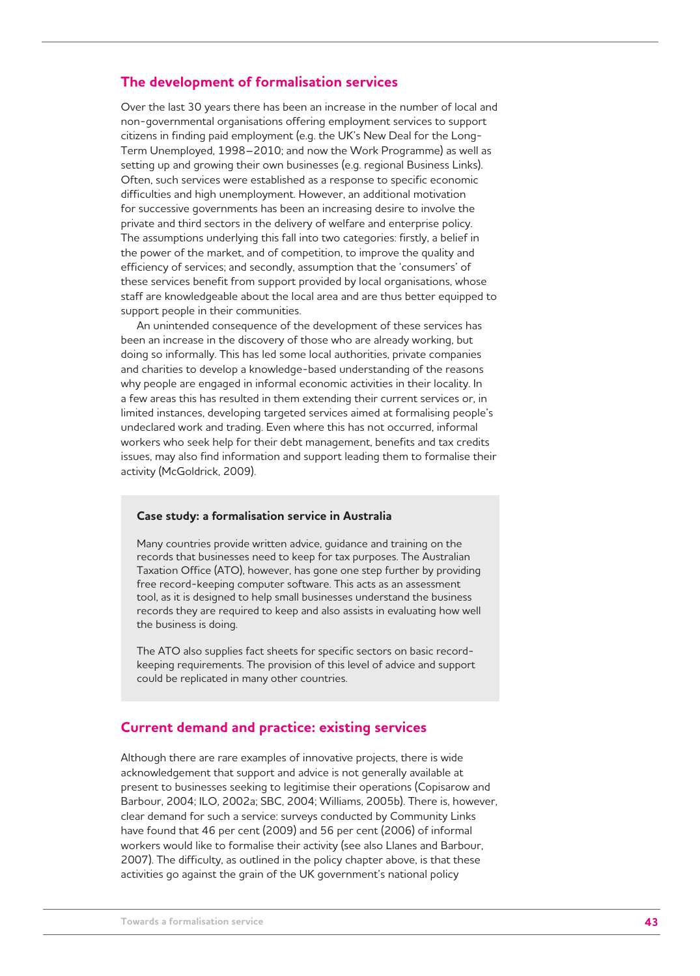## **The development of formalisation services**

Over the last 30 years there has been an increase in the number of local and non-governmental organisations offering employment services to support citizens in finding paid employment (e.g. the UK's New Deal for the Long-Term Unemployed, 1998–2010; and now the Work Programme) as well as setting up and growing their own businesses (e.g. regional Business Links). Often, such services were established as a response to specific economic difficulties and high unemployment. However, an additional motivation for successive governments has been an increasing desire to involve the private and third sectors in the delivery of welfare and enterprise policy. The assumptions underlying this fall into two categories: firstly, a belief in the power of the market, and of competition, to improve the quality and efficiency of services; and secondly, assumption that the 'consumers' of these services benefit from support provided by local organisations, whose staff are knowledgeable about the local area and are thus better equipped to support people in their communities.

An unintended consequence of the development of these services has been an increase in the discovery of those who are already working, but doing so informally. This has led some local authorities, private companies and charities to develop a knowledge-based understanding of the reasons why people are engaged in informal economic activities in their locality. In a few areas this has resulted in them extending their current services or, in limited instances, developing targeted services aimed at formalising people's undeclared work and trading. Even where this has not occurred, informal workers who seek help for their debt management, benefits and tax credits issues, may also find information and support leading them to formalise their activity (McGoldrick, 2009).

#### **Case study: a formalisation service in Australia**

Many countries provide written advice, guidance and training on the records that businesses need to keep for tax purposes. The Australian Taxation Office (ATO), however, has gone one step further by providing free record-keeping computer software. This acts as an assessment tool, as it is designed to help small businesses understand the business records they are required to keep and also assists in evaluating how well the business is doing.

The ATO also supplies fact sheets for specific sectors on basic recordkeeping requirements. The provision of this level of advice and support could be replicated in many other countries.

## **Current demand and practice: existing services**

Although there are rare examples of innovative projects, there is wide acknowledgement that support and advice is not generally available at present to businesses seeking to legitimise their operations (Copisarow and Barbour, 2004; ILO, 2002a; SBC, 2004; Williams, 2005b). There is, however, clear demand for such a service: surveys conducted by Community Links have found that 46 per cent (2009) and 56 per cent (2006) of informal workers would like to formalise their activity (see also Llanes and Barbour, 2007). The difficulty, as outlined in the policy chapter above, is that these activities go against the grain of the UK government's national policy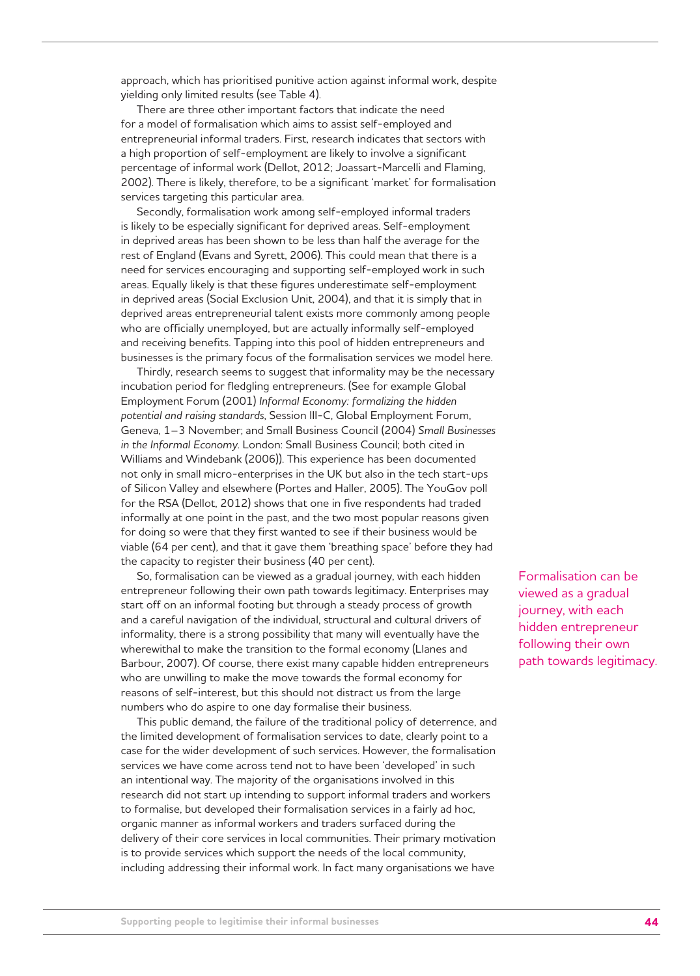approach, which has prioritised punitive action against informal work, despite yielding only limited results (see Table 4).

There are three other important factors that indicate the need for a model of formalisation which aims to assist self-employed and entrepreneurial informal traders. First, research indicates that sectors with a high proportion of self-employment are likely to involve a significant percentage of informal work (Dellot, 2012; Joassart-Marcelli and Flaming, 2002). There is likely, therefore, to be a significant 'market' for formalisation services targeting this particular area.

Secondly, formalisation work among self-employed informal traders is likely to be especially significant for deprived areas. Self-employment in deprived areas has been shown to be less than half the average for the rest of England (Evans and Syrett, 2006). This could mean that there is a need for services encouraging and supporting self-employed work in such areas. Equally likely is that these figures underestimate self-employment in deprived areas (Social Exclusion Unit, 2004), and that it is simply that in deprived areas entrepreneurial talent exists more commonly among people who are officially unemployed, but are actually informally self-employed and receiving benefits. Tapping into this pool of hidden entrepreneurs and businesses is the primary focus of the formalisation services we model here.

Thirdly, research seems to suggest that informality may be the necessary incubation period for fledgling entrepreneurs. (See for example Global Employment Forum (2001) *Informal Economy: formalizing the hidden potential and raising standards*, Session III-C, Global Employment Forum, Geneva, 1–3 November; and Small Business Council (2004) *Small Businesses in the Informal Economy*. London: Small Business Council; both cited in Williams and Windebank (2006)). This experience has been documented not only in small micro-enterprises in the UK but also in the tech start-ups of Silicon Valley and elsewhere (Portes and Haller, 2005). The YouGov poll for the RSA (Dellot, 2012) shows that one in five respondents had traded informally at one point in the past, and the two most popular reasons given for doing so were that they first wanted to see if their business would be viable (64 per cent), and that it gave them 'breathing space' before they had the capacity to register their business (40 per cent).

So, formalisation can be viewed as a gradual journey, with each hidden entrepreneur following their own path towards legitimacy. Enterprises may start off on an informal footing but through a steady process of growth and a careful navigation of the individual, structural and cultural drivers of informality, there is a strong possibility that many will eventually have the wherewithal to make the transition to the formal economy (Llanes and Barbour, 2007). Of course, there exist many capable hidden entrepreneurs who are unwilling to make the move towards the formal economy for reasons of self-interest, but this should not distract us from the large numbers who do aspire to one day formalise their business.

This public demand, the failure of the traditional policy of deterrence, and the limited development of formalisation services to date, clearly point to a case for the wider development of such services. However, the formalisation services we have come across tend not to have been 'developed' in such an intentional way. The majority of the organisations involved in this research did not start up intending to support informal traders and workers to formalise, but developed their formalisation services in a fairly ad hoc, organic manner as informal workers and traders surfaced during the delivery of their core services in local communities. Their primary motivation is to provide services which support the needs of the local community, including addressing their informal work. In fact many organisations we have

Formalisation can be viewed as a gradual journey, with each hidden entrepreneur following their own path towards legitimacy.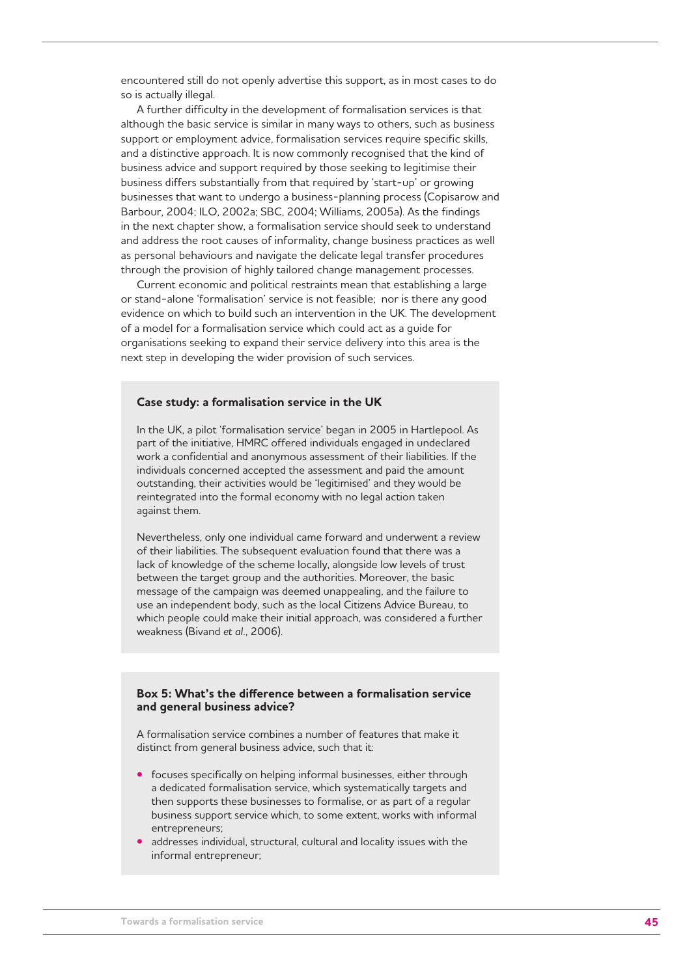encountered still do not openly advertise this support, as in most cases to do so is actually illegal.

A further difficulty in the development of formalisation services is that although the basic service is similar in many ways to others, such as business support or employment advice, formalisation services require specific skills, and a distinctive approach. It is now commonly recognised that the kind of business advice and support required by those seeking to legitimise their business differs substantially from that required by 'start-up' or growing businesses that want to undergo a business-planning process (Copisarow and Barbour, 2004; ILO, 2002a; SBC, 2004; Williams, 2005a). As the findings in the next chapter show, a formalisation service should seek to understand and address the root causes of informality, change business practices as well as personal behaviours and navigate the delicate legal transfer procedures through the provision of highly tailored change management processes.

Current economic and political restraints mean that establishing a large or stand-alone 'formalisation' service is not feasible; nor is there any good evidence on which to build such an intervention in the UK. The development of a model for a formalisation service which could act as a guide for organisations seeking to expand their service delivery into this area is the next step in developing the wider provision of such services.

#### **Case study: a formalisation service in the UK**

In the UK, a pilot 'formalisation service' began in 2005 in Hartlepool. As part of the initiative, HMRC offered individuals engaged in undeclared work a confidential and anonymous assessment of their liabilities. If the individuals concerned accepted the assessment and paid the amount outstanding, their activities would be 'legitimised' and they would be reintegrated into the formal economy with no legal action taken against them.

Nevertheless, only one individual came forward and underwent a review of their liabilities. The subsequent evaluation found that there was a lack of knowledge of the scheme locally, alongside low levels of trust between the target group and the authorities. Moreover, the basic message of the campaign was deemed unappealing, and the failure to use an independent body, such as the local Citizens Advice Bureau, to which people could make their initial approach, was considered a further weakness (Bivand *et al.*, 2006).

## **Box 5: What's the difference between a formalisation service and general business advice?**

A formalisation service combines a number of features that make it distinct from general business advice, such that it:

- focuses specifically on helping informal businesses, either through a dedicated formalisation service, which systematically targets and then supports these businesses to formalise, or as part of a regular business support service which, to some extent, works with informal entrepreneurs;
- addresses individual, structural, cultural and locality issues with the informal entrepreneur;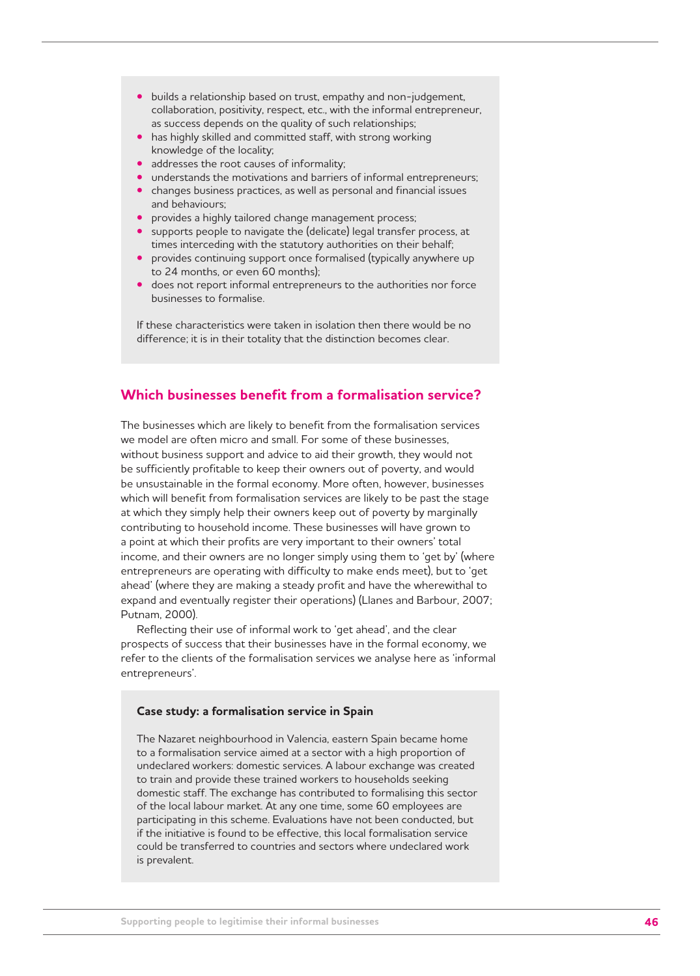- builds a relationship based on trust, empathy and non-judgement, collaboration, positivity, respect, etc., with the informal entrepreneur, as success depends on the quality of such relationships;
- has highly skilled and committed staff, with strong working knowledge of the locality;
- addresses the root causes of informality;
- understands the motivations and barriers of informal entrepreneurs;
- changes business practices, as well as personal and financial issues and behaviours;
- provides a highly tailored change management process;
- supports people to navigate the (delicate) legal transfer process, at times interceding with the statutory authorities on their behalf;
- provides continuing support once formalised (typically anywhere up to 24 months, or even 60 months);
- does not report informal entrepreneurs to the authorities nor force businesses to formalise.

If these characteristics were taken in isolation then there would be no difference; it is in their totality that the distinction becomes clear.

# **Which businesses benefit from a formalisation service?**

The businesses which are likely to benefit from the formalisation services we model are often micro and small. For some of these businesses, without business support and advice to aid their growth, they would not be sufficiently profitable to keep their owners out of poverty, and would be unsustainable in the formal economy. More often, however, businesses which will benefit from formalisation services are likely to be past the stage at which they simply help their owners keep out of poverty by marginally contributing to household income. These businesses will have grown to a point at which their profits are very important to their owners' total income, and their owners are no longer simply using them to 'get by' (where entrepreneurs are operating with difficulty to make ends meet), but to 'get ahead' (where they are making a steady profit and have the wherewithal to expand and eventually register their operations) (Llanes and Barbour, 2007; Putnam, 2000).

Reflecting their use of informal work to 'get ahead', and the clear prospects of success that their businesses have in the formal economy, we refer to the clients of the formalisation services we analyse here as 'informal entrepreneurs'.

#### **Case study: a formalisation service in Spain**

The Nazaret neighbourhood in Valencia, eastern Spain became home to a formalisation service aimed at a sector with a high proportion of undeclared workers: domestic services. A labour exchange was created to train and provide these trained workers to households seeking domestic staff. The exchange has contributed to formalising this sector of the local labour market. At any one time, some 60 employees are participating in this scheme. Evaluations have not been conducted, but if the initiative is found to be effective, this local formalisation service could be transferred to countries and sectors where undeclared work is prevalent.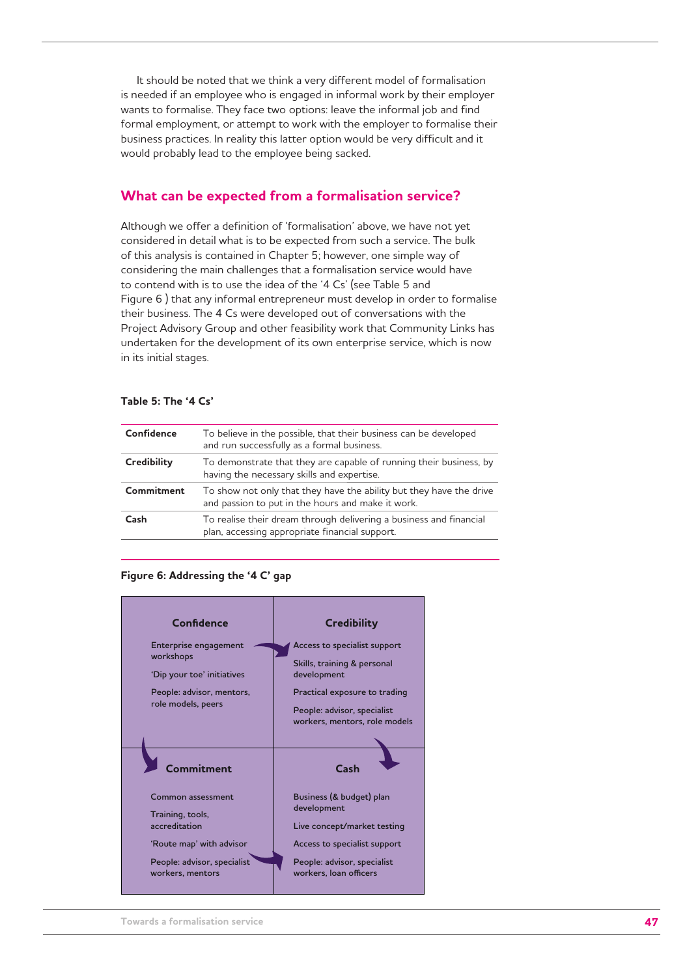It should be noted that we think a very different model of formalisation is needed if an employee who is engaged in informal work by their employer wants to formalise. They face two options: leave the informal job and find formal employment, or attempt to work with the employer to formalise their business practices. In reality this latter option would be very difficult and it would probably lead to the employee being sacked.

# **What can be expected from a formalisation service?**

Although we offer a definition of 'formalisation' above, we have not yet considered in detail what is to be expected from such a service. The bulk of this analysis is contained in Chapter 5; however, one simple way of considering the main challenges that a formalisation service would have to contend with is to use the idea of the '4 Cs' (see Table 5 and Figure 6 ) that any informal entrepreneur must develop in order to formalise their business. The 4 Cs were developed out of conversations with the Project Advisory Group and other feasibility work that Community Links has undertaken for the development of its own enterprise service, which is now in its initial stages.

## **Table 5: The '4 Cs'**

| Confidence  | To believe in the possible, that their business can be developed<br>and run successfully as a formal business.           |
|-------------|--------------------------------------------------------------------------------------------------------------------------|
| Credibility | To demonstrate that they are capable of running their business, by<br>having the necessary skills and expertise.         |
| Commitment  | To show not only that they have the ability but they have the drive<br>and passion to put in the hours and make it work. |
| Cash        | To realise their dream through delivering a business and financial<br>plan, accessing appropriate financial support.     |
|             |                                                                                                                          |

#### **Figure 6: Addressing the '4 C' gap**

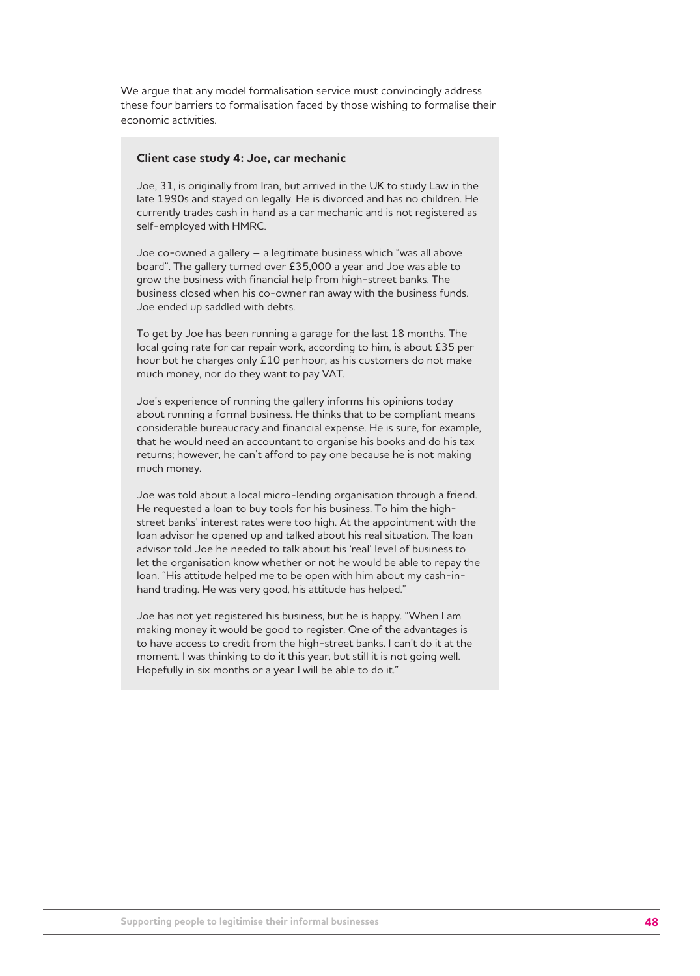We argue that any model formalisation service must convincingly address these four barriers to formalisation faced by those wishing to formalise their economic activities.

## **Client case study 4: Joe, car mechanic**

Joe, 31, is originally from Iran, but arrived in the UK to study Law in the late 1990s and stayed on legally. He is divorced and has no children. He currently trades cash in hand as a car mechanic and is not registered as self-employed with HMRC.

Joe co-owned a gallery – a legitimate business which "was all above board". The gallery turned over £35,000 a year and Joe was able to grow the business with financial help from high-street banks. The business closed when his co-owner ran away with the business funds. Joe ended up saddled with debts.

To get by Joe has been running a garage for the last 18 months. The local going rate for car repair work, according to him, is about £35 per hour but he charges only £10 per hour, as his customers do not make much money, nor do they want to pay VAT.

Joe's experience of running the gallery informs his opinions today about running a formal business. He thinks that to be compliant means considerable bureaucracy and financial expense. He is sure, for example, that he would need an accountant to organise his books and do his tax returns; however, he can't afford to pay one because he is not making much money.

Joe was told about a local micro-lending organisation through a friend. He requested a loan to buy tools for his business. To him the highstreet banks' interest rates were too high. At the appointment with the loan advisor he opened up and talked about his real situation. The loan advisor told Joe he needed to talk about his 'real' level of business to let the organisation know whether or not he would be able to repay the loan. "His attitude helped me to be open with him about my cash-inhand trading. He was very good, his attitude has helped."

Joe has not yet registered his business, but he is happy. "When I am making money it would be good to register. One of the advantages is to have access to credit from the high-street banks. I can't do it at the moment. I was thinking to do it this year, but still it is not going well. Hopefully in six months or a year I will be able to do it."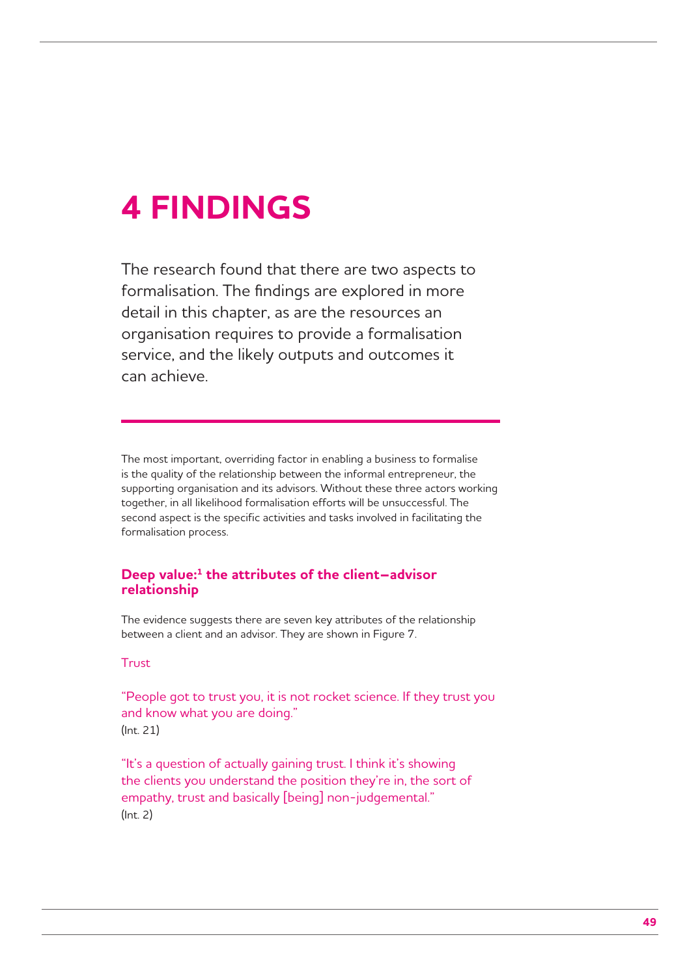# **4 FINDINGS**

The research found that there are two aspects to formalisation. The findings are explored in more detail in this chapter, as are the resources an organisation requires to provide a formalisation service, and the likely outputs and outcomes it can achieve.

The most important, overriding factor in enabling a business to formalise is the quality of the relationship between the informal entrepreneur, the supporting organisation and its advisors. Without these three actors working together, in all likelihood formalisation efforts will be unsuccessful. The second aspect is the specific activities and tasks involved in facilitating the formalisation process.

# **Deep value:1 the attributes of the client–advisor relationship**

The evidence suggests there are seven key attributes of the relationship between a client and an advisor. They are shown in Figure 7.

# Trust

"People got to trust you, it is not rocket science. If they trust you and know what you are doing." (Int. 21)

"It's a question of actually gaining trust. I think it's showing the clients you understand the position they're in, the sort of empathy, trust and basically [being] non-judgemental." (Int. 2)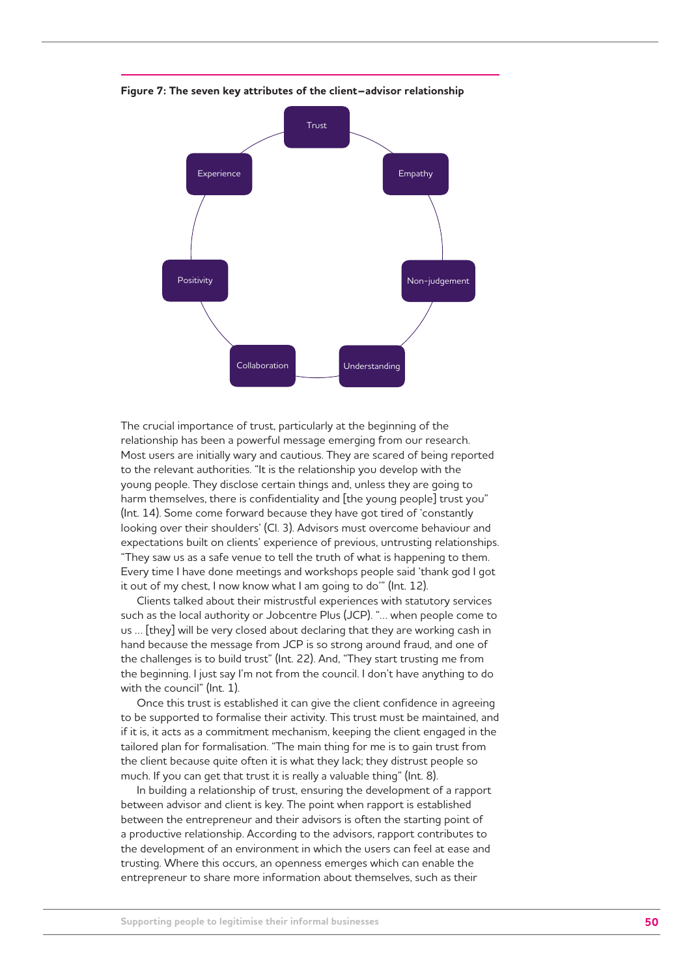

**Figure 7: The seven key attributes of the client–advisor relationship**

The crucial importance of trust, particularly at the beginning of the relationship has been a powerful message emerging from our research. Most users are initially wary and cautious. They are scared of being reported to the relevant authorities. "It is the relationship you develop with the young people. They disclose certain things and, unless they are going to harm themselves, there is confidentiality and [the young people] trust you" (Int. 14). Some come forward because they have got tired of 'constantly looking over their shoulders' (Cl. 3). Advisors must overcome behaviour and expectations built on clients' experience of previous, untrusting relationships. "They saw us as a safe venue to tell the truth of what is happening to them. Every time I have done meetings and workshops people said 'thank god I got it out of my chest, I now know what I am going to do'" (Int. 12).

Clients talked about their mistrustful experiences with statutory services such as the local authority or Jobcentre Plus (JCP). "… when people come to us … [they] will be very closed about declaring that they are working cash in hand because the message from JCP is so strong around fraud, and one of the challenges is to build trust" (Int. 22). And, "They start trusting me from the beginning. I just say I'm not from the council. I don't have anything to do with the council" (Int. 1).

Once this trust is established it can give the client confidence in agreeing to be supported to formalise their activity. This trust must be maintained, and if it is, it acts as a commitment mechanism, keeping the client engaged in the tailored plan for formalisation. "The main thing for me is to gain trust from the client because quite often it is what they lack; they distrust people so much. If you can get that trust it is really a valuable thing" (Int. 8).

In building a relationship of trust, ensuring the development of a rapport between advisor and client is key. The point when rapport is established between the entrepreneur and their advisors is often the starting point of a productive relationship. According to the advisors, rapport contributes to the development of an environment in which the users can feel at ease and trusting. Where this occurs, an openness emerges which can enable the entrepreneur to share more information about themselves, such as their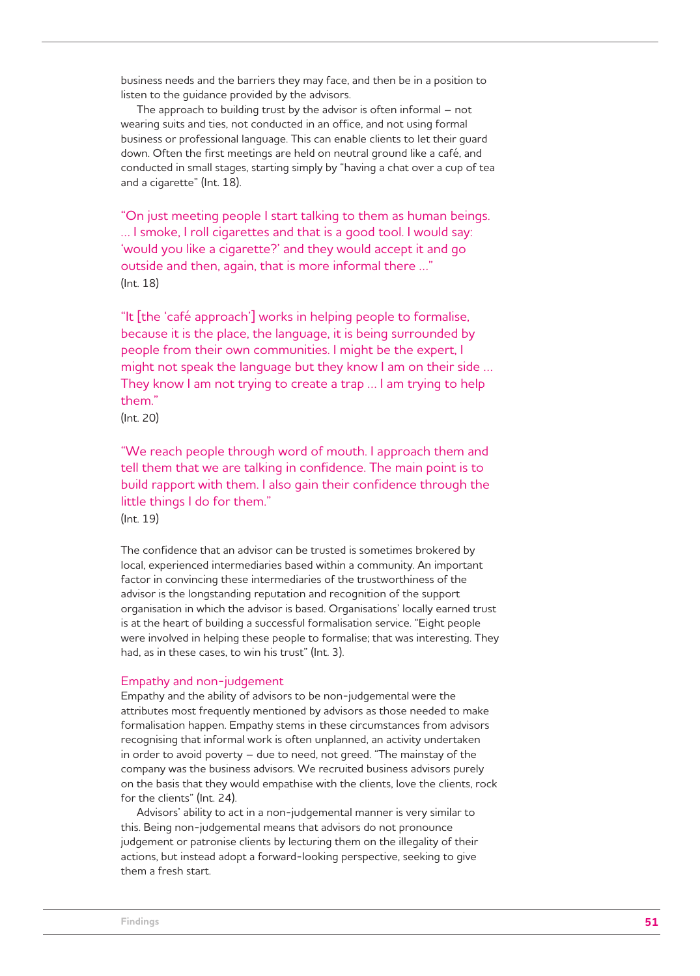business needs and the barriers they may face, and then be in a position to listen to the guidance provided by the advisors.

The approach to building trust by the advisor is often informal – not wearing suits and ties, not conducted in an office, and not using formal business or professional language. This can enable clients to let their guard down. Often the first meetings are held on neutral ground like a café, and conducted in small stages, starting simply by "having a chat over a cup of tea and a cigarette" (Int. 18).

"On just meeting people I start talking to them as human beings. … I smoke, I roll cigarettes and that is a good tool. I would say: 'would you like a cigarette?' and they would accept it and go outside and then, again, that is more informal there …" (Int. 18)

"It [the 'café approach'] works in helping people to formalise, because it is the place, the language, it is being surrounded by people from their own communities. I might be the expert, I might not speak the language but they know I am on their side … They know I am not trying to create a trap … I am trying to help them."

(Int. 20)

"We reach people through word of mouth. I approach them and tell them that we are talking in confidence. The main point is to build rapport with them. I also gain their confidence through the little things I do for them."

(Int. 19)

The confidence that an advisor can be trusted is sometimes brokered by local, experienced intermediaries based within a community. An important factor in convincing these intermediaries of the trustworthiness of the advisor is the longstanding reputation and recognition of the support organisation in which the advisor is based. Organisations' locally earned trust is at the heart of building a successful formalisation service. "Eight people were involved in helping these people to formalise; that was interesting. They had, as in these cases, to win his trust" (Int. 3).

## Empathy and non-judgement

Empathy and the ability of advisors to be non-judgemental were the attributes most frequently mentioned by advisors as those needed to make formalisation happen. Empathy stems in these circumstances from advisors recognising that informal work is often unplanned, an activity undertaken in order to avoid poverty – due to need, not greed. "The mainstay of the company was the business advisors. We recruited business advisors purely on the basis that they would empathise with the clients, love the clients, rock for the clients" (Int. 24).

Advisors' ability to act in a non-judgemental manner is very similar to this. Being non-judgemental means that advisors do not pronounce judgement or patronise clients by lecturing them on the illegality of their actions, but instead adopt a forward-looking perspective, seeking to give them a fresh start.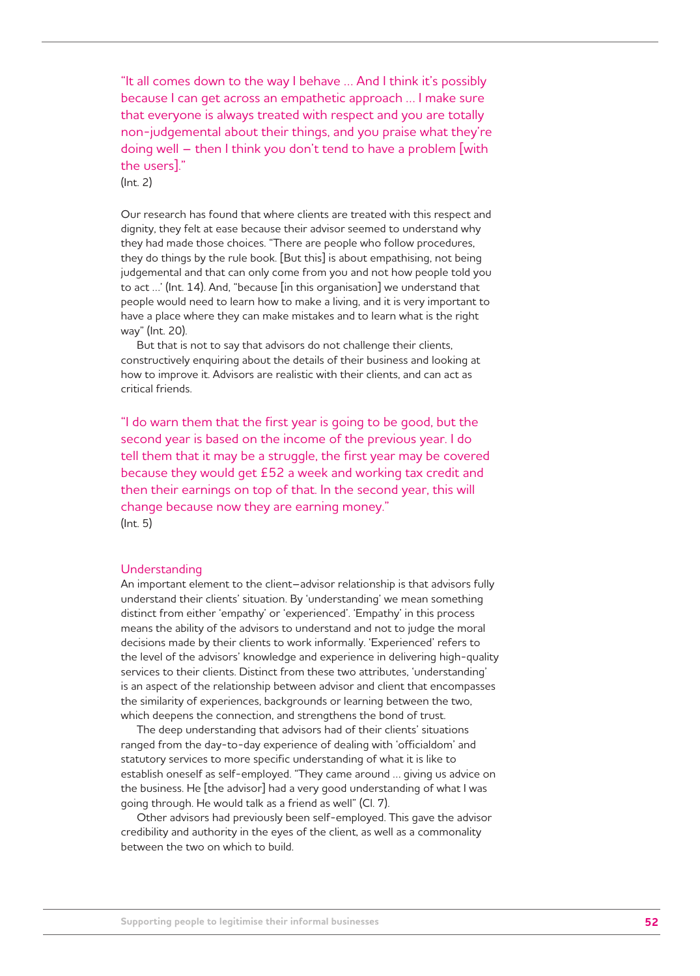"It all comes down to the way I behave … And I think it's possibly because I can get across an empathetic approach … I make sure that everyone is always treated with respect and you are totally non-judgemental about their things, and you praise what they're doing well – then I think you don't tend to have a problem [with the users]."

(Int. 2)

Our research has found that where clients are treated with this respect and dignity, they felt at ease because their advisor seemed to understand why they had made those choices. "There are people who follow procedures, they do things by the rule book. [But this] is about empathising, not being judgemental and that can only come from you and not how people told you to act …' (Int. 14). And, "because [in this organisation] we understand that people would need to learn how to make a living, and it is very important to have a place where they can make mistakes and to learn what is the right way" (Int. 20).

But that is not to say that advisors do not challenge their clients, constructively enquiring about the details of their business and looking at how to improve it. Advisors are realistic with their clients, and can act as critical friends.

"I do warn them that the first year is going to be good, but the second year is based on the income of the previous year. I do tell them that it may be a struggle, the first year may be covered because they would get £52 a week and working tax credit and then their earnings on top of that. In the second year, this will change because now they are earning money." (Int. 5)

#### Understanding

An important element to the client–advisor relationship is that advisors fully understand their clients' situation. By 'understanding' we mean something distinct from either 'empathy' or 'experienced'. 'Empathy' in this process means the ability of the advisors to understand and not to judge the moral decisions made by their clients to work informally. 'Experienced' refers to the level of the advisors' knowledge and experience in delivering high-quality services to their clients. Distinct from these two attributes, 'understanding' is an aspect of the relationship between advisor and client that encompasses the similarity of experiences, backgrounds or learning between the two, which deepens the connection, and strengthens the bond of trust.

The deep understanding that advisors had of their clients' situations ranged from the day-to-day experience of dealing with 'officialdom' and statutory services to more specific understanding of what it is like to establish oneself as self-employed. "They came around … giving us advice on the business. He [the advisor] had a very good understanding of what I was going through. He would talk as a friend as well" (Cl. 7).

Other advisors had previously been self-employed. This gave the advisor credibility and authority in the eyes of the client, as well as a commonality between the two on which to build.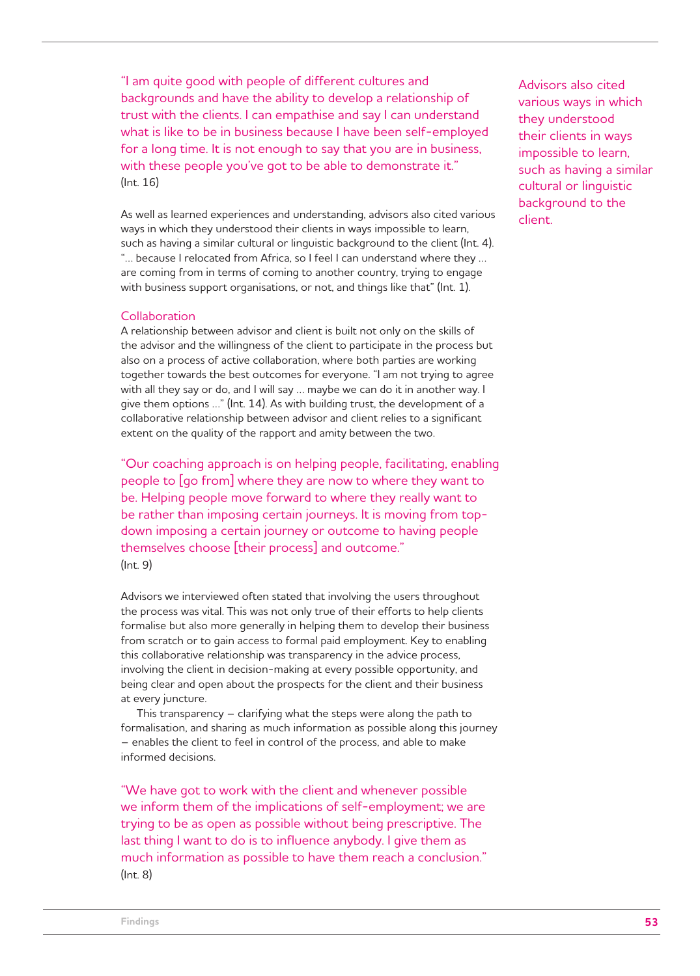"I am quite good with people of different cultures and backgrounds and have the ability to develop a relationship of trust with the clients. I can empathise and say I can understand what is like to be in business because I have been self-employed for a long time. It is not enough to say that you are in business, with these people you've got to be able to demonstrate it." (Int. 16)

As well as learned experiences and understanding, advisors also cited various ways in which they understood their clients in ways impossible to learn, such as having a similar cultural or linguistic background to the client (Int. 4). "… because I relocated from Africa, so I feel I can understand where they … are coming from in terms of coming to another country, trying to engage with business support organisations, or not, and things like that" (Int. 1).

## **Collaboration**

A relationship between advisor and client is built not only on the skills of the advisor and the willingness of the client to participate in the process but also on a process of active collaboration, where both parties are working together towards the best outcomes for everyone. "I am not trying to agree with all they say or do, and I will say … maybe we can do it in another way. I give them options …" (Int. 14). As with building trust, the development of a collaborative relationship between advisor and client relies to a significant extent on the quality of the rapport and amity between the two.

"Our coaching approach is on helping people, facilitating, enabling people to [go from] where they are now to where they want to be. Helping people move forward to where they really want to be rather than imposing certain journeys. It is moving from topdown imposing a certain journey or outcome to having people themselves choose [their process] and outcome." (Int. 9)

Advisors we interviewed often stated that involving the users throughout the process was vital. This was not only true of their efforts to help clients formalise but also more generally in helping them to develop their business from scratch or to gain access to formal paid employment. Key to enabling this collaborative relationship was transparency in the advice process, involving the client in decision-making at every possible opportunity, and being clear and open about the prospects for the client and their business at every juncture.

This transparency – clarifying what the steps were along the path to formalisation, and sharing as much information as possible along this journey – enables the client to feel in control of the process, and able to make informed decisions.

"We have got to work with the client and whenever possible we inform them of the implications of self-employment; we are trying to be as open as possible without being prescriptive. The last thing I want to do is to influence anybody. I give them as much information as possible to have them reach a conclusion." (Int. 8)

Advisors also cited various ways in which they understood their clients in ways impossible to learn, such as having a similar cultural or linguistic background to the client.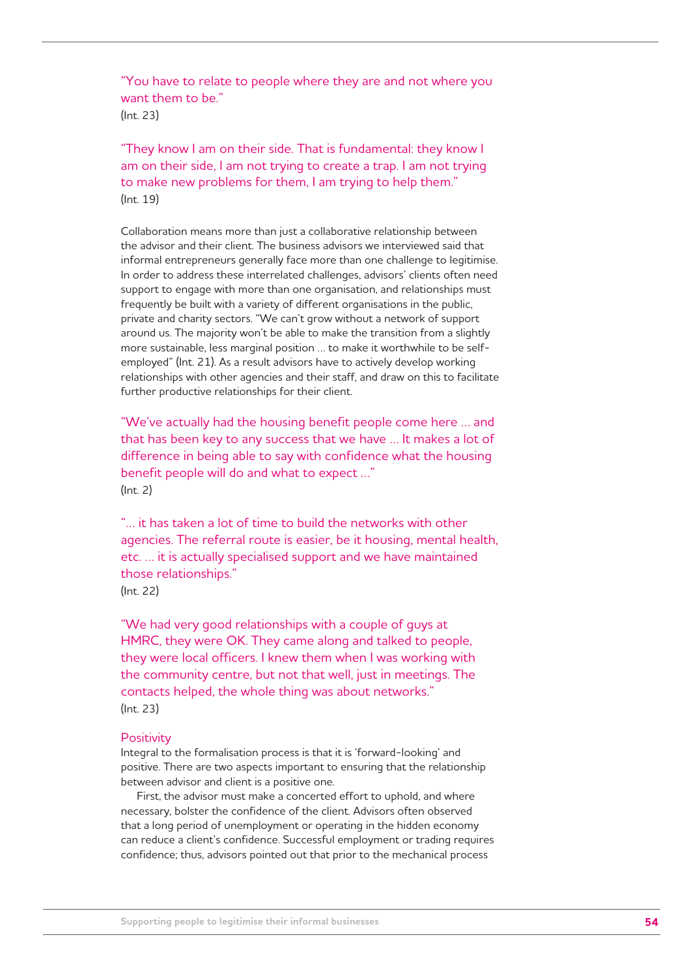"You have to relate to people where they are and not where you want them to be." (Int. 23)

"They know I am on their side. That is fundamental: they know I am on their side, I am not trying to create a trap. I am not trying to make new problems for them, I am trying to help them." (Int. 19)

Collaboration means more than just a collaborative relationship between the advisor and their client. The business advisors we interviewed said that informal entrepreneurs generally face more than one challenge to legitimise. In order to address these interrelated challenges, advisors' clients often need support to engage with more than one organisation, and relationships must frequently be built with a variety of different organisations in the public, private and charity sectors. "We can't grow without a network of support around us. The majority won't be able to make the transition from a slightly more sustainable, less marginal position … to make it worthwhile to be selfemployed" (Int. 21). As a result advisors have to actively develop working relationships with other agencies and their staff, and draw on this to facilitate further productive relationships for their client.

"We've actually had the housing benefit people come here … and that has been key to any success that we have … It makes a lot of difference in being able to say with confidence what the housing benefit people will do and what to expect …" (Int. 2)

"… it has taken a lot of time to build the networks with other agencies. The referral route is easier, be it housing, mental health, etc. … it is actually specialised support and we have maintained those relationships." (Int. 22)

"We had very good relationships with a couple of guys at HMRC, they were OK. They came along and talked to people, they were local officers. I knew them when I was working with the community centre, but not that well, just in meetings. The contacts helped, the whole thing was about networks." (Int. 23)

#### **Positivity**

Integral to the formalisation process is that it is 'forward-looking' and positive. There are two aspects important to ensuring that the relationship between advisor and client is a positive one.

First, the advisor must make a concerted effort to uphold, and where necessary, bolster the confidence of the client. Advisors often observed that a long period of unemployment or operating in the hidden economy can reduce a client's confidence. Successful employment or trading requires confidence; thus, advisors pointed out that prior to the mechanical process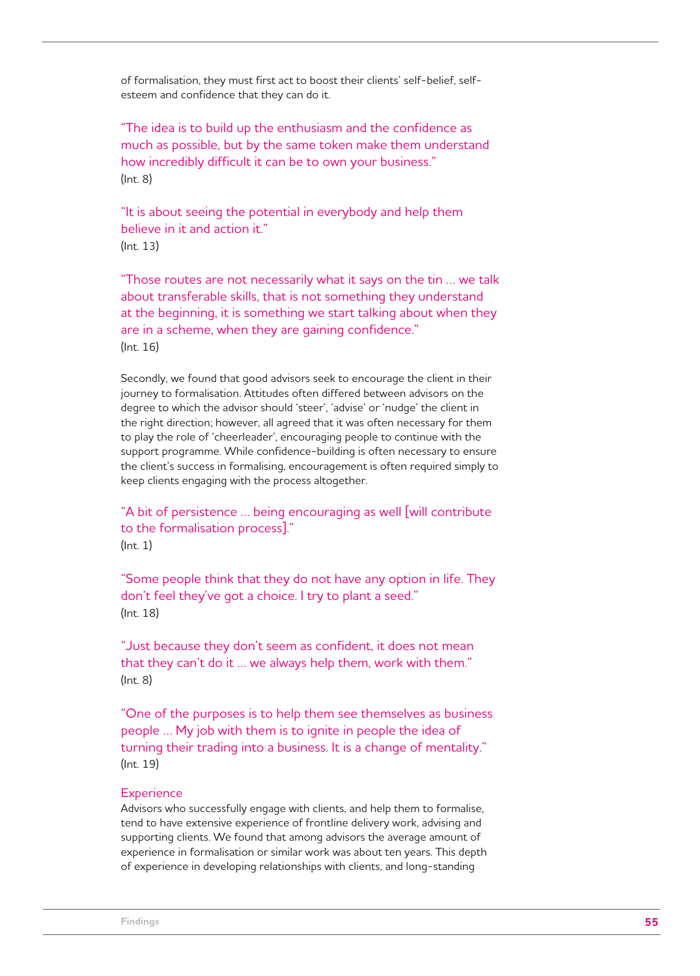of formalisation, they must first act to boost their clients' self-belief, selfesteem and confidence that they can do it.

"The idea is to build up the enthusiasm and the confidence as much as possible, but by the same token make them understand how incredibly difficult it can be to own your business." (Int. 8)

"It is about seeing the potential in everybody and help them believe in it and action it." (Int. 13)

"Those routes are not necessarily what it says on the tin … we talk about transferable skills, that is not something they understand at the beginning, it is something we start talking about when they are in a scheme, when they are gaining confidence." (Int. 16)

Secondly, we found that good advisors seek to encourage the client in their journey to formalisation. Attitudes often differed between advisors on the degree to which the advisor should 'steer', 'advise' or 'nudge' the client in the right direction; however, all agreed that it was often necessary for them to play the role of 'cheerleader', encouraging people to continue with the support programme. While confidence-building is often necessary to ensure the client's success in formalising, encouragement is often required simply to keep clients engaging with the process altogether.

"A bit of persistence … being encouraging as well [will contribute to the formalisation process]." (Int. 1)

"Some people think that they do not have any option in life. They don't feel they've got a choice. I try to plant a seed." (Int. 18)

"Just because they don't seem as confident, it does not mean that they can't do it … we always help them, work with them." (Int. 8)

"One of the purposes is to help them see themselves as business people … My job with them is to ignite in people the idea of turning their trading into a business. It is a change of mentality." (Int. 19)

## **Experience**

Advisors who successfully engage with clients, and help them to formalise, tend to have extensive experience of frontline delivery work, advising and supporting clients. We found that among advisors the average amount of experience in formalisation or similar work was about ten years. This depth of experience in developing relationships with clients, and long-standing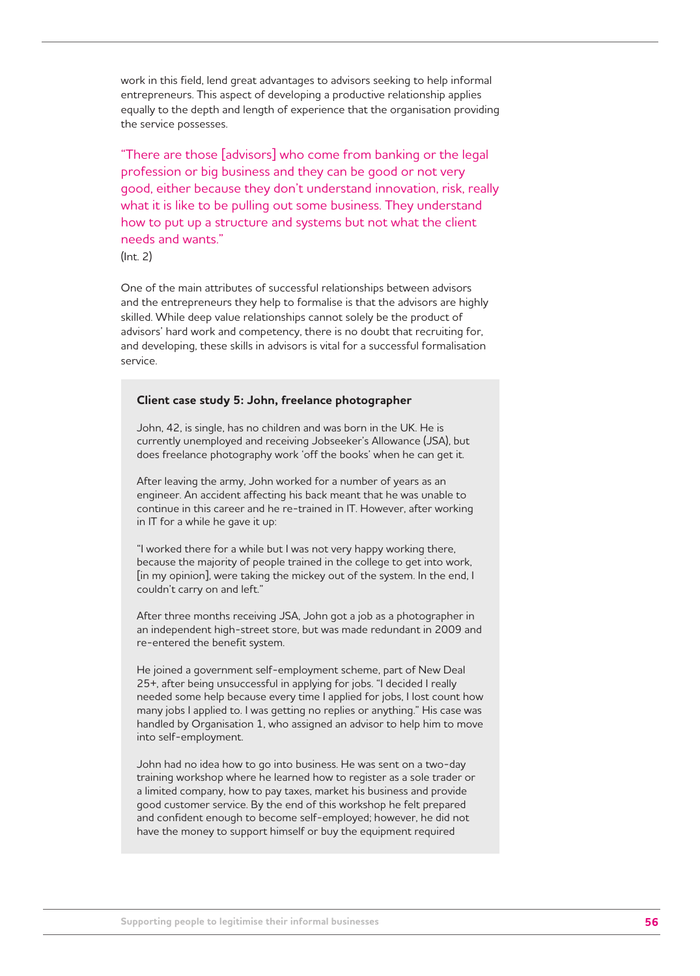work in this field, lend great advantages to advisors seeking to help informal entrepreneurs. This aspect of developing a productive relationship applies equally to the depth and length of experience that the organisation providing the service possesses.

"There are those [advisors] who come from banking or the legal profession or big business and they can be good or not very good, either because they don't understand innovation, risk, really what it is like to be pulling out some business. They understand how to put up a structure and systems but not what the client needs and wants."

(Int. 2)

One of the main attributes of successful relationships between advisors and the entrepreneurs they help to formalise is that the advisors are highly skilled. While deep value relationships cannot solely be the product of advisors' hard work and competency, there is no doubt that recruiting for, and developing, these skills in advisors is vital for a successful formalisation service.

#### **Client case study 5: John, freelance photographer**

John, 42, is single, has no children and was born in the UK. He is currently unemployed and receiving Jobseeker's Allowance (JSA), but does freelance photography work 'off the books' when he can get it.

After leaving the army, John worked for a number of years as an engineer. An accident affecting his back meant that he was unable to continue in this career and he re-trained in IT. However, after working in IT for a while he gave it up:

"I worked there for a while but I was not very happy working there, because the majority of people trained in the college to get into work, [in my opinion], were taking the mickey out of the system. In the end, I couldn't carry on and left."

After three months receiving JSA, John got a job as a photographer in an independent high-street store, but was made redundant in 2009 and re-entered the benefit system.

He joined a government self-employment scheme, part of New Deal 25+, after being unsuccessful in applying for jobs. "I decided I really needed some help because every time I applied for jobs, I lost count how many jobs I applied to. I was getting no replies or anything." His case was handled by Organisation 1, who assigned an advisor to help him to move into self-employment.

John had no idea how to go into business. He was sent on a two-day training workshop where he learned how to register as a sole trader or a limited company, how to pay taxes, market his business and provide good customer service. By the end of this workshop he felt prepared and confident enough to become self-employed; however, he did not have the money to support himself or buy the equipment required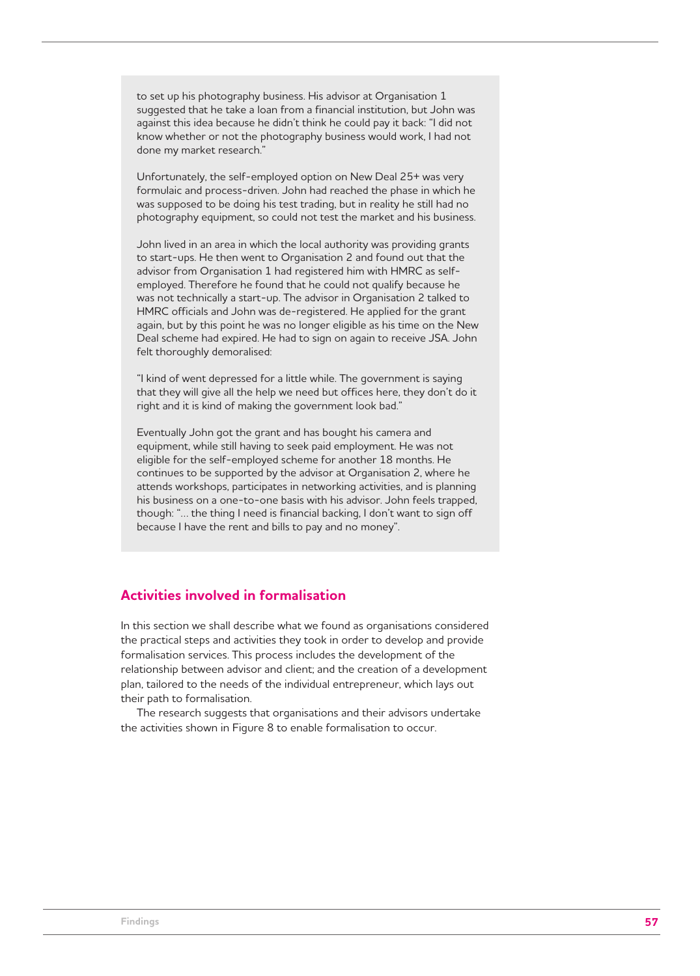to set up his photography business. His advisor at Organisation 1 suggested that he take a loan from a financial institution, but John was against this idea because he didn't think he could pay it back: "I did not know whether or not the photography business would work, I had not done my market research."

Unfortunately, the self-employed option on New Deal 25+ was very formulaic and process-driven. John had reached the phase in which he was supposed to be doing his test trading, but in reality he still had no photography equipment, so could not test the market and his business.

John lived in an area in which the local authority was providing grants to start-ups. He then went to Organisation 2 and found out that the advisor from Organisation 1 had registered him with HMRC as selfemployed. Therefore he found that he could not qualify because he was not technically a start-up. The advisor in Organisation 2 talked to HMRC officials and John was de-registered. He applied for the grant again, but by this point he was no longer eligible as his time on the New Deal scheme had expired. He had to sign on again to receive JSA. John felt thoroughly demoralised:

"I kind of went depressed for a little while. The government is saying that they will give all the help we need but offices here, they don't do it right and it is kind of making the government look bad."

Eventually John got the grant and has bought his camera and equipment, while still having to seek paid employment. He was not eligible for the self-employed scheme for another 18 months. He continues to be supported by the advisor at Organisation 2, where he attends workshops, participates in networking activities, and is planning his business on a one-to-one basis with his advisor. John feels trapped, though: "… the thing I need is financial backing, I don't want to sign off because I have the rent and bills to pay and no money".

# **Activities involved in formalisation**

In this section we shall describe what we found as organisations considered the practical steps and activities they took in order to develop and provide formalisation services. This process includes the development of the relationship between advisor and client; and the creation of a development plan, tailored to the needs of the individual entrepreneur, which lays out their path to formalisation.

The research suggests that organisations and their advisors undertake the activities shown in Figure 8 to enable formalisation to occur.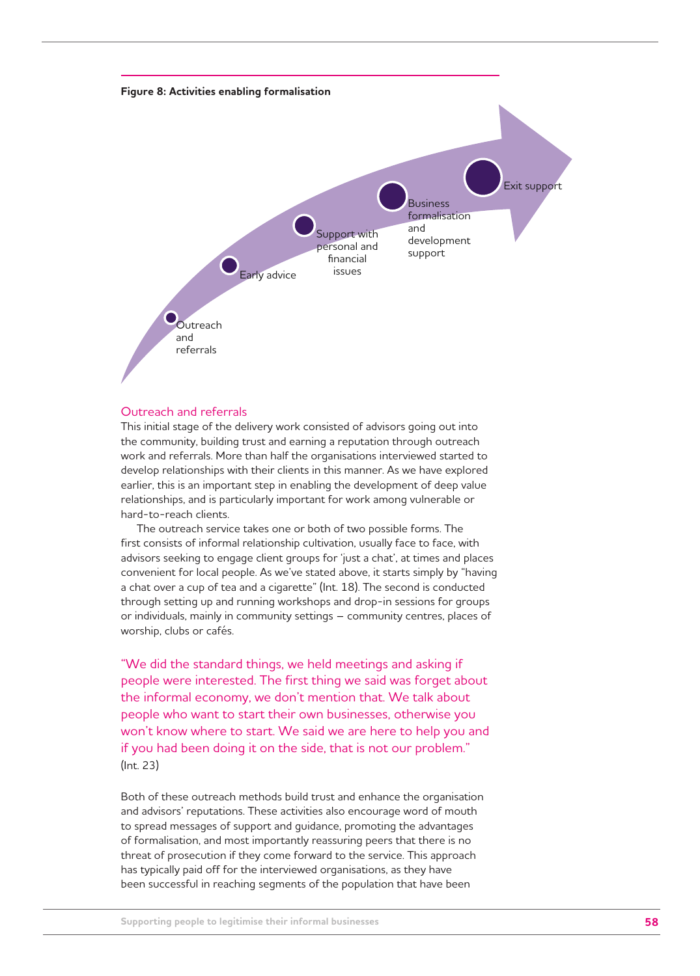

## Outreach and referrals

This initial stage of the delivery work consisted of advisors going out into the community, building trust and earning a reputation through outreach work and referrals. More than half the organisations interviewed started to develop relationships with their clients in this manner. As we have explored earlier, this is an important step in enabling the development of deep value relationships, and is particularly important for work among vulnerable or hard-to-reach clients.

The outreach service takes one or both of two possible forms. The first consists of informal relationship cultivation, usually face to face, with advisors seeking to engage client groups for 'just a chat', at times and places convenient for local people. As we've stated above, it starts simply by "having a chat over a cup of tea and a cigarette" (Int. 18). The second is conducted through setting up and running workshops and drop-in sessions for groups or individuals, mainly in community settings – community centres, places of worship, clubs or cafés.

"We did the standard things, we held meetings and asking if people were interested. The first thing we said was forget about the informal economy, we don't mention that. We talk about people who want to start their own businesses, otherwise you won't know where to start. We said we are here to help you and if you had been doing it on the side, that is not our problem." (Int. 23)

Both of these outreach methods build trust and enhance the organisation and advisors' reputations. These activities also encourage word of mouth to spread messages of support and guidance, promoting the advantages of formalisation, and most importantly reassuring peers that there is no threat of prosecution if they come forward to the service. This approach has typically paid off for the interviewed organisations, as they have been successful in reaching segments of the population that have been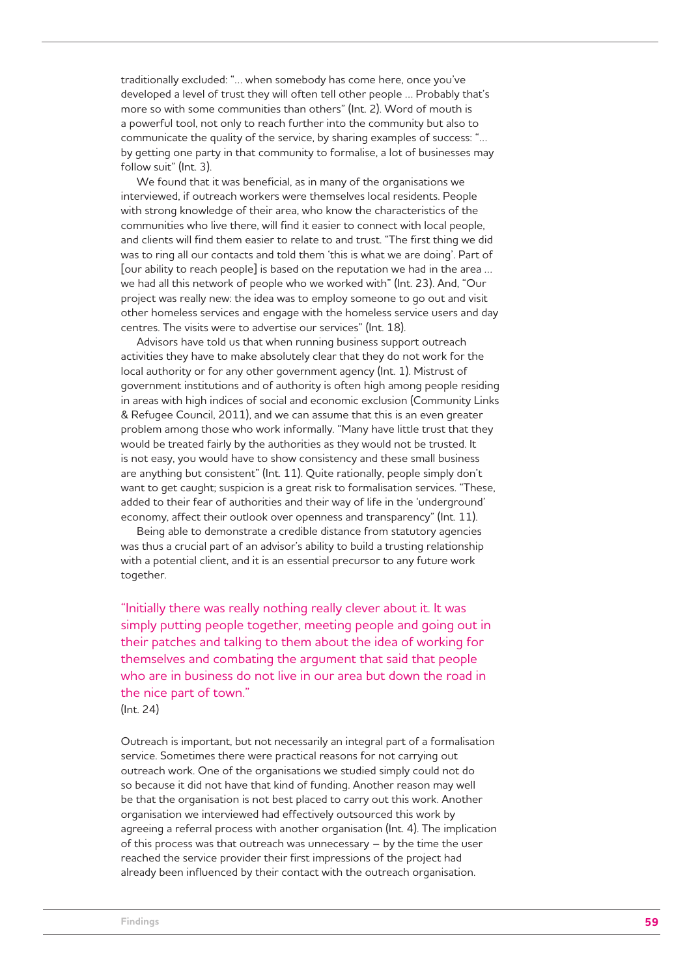traditionally excluded: "… when somebody has come here, once you've developed a level of trust they will often tell other people … Probably that's more so with some communities than others" (Int. 2). Word of mouth is a powerful tool, not only to reach further into the community but also to communicate the quality of the service, by sharing examples of success: "… by getting one party in that community to formalise, a lot of businesses may follow suit" (Int. 3).

We found that it was beneficial, as in many of the organisations we interviewed, if outreach workers were themselves local residents. People with strong knowledge of their area, who know the characteristics of the communities who live there, will find it easier to connect with local people, and clients will find them easier to relate to and trust. "The first thing we did was to ring all our contacts and told them 'this is what we are doing'. Part of [our ability to reach people] is based on the reputation we had in the area … we had all this network of people who we worked with" (Int. 23). And, "Our project was really new: the idea was to employ someone to go out and visit other homeless services and engage with the homeless service users and day centres. The visits were to advertise our services" (Int. 18).

Advisors have told us that when running business support outreach activities they have to make absolutely clear that they do not work for the local authority or for any other government agency (Int. 1). Mistrust of government institutions and of authority is often high among people residing in areas with high indices of social and economic exclusion (Community Links & Refugee Council, 2011), and we can assume that this is an even greater problem among those who work informally. "Many have little trust that they would be treated fairly by the authorities as they would not be trusted. It is not easy, you would have to show consistency and these small business are anything but consistent" (Int. 11). Quite rationally, people simply don't want to get caught; suspicion is a great risk to formalisation services. "These, added to their fear of authorities and their way of life in the 'underground' economy, affect their outlook over openness and transparency" (Int. 11).

Being able to demonstrate a credible distance from statutory agencies was thus a crucial part of an advisor's ability to build a trusting relationship with a potential client, and it is an essential precursor to any future work together.

"Initially there was really nothing really clever about it. It was simply putting people together, meeting people and going out in their patches and talking to them about the idea of working for themselves and combating the argument that said that people who are in business do not live in our area but down the road in the nice part of town."

(Int. 24)

Outreach is important, but not necessarily an integral part of a formalisation service. Sometimes there were practical reasons for not carrying out outreach work. One of the organisations we studied simply could not do so because it did not have that kind of funding. Another reason may well be that the organisation is not best placed to carry out this work. Another organisation we interviewed had effectively outsourced this work by agreeing a referral process with another organisation (Int. 4). The implication of this process was that outreach was unnecessary – by the time the user reached the service provider their first impressions of the project had already been influenced by their contact with the outreach organisation.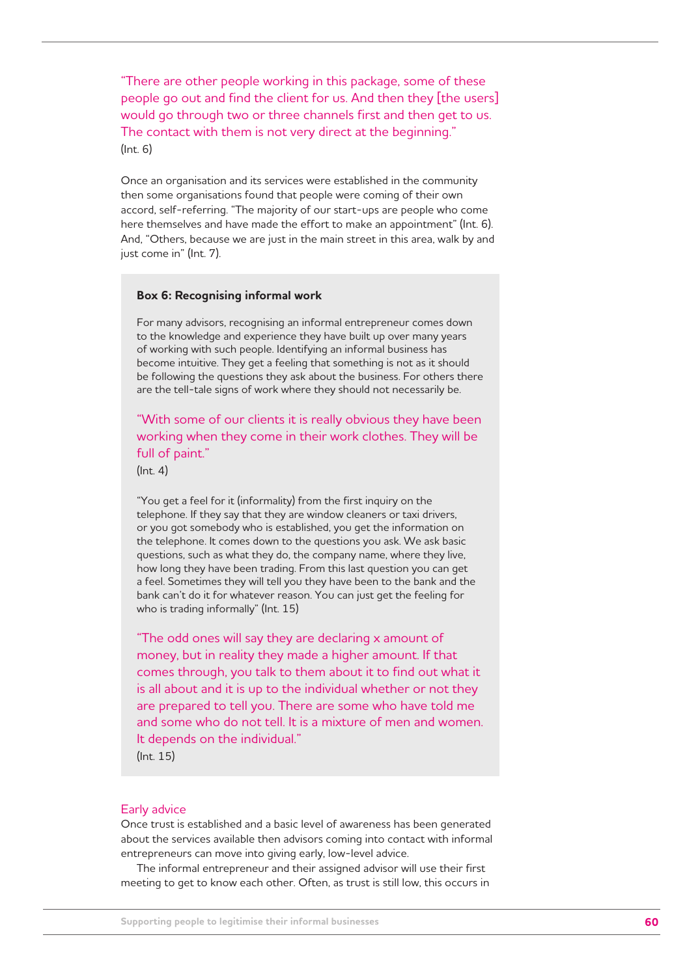"There are other people working in this package, some of these people go out and find the client for us. And then they [the users] would go through two or three channels first and then get to us. The contact with them is not very direct at the beginning." (Int. 6)

Once an organisation and its services were established in the community then some organisations found that people were coming of their own accord, self-referring. "The majority of our start-ups are people who come here themselves and have made the effort to make an appointment" (Int. 6). And, "Others, because we are just in the main street in this area, walk by and just come in" (Int. 7).

#### **Box 6: Recognising informal work**

For many advisors, recognising an informal entrepreneur comes down to the knowledge and experience they have built up over many years of working with such people. Identifying an informal business has become intuitive. They get a feeling that something is not as it should be following the questions they ask about the business. For others there are the tell-tale signs of work where they should not necessarily be.

"With some of our clients it is really obvious they have been working when they come in their work clothes. They will be full of paint."

(Int. 4)

"You get a feel for it (informality) from the first inquiry on the telephone. If they say that they are window cleaners or taxi drivers, or you got somebody who is established, you get the information on the telephone. It comes down to the questions you ask. We ask basic questions, such as what they do, the company name, where they live, how long they have been trading. From this last question you can get a feel. Sometimes they will tell you they have been to the bank and the bank can't do it for whatever reason. You can just get the feeling for who is trading informally" (Int. 15)

"The odd ones will say they are declaring x amount of money, but in reality they made a higher amount. If that comes through, you talk to them about it to find out what it is all about and it is up to the individual whether or not they are prepared to tell you. There are some who have told me and some who do not tell. It is a mixture of men and women. It depends on the individual."

(Int. 15)

#### Early advice

Once trust is established and a basic level of awareness has been generated about the services available then advisors coming into contact with informal entrepreneurs can move into giving early, low-level advice.

The informal entrepreneur and their assigned advisor will use their first meeting to get to know each other. Often, as trust is still low, this occurs in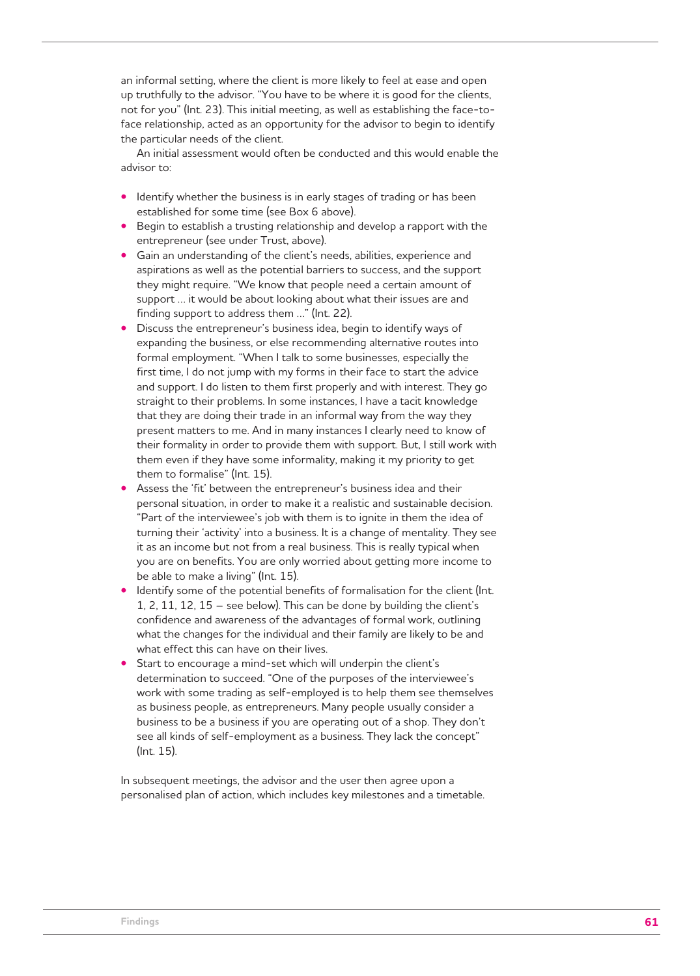an informal setting, where the client is more likely to feel at ease and open up truthfully to the advisor. "You have to be where it is good for the clients, not for you" (Int. 23). This initial meeting, as well as establishing the face-toface relationship, acted as an opportunity for the advisor to begin to identify the particular needs of the client.

An initial assessment would often be conducted and this would enable the advisor to:

- Identify whether the business is in early stages of trading or has been established for some time (see Box 6 above).
- Begin to establish a trusting relationship and develop a rapport with the entrepreneur (see under Trust, above).
- Gain an understanding of the client's needs, abilities, experience and aspirations as well as the potential barriers to success, and the support they might require. "We know that people need a certain amount of support … it would be about looking about what their issues are and finding support to address them …" (Int. 22).
- Discuss the entrepreneur's business idea, begin to identify ways of expanding the business, or else recommending alternative routes into formal employment. "When I talk to some businesses, especially the first time, I do not jump with my forms in their face to start the advice and support. I do listen to them first properly and with interest. They go straight to their problems. In some instances, I have a tacit knowledge that they are doing their trade in an informal way from the way they present matters to me. And in many instances I clearly need to know of their formality in order to provide them with support. But, I still work with them even if they have some informality, making it my priority to get them to formalise" (Int. 15).
- Assess the 'fit' between the entrepreneur's business idea and their personal situation, in order to make it a realistic and sustainable decision. "Part of the interviewee's job with them is to ignite in them the idea of turning their 'activity' into a business. It is a change of mentality. They see it as an income but not from a real business. This is really typical when you are on benefits. You are only worried about getting more income to be able to make a living" (Int. 15).
- Identify some of the potential benefits of formalisation for the client (Int. 1, 2, 11, 12, 15 – see below). This can be done by building the client's confidence and awareness of the advantages of formal work, outlining what the changes for the individual and their family are likely to be and what effect this can have on their lives.
- Start to encourage a mind-set which will underpin the client's determination to succeed. "One of the purposes of the interviewee's work with some trading as self-employed is to help them see themselves as business people, as entrepreneurs. Many people usually consider a business to be a business if you are operating out of a shop. They don't see all kinds of self-employment as a business. They lack the concept" (Int. 15).

In subsequent meetings, the advisor and the user then agree upon a personalised plan of action, which includes key milestones and a timetable.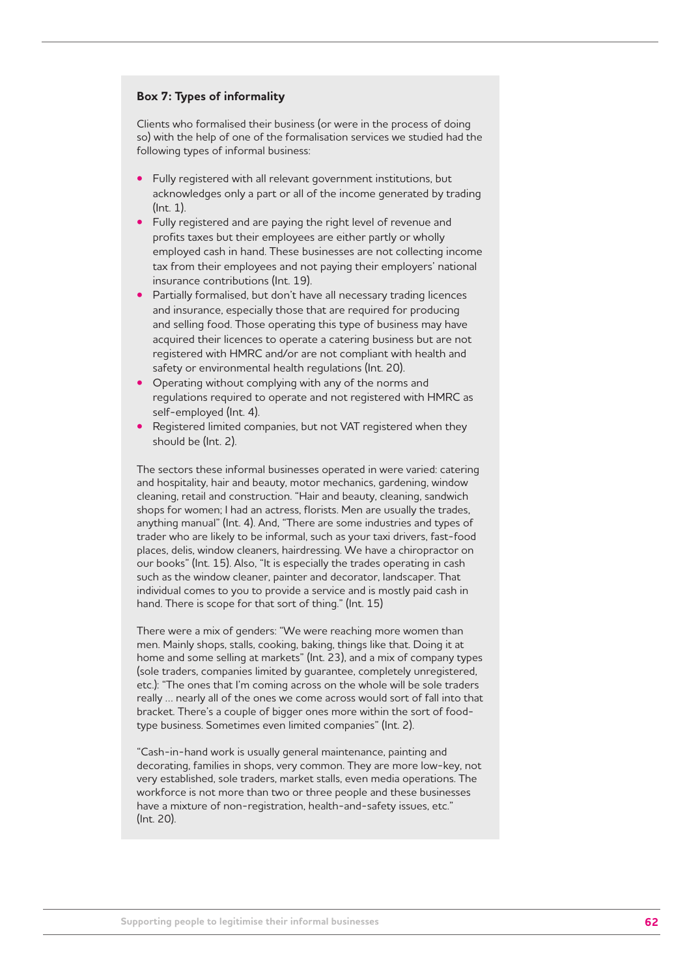## **Box 7: Types of informality**

Clients who formalised their business (or were in the process of doing so) with the help of one of the formalisation services we studied had the following types of informal business:

- Fully registered with all relevant government institutions, but acknowledges only a part or all of the income generated by trading (Int. 1).
- Fully registered and are paying the right level of revenue and profits taxes but their employees are either partly or wholly employed cash in hand. These businesses are not collecting income tax from their employees and not paying their employers' national insurance contributions (Int. 19).
- Partially formalised, but don't have all necessary trading licences and insurance, especially those that are required for producing and selling food. Those operating this type of business may have acquired their licences to operate a catering business but are not registered with HMRC and/or are not compliant with health and safety or environmental health regulations (Int. 20).
- Operating without complying with any of the norms and regulations required to operate and not registered with HMRC as self-employed (Int. 4).
- Registered limited companies, but not VAT registered when they should be (Int. 2).

The sectors these informal businesses operated in were varied: catering and hospitality, hair and beauty, motor mechanics, gardening, window cleaning, retail and construction. "Hair and beauty, cleaning, sandwich shops for women; I had an actress, florists. Men are usually the trades, anything manual" (Int. 4). And, "There are some industries and types of trader who are likely to be informal, such as your taxi drivers, fast-food places, delis, window cleaners, hairdressing. We have a chiropractor on our books" (Int. 15). Also, "It is especially the trades operating in cash such as the window cleaner, painter and decorator, landscaper. That individual comes to you to provide a service and is mostly paid cash in hand. There is scope for that sort of thing." (Int. 15)

There were a mix of genders: "We were reaching more women than men. Mainly shops, stalls, cooking, baking, things like that. Doing it at home and some selling at markets" (Int. 23), and a mix of company types (sole traders, companies limited by guarantee, completely unregistered, etc.): "The ones that I'm coming across on the whole will be sole traders really … nearly all of the ones we come across would sort of fall into that bracket. There's a couple of bigger ones more within the sort of foodtype business. Sometimes even limited companies" (Int. 2).

"Cash-in-hand work is usually general maintenance, painting and decorating, families in shops, very common. They are more low-key, not very established, sole traders, market stalls, even media operations. The workforce is not more than two or three people and these businesses have a mixture of non-registration, health-and-safety issues, etc." (Int. 20).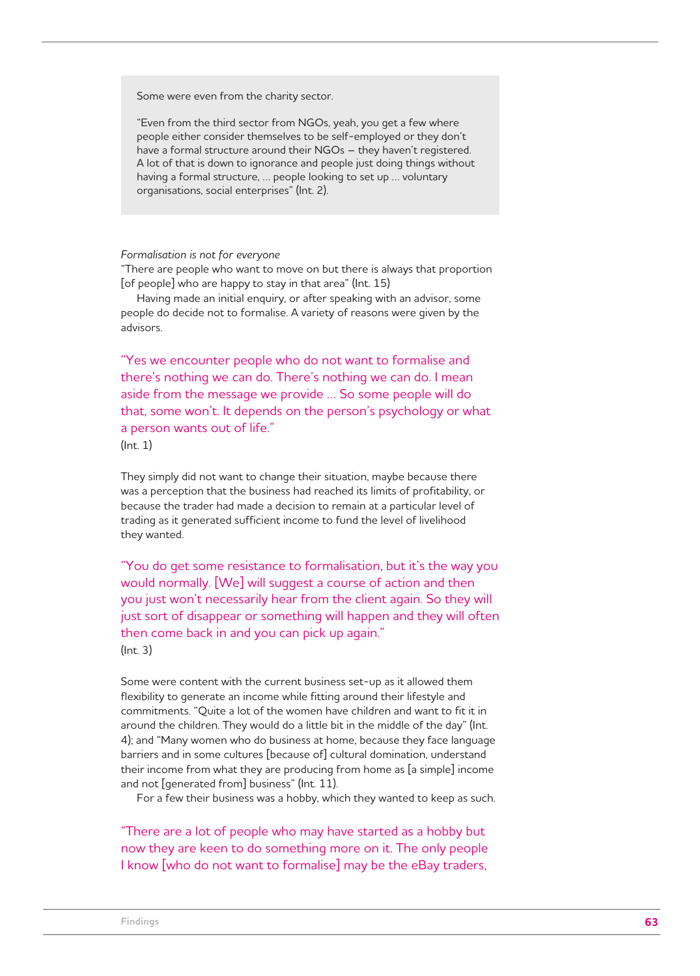Some were even from the charity sector.

"Even from the third sector from NGOs, yeah, you get a few where people either consider themselves to be self-employed or they don't have a formal structure around their NGOs – they haven't registered. A lot of that is down to ignorance and people just doing things without having a formal structure, … people looking to set up … voluntary organisations, social enterprises" (Int. 2).

#### *Formalisation is not for everyone*

"There are people who want to move on but there is always that proportion [of people] who are happy to stay in that area" (Int. 15)

Having made an initial enquiry, or after speaking with an advisor, some people do decide not to formalise. A variety of reasons were given by the advisors.

"Yes we encounter people who do not want to formalise and there's nothing we can do. There's nothing we can do. I mean aside from the message we provide … So some people will do that, some won't. It depends on the person's psychology or what a person wants out of life."

(Int. 1)

They simply did not want to change their situation, maybe because there was a perception that the business had reached its limits of profitability, or because the trader had made a decision to remain at a particular level of trading as it generated sufficient income to fund the level of livelihood they wanted.

"You do get some resistance to formalisation, but it's the way you would normally. [We] will suggest a course of action and then you just won't necessarily hear from the client again. So they will just sort of disappear or something will happen and they will often then come back in and you can pick up again." (Int. 3)

Some were content with the current business set-up as it allowed them flexibility to generate an income while fitting around their lifestyle and commitments. "Quite a lot of the women have children and want to fit it in around the children. They would do a little bit in the middle of the day" (Int. 4); and "Many women who do business at home, because they face language barriers and in some cultures [because of] cultural domination, understand their income from what they are producing from home as [a simple] income and not [generated from] business" (Int. 11).

For a few their business was a hobby, which they wanted to keep as such.

"There are a lot of people who may have started as a hobby but now they are keen to do something more on it. The only people I know [who do not want to formalise] may be the eBay traders,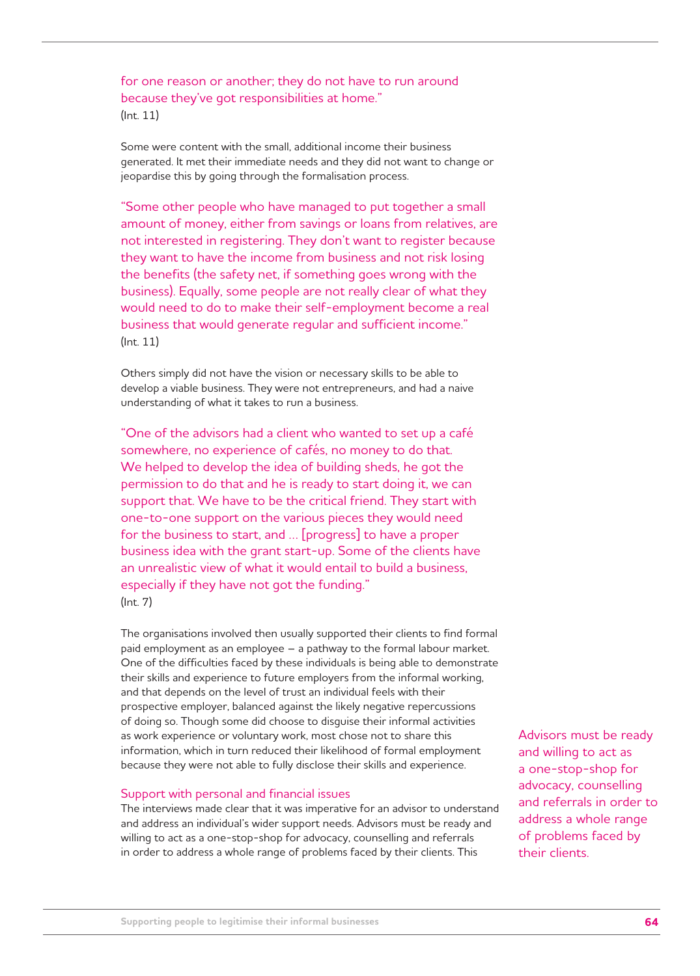for one reason or another; they do not have to run around because they've got responsibilities at home." (Int. 11)

Some were content with the small, additional income their business generated. It met their immediate needs and they did not want to change or jeopardise this by going through the formalisation process.

"Some other people who have managed to put together a small amount of money, either from savings or loans from relatives, are not interested in registering. They don't want to register because they want to have the income from business and not risk losing the benefits (the safety net, if something goes wrong with the business). Equally, some people are not really clear of what they would need to do to make their self-employment become a real business that would generate regular and sufficient income." (Int. 11)

Others simply did not have the vision or necessary skills to be able to develop a viable business. They were not entrepreneurs, and had a naive understanding of what it takes to run a business.

"One of the advisors had a client who wanted to set up a café somewhere, no experience of cafés, no money to do that. We helped to develop the idea of building sheds, he got the permission to do that and he is ready to start doing it, we can support that. We have to be the critical friend. They start with one-to-one support on the various pieces they would need for the business to start, and … [progress] to have a proper business idea with the grant start-up. Some of the clients have an unrealistic view of what it would entail to build a business, especially if they have not got the funding." (Int. 7)

The organisations involved then usually supported their clients to find formal paid employment as an employee – a pathway to the formal labour market. One of the difficulties faced by these individuals is being able to demonstrate their skills and experience to future employers from the informal working, and that depends on the level of trust an individual feels with their prospective employer, balanced against the likely negative repercussions of doing so. Though some did choose to disguise their informal activities as work experience or voluntary work, most chose not to share this information, which in turn reduced their likelihood of formal employment because they were not able to fully disclose their skills and experience.

## Support with personal and financial issues

The interviews made clear that it was imperative for an advisor to understand and address an individual's wider support needs. Advisors must be ready and willing to act as a one-stop-shop for advocacy, counselling and referrals in order to address a whole range of problems faced by their clients. This

Advisors must be ready and willing to act as a one-stop-shop for advocacy, counselling and referrals in order to address a whole range of problems faced by their clients.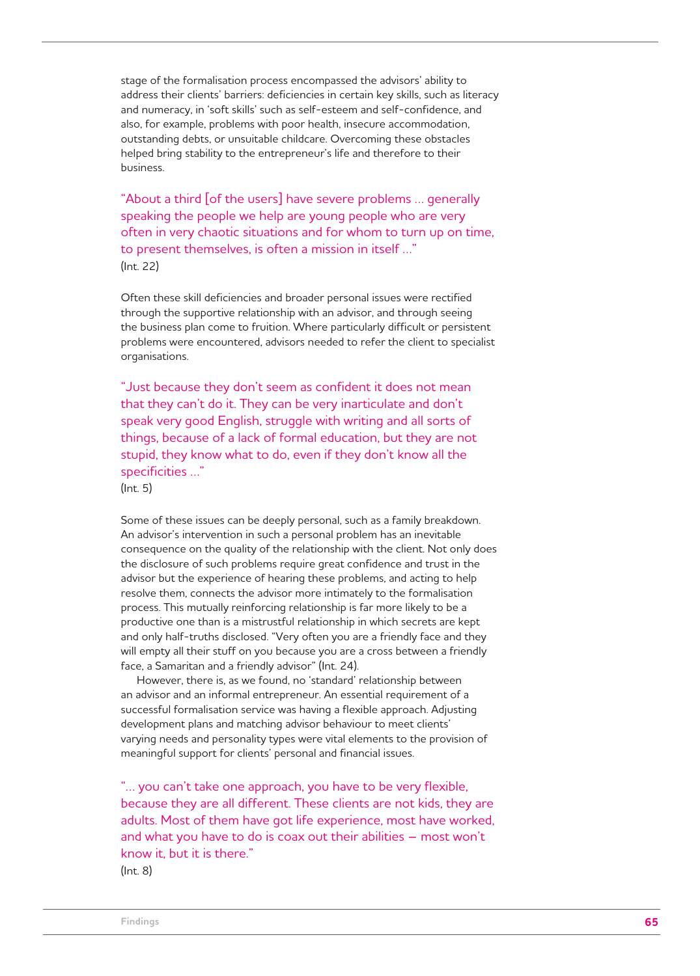stage of the formalisation process encompassed the advisors' ability to address their clients' barriers: deficiencies in certain key skills, such as literacy and numeracy, in 'soft skills' such as self-esteem and self-confidence, and also, for example, problems with poor health, insecure accommodation, outstanding debts, or unsuitable childcare. Overcoming these obstacles helped bring stability to the entrepreneur's life and therefore to their business.

"About a third [of the users] have severe problems … generally speaking the people we help are young people who are very often in very chaotic situations and for whom to turn up on time, to present themselves, is often a mission in itself …" (Int. 22)

Often these skill deficiencies and broader personal issues were rectified through the supportive relationship with an advisor, and through seeing the business plan come to fruition. Where particularly difficult or persistent problems were encountered, advisors needed to refer the client to specialist organisations.

"Just because they don't seem as confident it does not mean that they can't do it. They can be very inarticulate and don't speak very good English, struggle with writing and all sorts of things, because of a lack of formal education, but they are not stupid, they know what to do, even if they don't know all the specificities …"

(Int. 5)

Some of these issues can be deeply personal, such as a family breakdown. An advisor's intervention in such a personal problem has an inevitable consequence on the quality of the relationship with the client. Not only does the disclosure of such problems require great confidence and trust in the advisor but the experience of hearing these problems, and acting to help resolve them, connects the advisor more intimately to the formalisation process. This mutually reinforcing relationship is far more likely to be a productive one than is a mistrustful relationship in which secrets are kept and only half-truths disclosed. "Very often you are a friendly face and they will empty all their stuff on you because you are a cross between a friendly face, a Samaritan and a friendly advisor" (Int. 24).

However, there is, as we found, no 'standard' relationship between an advisor and an informal entrepreneur. An essential requirement of a successful formalisation service was having a flexible approach. Adjusting development plans and matching advisor behaviour to meet clients' varying needs and personality types were vital elements to the provision of meaningful support for clients' personal and financial issues.

"… you can't take one approach, you have to be very flexible, because they are all different. These clients are not kids, they are adults. Most of them have got life experience, most have worked, and what you have to do is coax out their abilities – most won't know it, but it is there." (Int. 8)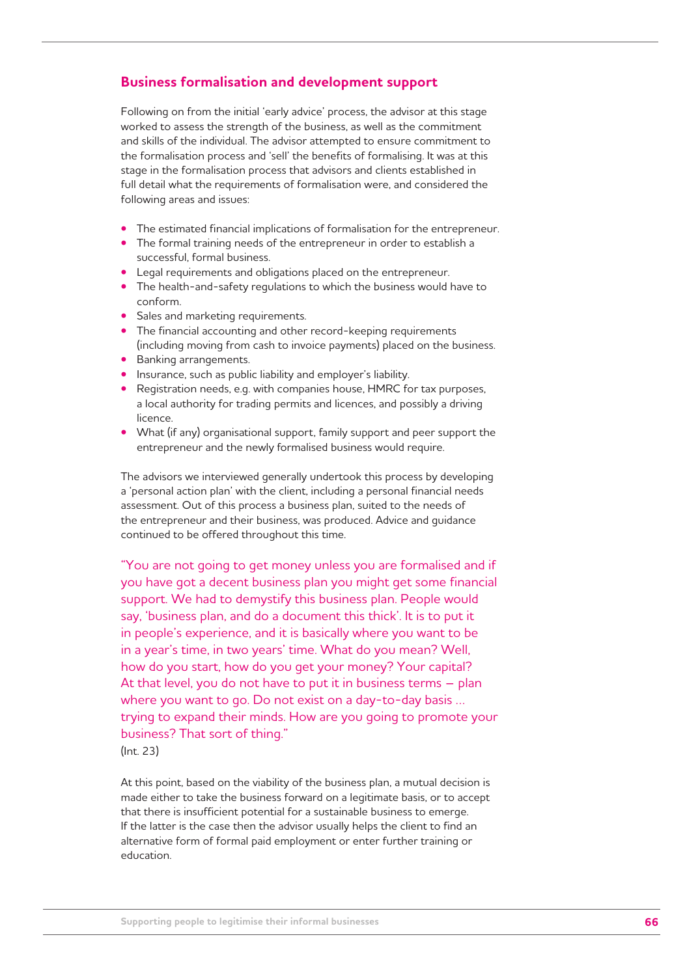# **Business formalisation and development support**

Following on from the initial 'early advice' process, the advisor at this stage worked to assess the strength of the business, as well as the commitment and skills of the individual. The advisor attempted to ensure commitment to the formalisation process and 'sell' the benefits of formalising. It was at this stage in the formalisation process that advisors and clients established in full detail what the requirements of formalisation were, and considered the following areas and issues:

- The estimated financial implications of formalisation for the entrepreneur.
- The formal training needs of the entrepreneur in order to establish a successful, formal business.
- Legal requirements and obligations placed on the entrepreneur.
- The health-and-safety regulations to which the business would have to conform.
- Sales and marketing requirements.
- The financial accounting and other record-keeping requirements (including moving from cash to invoice payments) placed on the business.
- Banking arrangements.
- Insurance, such as public liability and employer's liability.
- Registration needs, e.g. with companies house, HMRC for tax purposes, a local authority for trading permits and licences, and possibly a driving licence.
- What (if any) organisational support, family support and peer support the entrepreneur and the newly formalised business would require.

The advisors we interviewed generally undertook this process by developing a 'personal action plan' with the client, including a personal financial needs assessment. Out of this process a business plan, suited to the needs of the entrepreneur and their business, was produced. Advice and guidance continued to be offered throughout this time.

"You are not going to get money unless you are formalised and if you have got a decent business plan you might get some financial support. We had to demystify this business plan. People would say, 'business plan, and do a document this thick'. It is to put it in people's experience, and it is basically where you want to be in a year's time, in two years' time. What do you mean? Well, how do you start, how do you get your money? Your capital? At that level, you do not have to put it in business terms – plan where you want to go. Do not exist on a day-to-day basis … trying to expand their minds. How are you going to promote your business? That sort of thing." (Int. 23)

At this point, based on the viability of the business plan, a mutual decision is made either to take the business forward on a legitimate basis, or to accept that there is insufficient potential for a sustainable business to emerge. If the latter is the case then the advisor usually helps the client to find an alternative form of formal paid employment or enter further training or education.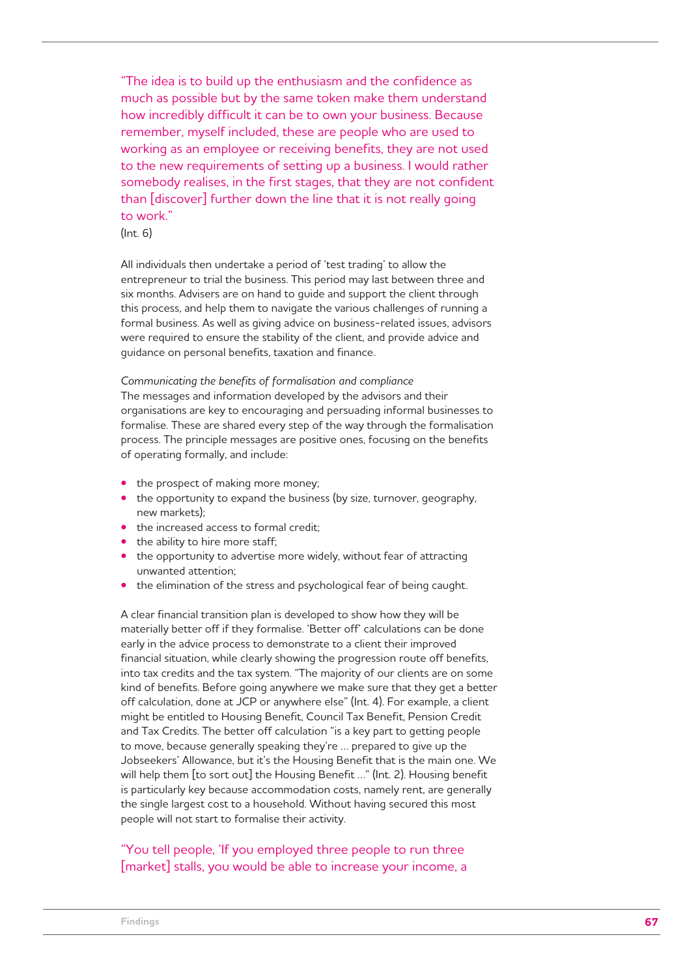"The idea is to build up the enthusiasm and the confidence as much as possible but by the same token make them understand how incredibly difficult it can be to own your business. Because remember, myself included, these are people who are used to working as an employee or receiving benefits, they are not used to the new requirements of setting up a business. I would rather somebody realises, in the first stages, that they are not confident than [discover] further down the line that it is not really going to work."

(Int. 6)

All individuals then undertake a period of 'test trading' to allow the entrepreneur to trial the business. This period may last between three and six months. Advisers are on hand to guide and support the client through this process, and help them to navigate the various challenges of running a formal business. As well as giving advice on business-related issues, advisors were required to ensure the stability of the client, and provide advice and guidance on personal benefits, taxation and finance.

*Communicating the benefits of formalisation and compliance* The messages and information developed by the advisors and their organisations are key to encouraging and persuading informal businesses to formalise. These are shared every step of the way through the formalisation process. The principle messages are positive ones, focusing on the benefits of operating formally, and include:

- the prospect of making more money;
- the opportunity to expand the business (by size, turnover, geography, new markets);
- the increased access to formal credit;
- the ability to hire more staff;
- the opportunity to advertise more widely, without fear of attracting unwanted attention;
- the elimination of the stress and psychological fear of being caught.

A clear financial transition plan is developed to show how they will be materially better off if they formalise. 'Better off' calculations can be done early in the advice process to demonstrate to a client their improved financial situation, while clearly showing the progression route off benefits, into tax credits and the tax system. "The majority of our clients are on some kind of benefits. Before going anywhere we make sure that they get a better off calculation, done at JCP or anywhere else" (Int. 4). For example, a client might be entitled to Housing Benefit, Council Tax Benefit, Pension Credit and Tax Credits. The better off calculation "is a key part to getting people to move, because generally speaking they're … prepared to give up the Jobseekers' Allowance, but it's the Housing Benefit that is the main one. We will help them [to sort out] the Housing Benefit …" (Int. 2). Housing benefit is particularly key because accommodation costs, namely rent, are generally the single largest cost to a household. Without having secured this most people will not start to formalise their activity.

# "You tell people, 'If you employed three people to run three [market] stalls, you would be able to increase your income, a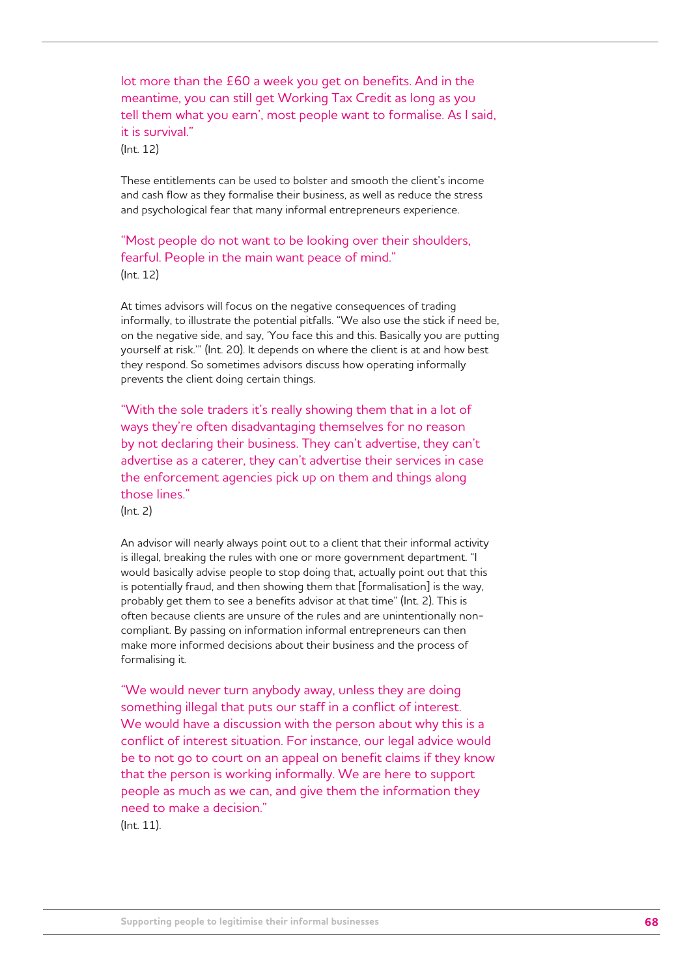lot more than the £60 a week you get on benefits. And in the meantime, you can still get Working Tax Credit as long as you tell them what you earn', most people want to formalise. As I said, it is survival."

(Int. 12)

These entitlements can be used to bolster and smooth the client's income and cash flow as they formalise their business, as well as reduce the stress and psychological fear that many informal entrepreneurs experience.

"Most people do not want to be looking over their shoulders, fearful. People in the main want peace of mind." (Int. 12)

At times advisors will focus on the negative consequences of trading informally, to illustrate the potential pitfalls. "We also use the stick if need be, on the negative side, and say, 'You face this and this. Basically you are putting yourself at risk.'" (Int. 20). It depends on where the client is at and how best they respond. So sometimes advisors discuss how operating informally prevents the client doing certain things.

"With the sole traders it's really showing them that in a lot of ways they're often disadvantaging themselves for no reason by not declaring their business. They can't advertise, they can't advertise as a caterer, they can't advertise their services in case the enforcement agencies pick up on them and things along those lines."

(Int. 2)

An advisor will nearly always point out to a client that their informal activity is illegal, breaking the rules with one or more government department. "I would basically advise people to stop doing that, actually point out that this is potentially fraud, and then showing them that [formalisation] is the way, probably get them to see a benefits advisor at that time" (Int. 2). This is often because clients are unsure of the rules and are unintentionally noncompliant. By passing on information informal entrepreneurs can then make more informed decisions about their business and the process of formalising it.

"We would never turn anybody away, unless they are doing something illegal that puts our staff in a conflict of interest. We would have a discussion with the person about why this is a conflict of interest situation. For instance, our legal advice would be to not go to court on an appeal on benefit claims if they know that the person is working informally. We are here to support people as much as we can, and give them the information they need to make a decision."

(Int. 11).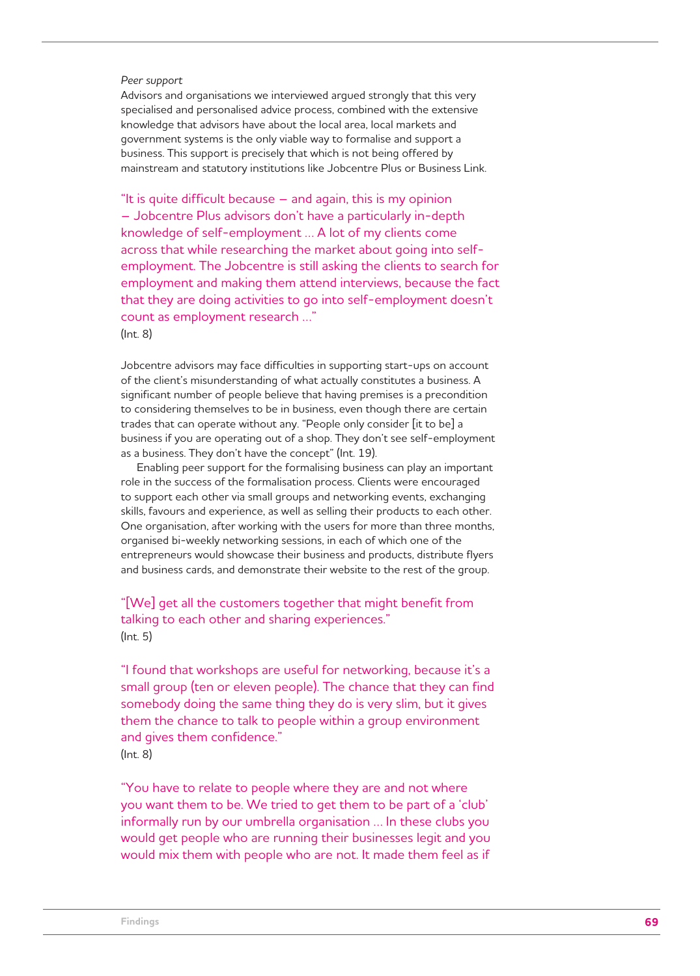#### *Peer support*

Advisors and organisations we interviewed argued strongly that this very specialised and personalised advice process, combined with the extensive knowledge that advisors have about the local area, local markets and government systems is the only viable way to formalise and support a business. This support is precisely that which is not being offered by mainstream and statutory institutions like Jobcentre Plus or Business Link.

"It is quite difficult because – and again, this is my opinion – Jobcentre Plus advisors don't have a particularly in-depth knowledge of self-employment … A lot of my clients come across that while researching the market about going into selfemployment. The Jobcentre is still asking the clients to search for employment and making them attend interviews, because the fact that they are doing activities to go into self-employment doesn't count as employment research …"

(Int. 8)

Jobcentre advisors may face difficulties in supporting start-ups on account of the client's misunderstanding of what actually constitutes a business. A significant number of people believe that having premises is a precondition to considering themselves to be in business, even though there are certain trades that can operate without any. "People only consider [it to be] a business if you are operating out of a shop. They don't see self-employment as a business. They don't have the concept" (Int. 19).

Enabling peer support for the formalising business can play an important role in the success of the formalisation process. Clients were encouraged to support each other via small groups and networking events, exchanging skills, favours and experience, as well as selling their products to each other. One organisation, after working with the users for more than three months, organised bi-weekly networking sessions, in each of which one of the entrepreneurs would showcase their business and products, distribute flyers and business cards, and demonstrate their website to the rest of the group.

# "[We] get all the customers together that might benefit from talking to each other and sharing experiences." (Int. 5)

"I found that workshops are useful for networking, because it's a small group (ten or eleven people). The chance that they can find somebody doing the same thing they do is very slim, but it gives them the chance to talk to people within a group environment and gives them confidence." (Int. 8)

"You have to relate to people where they are and not where you want them to be. We tried to get them to be part of a 'club' informally run by our umbrella organisation … In these clubs you would get people who are running their businesses legit and you would mix them with people who are not. It made them feel as if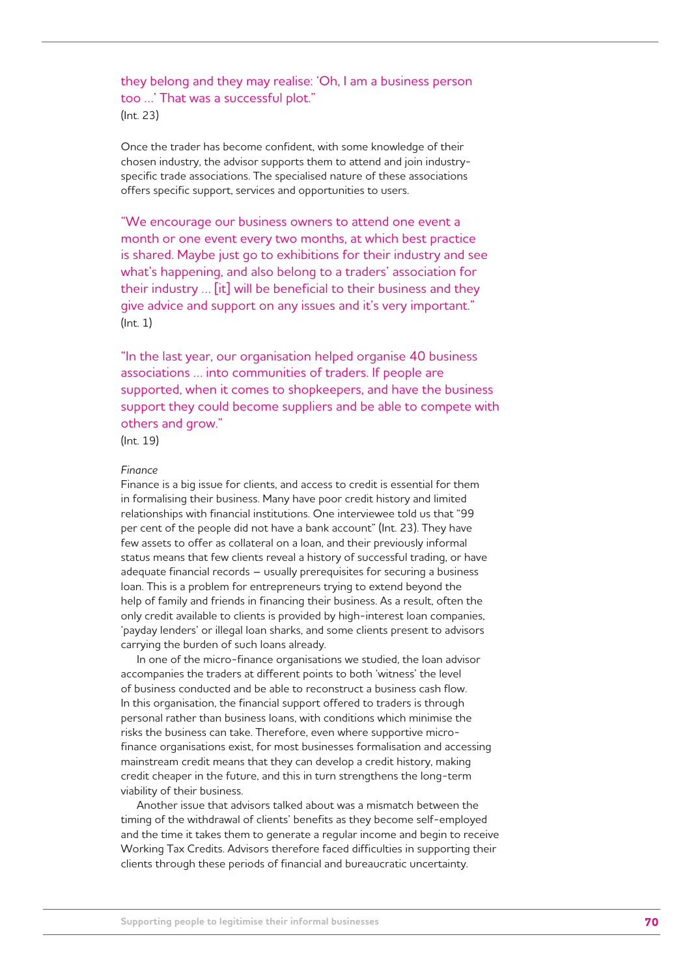# they belong and they may realise: 'Oh, I am a business person too …' That was a successful plot." (Int. 23)

Once the trader has become confident, with some knowledge of their chosen industry, the advisor supports them to attend and join industryspecific trade associations. The specialised nature of these associations offers specific support, services and opportunities to users.

"We encourage our business owners to attend one event a month or one event every two months, at which best practice is shared. Maybe just go to exhibitions for their industry and see what's happening, and also belong to a traders' association for their industry … [it] will be beneficial to their business and they give advice and support on any issues and it's very important." (Int. 1)

"In the last year, our organisation helped organise 40 business associations … into communities of traders. If people are supported, when it comes to shopkeepers, and have the business support they could become suppliers and be able to compete with others and grow."

(Int. 19)

## *Finance*

Finance is a big issue for clients, and access to credit is essential for them in formalising their business. Many have poor credit history and limited relationships with financial institutions. One interviewee told us that "99 per cent of the people did not have a bank account" (Int. 23). They have few assets to offer as collateral on a loan, and their previously informal status means that few clients reveal a history of successful trading, or have adequate financial records – usually prerequisites for securing a business loan. This is a problem for entrepreneurs trying to extend beyond the help of family and friends in financing their business. As a result, often the only credit available to clients is provided by high-interest loan companies, 'payday lenders' or illegal loan sharks, and some clients present to advisors carrying the burden of such loans already.

In one of the micro-finance organisations we studied, the loan advisor accompanies the traders at different points to both 'witness' the level of business conducted and be able to reconstruct a business cash flow. In this organisation, the financial support offered to traders is through personal rather than business loans, with conditions which minimise the risks the business can take. Therefore, even where supportive microfinance organisations exist, for most businesses formalisation and accessing mainstream credit means that they can develop a credit history, making credit cheaper in the future, and this in turn strengthens the long-term viability of their business.

Another issue that advisors talked about was a mismatch between the timing of the withdrawal of clients' benefits as they become self-employed and the time it takes them to generate a regular income and begin to receive Working Tax Credits. Advisors therefore faced difficulties in supporting their clients through these periods of financial and bureaucratic uncertainty.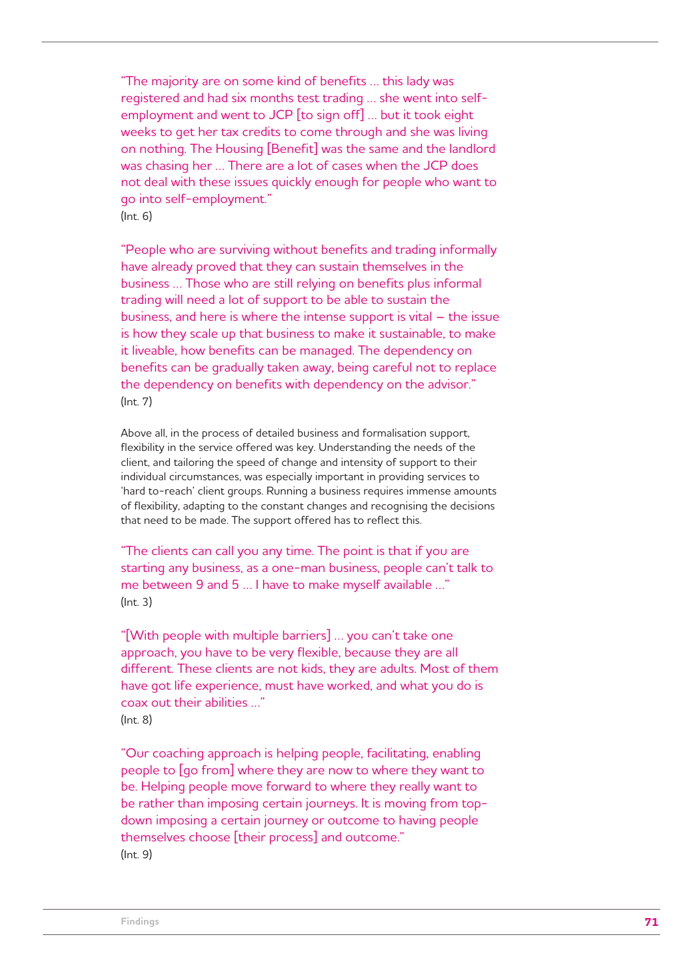"The majority are on some kind of benefits … this lady was registered and had six months test trading … she went into selfemployment and went to JCP [to sign off] … but it took eight weeks to get her tax credits to come through and she was living on nothing. The Housing [Benefit] was the same and the landlord was chasing her … There are a lot of cases when the JCP does not deal with these issues quickly enough for people who want to go into self-employment." (Int. 6)

"People who are surviving without benefits and trading informally have already proved that they can sustain themselves in the business … Those who are still relying on benefits plus informal trading will need a lot of support to be able to sustain the business, and here is where the intense support is vital – the issue is how they scale up that business to make it sustainable, to make it liveable, how benefits can be managed. The dependency on benefits can be gradually taken away, being careful not to replace the dependency on benefits with dependency on the advisor." (Int. 7)

Above all, in the process of detailed business and formalisation support, flexibility in the service offered was key. Understanding the needs of the client, and tailoring the speed of change and intensity of support to their individual circumstances, was especially important in providing services to 'hard to-reach' client groups. Running a business requires immense amounts of flexibility, adapting to the constant changes and recognising the decisions that need to be made. The support offered has to reflect this.

"The clients can call you any time. The point is that if you are starting any business, as a one-man business, people can't talk to me between 9 and 5 … I have to make myself available …" (Int. 3)

"[With people with multiple barriers] … you can't take one approach, you have to be very flexible, because they are all different. These clients are not kids, they are adults. Most of them have got life experience, must have worked, and what you do is coax out their abilities …" (Int. 8)

"Our coaching approach is helping people, facilitating, enabling people to [go from] where they are now to where they want to be. Helping people move forward to where they really want to be rather than imposing certain journeys. It is moving from topdown imposing a certain journey or outcome to having people themselves choose [their process] and outcome." (Int. 9)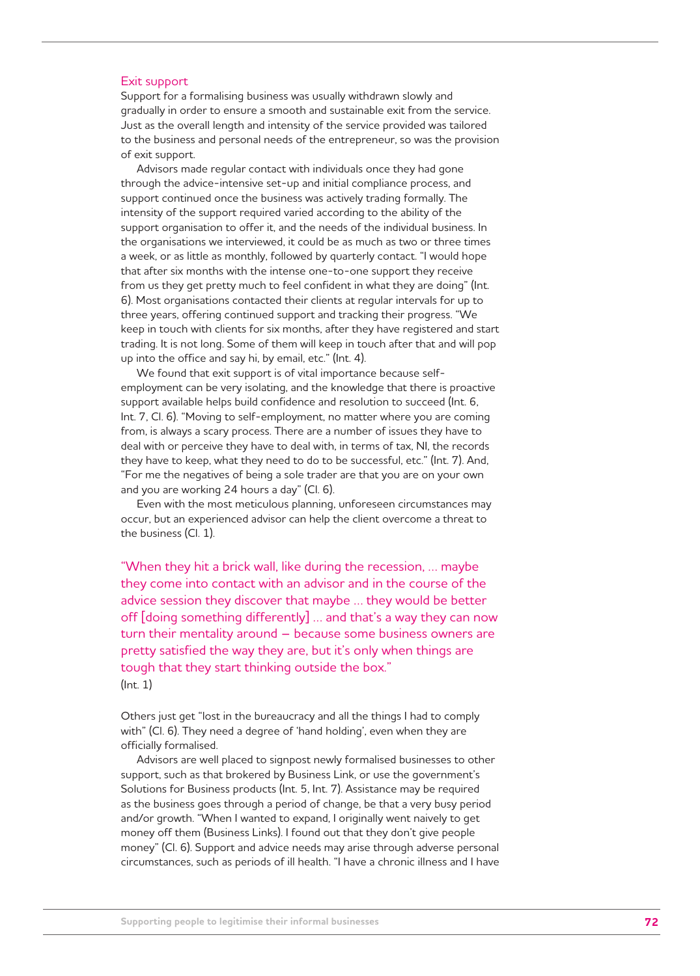## Exit support

Support for a formalising business was usually withdrawn slowly and gradually in order to ensure a smooth and sustainable exit from the service. Just as the overall length and intensity of the service provided was tailored to the business and personal needs of the entrepreneur, so was the provision of exit support.

Advisors made regular contact with individuals once they had gone through the advice-intensive set-up and initial compliance process, and support continued once the business was actively trading formally. The intensity of the support required varied according to the ability of the support organisation to offer it, and the needs of the individual business. In the organisations we interviewed, it could be as much as two or three times a week, or as little as monthly, followed by quarterly contact. "I would hope that after six months with the intense one-to-one support they receive from us they get pretty much to feel confident in what they are doing" (Int. 6). Most organisations contacted their clients at regular intervals for up to three years, offering continued support and tracking their progress. "We keep in touch with clients for six months, after they have registered and start trading. It is not long. Some of them will keep in touch after that and will pop up into the office and say hi, by email, etc." (Int. 4).

We found that exit support is of vital importance because selfemployment can be very isolating, and the knowledge that there is proactive support available helps build confidence and resolution to succeed (Int. 6, Int. 7, Cl. 6). "Moving to self-employment, no matter where you are coming from, is always a scary process. There are a number of issues they have to deal with or perceive they have to deal with, in terms of tax, NI, the records they have to keep, what they need to do to be successful, etc." (Int. 7). And, "For me the negatives of being a sole trader are that you are on your own and you are working 24 hours a day" (Cl. 6).

Even with the most meticulous planning, unforeseen circumstances may occur, but an experienced advisor can help the client overcome a threat to the business (Cl. 1).

"When they hit a brick wall, like during the recession, … maybe they come into contact with an advisor and in the course of the advice session they discover that maybe … they would be better off [doing something differently] … and that's a way they can now turn their mentality around – because some business owners are pretty satisfied the way they are, but it's only when things are tough that they start thinking outside the box." (Int. 1)

Others just get "lost in the bureaucracy and all the things I had to comply with" (Cl. 6). They need a degree of 'hand holding', even when they are officially formalised.

Advisors are well placed to signpost newly formalised businesses to other support, such as that brokered by Business Link, or use the government's Solutions for Business products (Int. 5, Int. 7). Assistance may be required as the business goes through a period of change, be that a very busy period and/or growth. "When I wanted to expand, I originally went naively to get money off them (Business Links). I found out that they don't give people money" (Cl. 6). Support and advice needs may arise through adverse personal circumstances, such as periods of ill health. "I have a chronic illness and I have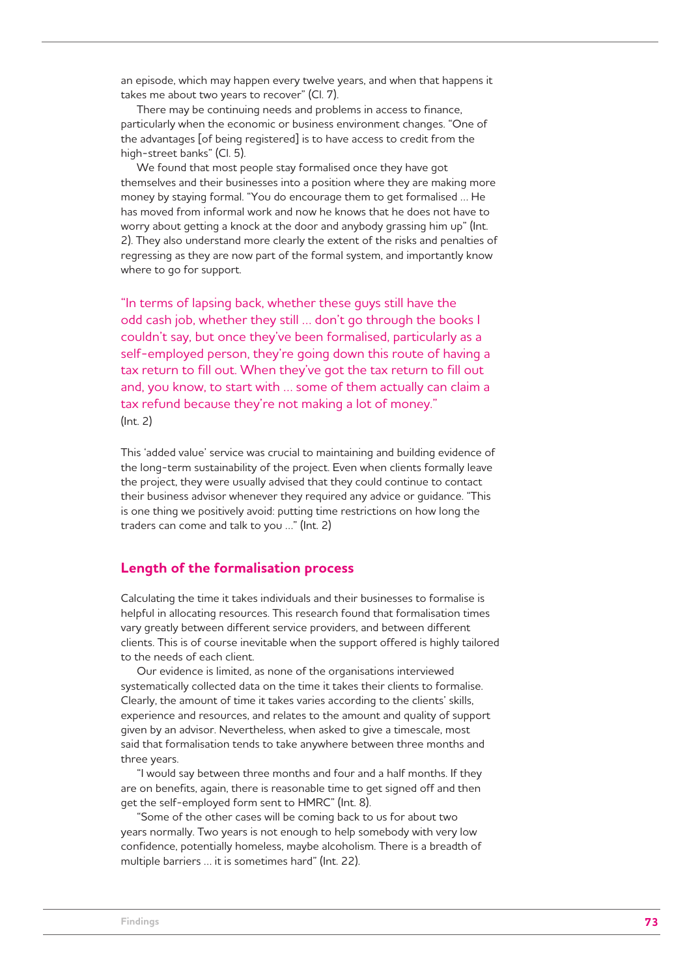an episode, which may happen every twelve years, and when that happens it takes me about two years to recover" (Cl. 7).

There may be continuing needs and problems in access to finance, particularly when the economic or business environment changes. "One of the advantages [of being registered] is to have access to credit from the high-street banks" (Cl. 5).

We found that most people stay formalised once they have got themselves and their businesses into a position where they are making more money by staying formal. "You do encourage them to get formalised … He has moved from informal work and now he knows that he does not have to worry about getting a knock at the door and anybody grassing him up" (Int. 2). They also understand more clearly the extent of the risks and penalties of regressing as they are now part of the formal system, and importantly know where to go for support.

"In terms of lapsing back, whether these guys still have the odd cash job, whether they still … don't go through the books I couldn't say, but once they've been formalised, particularly as a self-employed person, they're going down this route of having a tax return to fill out. When they've got the tax return to fill out and, you know, to start with … some of them actually can claim a tax refund because they're not making a lot of money." (Int. 2)

This 'added value' service was crucial to maintaining and building evidence of the long-term sustainability of the project. Even when clients formally leave the project, they were usually advised that they could continue to contact their business advisor whenever they required any advice or guidance. "This is one thing we positively avoid: putting time restrictions on how long the traders can come and talk to you …" (Int. 2)

### **Length of the formalisation process**

Calculating the time it takes individuals and their businesses to formalise is helpful in allocating resources. This research found that formalisation times vary greatly between different service providers, and between different clients. This is of course inevitable when the support offered is highly tailored to the needs of each client.

Our evidence is limited, as none of the organisations interviewed systematically collected data on the time it takes their clients to formalise. Clearly, the amount of time it takes varies according to the clients' skills, experience and resources, and relates to the amount and quality of support given by an advisor. Nevertheless, when asked to give a timescale, most said that formalisation tends to take anywhere between three months and three years.

"I would say between three months and four and a half months. If they are on benefits, again, there is reasonable time to get signed off and then get the self-employed form sent to HMRC" (Int. 8).

"Some of the other cases will be coming back to us for about two years normally. Two years is not enough to help somebody with very low confidence, potentially homeless, maybe alcoholism. There is a breadth of multiple barriers … it is sometimes hard" (Int. 22).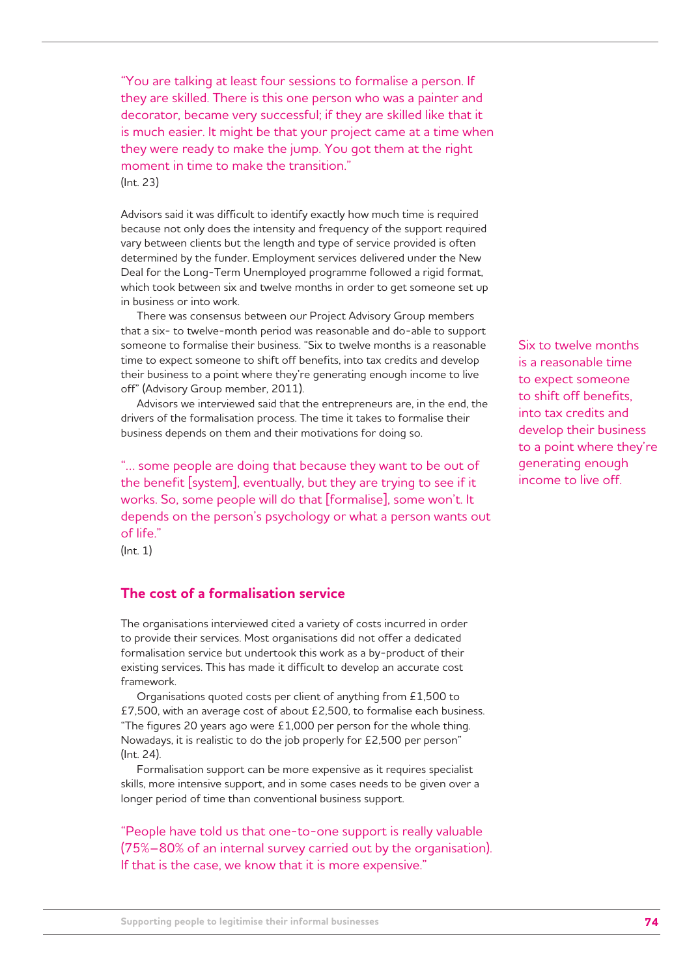"You are talking at least four sessions to formalise a person. If they are skilled. There is this one person who was a painter and decorator, became very successful; if they are skilled like that it is much easier. It might be that your project came at a time when they were ready to make the jump. You got them at the right moment in time to make the transition." (Int. 23)

Advisors said it was difficult to identify exactly how much time is required because not only does the intensity and frequency of the support required vary between clients but the length and type of service provided is often determined by the funder. Employment services delivered under the New Deal for the Long-Term Unemployed programme followed a rigid format, which took between six and twelve months in order to get someone set up in business or into work.

There was consensus between our Project Advisory Group members that a six- to twelve-month period was reasonable and do-able to support someone to formalise their business. "Six to twelve months is a reasonable time to expect someone to shift off benefits, into tax credits and develop their business to a point where they're generating enough income to live off" (Advisory Group member, 2011).

Advisors we interviewed said that the entrepreneurs are, in the end, the drivers of the formalisation process. The time it takes to formalise their business depends on them and their motivations for doing so.

"… some people are doing that because they want to be out of the benefit [system], eventually, but they are trying to see if it works. So, some people will do that [formalise], some won't. It depends on the person's psychology or what a person wants out of life."

Six to twelve months is a reasonable time to expect someone to shift off benefits, into tax credits and develop their business to a point where they're generating enough income to live off.

(Int. 1)

## **The cost of a formalisation service**

The organisations interviewed cited a variety of costs incurred in order to provide their services. Most organisations did not offer a dedicated formalisation service but undertook this work as a by-product of their existing services. This has made it difficult to develop an accurate cost framework.

Organisations quoted costs per client of anything from £1,500 to £7,500, with an average cost of about £2,500, to formalise each business. "The figures 20 years ago were £1,000 per person for the whole thing. Nowadays, it is realistic to do the job properly for £2,500 per person" (Int. 24).

Formalisation support can be more expensive as it requires specialist skills, more intensive support, and in some cases needs to be given over a longer period of time than conventional business support.

"People have told us that one-to-one support is really valuable (75%–80% of an internal survey carried out by the organisation). If that is the case, we know that it is more expensive."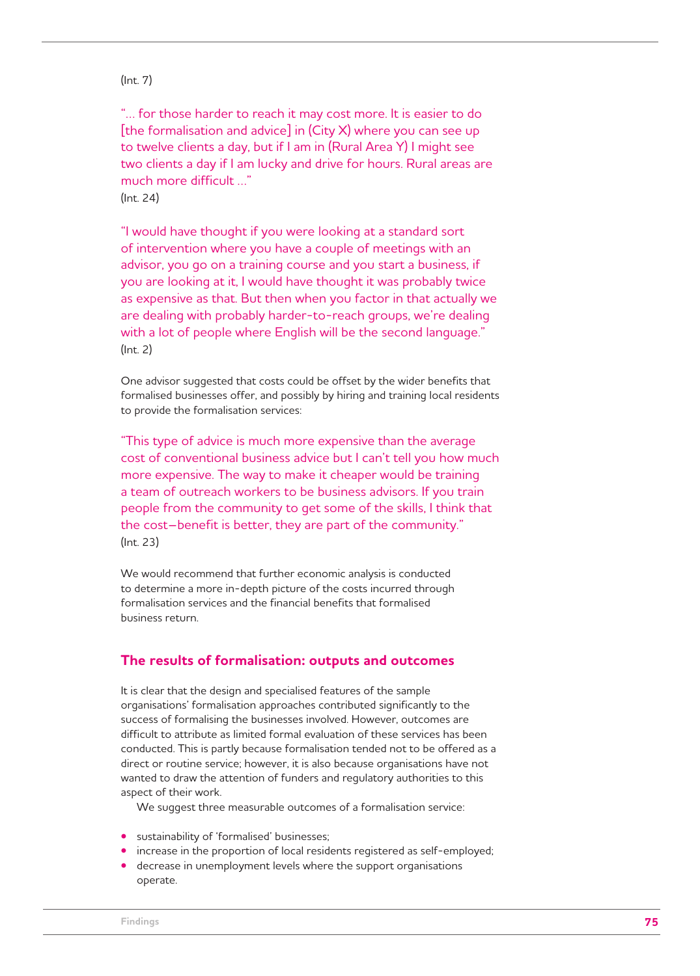### (Int. 7)

"… for those harder to reach it may cost more. It is easier to do [the formalisation and advice] in (City X) where you can see up to twelve clients a day, but if I am in (Rural Area Y) I might see two clients a day if I am lucky and drive for hours. Rural areas are much more difficult …"  $(\text{Int } 24)$ 

"I would have thought if you were looking at a standard sort of intervention where you have a couple of meetings with an advisor, you go on a training course and you start a business, if you are looking at it, I would have thought it was probably twice as expensive as that. But then when you factor in that actually we are dealing with probably harder-to-reach groups, we're dealing with a lot of people where English will be the second language." (Int. 2)

One advisor suggested that costs could be offset by the wider benefits that formalised businesses offer, and possibly by hiring and training local residents to provide the formalisation services:

"This type of advice is much more expensive than the average cost of conventional business advice but I can't tell you how much more expensive. The way to make it cheaper would be training a team of outreach workers to be business advisors. If you train people from the community to get some of the skills, I think that the cost–benefit is better, they are part of the community." (Int. 23)

We would recommend that further economic analysis is conducted to determine a more in-depth picture of the costs incurred through formalisation services and the financial benefits that formalised business return.

### **The results of formalisation: outputs and outcomes**

It is clear that the design and specialised features of the sample organisations' formalisation approaches contributed significantly to the success of formalising the businesses involved. However, outcomes are difficult to attribute as limited formal evaluation of these services has been conducted. This is partly because formalisation tended not to be offered as a direct or routine service; however, it is also because organisations have not wanted to draw the attention of funders and regulatory authorities to this aspect of their work.

We suggest three measurable outcomes of a formalisation service:

- sustainability of 'formalised' businesses;
- increase in the proportion of local residents registered as self-employed;
- decrease in unemployment levels where the support organisations operate.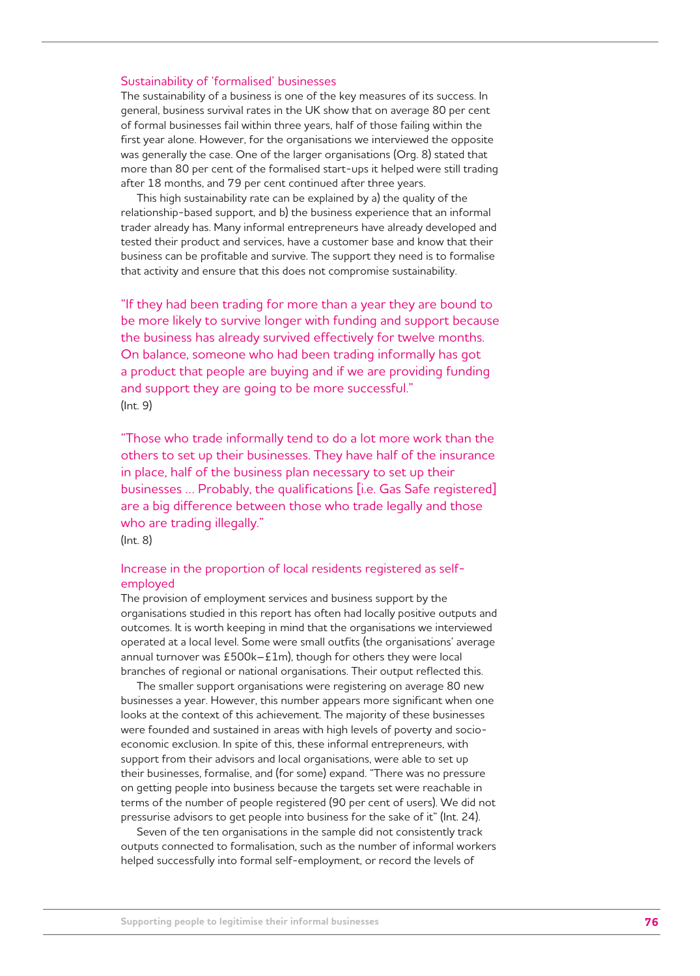#### Sustainability of 'formalised' businesses

The sustainability of a business is one of the key measures of its success. In general, business survival rates in the UK show that on average 80 per cent of formal businesses fail within three years, half of those failing within the first year alone. However, for the organisations we interviewed the opposite was generally the case. One of the larger organisations (Org. 8) stated that more than 80 per cent of the formalised start-ups it helped were still trading after 18 months, and 79 per cent continued after three years.

This high sustainability rate can be explained by a) the quality of the relationship-based support, and b) the business experience that an informal trader already has. Many informal entrepreneurs have already developed and tested their product and services, have a customer base and know that their business can be profitable and survive. The support they need is to formalise that activity and ensure that this does not compromise sustainability.

"If they had been trading for more than a year they are bound to be more likely to survive longer with funding and support because the business has already survived effectively for twelve months. On balance, someone who had been trading informally has got a product that people are buying and if we are providing funding and support they are going to be more successful." (Int. 9)

"Those who trade informally tend to do a lot more work than the others to set up their businesses. They have half of the insurance in place, half of the business plan necessary to set up their businesses … Probably, the qualifications [i.e. Gas Safe registered] are a big difference between those who trade legally and those who are trading illegally."

(Int. 8)

### Increase in the proportion of local residents registered as selfemployed

The provision of employment services and business support by the organisations studied in this report has often had locally positive outputs and outcomes. It is worth keeping in mind that the organisations we interviewed operated at a local level. Some were small outfits (the organisations' average annual turnover was £500k–£1m), though for others they were local branches of regional or national organisations. Their output reflected this.

The smaller support organisations were registering on average 80 new businesses a year. However, this number appears more significant when one looks at the context of this achievement. The majority of these businesses were founded and sustained in areas with high levels of poverty and socioeconomic exclusion. In spite of this, these informal entrepreneurs, with support from their advisors and local organisations, were able to set up their businesses, formalise, and (for some) expand. "There was no pressure on getting people into business because the targets set were reachable in terms of the number of people registered (90 per cent of users). We did not pressurise advisors to get people into business for the sake of it" (Int. 24).

Seven of the ten organisations in the sample did not consistently track outputs connected to formalisation, such as the number of informal workers helped successfully into formal self-employment, or record the levels of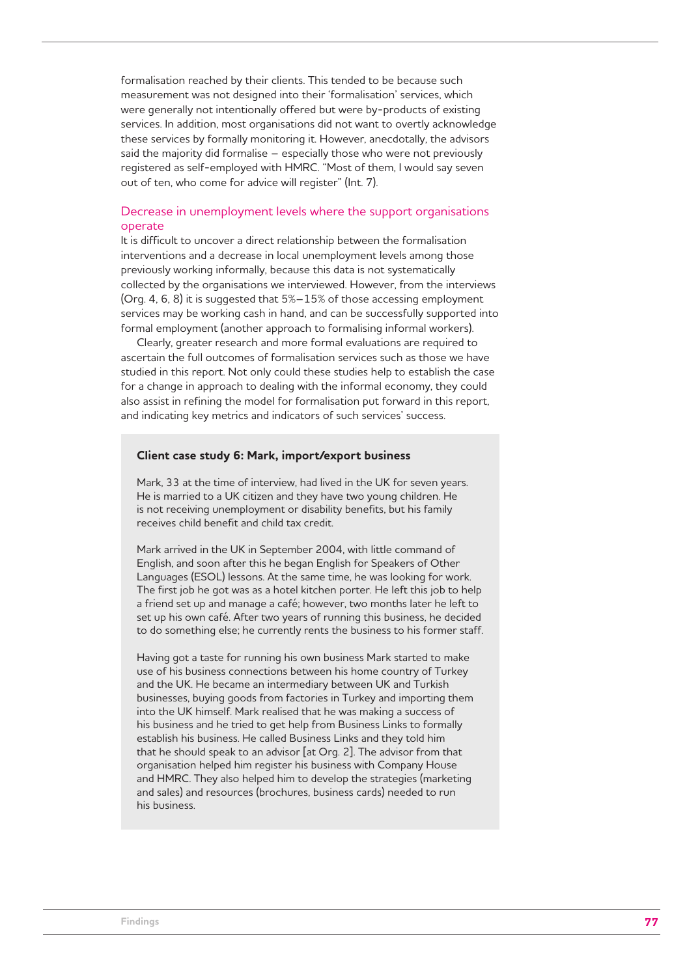formalisation reached by their clients. This tended to be because such measurement was not designed into their 'formalisation' services, which were generally not intentionally offered but were by-products of existing services. In addition, most organisations did not want to overtly acknowledge these services by formally monitoring it. However, anecdotally, the advisors said the majority did formalise – especially those who were not previously registered as self-employed with HMRC. "Most of them, I would say seven out of ten, who come for advice will register" (Int. 7).

#### Decrease in unemployment levels where the support organisations operate

It is difficult to uncover a direct relationship between the formalisation interventions and a decrease in local unemployment levels among those previously working informally, because this data is not systematically collected by the organisations we interviewed. However, from the interviews (Org. 4, 6, 8) it is suggested that 5%–15% of those accessing employment services may be working cash in hand, and can be successfully supported into formal employment (another approach to formalising informal workers).

Clearly, greater research and more formal evaluations are required to ascertain the full outcomes of formalisation services such as those we have studied in this report. Not only could these studies help to establish the case for a change in approach to dealing with the informal economy, they could also assist in refining the model for formalisation put forward in this report, and indicating key metrics and indicators of such services' success.

#### **Client case study 6: Mark, import/export business**

Mark, 33 at the time of interview, had lived in the UK for seven years. He is married to a UK citizen and they have two young children. He is not receiving unemployment or disability benefits, but his family receives child benefit and child tax credit.

Mark arrived in the UK in September 2004, with little command of English, and soon after this he began English for Speakers of Other Languages (ESOL) lessons. At the same time, he was looking for work. The first job he got was as a hotel kitchen porter. He left this job to help a friend set up and manage a café; however, two months later he left to set up his own café. After two years of running this business, he decided to do something else; he currently rents the business to his former staff.

Having got a taste for running his own business Mark started to make use of his business connections between his home country of Turkey and the UK. He became an intermediary between UK and Turkish businesses, buying goods from factories in Turkey and importing them into the UK himself. Mark realised that he was making a success of his business and he tried to get help from Business Links to formally establish his business. He called Business Links and they told him that he should speak to an advisor [at Org. 2]. The advisor from that organisation helped him register his business with Company House and HMRC. They also helped him to develop the strategies (marketing and sales) and resources (brochures, business cards) needed to run his business.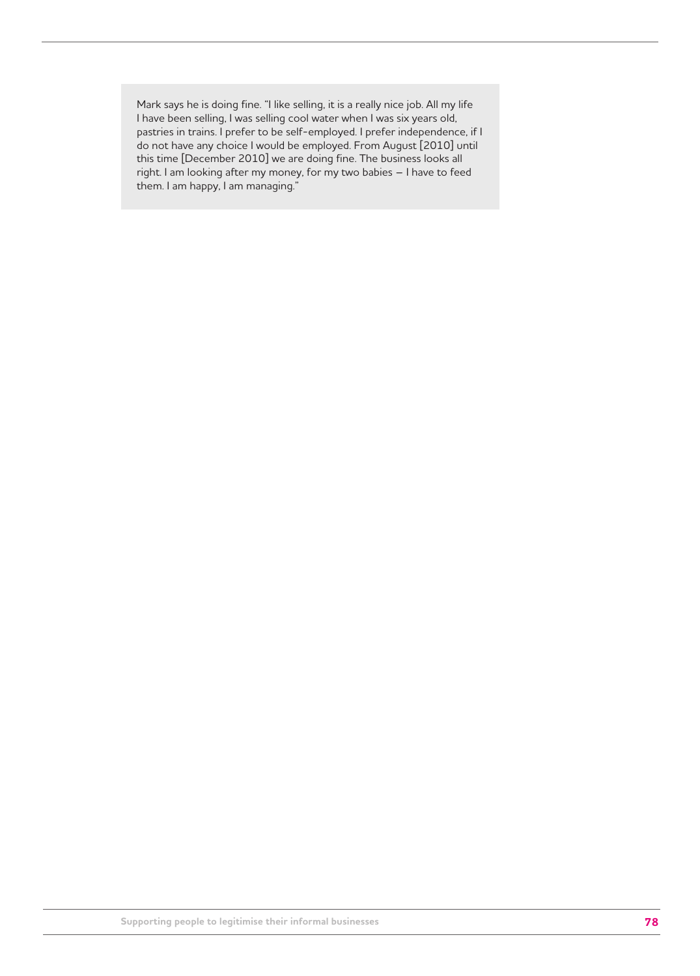Mark says he is doing fine. "I like selling, it is a really nice job. All my life I have been selling, I was selling cool water when I was six years old, pastries in trains. I prefer to be self-employed. I prefer independence, if I do not have any choice I would be employed. From August [2010] until this time [December 2010] we are doing fine. The business looks all right. I am looking after my money, for my two babies – I have to feed them. I am happy, I am managing."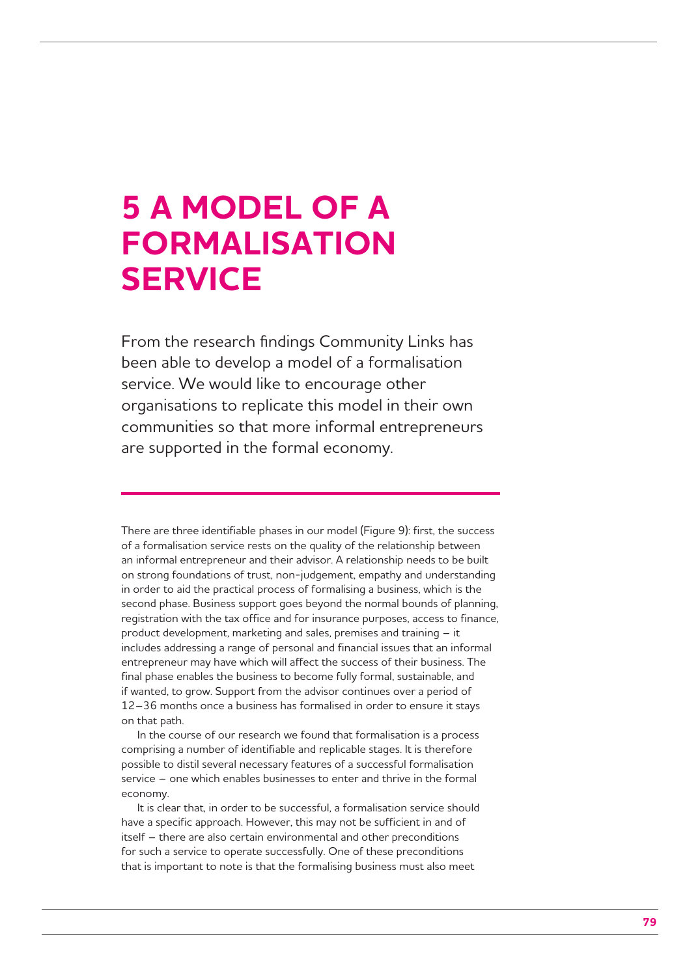## **5 A MODEL OF A FORMALISATION SERVICE**

From the research findings Community Links has been able to develop a model of a formalisation service. We would like to encourage other organisations to replicate this model in their own communities so that more informal entrepreneurs are supported in the formal economy.

There are three identifiable phases in our model (Figure 9): first, the success of a formalisation service rests on the quality of the relationship between an informal entrepreneur and their advisor. A relationship needs to be built on strong foundations of trust, non-judgement, empathy and understanding in order to aid the practical process of formalising a business, which is the second phase. Business support goes beyond the normal bounds of planning, registration with the tax office and for insurance purposes, access to finance, product development, marketing and sales, premises and training – it includes addressing a range of personal and financial issues that an informal entrepreneur may have which will affect the success of their business. The final phase enables the business to become fully formal, sustainable, and if wanted, to grow. Support from the advisor continues over a period of 12–36 months once a business has formalised in order to ensure it stays on that path.

In the course of our research we found that formalisation is a process comprising a number of identifiable and replicable stages. It is therefore possible to distil several necessary features of a successful formalisation service – one which enables businesses to enter and thrive in the formal economy.

It is clear that, in order to be successful, a formalisation service should have a specific approach. However, this may not be sufficient in and of itself – there are also certain environmental and other preconditions for such a service to operate successfully. One of these preconditions that is important to note is that the formalising business must also meet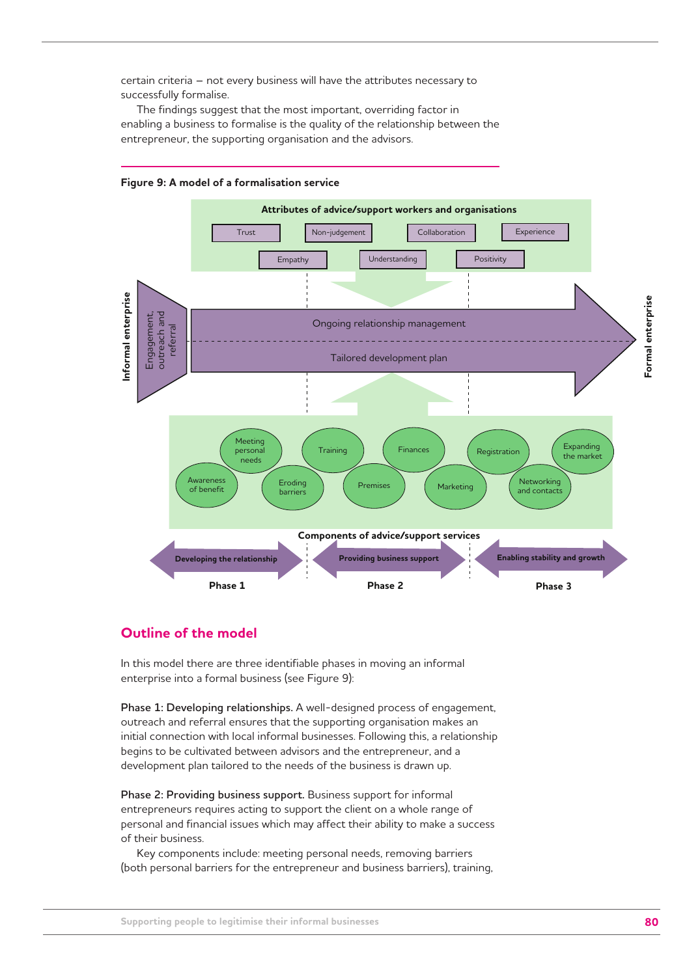certain criteria – not every business will have the attributes necessary to successfully formalise.

The findings suggest that the most important, overriding factor in enabling a business to formalise is the quality of the relationship between the entrepreneur, the supporting organisation and the advisors.



**Figure 9: A model of a formalisation service**

## **Outline of the model**

In this model there are three identifiable phases in moving an informal enterprise into a formal business (see Figure 9):

**Phase 1: Developing relationships.** A well-designed process of engagement, outreach and referral ensures that the supporting organisation makes an initial connection with local informal businesses. Following this, a relationship begins to be cultivated between advisors and the entrepreneur, and a development plan tailored to the needs of the business is drawn up.

**Phase 2: Providing business support.** Business support for informal entrepreneurs requires acting to support the client on a whole range of personal and financial issues which may affect their ability to make a success of their business.

Key components include: meeting personal needs, removing barriers (both personal barriers for the entrepreneur and business barriers), training,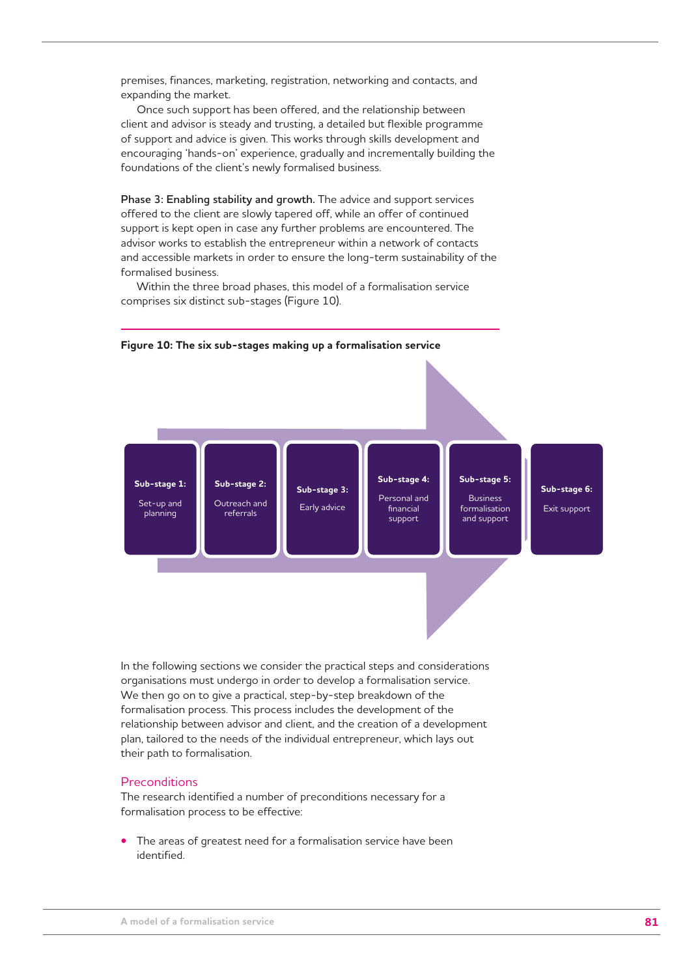premises, finances, marketing, registration, networking and contacts, and expanding the market.

Once such support has been offered, and the relationship between client and advisor is steady and trusting, a detailed but flexible programme of support and advice is given. This works through skills development and encouraging 'hands-on' experience, gradually and incrementally building the foundations of the client's newly formalised business.

**Phase 3: Enabling stability and growth.** The advice and support services offered to the client are slowly tapered off, while an offer of continued support is kept open in case any further problems are encountered. The advisor works to establish the entrepreneur within a network of contacts and accessible markets in order to ensure the long-term sustainability of the formalised business.

Within the three broad phases, this model of a formalisation service comprises six distinct sub-stages (Figure 10).



In the following sections we consider the practical steps and considerations organisations must undergo in order to develop a formalisation service. We then go on to give a practical, step-by-step breakdown of the formalisation process. This process includes the development of the relationship between advisor and client, and the creation of a development plan, tailored to the needs of the individual entrepreneur, which lays out their path to formalisation.

#### **Preconditions**

The research identified a number of preconditions necessary for a formalisation process to be effective:

**•** The areas of greatest need for a formalisation service have been identified.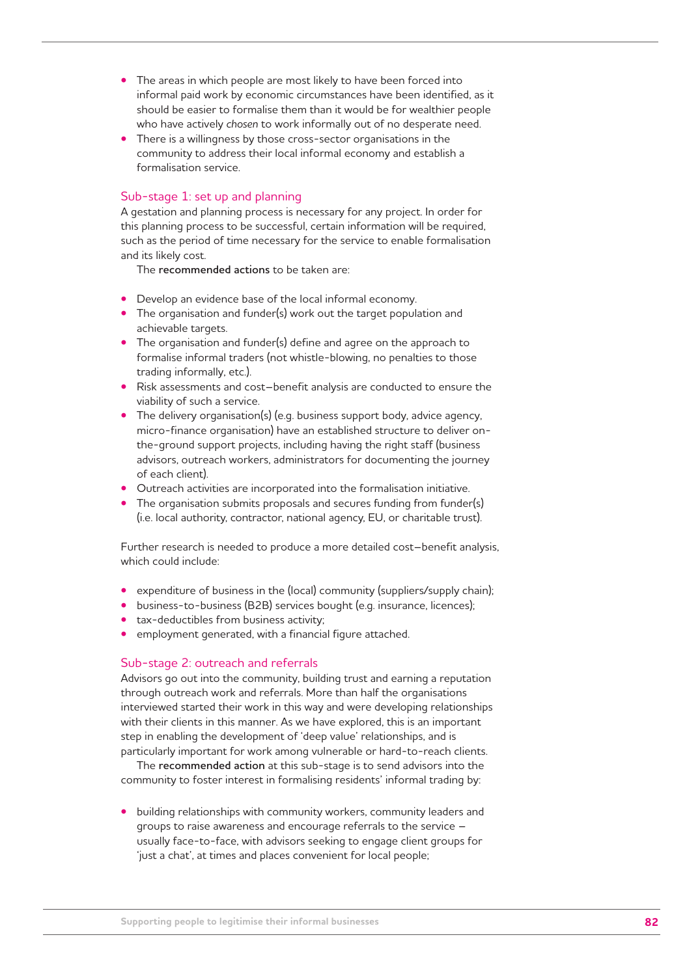- The areas in which people are most likely to have been forced into informal paid work by economic circumstances have been identified, as it should be easier to formalise them than it would be for wealthier people who have actively *chosen* to work informally out of no desperate need.
- There is a willingness by those cross-sector organisations in the community to address their local informal economy and establish a formalisation service.

#### Sub-stage 1: set up and planning

A gestation and planning process is necessary for any project. In order for this planning process to be successful, certain information will be required, such as the period of time necessary for the service to enable formalisation and its likely cost.

The **recommended actions** to be taken are:

- Develop an evidence base of the local informal economy.
- The organisation and funder(s) work out the target population and achievable targets.
- The organisation and funder(s) define and agree on the approach to formalise informal traders (not whistle-blowing, no penalties to those trading informally, etc.).
- Risk assessments and cost–benefit analysis are conducted to ensure the viability of such a service.
- The delivery organisation(s) (e.g. business support body, advice agency, micro-finance organisation) have an established structure to deliver onthe-ground support projects, including having the right staff (business advisors, outreach workers, administrators for documenting the journey of each client).
- Outreach activities are incorporated into the formalisation initiative.
- The organisation submits proposals and secures funding from funder(s) (i.e. local authority, contractor, national agency, EU, or charitable trust).

Further research is needed to produce a more detailed cost–benefit analysis, which could include:

- expenditure of business in the (local) community (suppliers/supply chain);
- business-to-business (B2B) services bought (e.g. insurance, licences);
- tax-deductibles from business activity;
- employment generated, with a financial figure attached.

#### Sub-stage 2: outreach and referrals

Advisors go out into the community, building trust and earning a reputation through outreach work and referrals. More than half the organisations interviewed started their work in this way and were developing relationships with their clients in this manner. As we have explored, this is an important step in enabling the development of 'deep value' relationships, and is particularly important for work among vulnerable or hard-to-reach clients.

The **recommended action** at this sub-stage is to send advisors into the community to foster interest in formalising residents' informal trading by:

**•** building relationships with community workers, community leaders and groups to raise awareness and encourage referrals to the service – usually face-to-face, with advisors seeking to engage client groups for 'just a chat', at times and places convenient for local people;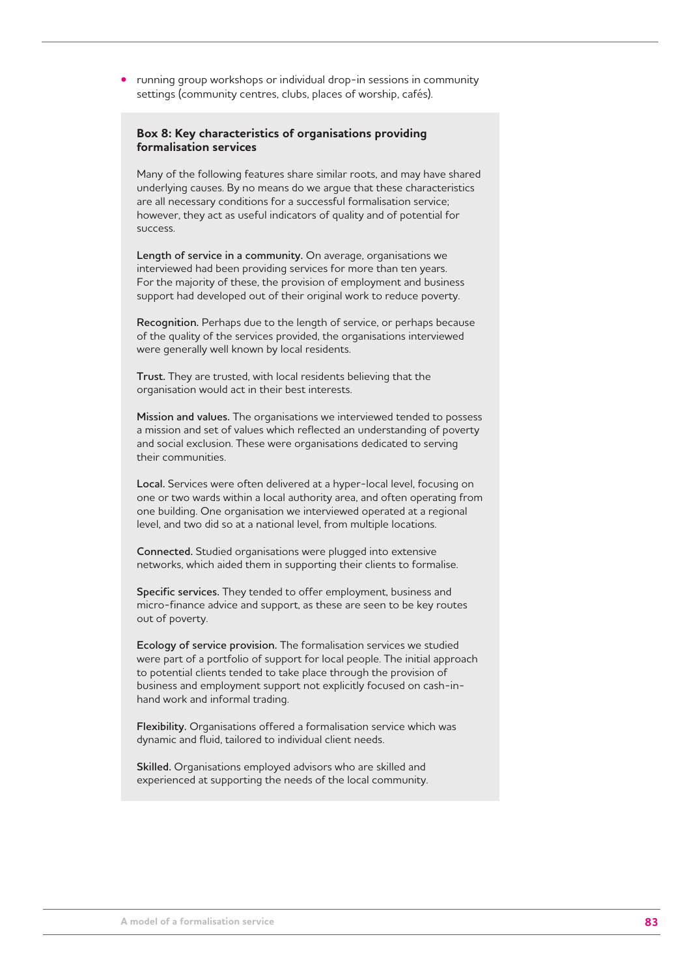**•** running group workshops or individual drop-in sessions in community settings (community centres, clubs, places of worship, cafés).

#### **Box 8: Key characteristics of organisations providing formalisation services**

Many of the following features share similar roots, and may have shared underlying causes. By no means do we argue that these characteristics are all necessary conditions for a successful formalisation service; however, they act as useful indicators of quality and of potential for success.

**Length of service in a community.** On average, organisations we interviewed had been providing services for more than ten years. For the majority of these, the provision of employment and business support had developed out of their original work to reduce poverty.

**Recognition.** Perhaps due to the length of service, or perhaps because of the quality of the services provided, the organisations interviewed were generally well known by local residents.

**Trust.** They are trusted, with local residents believing that the organisation would act in their best interests.

**Mission and values.** The organisations we interviewed tended to possess a mission and set of values which reflected an understanding of poverty and social exclusion. These were organisations dedicated to serving their communities.

**Local.** Services were often delivered at a hyper-local level, focusing on one or two wards within a local authority area, and often operating from one building. One organisation we interviewed operated at a regional level, and two did so at a national level, from multiple locations.

**Connected.** Studied organisations were plugged into extensive networks, which aided them in supporting their clients to formalise.

**Specific services.** They tended to offer employment, business and micro-finance advice and support, as these are seen to be key routes out of poverty.

**Ecology of service provision.** The formalisation services we studied were part of a portfolio of support for local people. The initial approach to potential clients tended to take place through the provision of business and employment support not explicitly focused on cash-inhand work and informal trading.

**Flexibility.** Organisations offered a formalisation service which was dynamic and fluid, tailored to individual client needs.

**Skilled.** Organisations employed advisors who are skilled and experienced at supporting the needs of the local community.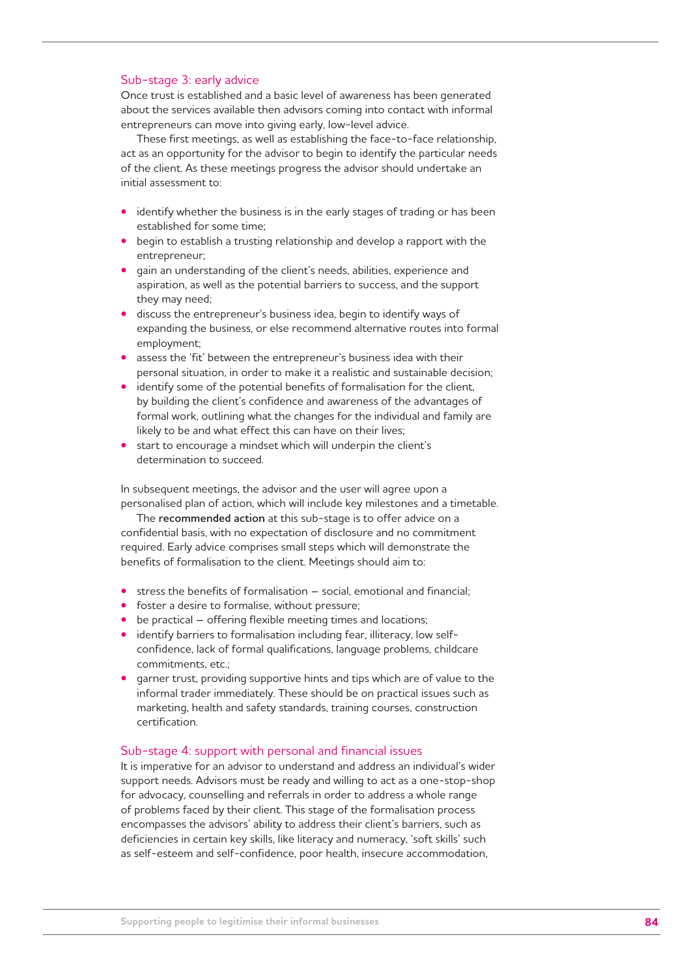#### Sub-stage 3: early advice

Once trust is established and a basic level of awareness has been generated about the services available then advisors coming into contact with informal entrepreneurs can move into giving early, low-level advice.

These first meetings, as well as establishing the face-to-face relationship, act as an opportunity for the advisor to begin to identify the particular needs of the client. As these meetings progress the advisor should undertake an initial assessment to:

- identify whether the business is in the early stages of trading or has been established for some time;
- begin to establish a trusting relationship and develop a rapport with the entrepreneur;
- gain an understanding of the client's needs, abilities, experience and aspiration, as well as the potential barriers to success, and the support they may need;
- discuss the entrepreneur's business idea, begin to identify ways of expanding the business, or else recommend alternative routes into formal employment;
- assess the 'fit' between the entrepreneur's business idea with their personal situation, in order to make it a realistic and sustainable decision;
- identify some of the potential benefits of formalisation for the client, by building the client's confidence and awareness of the advantages of formal work, outlining what the changes for the individual and family are likely to be and what effect this can have on their lives;
- start to encourage a mindset which will underpin the client's determination to succeed.

In subsequent meetings, the advisor and the user will agree upon a personalised plan of action, which will include key milestones and a timetable.

The **recommended action** at this sub-stage is to offer advice on a confidential basis, with no expectation of disclosure and no commitment required. Early advice comprises small steps which will demonstrate the benefits of formalisation to the client. Meetings should aim to:

- stress the benefits of formalisation social, emotional and financial;
- foster a desire to formalise, without pressure;
- be practical offering flexible meeting times and locations;
- identify barriers to formalisation including fear, illiteracy, low selfconfidence, lack of formal qualifications, language problems, childcare commitments, etc.;
- garner trust, providing supportive hints and tips which are of value to the informal trader immediately. These should be on practical issues such as marketing, health and safety standards, training courses, construction certification.

#### Sub-stage 4: support with personal and financial issues

It is imperative for an advisor to understand and address an individual's wider support needs. Advisors must be ready and willing to act as a one-stop-shop for advocacy, counselling and referrals in order to address a whole range of problems faced by their client. This stage of the formalisation process encompasses the advisors' ability to address their client's barriers, such as deficiencies in certain key skills, like literacy and numeracy, 'soft skills' such as self-esteem and self-confidence, poor health, insecure accommodation,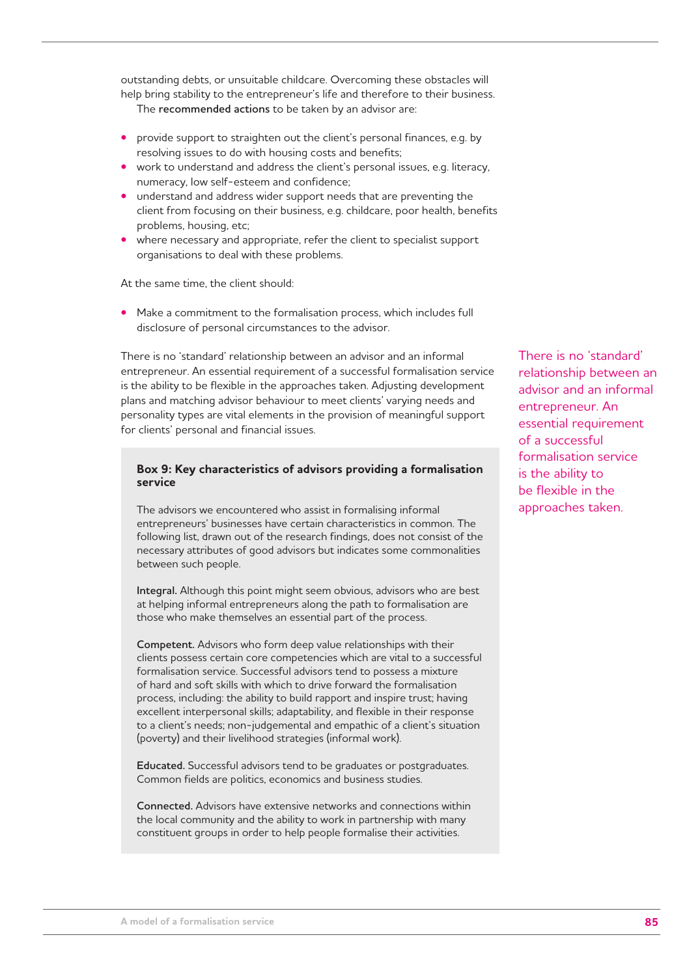outstanding debts, or unsuitable childcare. Overcoming these obstacles will help bring stability to the entrepreneur's life and therefore to their business.

The **recommended actions** to be taken by an advisor are:

- provide support to straighten out the client's personal finances, e.g. by resolving issues to do with housing costs and benefits;
- work to understand and address the client's personal issues, e.g. literacy, numeracy, low self-esteem and confidence;
- understand and address wider support needs that are preventing the client from focusing on their business, e.g. childcare, poor health, benefits problems, housing, etc;
- where necessary and appropriate, refer the client to specialist support organisations to deal with these problems.

At the same time, the client should:

**•** Make a commitment to the formalisation process, which includes full disclosure of personal circumstances to the advisor.

There is no 'standard' relationship between an advisor and an informal entrepreneur. An essential requirement of a successful formalisation service is the ability to be flexible in the approaches taken. Adjusting development plans and matching advisor behaviour to meet clients' varying needs and personality types are vital elements in the provision of meaningful support for clients' personal and financial issues.

#### **Box 9: Key characteristics of advisors providing a formalisation service**

The advisors we encountered who assist in formalising informal entrepreneurs' businesses have certain characteristics in common. The following list, drawn out of the research findings, does not consist of the necessary attributes of good advisors but indicates some commonalities between such people.

**Integral.** Although this point might seem obvious, advisors who are best at helping informal entrepreneurs along the path to formalisation are those who make themselves an essential part of the process.

**Competent.** Advisors who form deep value relationships with their clients possess certain core competencies which are vital to a successful formalisation service. Successful advisors tend to possess a mixture of hard and soft skills with which to drive forward the formalisation process, including: the ability to build rapport and inspire trust; having excellent interpersonal skills; adaptability, and flexible in their response to a client's needs; non-judgemental and empathic of a client's situation (poverty) and their livelihood strategies (informal work).

**Educated.** Successful advisors tend to be graduates or postgraduates. Common fields are politics, economics and business studies.

**Connected.** Advisors have extensive networks and connections within the local community and the ability to work in partnership with many constituent groups in order to help people formalise their activities.

There is no 'standard' relationship between an advisor and an informal entrepreneur. An essential requirement of a successful formalisation service is the ability to be flexible in the approaches taken.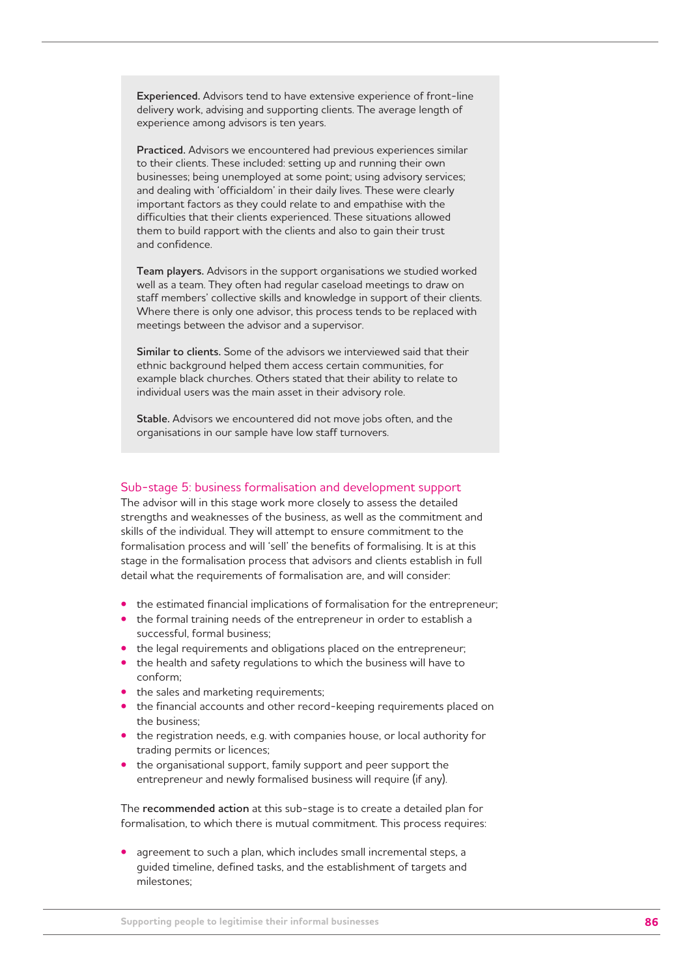**Experienced.** Advisors tend to have extensive experience of front-line delivery work, advising and supporting clients. The average length of experience among advisors is ten years.

**Practiced.** Advisors we encountered had previous experiences similar to their clients. These included: setting up and running their own businesses; being unemployed at some point; using advisory services; and dealing with 'officialdom' in their daily lives. These were clearly important factors as they could relate to and empathise with the difficulties that their clients experienced. These situations allowed them to build rapport with the clients and also to gain their trust and confidence.

**Team players.** Advisors in the support organisations we studied worked well as a team. They often had regular caseload meetings to draw on staff members' collective skills and knowledge in support of their clients. Where there is only one advisor, this process tends to be replaced with meetings between the advisor and a supervisor.

**Similar to clients.** Some of the advisors we interviewed said that their ethnic background helped them access certain communities, for example black churches. Others stated that their ability to relate to individual users was the main asset in their advisory role.

**Stable.** Advisors we encountered did not move jobs often, and the organisations in our sample have low staff turnovers.

#### Sub-stage 5: business formalisation and development support

The advisor will in this stage work more closely to assess the detailed strengths and weaknesses of the business, as well as the commitment and skills of the individual. They will attempt to ensure commitment to the formalisation process and will 'sell' the benefits of formalising. It is at this stage in the formalisation process that advisors and clients establish in full detail what the requirements of formalisation are, and will consider:

- the estimated financial implications of formalisation for the entrepreneur;
- the formal training needs of the entrepreneur in order to establish a successful, formal business;
- the legal requirements and obligations placed on the entrepreneur;
- the health and safety regulations to which the business will have to conform;
- the sales and marketing requirements;
- the financial accounts and other record-keeping requirements placed on the business;
- the registration needs, e.g. with companies house, or local authority for trading permits or licences;
- the organisational support, family support and peer support the entrepreneur and newly formalised business will require (if any).

The **recommended action** at this sub-stage is to create a detailed plan for formalisation, to which there is mutual commitment. This process requires:

**•** agreement to such a plan, which includes small incremental steps, a guided timeline, defined tasks, and the establishment of targets and milestones;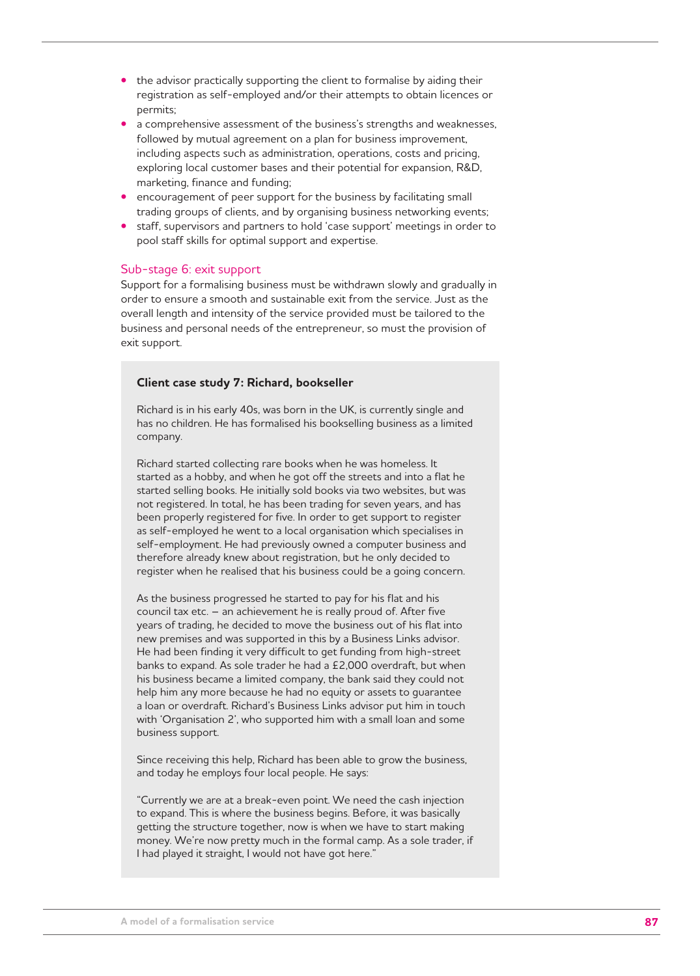- the advisor practically supporting the client to formalise by aiding their registration as self-employed and/or their attempts to obtain licences or permits;
- a comprehensive assessment of the business's strengths and weaknesses, followed by mutual agreement on a plan for business improvement, including aspects such as administration, operations, costs and pricing, exploring local customer bases and their potential for expansion, R&D, marketing, finance and funding;
- encouragement of peer support for the business by facilitating small trading groups of clients, and by organising business networking events;
- staff, supervisors and partners to hold 'case support' meetings in order to pool staff skills for optimal support and expertise.

#### Sub-stage 6: exit support

Support for a formalising business must be withdrawn slowly and gradually in order to ensure a smooth and sustainable exit from the service. Just as the overall length and intensity of the service provided must be tailored to the business and personal needs of the entrepreneur, so must the provision of exit support.

#### **Client case study 7: Richard, bookseller**

Richard is in his early 40s, was born in the UK, is currently single and has no children. He has formalised his bookselling business as a limited company.

Richard started collecting rare books when he was homeless. It started as a hobby, and when he got off the streets and into a flat he started selling books. He initially sold books via two websites, but was not registered. In total, he has been trading for seven years, and has been properly registered for five. In order to get support to register as self-employed he went to a local organisation which specialises in self-employment. He had previously owned a computer business and therefore already knew about registration, but he only decided to register when he realised that his business could be a going concern.

As the business progressed he started to pay for his flat and his council tax etc. – an achievement he is really proud of. After five years of trading, he decided to move the business out of his flat into new premises and was supported in this by a Business Links advisor. He had been finding it very difficult to get funding from high-street banks to expand. As sole trader he had a £2,000 overdraft, but when his business became a limited company, the bank said they could not help him any more because he had no equity or assets to guarantee a loan or overdraft. Richard's Business Links advisor put him in touch with 'Organisation 2', who supported him with a small loan and some business support.

Since receiving this help, Richard has been able to grow the business, and today he employs four local people. He says:

"Currently we are at a break-even point. We need the cash injection to expand. This is where the business begins. Before, it was basically getting the structure together, now is when we have to start making money. We're now pretty much in the formal camp. As a sole trader, if I had played it straight, I would not have got here."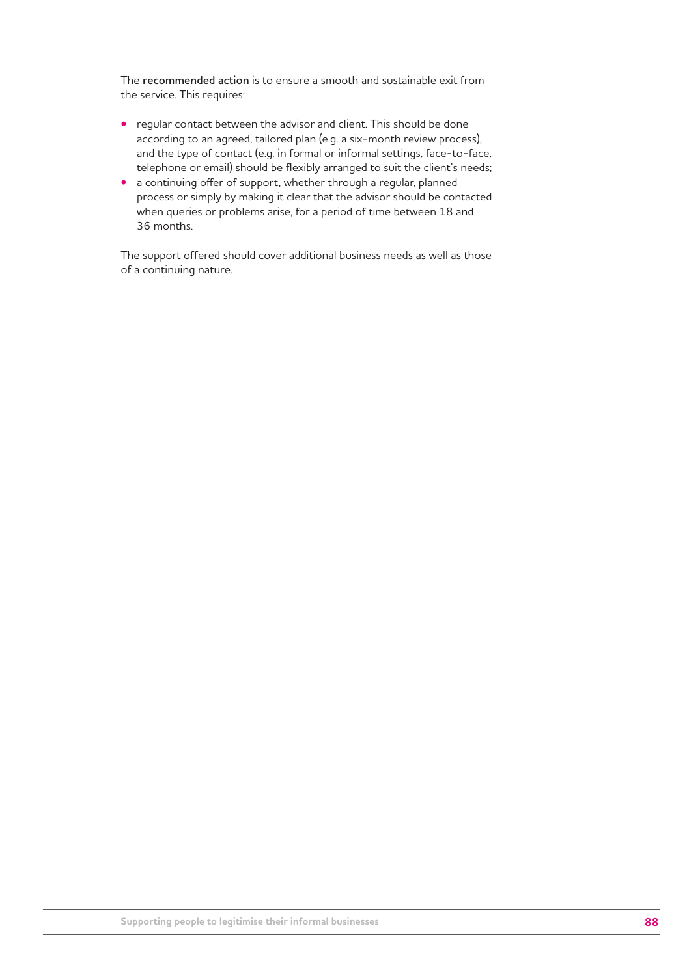The **recommended action** is to ensure a smooth and sustainable exit from the service. This requires:

- regular contact between the advisor and client. This should be done according to an agreed, tailored plan (e.g. a six-month review process), and the type of contact (e.g. in formal or informal settings, face-to-face, telephone or email) should be flexibly arranged to suit the client's needs;
- a continuing offer of support, whether through a regular, planned process or simply by making it clear that the advisor should be contacted when queries or problems arise, for a period of time between 18 and 36 months.

The support offered should cover additional business needs as well as those of a continuing nature.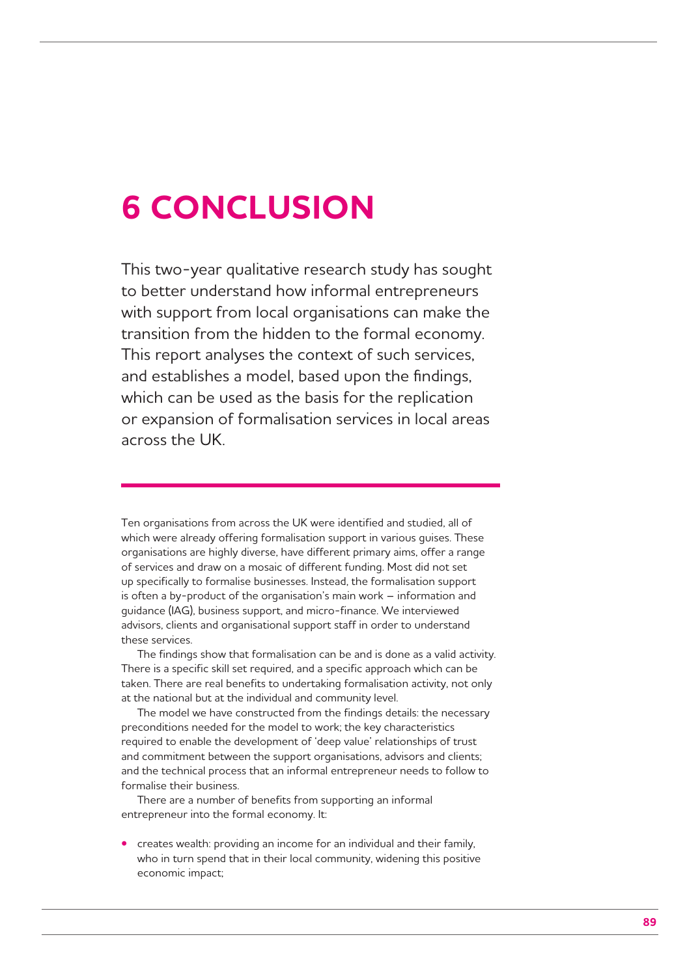## **6 CONCLUSION**

This two-year qualitative research study has sought to better understand how informal entrepreneurs with support from local organisations can make the transition from the hidden to the formal economy. This report analyses the context of such services, and establishes a model, based upon the findings, which can be used as the basis for the replication or expansion of formalisation services in local areas across the UK.

Ten organisations from across the UK were identified and studied, all of which were already offering formalisation support in various guises. These organisations are highly diverse, have different primary aims, offer a range of services and draw on a mosaic of different funding. Most did not set up specifically to formalise businesses. Instead, the formalisation support is often a by-product of the organisation's main work – information and guidance (IAG), business support, and micro-finance. We interviewed advisors, clients and organisational support staff in order to understand these services.

The findings show that formalisation can be and is done as a valid activity. There is a specific skill set required, and a specific approach which can be taken. There are real benefits to undertaking formalisation activity, not only at the national but at the individual and community level.

The model we have constructed from the findings details: the necessary preconditions needed for the model to work; the key characteristics required to enable the development of 'deep value' relationships of trust and commitment between the support organisations, advisors and clients; and the technical process that an informal entrepreneur needs to follow to formalise their business.

There are a number of benefits from supporting an informal entrepreneur into the formal economy. It:

**•** creates wealth: providing an income for an individual and their family, who in turn spend that in their local community, widening this positive economic impact;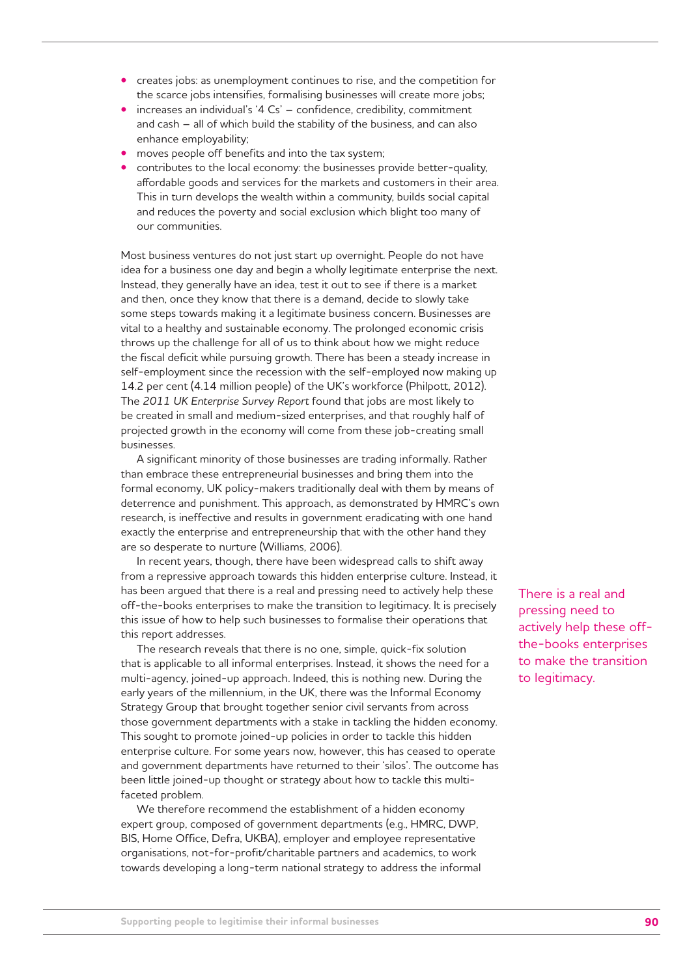- creates jobs: as unemployment continues to rise, and the competition for the scarce jobs intensifies, formalising businesses will create more jobs;
- increases an individual's '4 Cs' confidence, credibility, commitment and cash – all of which build the stability of the business, and can also enhance employability;
- moves people off benefits and into the tax system;
- contributes to the local economy: the businesses provide better-quality, affordable goods and services for the markets and customers in their area. This in turn develops the wealth within a community, builds social capital and reduces the poverty and social exclusion which blight too many of our communities.

Most business ventures do not just start up overnight. People do not have idea for a business one day and begin a wholly legitimate enterprise the next. Instead, they generally have an idea, test it out to see if there is a market and then, once they know that there is a demand, decide to slowly take some steps towards making it a legitimate business concern. Businesses are vital to a healthy and sustainable economy. The prolonged economic crisis throws up the challenge for all of us to think about how we might reduce the fiscal deficit while pursuing growth. There has been a steady increase in self-employment since the recession with the self-employed now making up 14.2 per cent (4.14 million people) of the UK's workforce (Philpott, 2012). The *2011 UK Enterprise Survey Report* found that jobs are most likely to be created in small and medium-sized enterprises, and that roughly half of projected growth in the economy will come from these job-creating small businesses.

A significant minority of those businesses are trading informally. Rather than embrace these entrepreneurial businesses and bring them into the formal economy, UK policy-makers traditionally deal with them by means of deterrence and punishment. This approach, as demonstrated by HMRC's own research, is ineffective and results in government eradicating with one hand exactly the enterprise and entrepreneurship that with the other hand they are so desperate to nurture (Williams, 2006).

In recent years, though, there have been widespread calls to shift away from a repressive approach towards this hidden enterprise culture. Instead, it has been argued that there is a real and pressing need to actively help these off-the-books enterprises to make the transition to legitimacy. It is precisely this issue of how to help such businesses to formalise their operations that this report addresses.

The research reveals that there is no one, simple, quick-fix solution that is applicable to all informal enterprises. Instead, it shows the need for a multi-agency, joined-up approach. Indeed, this is nothing new. During the early years of the millennium, in the UK, there was the Informal Economy Strategy Group that brought together senior civil servants from across those government departments with a stake in tackling the hidden economy. This sought to promote joined-up policies in order to tackle this hidden enterprise culture. For some years now, however, this has ceased to operate and government departments have returned to their 'silos'. The outcome has been little joined-up thought or strategy about how to tackle this multifaceted problem.

We therefore recommend the establishment of a hidden economy expert group, composed of government departments (e.g., HMRC, DWP, BIS, Home Office, Defra, UKBA), employer and employee representative organisations, not-for-profit/charitable partners and academics, to work towards developing a long-term national strategy to address the informal There is a real and pressing need to actively help these offthe-books enterprises to make the transition to legitimacy.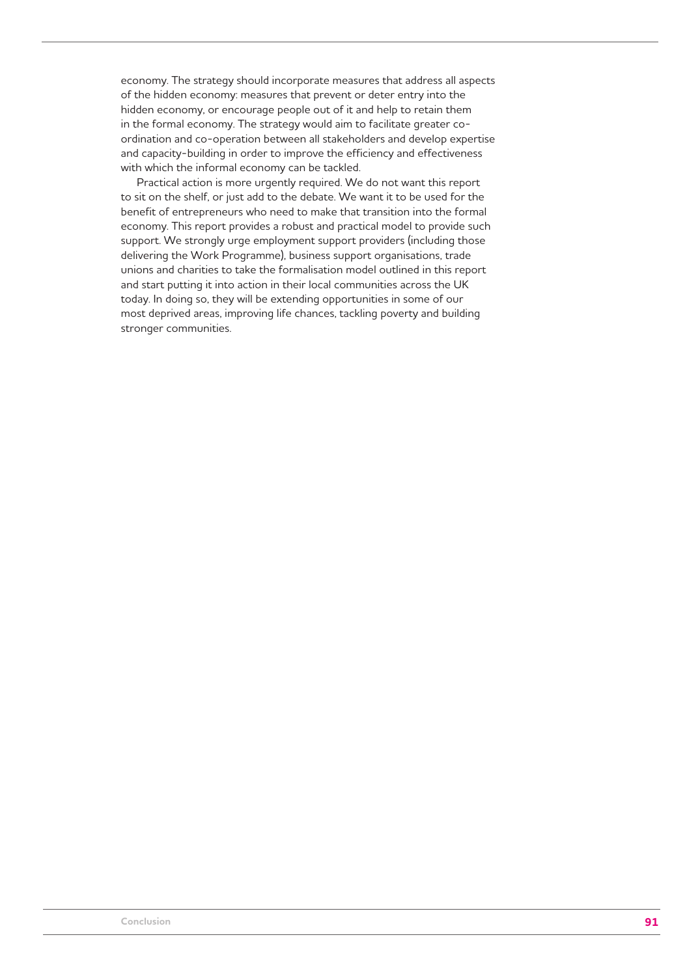economy. The strategy should incorporate measures that address all aspects of the hidden economy: measures that prevent or deter entry into the hidden economy, or encourage people out of it and help to retain them in the formal economy. The strategy would aim to facilitate greater coordination and co-operation between all stakeholders and develop expertise and capacity-building in order to improve the efficiency and effectiveness with which the informal economy can be tackled.

Practical action is more urgently required. We do not want this report to sit on the shelf, or just add to the debate. We want it to be used for the benefit of entrepreneurs who need to make that transition into the formal economy. This report provides a robust and practical model to provide such support. We strongly urge employment support providers (including those delivering the Work Programme), business support organisations, trade unions and charities to take the formalisation model outlined in this report and start putting it into action in their local communities across the UK today. In doing so, they will be extending opportunities in some of our most deprived areas, improving life chances, tackling poverty and building stronger communities.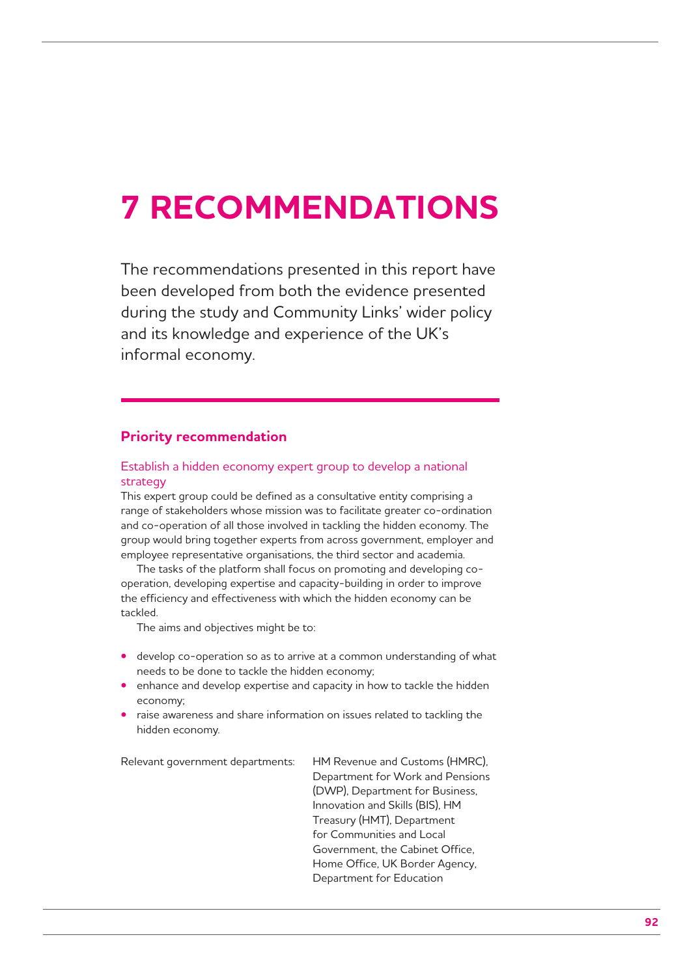# **7 RECOMMENDATIONS**

The recommendations presented in this report have been developed from both the evidence presented during the study and Community Links' wider policy and its knowledge and experience of the UK's informal economy.

## **Priority recommendation**

### Establish a hidden economy expert group to develop a national strategy

This expert group could be defined as a consultative entity comprising a range of stakeholders whose mission was to facilitate greater co-ordination and co-operation of all those involved in tackling the hidden economy. The group would bring together experts from across government, employer and employee representative organisations, the third sector and academia.

The tasks of the platform shall focus on promoting and developing cooperation, developing expertise and capacity-building in order to improve the efficiency and effectiveness with which the hidden economy can be tackled.

The aims and objectives might be to:

- develop co-operation so as to arrive at a common understanding of what needs to be done to tackle the hidden economy;
- enhance and develop expertise and capacity in how to tackle the hidden economy;
- raise awareness and share information on issues related to tackling the hidden economy.

| Relevant government departments: | HM Revenue and Customs (HMRC),   |
|----------------------------------|----------------------------------|
|                                  | Department for Work and Pensions |
|                                  | (DWP), Department for Business,  |
|                                  | Innovation and Skills (BIS), HM  |
|                                  | Treasury (HMT), Department       |
|                                  | for Communities and Local        |
|                                  | Government, the Cabinet Office,  |
|                                  | Home Office, UK Border Agency,   |
|                                  | Department for Education         |
|                                  |                                  |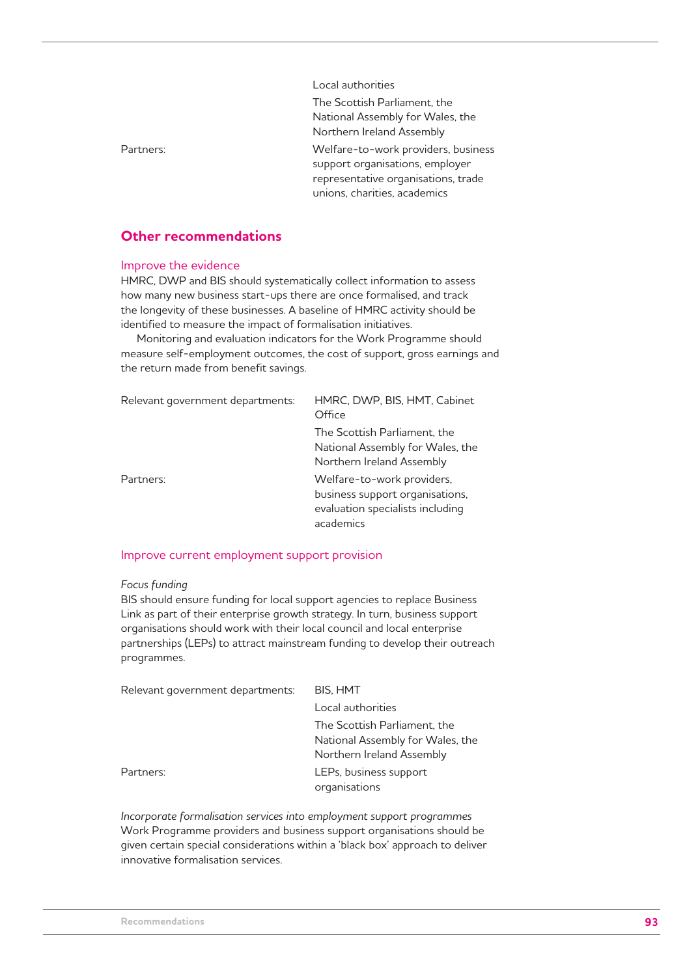|           | Local authorities                                                                                                                             |
|-----------|-----------------------------------------------------------------------------------------------------------------------------------------------|
|           | The Scottish Parliament, the<br>National Assembly for Wales, the<br>Northern Ireland Assembly                                                 |
| Partners: | Welfare-to-work providers, business<br>support organisations, employer<br>representative organisations, trade<br>unions, charities, academics |

## **Other recommendations**

#### Improve the evidence

HMRC, DWP and BIS should systematically collect information to assess how many new business start-ups there are once formalised, and track the longevity of these businesses. A baseline of HMRC activity should be identified to measure the impact of formalisation initiatives.

Monitoring and evaluation indicators for the Work Programme should measure self-employment outcomes, the cost of support, gross earnings and the return made from benefit savings.

| Relevant government departments: | HMRC, DWP, BIS, HMT, Cabinet<br>Office                                                                         |
|----------------------------------|----------------------------------------------------------------------------------------------------------------|
|                                  | The Scottish Parliament, the<br>National Assembly for Wales, the<br>Northern Ireland Assembly                  |
| Partners:                        | Welfare-to-work providers,<br>business support organisations,<br>evaluation specialists including<br>academics |

#### Improve current employment support provision

#### *Focus funding*

BIS should ensure funding for local support agencies to replace Business Link as part of their enterprise growth strategy. In turn, business support organisations should work with their local council and local enterprise partnerships (LEPs) to attract mainstream funding to develop their outreach programmes.

| Relevant government departments: | <b>BIS, HMT</b>                                                                               |
|----------------------------------|-----------------------------------------------------------------------------------------------|
|                                  | Local authorities                                                                             |
|                                  | The Scottish Parliament, the<br>National Assembly for Wales, the<br>Northern Ireland Assembly |
| Partners:                        | LEPs, business support<br>organisations                                                       |

*Incorporate formalisation services into employment support programmes* Work Programme providers and business support organisations should be given certain special considerations within a 'black box' approach to deliver innovative formalisation services.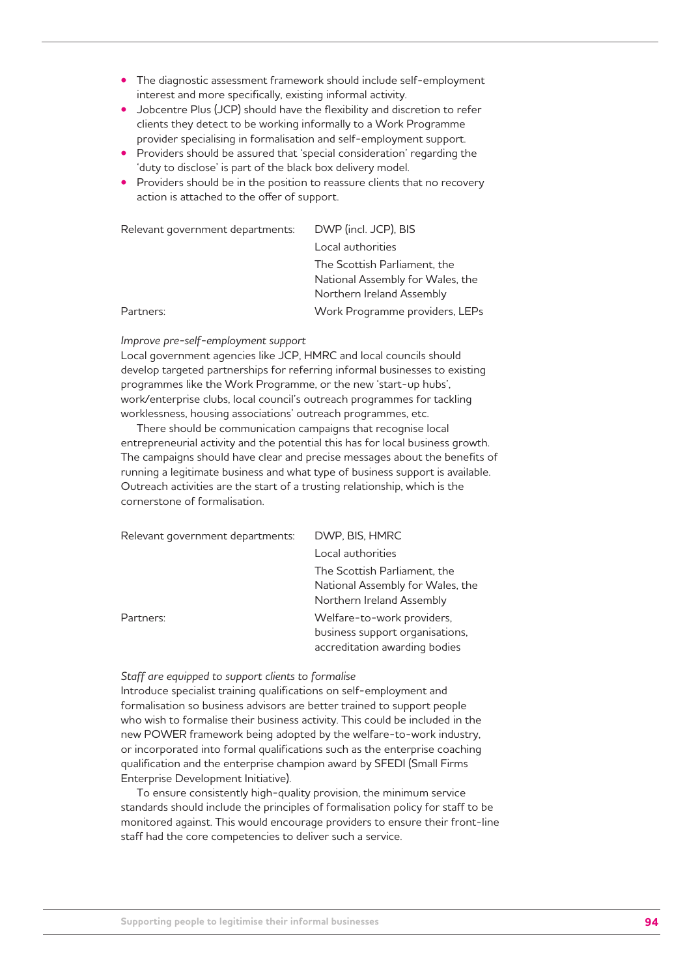- The diagnostic assessment framework should include self-employment interest and more specifically, existing informal activity.
- Jobcentre Plus (JCP) should have the flexibility and discretion to refer clients they detect to be working informally to a Work Programme provider specialising in formalisation and self-employment support.
- Providers should be assured that 'special consideration' regarding the 'duty to disclose' is part of the black box delivery model.
- Providers should be in the position to reassure clients that no recovery action is attached to the offer of support.

| Relevant government departments: | DWP (incl. JCP), BIS             |
|----------------------------------|----------------------------------|
|                                  | Local authorities                |
|                                  | The Scottish Parliament, the     |
|                                  | National Assembly for Wales, the |
|                                  | Northern Ireland Assembly        |
| Partners:                        | Work Programme providers, LEPs   |

#### *Improve pre-self-employment support*

Local government agencies like JCP, HMRC and local councils should develop targeted partnerships for referring informal businesses to existing programmes like the Work Programme, or the new 'start-up hubs', work/enterprise clubs, local council's outreach programmes for tackling worklessness, housing associations' outreach programmes, etc.

There should be communication campaigns that recognise local entrepreneurial activity and the potential this has for local business growth. The campaigns should have clear and precise messages about the benefits of running a legitimate business and what type of business support is available. Outreach activities are the start of a trusting relationship, which is the cornerstone of formalisation.

| Relevant government departments: | DWP, BIS, HMRC                                                                                 |
|----------------------------------|------------------------------------------------------------------------------------------------|
|                                  | Local authorities                                                                              |
|                                  | The Scottish Parliament, the<br>National Assembly for Wales, the<br>Northern Ireland Assembly  |
| Partners:                        | Welfare-to-work providers,<br>business support organisations,<br>accreditation awarding bodies |

#### *Staff are equipped to support clients to formalise*

Introduce specialist training qualifications on self-employment and formalisation so business advisors are better trained to support people who wish to formalise their business activity. This could be included in the new POWER framework being adopted by the welfare-to-work industry, or incorporated into formal qualifications such as the enterprise coaching qualification and the enterprise champion award by SFEDI (Small Firms Enterprise Development Initiative).

To ensure consistently high-quality provision, the minimum service standards should include the principles of formalisation policy for staff to be monitored against. This would encourage providers to ensure their front-line staff had the core competencies to deliver such a service.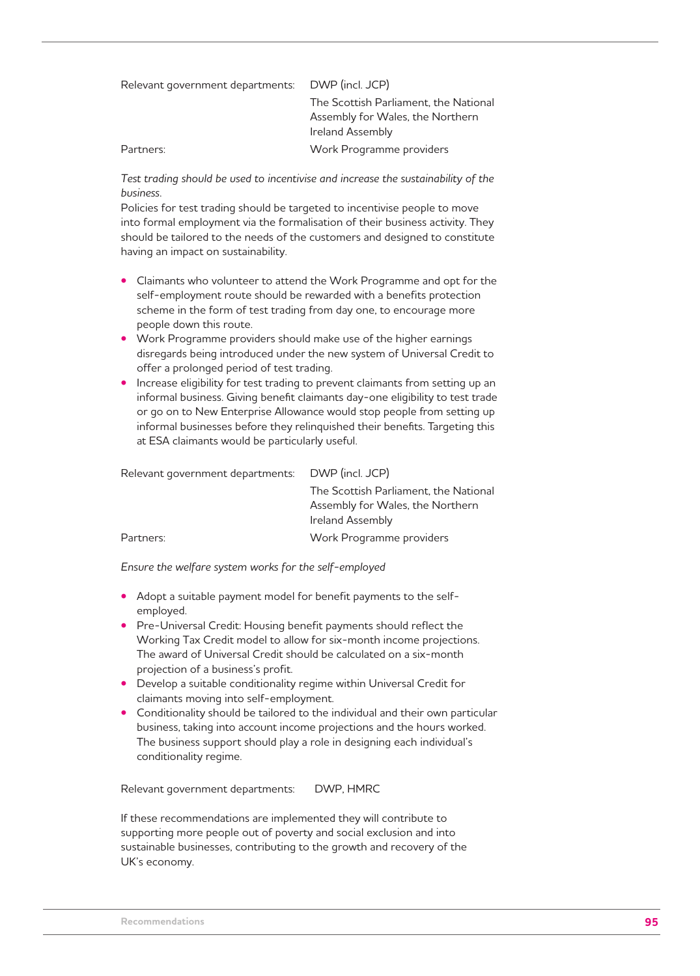| Relevant government departments: | DWP (incl. JCP)                       |
|----------------------------------|---------------------------------------|
|                                  | The Scottish Parliament, the National |
|                                  | Assembly for Wales, the Northern      |
|                                  | Ireland Assembly                      |
| Partners:                        | Work Programme providers              |

*Test trading should be used to incentivise and increase the sustainability of the business.* 

Policies for test trading should be targeted to incentivise people to move into formal employment via the formalisation of their business activity. They should be tailored to the needs of the customers and designed to constitute having an impact on sustainability.

- Claimants who volunteer to attend the Work Programme and opt for the self-employment route should be rewarded with a benefits protection scheme in the form of test trading from day one, to encourage more people down this route.
- Work Programme providers should make use of the higher earnings disregards being introduced under the new system of Universal Credit to offer a prolonged period of test trading.
- Increase eligibility for test trading to prevent claimants from setting up an informal business. Giving benefit claimants day-one eligibility to test trade or go on to New Enterprise Allowance would stop people from setting up informal businesses before they relinguished their benefits. Targeting this at ESA claimants would be particularly useful.

| Relevant government departments: | DWP (incl. JCP)                       |
|----------------------------------|---------------------------------------|
|                                  | The Scottish Parliament, the National |
|                                  | Assembly for Wales, the Northern      |
|                                  | Ireland Assembly                      |
| Partners:                        | Work Programme providers              |

*Ensure the welfare system works for the self-employed*

- Adopt a suitable payment model for benefit payments to the selfemployed.
- Pre-Universal Credit: Housing benefit payments should reflect the Working Tax Credit model to allow for six-month income projections. The award of Universal Credit should be calculated on a six-month projection of a business's profit.
- Develop a suitable conditionality regime within Universal Credit for claimants moving into self-employment.
- Conditionality should be tailored to the individual and their own particular business, taking into account income projections and the hours worked. The business support should play a role in designing each individual's conditionality regime.

Relevant government departments: DWP, HMRC

If these recommendations are implemented they will contribute to supporting more people out of poverty and social exclusion and into sustainable businesses, contributing to the growth and recovery of the UK's economy.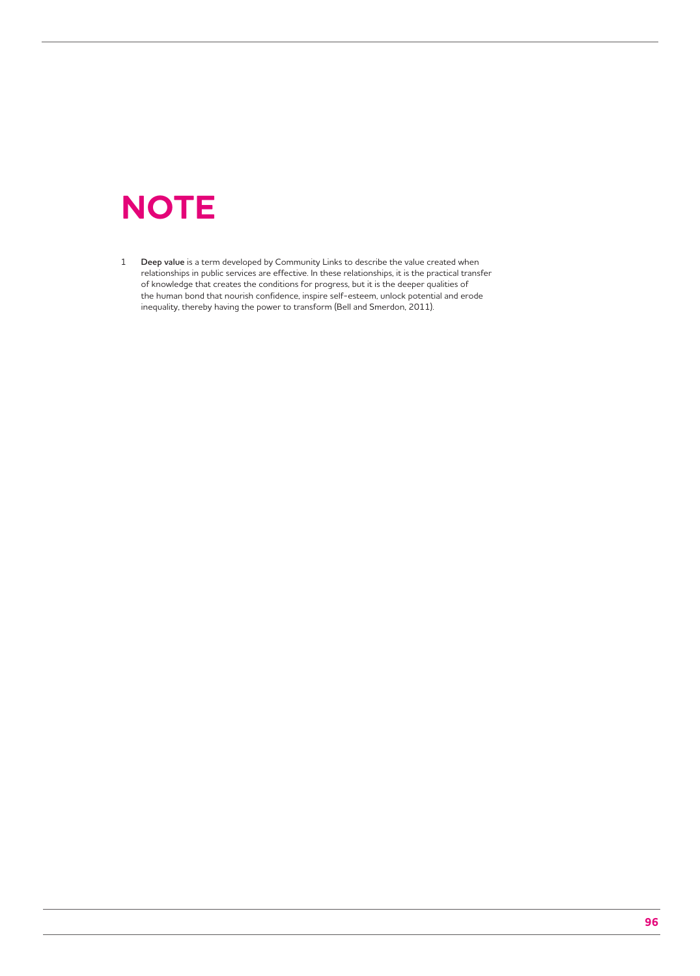## **NOTE**

1 **Deep value** is a term developed by Community Links to describe the value created when relationships in public services are effective. In these relationships, it is the practical transfer of knowledge that creates the conditions for progress, but it is the deeper qualities of the human bond that nourish confidence, inspire self-esteem, unlock potential and erode inequality, thereby having the power to transform (Bell and Smerdon, 2011).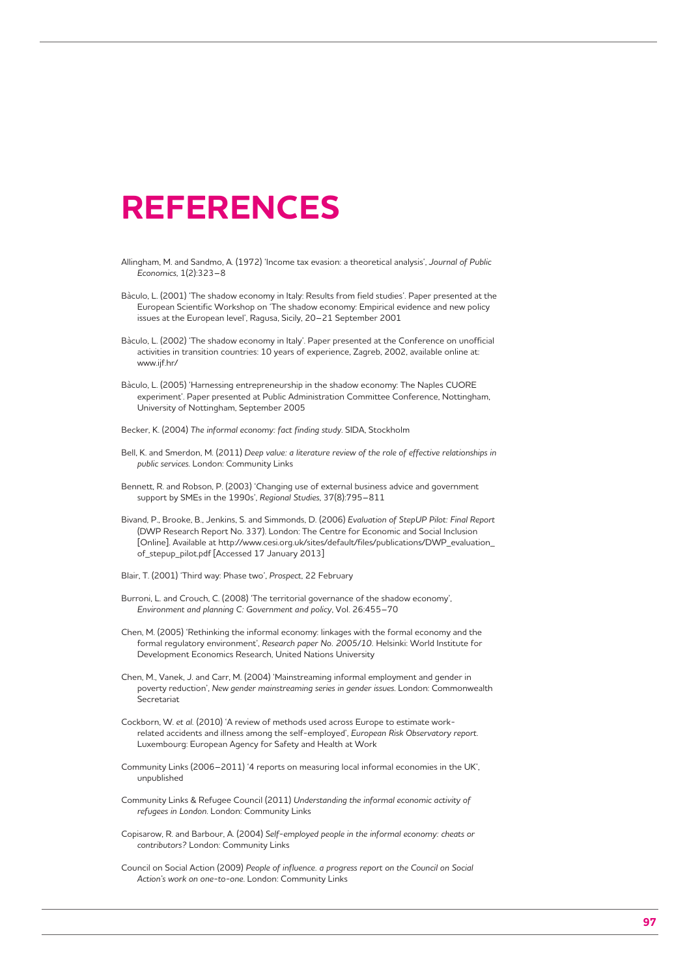## **REFERENCES**

- Allingham, M. and Sandmo, A. (1972) 'Income tax evasion: a theoretical analysis', *Journal of Public Economics*, 1(2):323–8
- Bàculo, L. (2001) 'The shadow economy in Italy: Results from field studies'. Paper presented at the European Scientific Workshop on 'The shadow economy: Empirical evidence and new policy issues at the European level', Ragusa, Sicily, 20–21 September 2001
- Bàculo, L. (2002) 'The shadow economy in Italy'. Paper presented at the Conference on unofficial activities in transition countries: 10 years of experience, Zagreb, 2002, available online at: www.ijf.hr/
- Bàculo, L. (2005) 'Harnessing entrepreneurship in the shadow economy: The Naples CUORE experiment'. Paper presented at Public Administration Committee Conference, Nottingham, University of Nottingham, September 2005
- Becker, K. (2004) *The informal economy: fact finding study*. SIDA, Stockholm
- Bell, K. and Smerdon, M. (2011) *Deep value: a literature review of the role of effective relationships in public services*. London: Community Links
- Bennett, R. and Robson, P. (2003) 'Changing use of external business advice and government support by SMEs in the 1990s', *Regional Studies*, 37(8):795–811
- Bivand, P., Brooke, B., Jenkins, S. and Simmonds, D. (2006) *Evaluation of StepUP Pilot: Final Report* (DWP Research Report No. 337). London: The Centre for Economic and Social Inclusion [Online]. Available at http://www.cesi.org.uk/sites/default/files/publications/DWP\_evaluation\_ of\_stepup\_pilot.pdf [Accessed 17 January 2013]
- Blair, T. (2001) 'Third way: Phase two', *Prospect*, 22 February
- Burroni, L. and Crouch, C. (2008) 'The territorial governance of the shadow economy', *Environment and planning C: Government and policy*, Vol. 26:455–70
- Chen, M. (2005) 'Rethinking the informal economy: linkages with the formal economy and the formal regulatory environment', *Research paper No. 2005/10.* Helsinki: World Institute for Development Economics Research, United Nations University
- Chen, M., Vanek, J. and Carr, M. (2004) 'Mainstreaming informal employment and gender in poverty reduction', *New gender mainstreaming series in gender issues*. London: Commonwealth **Secretariat**
- Cockborn, W. *et al.* (2010) 'A review of methods used across Europe to estimate workrelated accidents and illness among the self-employed', *European Risk Observatory report*. Luxembourg: European Agency for Safety and Health at Work
- Community Links (2006–2011) '4 reports on measuring local informal economies in the UK', unpublished
- Community Links & Refugee Council (2011) *Understanding the informal economic activity of refugees in London*. London: Community Links
- Copisarow, R. and Barbour, A. (2004) *Self-employed people in the informal economy: cheats or contributors?* London: Community Links
- Council on Social Action (2009) *People of influence. a progress report on the Council on Social Action's work on one-to-one*. London: Community Links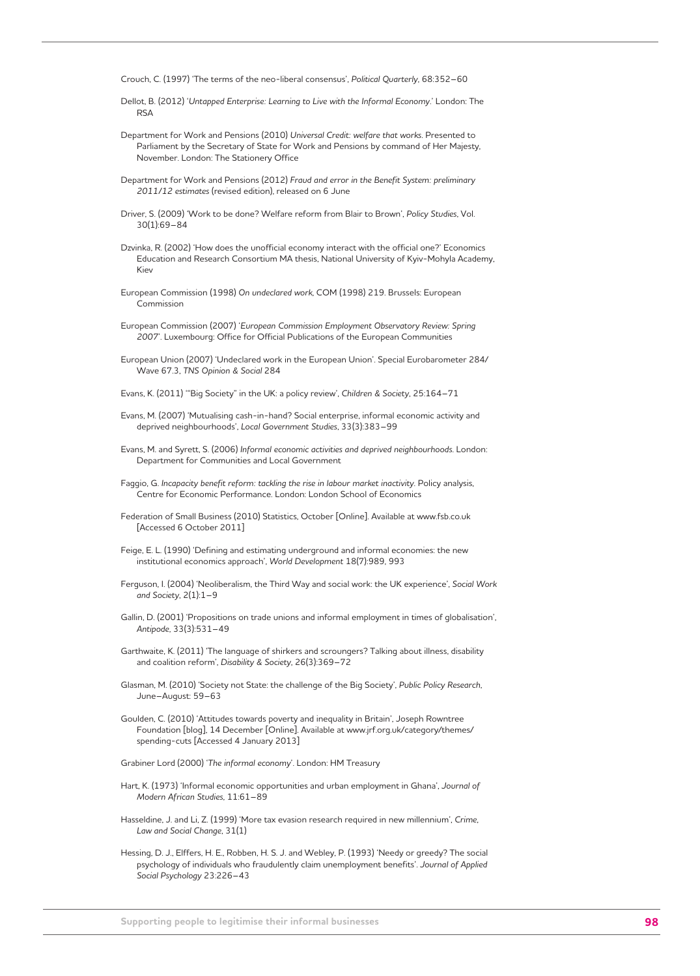Crouch, C. (1997) 'The terms of the neo-liberal consensus', *Political Quarterly*, 68:352–60

- Dellot, B. (2012) '*Untapped Enterprise: Learning to Live with the Informal Economy*.' London: The **RSA**
- Department for Work and Pensions (2010) *Universal Credit: welfare that works*. Presented to Parliament by the Secretary of State for Work and Pensions by command of Her Majesty, November. London: The Stationery Office
- Department for Work and Pensions (2012) *Fraud and error in the Benefit System: preliminary 2011/12 estimates* (revised edition), released on 6 June
- Driver, S. (2009) 'Work to be done? Welfare reform from Blair to Brown', *Policy Studies*, Vol. 30(1):69–84
- Dzvinka, R. (2002) 'How does the unofficial economy interact with the official one?' Economics Education and Research Consortium MA thesis, National University of Kyiv-Mohyla Academy, Kiev
- European Commission (1998) *On undeclared work*, COM (1998) 219. Brussels: European Commission
- European Commission (2007) '*European Commission Employment Observatory Review: Spring 2007*'. Luxembourg: Office for Official Publications of the European Communities
- European Union (2007) 'Undeclared work in the European Union'. Special Eurobarometer 284/ Wave 67.3, *TNS Opinion & Social* 284
- Evans, K. (2011) '"Big Society" in the UK: a policy review', *Children & Society*, 25:164–71
- Evans, M. (2007) 'Mutualising cash-in-hand? Social enterprise, informal economic activity and deprived neighbourhoods', *Local Government Studies*, 33(3):383–99
- Evans, M. and Syrett, S. (2006) *Informal economic activities and deprived neighbourhoods*. London: Department for Communities and Local Government
- Faggio, G. *Incapacity benefit reform: tackling the rise in labour market inactivity*. Policy analysis, Centre for Economic Performance. London: London School of Economics
- Federation of Small Business (2010) Statistics, October [Online]. Available at www.fsb.co.uk [Accessed 6 October 2011]
- Feige, E. L. (1990) 'Defining and estimating underground and informal economies: the new institutional economics approach', *World Development* 18(7):989, 993
- Ferguson, I. (2004) 'Neoliberalism, the Third Way and social work: the UK experience', *Social Work and Society*, 2(1):1–9
- Gallin, D. (2001) 'Propositions on trade unions and informal employment in times of globalisation', *Antipode*, 33(3):531–49
- Garthwaite, K. (2011) 'The language of shirkers and scroungers? Talking about illness, disability and coalition reform', *Disability & Society*, 26(3):369–72
- Glasman, M. (2010) 'Society not State: the challenge of the Big Society', *Public Policy Research*, June–August: 59–63
- Goulden, C. (2010) 'Attitudes towards poverty and inequality in Britain', Joseph Rowntree Foundation [blog], 14 December [Online]. Available at www.jrf.org.uk/category/themes/ spending-cuts [Accessed 4 January 2013]
- Grabiner Lord (2000) '*The informal economy*'. London: HM Treasury
- Hart, K. (1973) 'Informal economic opportunities and urban employment in Ghana', *Journal of Modern African Studies*, 11:61–89
- Hasseldine, J. and Li, Z. (1999) 'More tax evasion research required in new millennium', *Crime, Law and Social Change*, 31(1)
- Hessing, D. J., Elffers, H. E., Robben, H. S. J. and Webley, P. (1993) 'Needy or greedy? The social psychology of individuals who fraudulently claim unemployment benefits'. *Journal of Applied Social Psychology* 23:226–43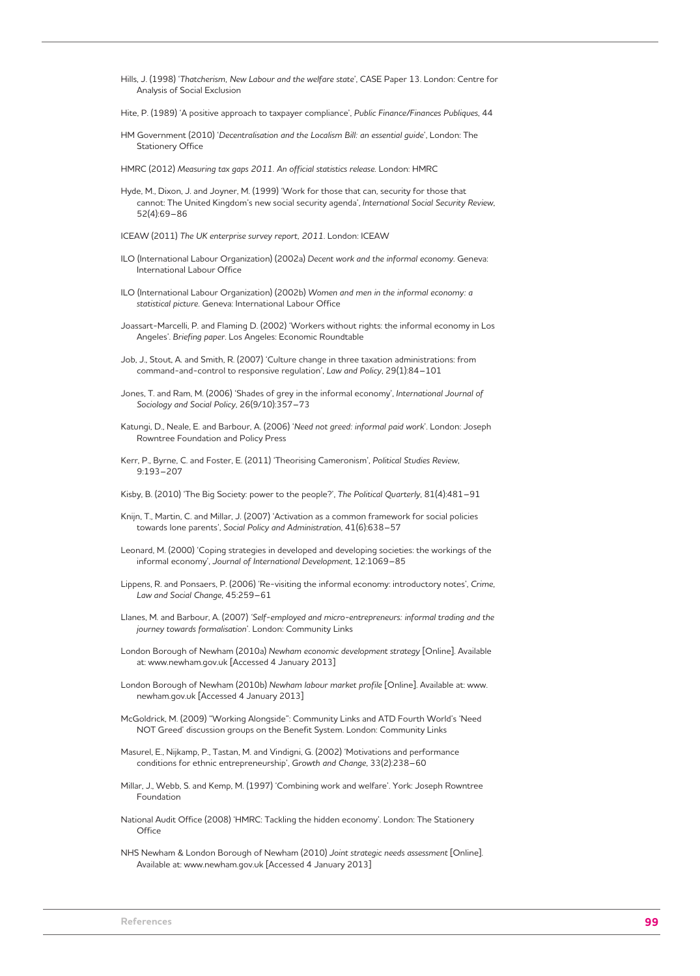- Hills, J. (1998) '*Thatcherism, New Labour and the welfare state*', CASE Paper 13. London: Centre for Analysis of Social Exclusion
- Hite, P. (1989) 'A positive approach to taxpayer compliance', *Public Finance/Finances Publiques*, 44
- HM Government (2010) '*Decentralisation and the Localism Bill: an essential guide*', London: The Stationery Office
- HMRC (2012) *Measuring tax gaps 2011. An official statistics release*. London: HMRC
- Hyde, M., Dixon, J. and Joyner, M. (1999) 'Work for those that can, security for those that cannot: The United Kingdom's new social security agenda', *International Social Security Review*, 52(4):69–86
- ICEAW (2011) *The UK enterprise survey report, 2011*. London: ICEAW
- ILO (International Labour Organization) (2002a) *Decent work and the informal economy*. Geneva: International Labour Office
- ILO (International Labour Organization) (2002b) *Women and men in the informal economy: a statistical picture*. Geneva: International Labour Office
- Joassart-Marcelli, P. and Flaming D. (2002) 'Workers without rights: the informal economy in Los Angeles'. *Briefing paper*. Los Angeles: Economic Roundtable
- Job, J., Stout, A. and Smith, R. (2007) 'Culture change in three taxation administrations: from command-and-control to responsive regulation', *Law and Policy*, 29(1):84–101
- Jones, T. and Ram, M. (2006) 'Shades of grey in the informal economy', *International Journal of Sociology and Social Policy*, 26(9/10):357–73
- Katungi, D., Neale, E. and Barbour, A. (2006) '*Need not greed: informal paid work*'. London: Joseph Rowntree Foundation and Policy Press
- Kerr, P., Byrne, C. and Foster, E. (2011) 'Theorising Cameronism', *Political Studies Review*, 9:193–207
- Kisby, B. (2010) 'The Big Society: power to the people?', *The Political Quarterly*, 81(4):481–91
- Knijn, T., Martin, C. and Millar, J. (2007) 'Activation as a common framework for social policies towards lone parents', *Social Policy and Administration*, 41(6):638–57
- Leonard, M. (2000) 'Coping strategies in developed and developing societies: the workings of the informal economy', *Journal of International Development*, 12:1069–85
- Lippens, R. and Ponsaers, P. (2006) 'Re-visiting the informal economy: introductory notes', *Crime, Law and Social Change*, 45:259–61
- Llanes, M. and Barbour, A. (2007) *'Self-employed and micro-entrepreneurs: informal trading and the journey towards formalisation*'. London: Community Links
- London Borough of Newham (2010a) *Newham economic development strategy* [Online]. Available at: www.newham.gov.uk [Accessed 4 January 2013]
- London Borough of Newham (2010b) *Newham labour market profile* [Online]. Available at: www. newham.gov.uk [Accessed 4 January 2013]
- McGoldrick, M. (2009) "Working Alongside": Community Links and ATD Fourth World's 'Need NOT Greed' discussion groups on the Benefit System. London: Community Links
- Masurel, E., Nijkamp, P., Tastan, M. and Vindigni, G. (2002) 'Motivations and performance conditions for ethnic entrepreneurship', *Growth and Change*, 33(2):238–60
- Millar, J., Webb, S. and Kemp, M. (1997) 'Combining work and welfare'. York: Joseph Rowntree Foundation
- National Audit Office (2008) 'HMRC: Tackling the hidden economy'. London: The Stationery **Office**
- NHS Newham & London Borough of Newham (2010) *Joint strategic needs assessment* [Online]. Available at: www.newham.gov.uk [Accessed 4 January 2013]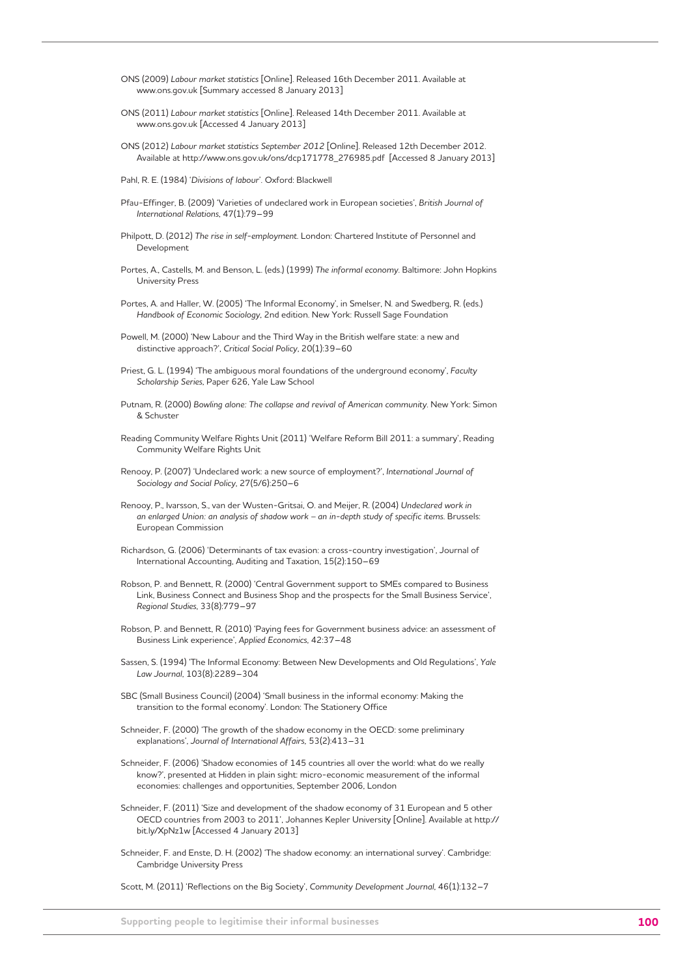- ONS (2009) *Labour market statistics* [Online]. Released 16th December 2011. Available at www.ons.gov.uk [Summary accessed 8 January 2013]
- ONS (2011) *Labour market statistics* [Online]. Released 14th December 2011. Available at www.ons.gov.uk [Accessed 4 January 2013]
- ONS (2012) *Labour market statistics September 2012* [Online]. Released 12th December 2012. Available at http://www.ons.gov.uk/ons/dcp171778\_276985.pdf [Accessed 8 January 2013]
- Pahl, R. E. (1984) '*Divisions of labour*'. Oxford: Blackwell
- Pfau-Effinger, B. (2009) 'Varieties of undeclared work in European societies', *British Journal of International Relations*, 47(1):79–99
- Philpott, D. (2012) *The rise in self-employment*. London: Chartered Institute of Personnel and Development
- Portes, A., Castells, M. and Benson, L. (eds.) (1999) *The informal economy*. Baltimore: John Hopkins University Press
- Portes, A. and Haller, W. (2005) 'The Informal Economy', in Smelser, N. and Swedberg, R. (eds.) *Handbook of Economic Sociology*, 2nd edition. New York: Russell Sage Foundation
- Powell, M. (2000) 'New Labour and the Third Way in the British welfare state: a new and distinctive approach?', *Critical Social Policy*, 20(1):39–60
- Priest, G. L. (1994) 'The ambiguous moral foundations of the underground economy', *Faculty Scholarship Series*, Paper 626, Yale Law School
- Putnam, R. (2000) *Bowling alone: The collapse and revival of American community*. New York: Simon & Schuster
- Reading Community Welfare Rights Unit (2011) 'Welfare Reform Bill 2011: a summary', Reading Community Welfare Rights Unit
- Renooy, P. (2007) 'Undeclared work: a new source of employment?', *International Journal of Sociology and Social Policy*, 27(5/6):250–6
- Renooy, P., Ivarsson, S., van der Wusten-Gritsai, O. and Meijer, R. (2004) *Undeclared work in an enlarged Union: an analysis of shadow work – an in-depth study of specific items*. Brussels: European Commission
- Richardson, G. (2006) 'Determinants of tax evasion: a cross-country investigation', Journal of International Accounting, Auditing and Taxation, 15(2):150–69
- Robson, P. and Bennett, R. (2000) 'Central Government support to SMEs compared to Business Link, Business Connect and Business Shop and the prospects for the Small Business Service', *Regional Studies*, 33(8):779–97
- Robson, P. and Bennett, R. (2010) 'Paying fees for Government business advice: an assessment of Business Link experience', *Applied Economics*, 42:37–48
- Sassen, S. (1994) 'The Informal Economy: Between New Developments and Old Regulations', *Yale Law Journal*, 103(8):2289–304
- SBC (Small Business Council) (2004) 'Small business in the informal economy: Making the transition to the formal economy'. London: The Stationery Office
- Schneider, F. (2000) 'The growth of the shadow economy in the OECD: some preliminary explanations', *Journal of International Affairs,* 53(2):413–31
- Schneider, F. (2006) 'Shadow economies of 145 countries all over the world: what do we really know?', presented at Hidden in plain sight: micro-economic measurement of the informal economies: challenges and opportunities, September 2006, London
- Schneider, F. (2011) 'Size and development of the shadow economy of 31 European and 5 other OECD countries from 2003 to 2011', Johannes Kepler University [Online]. Available at http:// bit.ly/XpNz1w [Accessed 4 January 2013]
- Schneider, F. and Enste, D. H. (2002) 'The shadow economy: an international survey'. Cambridge: Cambridge University Press

Scott, M. (2011) 'Reflections on the Big Society', *Community Development Journal*, 46(1):132–7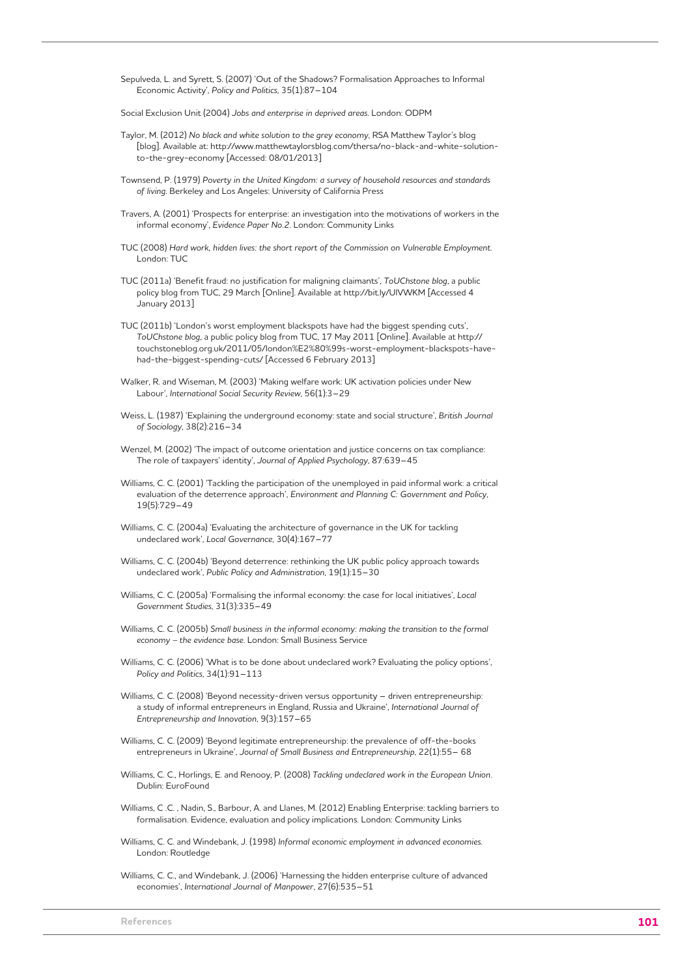Sepulveda, L. and Syrett, S. (2007) 'Out of the Shadows? Formalisation Approaches to Informal Economic Activity', *Policy and Politics*, 35(1):87–104

Social Exclusion Unit (2004) *Jobs and enterprise in deprived areas*. London: ODPM

- Taylor, M. (2012) *No black and white solution to the grey economy*, RSA Matthew Taylor's blog [blog]. Available at: http://www.matthewtaylorsblog.com/thersa/no-black-and-white-solutionto-the-grey-economy [Accessed: 08/01/2013]
- Townsend, P. (1979) *Poverty in the United Kingdom: a survey of household resources and standards of living*. Berkeley and Los Angeles: University of California Press
- Travers, A. (2001) 'Prospects for enterprise: an investigation into the motivations of workers in the informal economy', *Evidence Paper No.2*. London: Community Links
- TUC (2008) *Hard work, hidden lives: the short report of the Commission on Vulnerable Employment*. London: TUC
- TUC (2011a) 'Benefit fraud: no justification for maligning claimants', *ToUChstone blog*, a public policy blog from TUC, 29 March [Online]. Available at http://bit.ly/UlVWKM [Accessed 4 January 2013]
- TUC (2011b) 'London's worst employment blackspots have had the biggest spending cuts', *ToUChstone blog*, a public policy blog from TUC, 17 May 2011 [Online]. Available at http:// touchstoneblog.org.uk/2011/05/london%E2%80%99s-worst-employment-blackspots-havehad-the-biggest-spending-cuts/ [Accessed 6 February 2013]
- Walker, R. and Wiseman, M. (2003) 'Making welfare work: UK activation policies under New Labour', *International Social Security Review*, 56(1):3–29
- Weiss, L. (1987) 'Explaining the underground economy: state and social structure', *British Journal of Sociology*, 38(2):216–34
- Wenzel, M. (2002) 'The impact of outcome orientation and justice concerns on tax compliance: The role of taxpayers' identity', *Journal of Applied Psychology*, 87:639–45
- Williams, C. C. (2001) 'Tackling the participation of the unemployed in paid informal work: a critical evaluation of the deterrence approach', *Environment and Planning C: Government and Policy*, 19(5):729–49
- Williams, C. C. (2004a) 'Evaluating the architecture of governance in the UK for tackling undeclared work', *Local Governance*, 30(4):167–77
- Williams, C. C. (2004b) 'Beyond deterrence: rethinking the UK public policy approach towards undeclared work', *Public Policy and Administration*, 19(1):15–30
- Williams, C. C. (2005a) 'Formalising the informal economy: the case for local initiatives', *Local Government Studies*, 31(3):335–49
- Williams, C. C. (2005b) *Small business in the informal economy: making the transition to the formal economy – the evidence base*. London: Small Business Service
- Williams, C. C. (2006) 'What is to be done about undeclared work? Evaluating the policy options', *Policy and Politics*, 34(1):91–113
- Williams, C. C. (2008) 'Beyond necessity-driven versus opportunity driven entrepreneurship: a study of informal entrepreneurs in England, Russia and Ukraine', *International Journal of Entrepreneurship and Innovation*, 9(3):157–65
- Williams, C. C. (2009) 'Beyond legitimate entrepreneurship: the prevalence of off-the-books entrepreneurs in Ukraine', *Journal of Small Business and Entrepreneurship*, 22(1):55– 68
- Williams, C. C., Horlings, E. and Renooy, P. (2008) *Tackling undeclared work in the European Union*. Dublin: EuroFound
- Williams, C .C. , Nadin, S., Barbour, A. and Llanes, M. (2012) Enabling Enterprise: tackling barriers to formalisation. Evidence, evaluation and policy implications. London: Community Links
- Williams, C. C. and Windebank, J. (1998) *Informal economic employment in advanced economies*. London: Routledge
- Williams, C. C., and Windebank, J. (2006) 'Harnessing the hidden enterprise culture of advanced economies', *International Journal of Manpower*, 27(6):535–51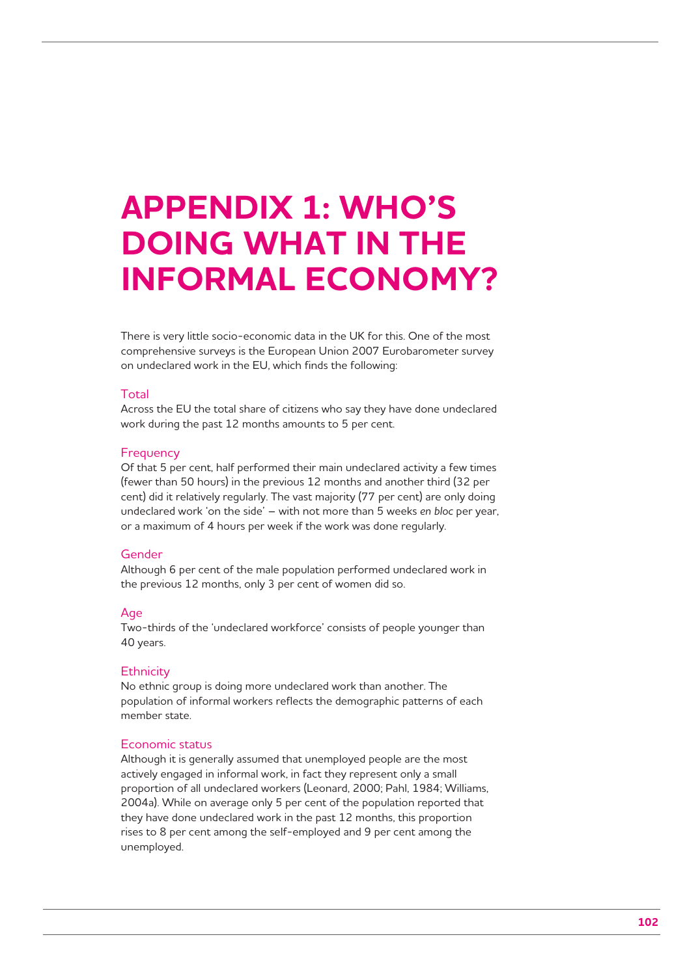## **APPENDIX 1: WHO'S DOING WHAT IN THE INFORMAL ECONOMY?**

There is very little socio-economic data in the UK for this. One of the most comprehensive surveys is the European Union 2007 Eurobarometer survey on undeclared work in the EU, which finds the following:

#### **Total**

Across the EU the total share of citizens who say they have done undeclared work during the past 12 months amounts to 5 per cent.

#### **Frequency**

Of that 5 per cent, half performed their main undeclared activity a few times (fewer than 50 hours) in the previous 12 months and another third (32 per cent) did it relatively regularly. The vast majority (77 per cent) are only doing undeclared work 'on the side' – with not more than 5 weeks *en bloc* per year, or a maximum of 4 hours per week if the work was done regularly.

#### Gender

Although 6 per cent of the male population performed undeclared work in the previous 12 months, only 3 per cent of women did so.

#### Age

Two-thirds of the 'undeclared workforce' consists of people younger than 40 years.

#### **Ethnicity**

No ethnic group is doing more undeclared work than another. The population of informal workers reflects the demographic patterns of each member state.

#### Economic status

Although it is generally assumed that unemployed people are the most actively engaged in informal work, in fact they represent only a small proportion of all undeclared workers (Leonard, 2000; Pahl, 1984; Williams, 2004a). While on average only 5 per cent of the population reported that they have done undeclared work in the past 12 months, this proportion rises to 8 per cent among the self-employed and 9 per cent among the unemployed.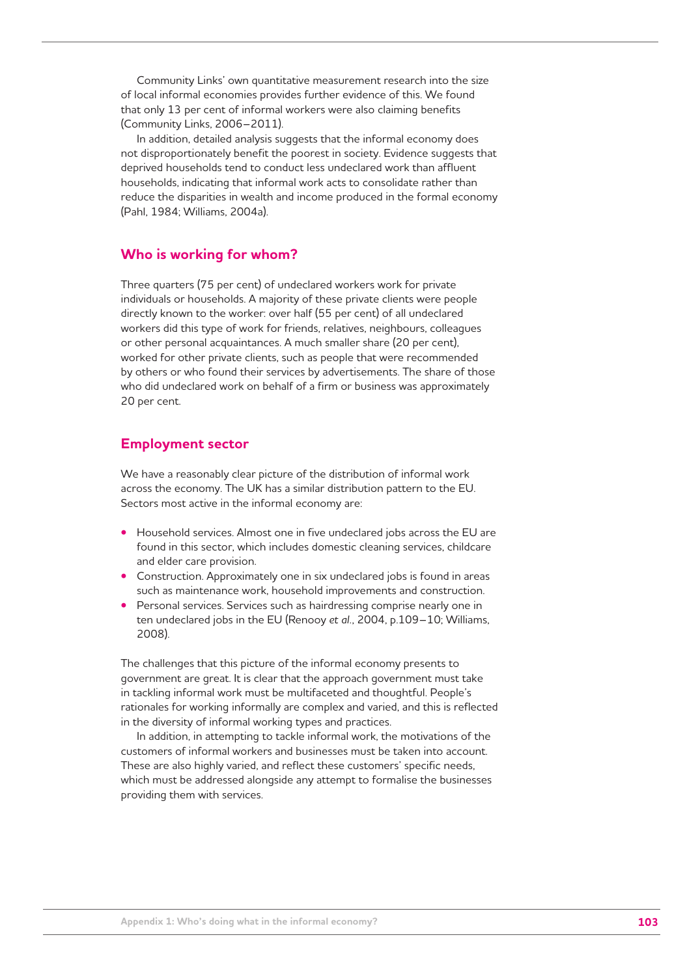Community Links' own quantitative measurement research into the size of local informal economies provides further evidence of this. We found that only 13 per cent of informal workers were also claiming benefits (Community Links, 2006–2011).

In addition, detailed analysis suggests that the informal economy does not disproportionately benefit the poorest in society. Evidence suggests that deprived households tend to conduct less undeclared work than affluent households, indicating that informal work acts to consolidate rather than reduce the disparities in wealth and income produced in the formal economy (Pahl, 1984; Williams, 2004a).

## **Who is working for whom?**

Three quarters (75 per cent) of undeclared workers work for private individuals or households. A majority of these private clients were people directly known to the worker: over half (55 per cent) of all undeclared workers did this type of work for friends, relatives, neighbours, colleagues or other personal acquaintances. A much smaller share (20 per cent), worked for other private clients, such as people that were recommended by others or who found their services by advertisements. The share of those who did undeclared work on behalf of a firm or business was approximately 20 per cent.

## **Employment sector**

We have a reasonably clear picture of the distribution of informal work across the economy. The UK has a similar distribution pattern to the EU. Sectors most active in the informal economy are:

- Household services. Almost one in five undeclared jobs across the EU are found in this sector, which includes domestic cleaning services, childcare and elder care provision.
- Construction. Approximately one in six undeclared jobs is found in areas such as maintenance work, household improvements and construction.
- Personal services. Services such as hairdressing comprise nearly one in ten undeclared jobs in the EU (Renooy *et al.*, 2004, p.109–10; Williams, 2008).

The challenges that this picture of the informal economy presents to government are great. It is clear that the approach government must take in tackling informal work must be multifaceted and thoughtful. People's rationales for working informally are complex and varied, and this is reflected in the diversity of informal working types and practices.

In addition, in attempting to tackle informal work, the motivations of the customers of informal workers and businesses must be taken into account. These are also highly varied, and reflect these customers' specific needs, which must be addressed alongside any attempt to formalise the businesses providing them with services.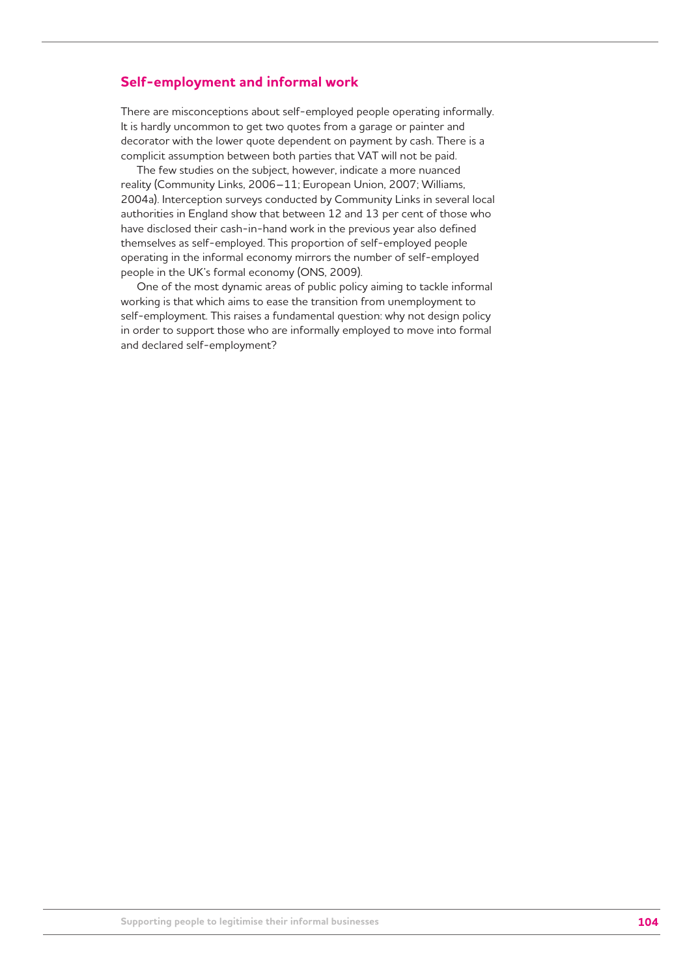### **Self-employment and informal work**

There are misconceptions about self-employed people operating informally. It is hardly uncommon to get two quotes from a garage or painter and decorator with the lower quote dependent on payment by cash. There is a complicit assumption between both parties that VAT will not be paid.

The few studies on the subject, however, indicate a more nuanced reality (Community Links, 2006–11; European Union, 2007; Williams, 2004a). Interception surveys conducted by Community Links in several local authorities in England show that between 12 and 13 per cent of those who have disclosed their cash-in-hand work in the previous year also defined themselves as self-employed. This proportion of self-employed people operating in the informal economy mirrors the number of self-employed people in the UK's formal economy (ONS, 2009).

One of the most dynamic areas of public policy aiming to tackle informal working is that which aims to ease the transition from unemployment to self-employment. This raises a fundamental question: why not design policy in order to support those who are informally employed to move into formal and declared self-employment?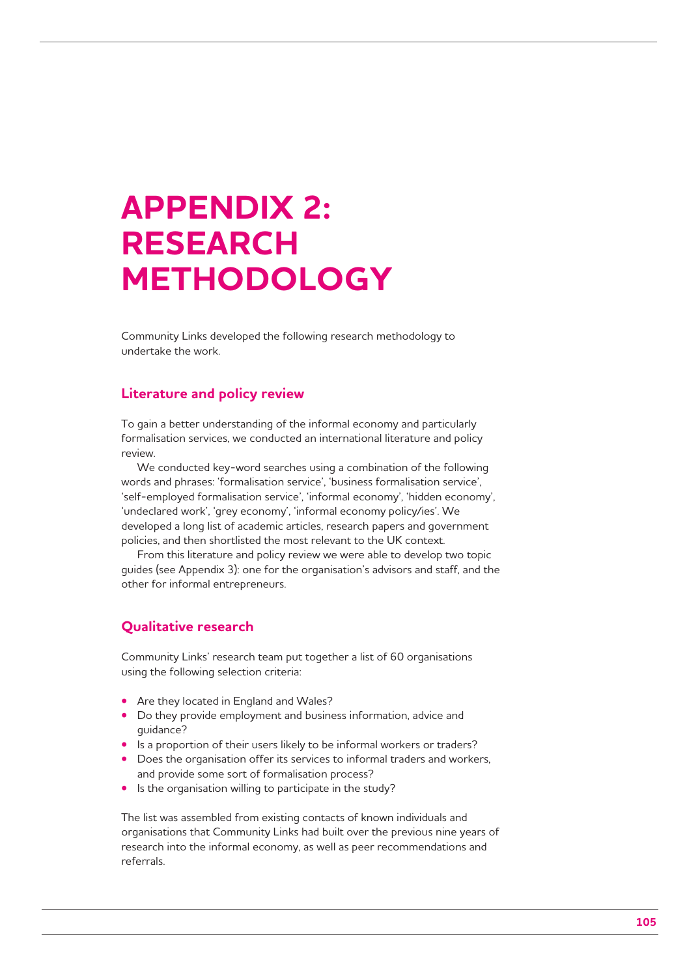## **APPENDIX 2: RESEARCH METHODOLOGY**

Community Links developed the following research methodology to undertake the work.

## **Literature and policy review**

To gain a better understanding of the informal economy and particularly formalisation services, we conducted an international literature and policy review.

We conducted key-word searches using a combination of the following words and phrases: 'formalisation service', 'business formalisation service', 'self-employed formalisation service', 'informal economy', 'hidden economy', 'undeclared work', 'grey economy', 'informal economy policy/ies'. We developed a long list of academic articles, research papers and government policies, and then shortlisted the most relevant to the UK context.

From this literature and policy review we were able to develop two topic guides (see Appendix 3): one for the organisation's advisors and staff, and the other for informal entrepreneurs.

## **Qualitative research**

Community Links' research team put together a list of 60 organisations using the following selection criteria:

- Are they located in England and Wales?
- Do they provide employment and business information, advice and guidance?
- Is a proportion of their users likely to be informal workers or traders?
- Does the organisation offer its services to informal traders and workers, and provide some sort of formalisation process?
- Is the organisation willing to participate in the study?

The list was assembled from existing contacts of known individuals and organisations that Community Links had built over the previous nine years of research into the informal economy, as well as peer recommendations and referrals.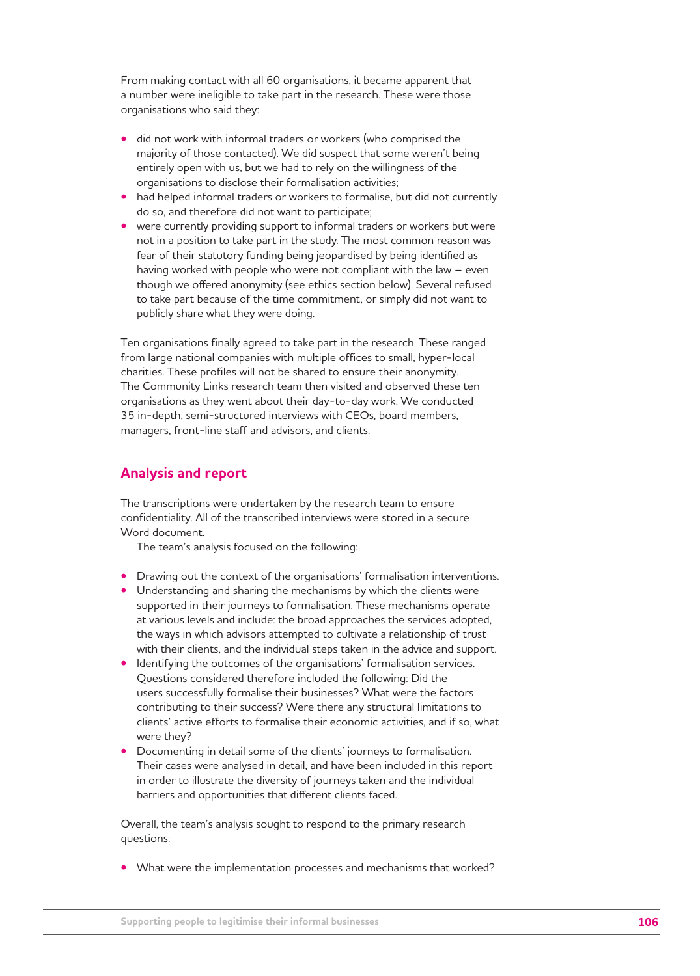From making contact with all 60 organisations, it became apparent that a number were ineligible to take part in the research. These were those organisations who said they:

- did not work with informal traders or workers (who comprised the majority of those contacted). We did suspect that some weren't being entirely open with us, but we had to rely on the willingness of the organisations to disclose their formalisation activities;
- had helped informal traders or workers to formalise, but did not currently do so, and therefore did not want to participate;
- were currently providing support to informal traders or workers but were not in a position to take part in the study. The most common reason was fear of their statutory funding being jeopardised by being identified as having worked with people who were not compliant with the law – even though we offered anonymity (see ethics section below). Several refused to take part because of the time commitment, or simply did not want to publicly share what they were doing.

Ten organisations finally agreed to take part in the research. These ranged from large national companies with multiple offices to small, hyper-local charities. These profiles will not be shared to ensure their anonymity. The Community Links research team then visited and observed these ten organisations as they went about their day-to-day work. We conducted 35 in-depth, semi-structured interviews with CEOs, board members, managers, front-line staff and advisors, and clients.

### **Analysis and report**

The transcriptions were undertaken by the research team to ensure confidentiality. All of the transcribed interviews were stored in a secure Word document.

The team's analysis focused on the following:

- Drawing out the context of the organisations' formalisation interventions.
- Understanding and sharing the mechanisms by which the clients were supported in their journeys to formalisation. These mechanisms operate at various levels and include: the broad approaches the services adopted, the ways in which advisors attempted to cultivate a relationship of trust with their clients, and the individual steps taken in the advice and support.
- Identifying the outcomes of the organisations' formalisation services. Questions considered therefore included the following: Did the users successfully formalise their businesses? What were the factors contributing to their success? Were there any structural limitations to clients' active efforts to formalise their economic activities, and if so, what were they?
- Documenting in detail some of the clients' journeys to formalisation. Their cases were analysed in detail, and have been included in this report in order to illustrate the diversity of journeys taken and the individual barriers and opportunities that different clients faced.

Overall, the team's analysis sought to respond to the primary research questions:

**•** What were the implementation processes and mechanisms that worked?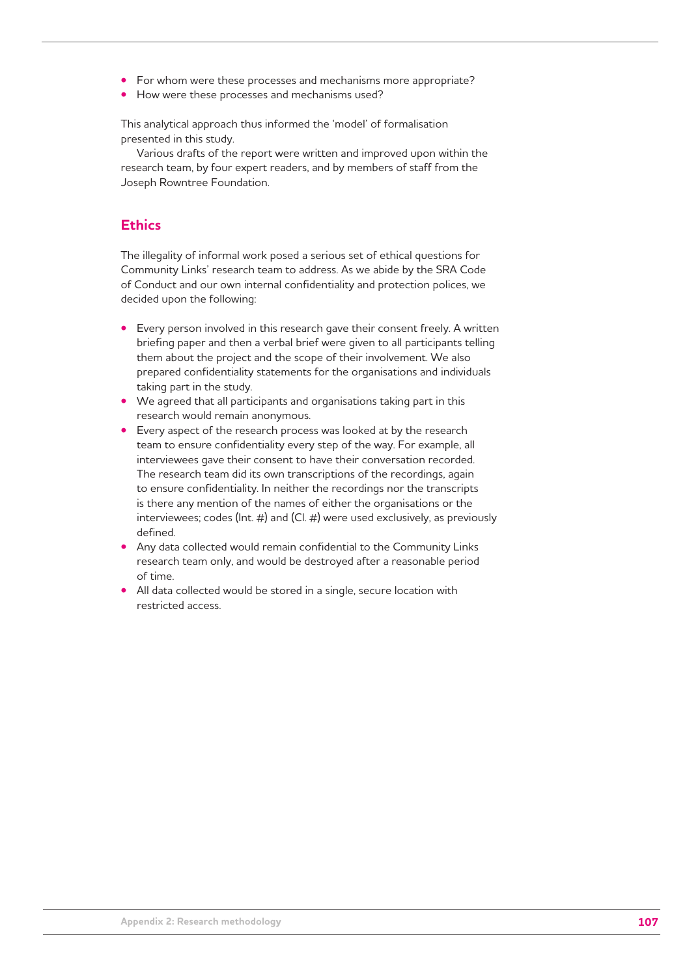- For whom were these processes and mechanisms more appropriate?
- How were these processes and mechanisms used?

This analytical approach thus informed the 'model' of formalisation presented in this study.

Various drafts of the report were written and improved upon within the research team, by four expert readers, and by members of staff from the Joseph Rowntree Foundation.

## **Ethics**

The illegality of informal work posed a serious set of ethical questions for Community Links' research team to address. As we abide by the SRA Code of Conduct and our own internal confidentiality and protection polices, we decided upon the following:

- Every person involved in this research gave their consent freely. A written briefing paper and then a verbal brief were given to all participants telling them about the project and the scope of their involvement. We also prepared confidentiality statements for the organisations and individuals taking part in the study.
- We agreed that all participants and organisations taking part in this research would remain anonymous.
- Every aspect of the research process was looked at by the research team to ensure confidentiality every step of the way. For example, all interviewees gave their consent to have their conversation recorded. The research team did its own transcriptions of the recordings, again to ensure confidentiality. In neither the recordings nor the transcripts is there any mention of the names of either the organisations or the interviewees; codes (Int. #) and (Cl. #) were used exclusively, as previously defined.
- Any data collected would remain confidential to the Community Links research team only, and would be destroyed after a reasonable period of time.
- All data collected would be stored in a single, secure location with restricted access.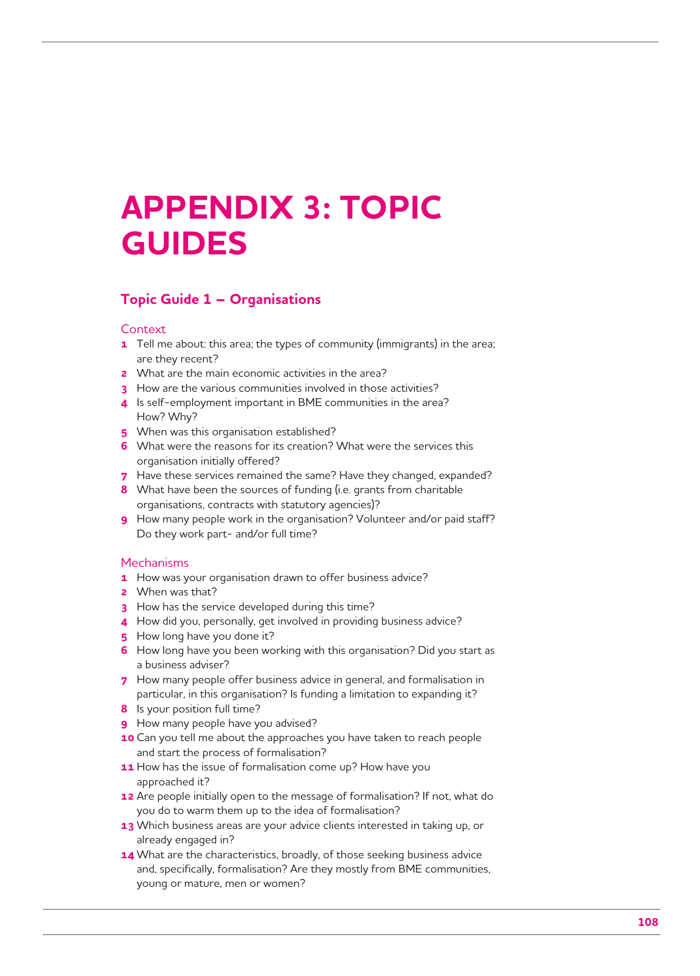## **APPENDIX 3: TOPIC GUIDES**

## **Topic Guide 1 – Organisations**

#### **Context**

- **1** Tell me about: this area; the types of community (immigrants) in the area; are they recent?
- **2** What are the main economic activities in the area?
- **3** How are the various communities involved in those activities?
- **4** Is self-employment important in BME communities in the area? How? Why?
- **5** When was this organisation established?
- **6** What were the reasons for its creation? What were the services this organisation initially offered?
- **7** Have these services remained the same? Have they changed, expanded?
- **8** What have been the sources of funding (i.e. grants from charitable organisations, contracts with statutory agencies)?
- **9** How many people work in the organisation? Volunteer and/or paid staff? Do they work part- and/or full time?

#### **Mechanisms**

- **1** How was your organisation drawn to offer business advice?
- **2** When was that?
- **3** How has the service developed during this time?
- **4** How did you, personally, get involved in providing business advice?
- **5** How long have you done it?
- **6** How long have you been working with this organisation? Did you start as a business adviser?
- **7** How many people offer business advice in general, and formalisation in particular, in this organisation? Is funding a limitation to expanding it?
- **8** Is your position full time?
- **9** How many people have you advised?
- **10** Can you tell me about the approaches you have taken to reach people and start the process of formalisation?
- **11** How has the issue of formalisation come up? How have you approached it?
- **12** Are people initially open to the message of formalisation? If not, what do you do to warm them up to the idea of formalisation?
- **13** Which business areas are your advice clients interested in taking up, or already engaged in?
- **14** What are the characteristics, broadly, of those seeking business advice and, specifically, formalisation? Are they mostly from BME communities, young or mature, men or women?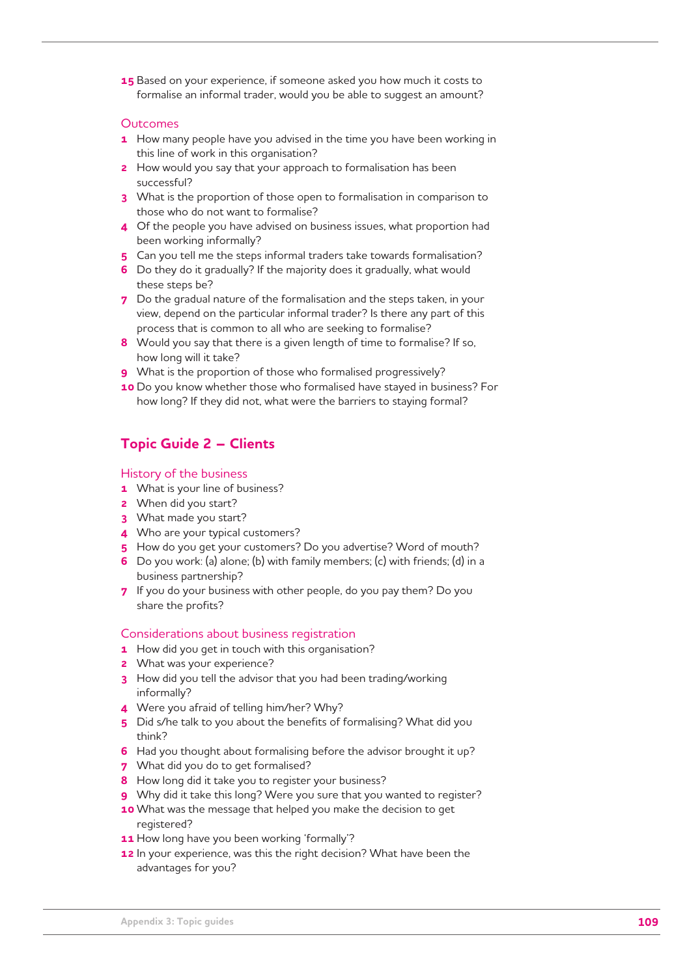**15** Based on your experience, if someone asked you how much it costs to formalise an informal trader, would you be able to suggest an amount?

#### **Outcomes**

- **1** How many people have you advised in the time you have been working in this line of work in this organisation?
- **2** How would you say that your approach to formalisation has been successful?
- **3** What is the proportion of those open to formalisation in comparison to those who do not want to formalise?
- **4** Of the people you have advised on business issues, what proportion had been working informally?
- **5** Can you tell me the steps informal traders take towards formalisation?
- **6** Do they do it gradually? If the majority does it gradually, what would these steps be?
- **7** Do the gradual nature of the formalisation and the steps taken, in your view, depend on the particular informal trader? Is there any part of this process that is common to all who are seeking to formalise?
- **8** Would you say that there is a given length of time to formalise? If so, how long will it take?
- **9** What is the proportion of those who formalised progressively?
- **10** Do you know whether those who formalised have stayed in business? For how long? If they did not, what were the barriers to staying formal?

### **Topic Guide 2 – Clients**

### History of the business

- **1** What is your line of business?
- **2** When did you start?
- **3** What made you start?
- **4** Who are your typical customers?
- **5** How do you get your customers? Do you advertise? Word of mouth?
- **6** Do you work: (a) alone; (b) with family members; (c) with friends; (d) in a business partnership?
- **7** If you do your business with other people, do you pay them? Do you share the profits?

### Considerations about business registration

- **1** How did you get in touch with this organisation?
- **2** What was your experience?
- **3** How did you tell the advisor that you had been trading/working informally?
- **4** Were you afraid of telling him/her? Why?
- **5** Did s/he talk to you about the benefits of formalising? What did you think?
- **6** Had you thought about formalising before the advisor brought it up?
- **7** What did you do to get formalised?
- **8** How long did it take you to register your business?
- **9** Why did it take this long? Were you sure that you wanted to register?
- **10** What was the message that helped you make the decision to get registered?
- **11** How long have you been working 'formally'?
- **12** In your experience, was this the right decision? What have been the advantages for you?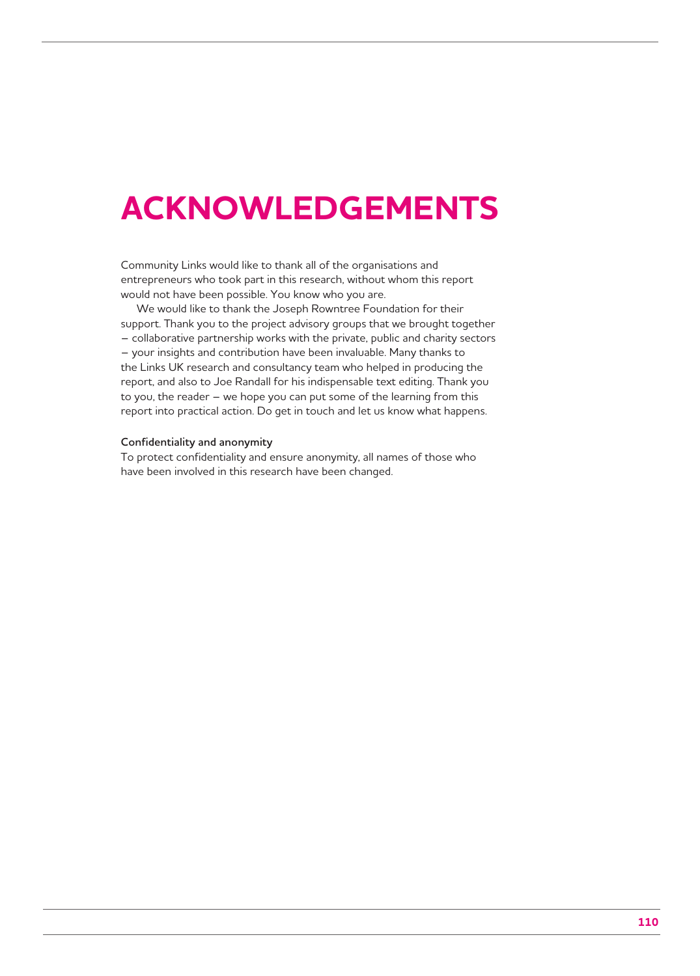### **ACKNOWLEDGEMENTS**

Community Links would like to thank all of the organisations and entrepreneurs who took part in this research, without whom this report would not have been possible. You know who you are.

We would like to thank the Joseph Rowntree Foundation for their support. Thank you to the project advisory groups that we brought together – collaborative partnership works with the private, public and charity sectors – your insights and contribution have been invaluable. Many thanks to the Links UK research and consultancy team who helped in producing the report, and also to Joe Randall for his indispensable text editing. Thank you to you, the reader – we hope you can put some of the learning from this report into practical action. Do get in touch and let us know what happens.

#### **Confidentiality and anonymity**

To protect confidentiality and ensure anonymity, all names of those who have been involved in this research have been changed.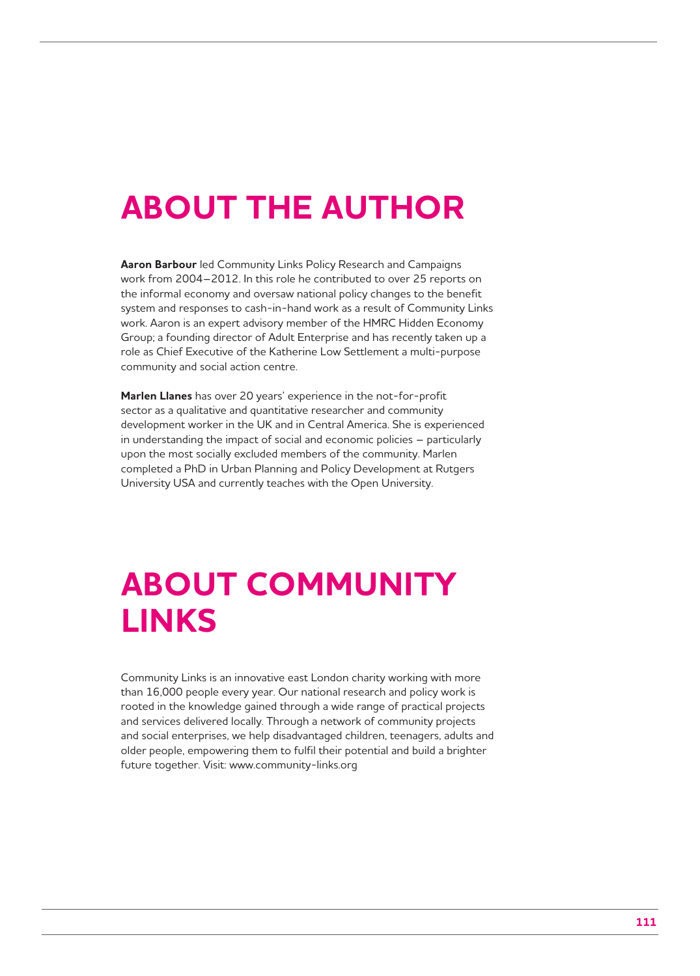# **ABOUT THE AUTHOR**

**Aaron Barbour** led Community Links Policy Research and Campaigns work from 2004–2012. In this role he contributed to over 25 reports on the informal economy and oversaw national policy changes to the benefit system and responses to cash-in-hand work as a result of Community Links work. Aaron is an expert advisory member of the HMRC Hidden Economy Group; a founding director of Adult Enterprise and has recently taken up a role as Chief Executive of the Katherine Low Settlement a multi-purpose community and social action centre.

**Marlen Llanes** has over 20 years' experience in the not-for-profit sector as a qualitative and quantitative researcher and community development worker in the UK and in Central America. She is experienced in understanding the impact of social and economic policies – particularly upon the most socially excluded members of the community. Marlen completed a PhD in Urban Planning and Policy Development at Rutgers University USA and currently teaches with the Open University.

# **ABOUT COMMUNITY LINKS**

Community Links is an innovative east London charity working with more than 16,000 people every year. Our national research and policy work is rooted in the knowledge gained through a wide range of practical projects and services delivered locally. Through a network of community projects and social enterprises, we help disadvantaged children, teenagers, adults and older people, empowering them to fulfil their potential and build a brighter future together. Visit: www.community-links.org